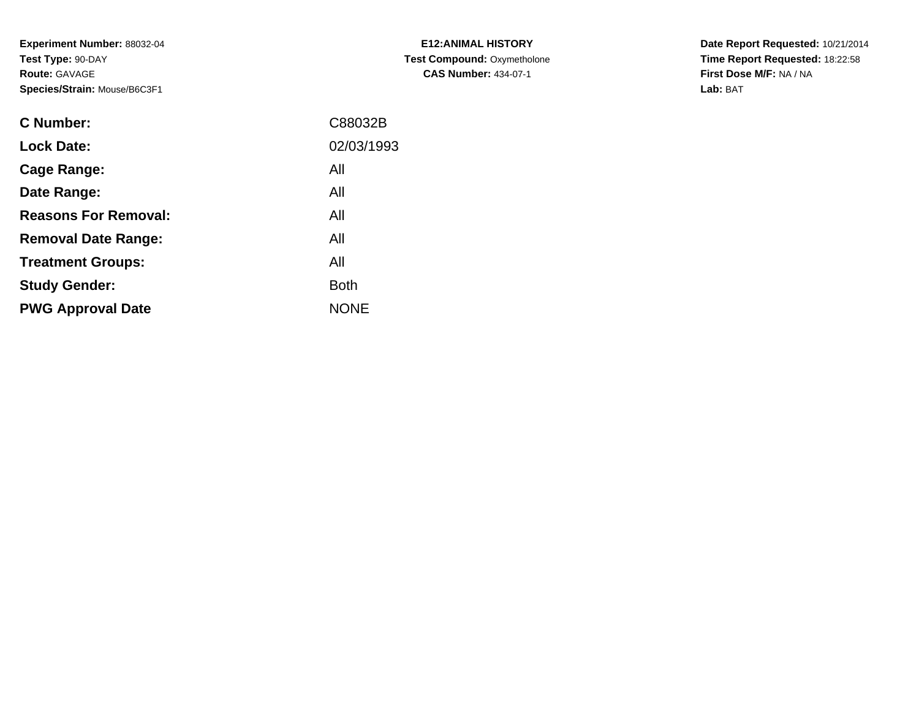**Experiment Number:** 88032-04**Test Type:** 90-DAY**Route:** GAVAGE**Species/Strain:** Mouse/B6C3F1

| <b>C Number:</b>            | C88032B     |
|-----------------------------|-------------|
| <b>Lock Date:</b>           | 02/03/1993  |
| <b>Cage Range:</b>          | All         |
| Date Range:                 | All         |
| <b>Reasons For Removal:</b> | All         |
| <b>Removal Date Range:</b>  | All         |
| <b>Treatment Groups:</b>    | All         |
| <b>Study Gender:</b>        | <b>Both</b> |
| <b>PWG Approval Date</b>    | <b>NONE</b> |
|                             |             |

**E12:ANIMAL HISTORY Test Compound:** Oxymetholone**CAS Number:** 434-07-1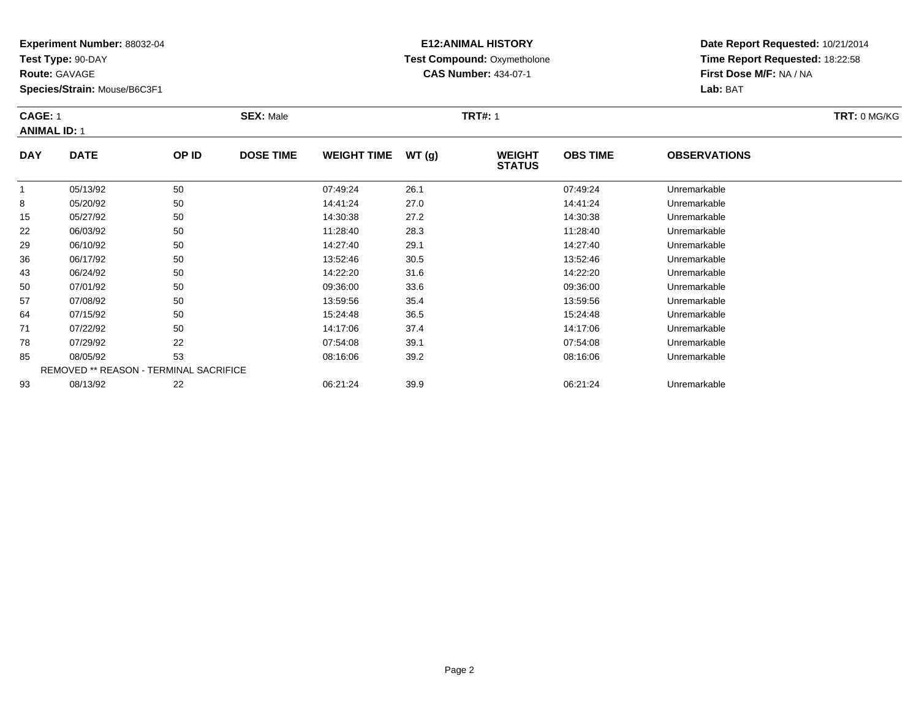**Test Type:** 90-DAY

**Route:** GAVAGE

**Species/Strain:** Mouse/B6C3F1

# **E12:ANIMAL HISTORY Test Compound:** Oxymetholone**CAS Number:** 434-07-1

| <b>CAGE: 1</b><br><b>ANIMAL ID: 1</b> |             |       | <b>SEX: Male</b> |                    |       | <b>TRT#: 1</b>                 | <b>TRT: 0 MG/KG</b> |                     |  |
|---------------------------------------|-------------|-------|------------------|--------------------|-------|--------------------------------|---------------------|---------------------|--|
| <b>DAY</b>                            | <b>DATE</b> | OP ID | <b>DOSE TIME</b> | <b>WEIGHT TIME</b> | WT(g) | <b>WEIGHT</b><br><b>STATUS</b> | <b>OBS TIME</b>     | <b>OBSERVATIONS</b> |  |
|                                       | 05/13/92    | 50    |                  | 07:49:24           | 26.1  |                                | 07:49:24            | Unremarkable        |  |
| 8                                     | 05/20/92    | 50    |                  | 14:41:24           | 27.0  |                                | 14:41:24            | Unremarkable        |  |
| 15                                    | 05/27/92    | 50    |                  | 14:30:38           | 27.2  |                                | 14:30:38            | Unremarkable        |  |
|                                       |             |       |                  |                    |       |                                |                     |                     |  |

| 8  | 05/20/92 | 50                                            | 14:41:24 | 27.0 | 14:41:24 | Unremarkable |  |
|----|----------|-----------------------------------------------|----------|------|----------|--------------|--|
| 15 | 05/27/92 | 50                                            | 14:30:38 | 27.2 | 14:30:38 | Unremarkable |  |
| 22 | 06/03/92 | 50                                            | 11:28:40 | 28.3 | 11:28:40 | Unremarkable |  |
| 29 | 06/10/92 | 50                                            | 14:27:40 | 29.1 | 14:27:40 | Unremarkable |  |
| 36 | 06/17/92 | 50                                            | 13:52:46 | 30.5 | 13:52:46 | Unremarkable |  |
| 43 | 06/24/92 | 50                                            | 14:22:20 | 31.6 | 14:22:20 | Unremarkable |  |
| 50 | 07/01/92 | 50                                            | 09:36:00 | 33.6 | 09:36:00 | Unremarkable |  |
| 57 | 07/08/92 | 50                                            | 13:59:56 | 35.4 | 13:59:56 | Unremarkable |  |
| 64 | 07/15/92 | 50                                            | 15:24:48 | 36.5 | 15:24:48 | Unremarkable |  |
| 71 | 07/22/92 | 50                                            | 14:17:06 | 37.4 | 14:17:06 | Unremarkable |  |
| 78 | 07/29/92 | 22                                            | 07:54:08 | 39.1 | 07:54:08 | Unremarkable |  |
| 85 | 08/05/92 | 53                                            | 08:16:06 | 39.2 | 08:16:06 | Unremarkable |  |
|    |          | <b>REMOVED ** REASON - TERMINAL SACRIFICE</b> |          |      |          |              |  |
| 93 | 08/13/92 | 22                                            | 06:21:24 | 39.9 | 06:21:24 | Unremarkable |  |
|    |          |                                               |          |      |          |              |  |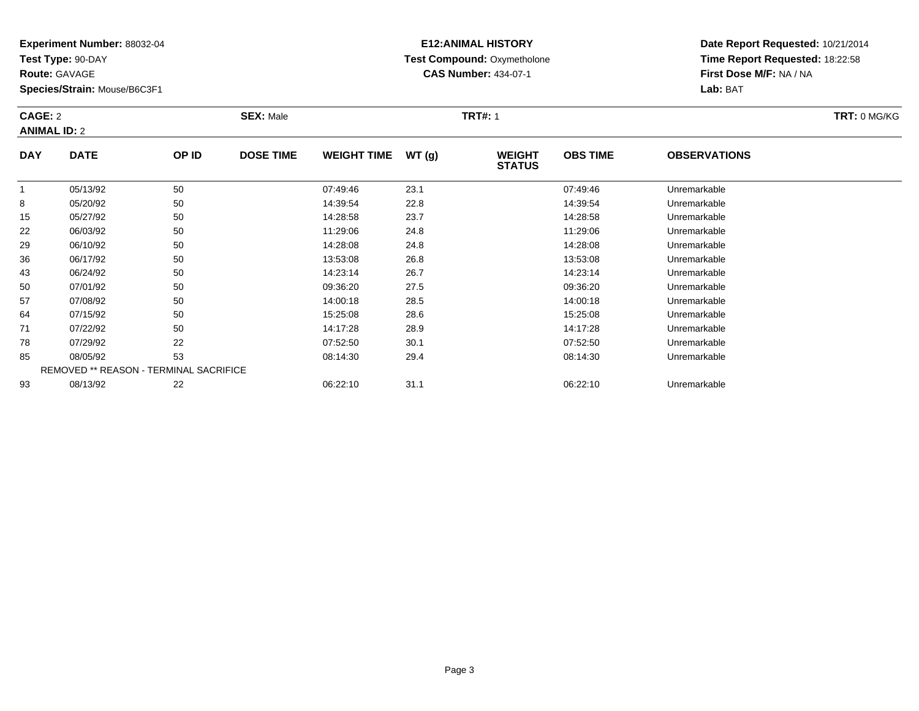**Test Type:** 90-DAY

**Route:** GAVAGE

**Species/Strain:** Mouse/B6C3F1

# **E12:ANIMAL HISTORY Test Compound:** Oxymetholone**CAS Number:** 434-07-1

**Date Report Requested:** 10/21/2014 **Time Report Requested:** 18:22:58**First Dose M/F:** NA / NA**Lab:** BAT

### **CAGE:** 2 **SEX:** Male **TRT#:** <sup>1</sup> **TRT:** 0 MG/KG**ANIMAL ID:** 2**DAY DATE OP IDDOSE TIME WEIGHT TIME WT** (g) **STATUSOBS TIME OBSERVATIONS** 1 05/13/92 <sup>50</sup> 07:49:46 23.1 07:49:46 Unremarkable 8

|    | 05/13/92 | 50                                            | 07:49:46 | 23.1 | 07:49:46 | Unremarkable |  |
|----|----------|-----------------------------------------------|----------|------|----------|--------------|--|
| 8  | 05/20/92 | 50                                            | 14:39:54 | 22.8 | 14:39:54 | Unremarkable |  |
| 15 | 05/27/92 | 50                                            | 14:28:58 | 23.7 | 14:28:58 | Unremarkable |  |
| 22 | 06/03/92 | 50                                            | 11:29:06 | 24.8 | 11:29:06 | Unremarkable |  |
| 29 | 06/10/92 | 50                                            | 14:28:08 | 24.8 | 14:28:08 | Unremarkable |  |
| 36 | 06/17/92 | 50                                            | 13:53:08 | 26.8 | 13.53.08 | Unremarkable |  |
| 43 | 06/24/92 | 50                                            | 14:23:14 | 26.7 | 14:23:14 | Unremarkable |  |
| 50 | 07/01/92 | 50                                            | 09:36:20 | 27.5 | 09:36:20 | Unremarkable |  |
| 57 | 07/08/92 | 50                                            | 14:00:18 | 28.5 | 14:00:18 | Unremarkable |  |
| 64 | 07/15/92 | 50                                            | 15:25:08 | 28.6 | 15:25:08 | Unremarkable |  |
| 71 | 07/22/92 | 50                                            | 14:17:28 | 28.9 | 14:17:28 | Unremarkable |  |
| 78 | 07/29/92 | 22                                            | 07:52:50 | 30.1 | 07:52:50 | Unremarkable |  |
| 85 | 08/05/92 | 53                                            | 08:14:30 | 29.4 | 08:14:30 | Unremarkable |  |
|    |          | <b>REMOVED ** REASON - TERMINAL SACRIFICE</b> |          |      |          |              |  |
| 93 | 08/13/92 | 22                                            | 06:22:10 | 31.1 | 06:22:10 | Unremarkable |  |
|    |          |                                               |          |      |          |              |  |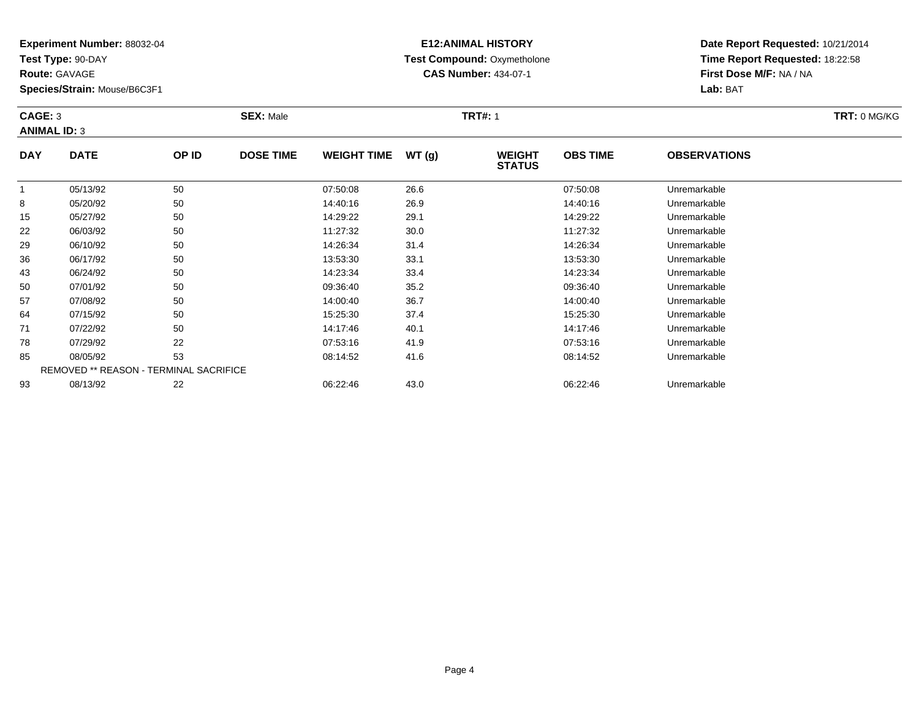**Test Type:** 90-DAY

**Route:** GAVAGE

43

50

57

64

71

78

85

93

**Species/Strain:** Mouse/B6C3F1

# **E12:ANIMAL HISTORY Test Compound:** Oxymetholone**CAS Number:** 434-07-1

| CAGE: 3<br><b>ANIMAL ID: 3</b> |             | <b>SEX: Male</b> |                  |                    |       | <b>TRT#: 1</b>                 |                 |                     | <b>TRT: 0 MG/KG</b> |
|--------------------------------|-------------|------------------|------------------|--------------------|-------|--------------------------------|-----------------|---------------------|---------------------|
| <b>DAY</b>                     | <b>DATE</b> | OP ID            | <b>DOSE TIME</b> | <b>WEIGHT TIME</b> | WT(q) | <b>WEIGHT</b><br><b>STATUS</b> | <b>OBS TIME</b> | <b>OBSERVATIONS</b> |                     |
|                                | 05/13/92    | 50               |                  | 07:50:08           | 26.6  |                                | 07:50:08        | Unremarkable        |                     |
| 8                              | 05/20/92    | 50               |                  | 14:40:16           | 26.9  |                                | 14:40:16        | Unremarkable        |                     |
| 15                             | 05/27/92    | 50               |                  | 14:29:22           | 29.1  |                                | 14:29:22        | Unremarkable        |                     |
| 22                             | 06/03/92    | 50               |                  | 11:27:32           | 30.0  |                                | 11:27:32        | Unremarkable        |                     |
| 29                             | 06/10/92    | 50               |                  | 14:26:34           | 31.4  |                                | 14:26:34        | Unremarkable        |                     |
| 36                             | 06/17/92    | 50               |                  | 13:53:30           | 33.1  |                                | 13:53:30        | Unremarkable        |                     |

|   | 05/20/92 | 50                                            | 14:40:16 | 26.9 | 14:40:16 | Unremarkable |  |
|---|----------|-----------------------------------------------|----------|------|----------|--------------|--|
| 5 | 05/27/92 | 50                                            | 14:29:22 | 29.1 | 14:29:22 | Unremarkable |  |
| 2 | 06/03/92 | 50                                            | 11:27:32 | 30.0 | 11:27:32 | Unremarkable |  |
| 9 | 06/10/92 | 50                                            | 14:26:34 | 31.4 | 14:26:34 | Unremarkable |  |
|   | 06/17/92 | 50                                            | 13:53:30 | 33.1 | 13:53:30 | Unremarkable |  |
| 3 | 06/24/92 | 50                                            | 14:23:34 | 33.4 | 14:23:34 | Unremarkable |  |
|   | 07/01/92 | 50                                            | 09:36:40 | 35.2 | 09:36:40 | Unremarkable |  |
|   | 07/08/92 | 50                                            | 14:00:40 | 36.7 | 14:00:40 | Unremarkable |  |
| 4 | 07/15/92 | 50                                            | 15:25:30 | 37.4 | 15:25:30 | Unremarkable |  |
|   | 07/22/92 | 50                                            | 14:17:46 | 40.1 | 14:17:46 | Unremarkable |  |
| 8 | 07/29/92 | 22                                            | 07:53:16 | 41.9 | 07:53:16 | Unremarkable |  |
|   | 08/05/92 | 53                                            | 08:14:52 | 41.6 | 08:14:52 | Unremarkable |  |
|   |          | <b>REMOVED ** REASON - TERMINAL SACRIFICE</b> |          |      |          |              |  |
| 3 | 08/13/92 | 22                                            | 06:22:46 | 43.0 | 06:22:46 | Unremarkable |  |
|   |          |                                               |          |      |          |              |  |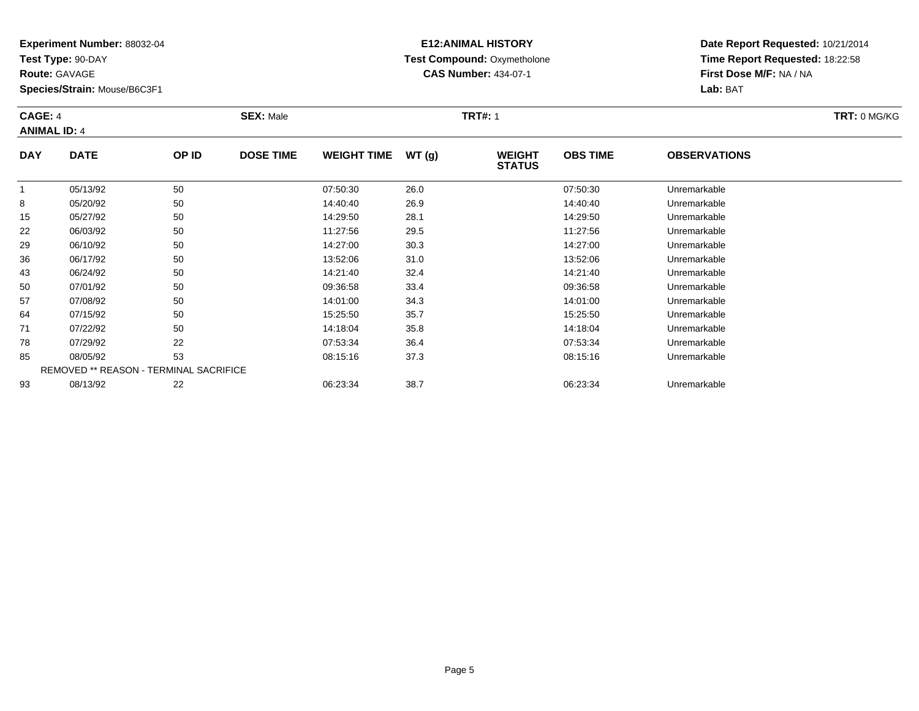**Test Type:** 90-DAY

**Route:** GAVAGE

**Species/Strain:** Mouse/B6C3F1

# **E12:ANIMAL HISTORY Test Compound:** Oxymetholone**CAS Number:** 434-07-1

| CAGE: 4<br><b>ANIMAL ID: 4</b> |             |       | <b>SEX: Male</b> |                    |        | <b>TRT#: 1</b>                 | <b>TRT: 0 MG/KG</b> |                     |  |
|--------------------------------|-------------|-------|------------------|--------------------|--------|--------------------------------|---------------------|---------------------|--|
| <b>DAY</b>                     | <b>DATE</b> | OP ID | <b>DOSE TIME</b> | <b>WEIGHT TIME</b> | WT (a) | <b>WEIGHT</b><br><b>STATUS</b> | <b>OBS TIME</b>     | <b>OBSERVATIONS</b> |  |
|                                | 05/13/92    | 50    |                  | 07:50:30           | 26.0   |                                | 07:50:30            | Unremarkable        |  |
| 8                              | 05/20/92    | 50    |                  | 14:40:40           | 26.9   |                                | 14:40:40            | Unremarkable        |  |
| 15                             | 05/27/92    | 50    |                  | 14:29:50           | 28.1   |                                | 14:29:50            | Unremarkable        |  |
| 22                             | 06/03/92    | 50    |                  | 11:27:56           | 29.5   |                                | 11:27:56            | Unremarkable        |  |

| 8  | 05/20/92 | 50                                            | 14:40:40 | 26.9 | 14:40:40 | Unremarkable |  |
|----|----------|-----------------------------------------------|----------|------|----------|--------------|--|
| 15 | 05/27/92 | 50                                            | 14:29:50 | 28.1 | 14:29:50 | Unremarkable |  |
| 22 | 06/03/92 | 50                                            | 11:27:56 | 29.5 | 11:27:56 | Unremarkable |  |
| 29 | 06/10/92 | 50                                            | 14:27:00 | 30.3 | 14:27:00 | Unremarkable |  |
| 36 | 06/17/92 | 50                                            | 13:52:06 | 31.0 | 13:52:06 | Unremarkable |  |
| 43 | 06/24/92 | 50                                            | 14:21:40 | 32.4 | 14:21:40 | Unremarkable |  |
| 50 | 07/01/92 | 50                                            | 09:36:58 | 33.4 | 09:36:58 | Unremarkable |  |
| 57 | 07/08/92 | 50                                            | 14:01:00 | 34.3 | 14:01:00 | Unremarkable |  |
| 64 | 07/15/92 | 50                                            | 15:25:50 | 35.7 | 15:25:50 | Unremarkable |  |
| 71 | 07/22/92 | 50                                            | 14:18:04 | 35.8 | 14:18:04 | Unremarkable |  |
| 78 | 07/29/92 | 22                                            | 07:53:34 | 36.4 | 07:53:34 | Unremarkable |  |
| 85 | 08/05/92 | 53                                            | 08:15:16 | 37.3 | 08:15:16 | Unremarkable |  |
|    |          | <b>REMOVED ** REASON - TERMINAL SACRIFICE</b> |          |      |          |              |  |
| 93 | 08/13/92 | 22                                            | 06:23:34 | 38.7 | 06:23:34 | Unremarkable |  |
|    |          |                                               |          |      |          |              |  |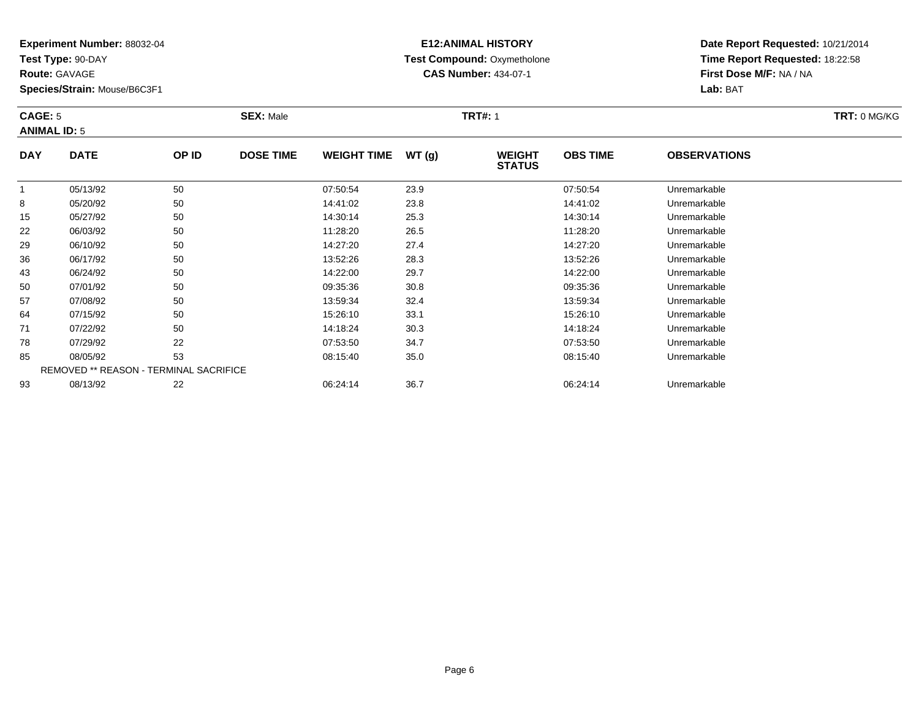**Test Type:** 90-DAY

**Route:** GAVAGE

**Species/Strain:** Mouse/B6C3F1

# **E12:ANIMAL HISTORY Test Compound:** Oxymetholone**CAS Number:** 434-07-1

| CAGE: 5<br><b>ANIMAL ID: 5</b> |             |       | <b>SEX: Male</b> |                    |       | <b>TRT#: 1</b>                 |                 |                     | TRT: 0 MG/KG |
|--------------------------------|-------------|-------|------------------|--------------------|-------|--------------------------------|-----------------|---------------------|--------------|
| <b>DAY</b>                     | <b>DATE</b> | OP ID | <b>DOSE TIME</b> | <b>WEIGHT TIME</b> | WT(g) | <b>WEIGHT</b><br><b>STATUS</b> | <b>OBS TIME</b> | <b>OBSERVATIONS</b> |              |
|                                | 05/13/92    | 50    |                  | 07:50:54           | 23.9  |                                | 07:50:54        | Unremarkable        |              |
| 8                              | 05/20/92    | 50    |                  | 14:41:02           | 23.8  |                                | 14:41:02        | Unremarkable        |              |
| 15                             | 05/27/92    | 50    |                  | 14:30:14           | 25.3  |                                | 14:30:14        | Unremarkable        |              |
| 22                             | 06/03/92    | 50    |                  | 11:28:20           | 26.5  |                                | 11:28:20        | Unremarkable        |              |
| 29                             | 06/10/92    | 50    |                  | 14:27:20           | 27.4  |                                | 14:27:20        | Unremarkable        |              |

| 22 | 06/03/92                                      | 50 | 11:28:20 | 26.5 | 11:28:20 | Unremarkable |
|----|-----------------------------------------------|----|----------|------|----------|--------------|
| 29 | 06/10/92                                      | 50 | 14:27:20 | 27.4 | 14:27:20 | Unremarkable |
| 36 | 06/17/92                                      | 50 | 13:52:26 | 28.3 | 13:52:26 | Unremarkable |
| 43 | 06/24/92                                      | 50 | 14:22:00 | 29.7 | 14:22:00 | Unremarkable |
| 50 | 07/01/92                                      | 50 | 09:35:36 | 30.8 | 09:35:36 | Unremarkable |
| 57 | 07/08/92                                      | 50 | 13:59:34 | 32.4 | 13:59:34 | Unremarkable |
| 64 | 07/15/92                                      | 50 | 15:26:10 | 33.1 | 15:26:10 | Unremarkable |
| 71 | 07/22/92                                      | 50 | 14:18:24 | 30.3 | 14:18:24 | Unremarkable |
| 78 | 07/29/92                                      | 22 | 07:53:50 | 34.7 | 07:53:50 | Unremarkable |
| 85 | 08/05/92                                      | 53 | 08:15:40 | 35.0 | 08:15:40 | Unremarkable |
|    | <b>REMOVED ** REASON - TERMINAL SACRIFICE</b> |    |          |      |          |              |
| 93 | 08/13/92                                      | 22 | 06:24:14 | 36.7 | 06:24:14 | Unremarkable |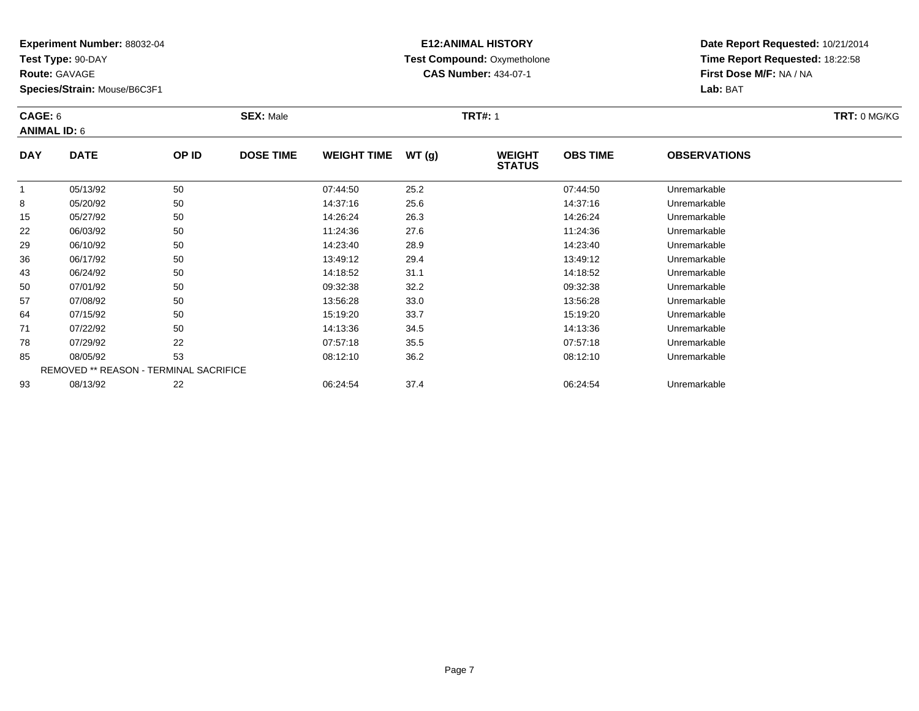**Test Type:** 90-DAY

**Route:** GAVAGE

57

64

71

78

85

93

**Species/Strain:** Mouse/B6C3F1

REMOVED \*\* REASON - TERMINAL SACRIFICE

# **E12:ANIMAL HISTORY Test Compound:** Oxymetholone**CAS Number:** 434-07-1

**Date Report Requested:** 10/21/2014**Time Report Requested:** 18:22:58**First Dose M/F:** NA / NA**Lab:** BAT

| CAGE: 6<br><b>ANIMAL ID: 6</b> |             |       | <b>SEX: Male</b> |                    |       | <b>TRT#: 1</b>                 | TRT: 0 MG/KG    |                     |  |
|--------------------------------|-------------|-------|------------------|--------------------|-------|--------------------------------|-----------------|---------------------|--|
| <b>DAY</b>                     | <b>DATE</b> | OP ID | <b>DOSE TIME</b> | <b>WEIGHT TIME</b> | WT(q) | <b>WEIGHT</b><br><b>STATUS</b> | <b>OBS TIME</b> | <b>OBSERVATIONS</b> |  |
|                                | 05/13/92    | 50    |                  | 07:44:50           | 25.2  |                                | 07:44:50        | Unremarkable        |  |
| 8                              | 05/20/92    | 50    |                  | 14:37:16           | 25.6  |                                | 14:37:16        | Unremarkable        |  |
| 15                             | 05/27/92    | 50    |                  | 14:26:24           | 26.3  |                                | 14:26:24        | Unremarkable        |  |
| 22                             | 06/03/92    | 50    |                  | 11:24:36           | 27.6  |                                | 11:24:36        | Unremarkable        |  |
| 29                             | 06/10/92    | 50    |                  | 14:23:40           | 28.9  |                                | 14:23:40        | Unremarkable        |  |
| 36                             | 06/17/92    | 50    |                  | 13:49:12           | 29.4  |                                | 13:49:12        | Unremarkable        |  |
| 43                             | 06/24/92    | 50    |                  | 14:18:52           | 31.1  |                                | 14:18:52        | Unremarkable        |  |
| 50                             | 07/01/92    | 50    |                  | 09:32:38           | 32.2  |                                | 09:32:38        | Unremarkable        |  |

07/08/92 <sup>50</sup> 13:56:28 33.0 13:56:28 Unremarkable

07/15/92 <sup>50</sup> 15:19:20 33.7 15:19:20 Unremarkable

07/22/92 <sup>50</sup> 14:13:36 34.5 14:13:36 Unremarkable

07/29/92 <sup>22</sup> 07:57:18 35.5 07:57:18 Unremarkable

08/05/92 <sup>53</sup> 08:12:10 36.2 08:12:10 Unremarkable

08/13/92 <sup>22</sup> 06:24:54 37.4 06:24:54 Unremarkable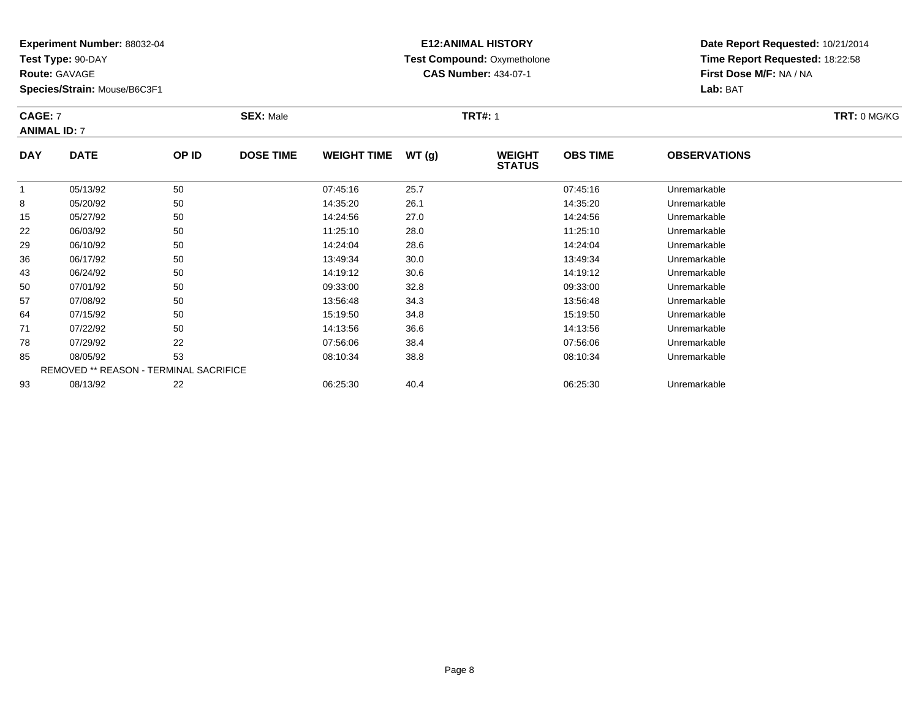**Test Type:** 90-DAY

**Route:** GAVAGE

43

50

57

64

71

78

85

93

**Species/Strain:** Mouse/B6C3F1

### **E12:ANIMAL HISTORY Test Compound:** Oxymetholone**CAS Number:** 434-07-1

**Date Report Requested:** 10/21/2014**Time Report Requested:** 18:22:58**First Dose M/F:** NA / NA**Lab:** BAT

| <b>CAGE: 7</b><br><b>ANIMAL ID: 7</b> |             |       | <b>SEX: Male</b> |                    |       | <b>TRT#: 1</b>                 |                 |                     | TRT: 0 MG/KG |
|---------------------------------------|-------------|-------|------------------|--------------------|-------|--------------------------------|-----------------|---------------------|--------------|
| <b>DAY</b>                            | <b>DATE</b> | OP ID | <b>DOSE TIME</b> | <b>WEIGHT TIME</b> | WT(g) | <b>WEIGHT</b><br><b>STATUS</b> | <b>OBS TIME</b> | <b>OBSERVATIONS</b> |              |
|                                       | 05/13/92    | 50    |                  | 07:45:16           | 25.7  |                                | 07:45:16        | Unremarkable        |              |
| 8                                     | 05/20/92    | 50    |                  | 14:35:20           | 26.1  |                                | 14:35:20        | Unremarkable        |              |
| 15                                    | 05/27/92    | 50    |                  | 14:24:56           | 27.0  |                                | 14:24:56        | Unremarkable        |              |
| 22                                    | 06/03/92    | 50    |                  | 11:25:10           | 28.0  |                                | 11:25:10        | Unremarkable        |              |
| 29                                    | 06/10/92    | 50    |                  | 14:24:04           | 28.6  |                                | 14:24:04        | Unremarkable        |              |
| 36                                    | 06/17/92    | 50    |                  | 13:49:34           | 30.0  |                                | 13:49:34        | Unremarkable        |              |

| 07/15/92 | 50                                            | 15:19:50 | 34.8 | 15:19:50 | Unremarkable |
|----------|-----------------------------------------------|----------|------|----------|--------------|
| 07/22/92 | 50                                            | 14:13:56 | 36.6 | 14:13:56 | Unremarkable |
| 07/29/92 | 22                                            | 07:56:06 | 38.4 | 07:56:06 | Unremarkable |
| 08/05/92 | 53                                            | 08:10:34 | 38.8 | 08:10:34 | Unremarkable |
|          | <b>REMOVED ** REASON - TERMINAL SACRIFICE</b> |          |      |          |              |
| 08/13/92 | 22                                            | 06:25:30 | 40.4 | 06:25:30 | Unremarkable |
|          |                                               |          |      |          |              |

06/17/92 <sup>50</sup> 13:49:34 30.0 13:49:34 Unremarkable

06/24/92 <sup>50</sup> 14:19:12 30.6 14:19:12 Unremarkable

0 07/01/92 50 50 09:33:00 32.8 09:33:00 09:33:00 09:33:00

07/08/92 <sup>50</sup> 13:56:48 34.3 13:56:48 Unremarkable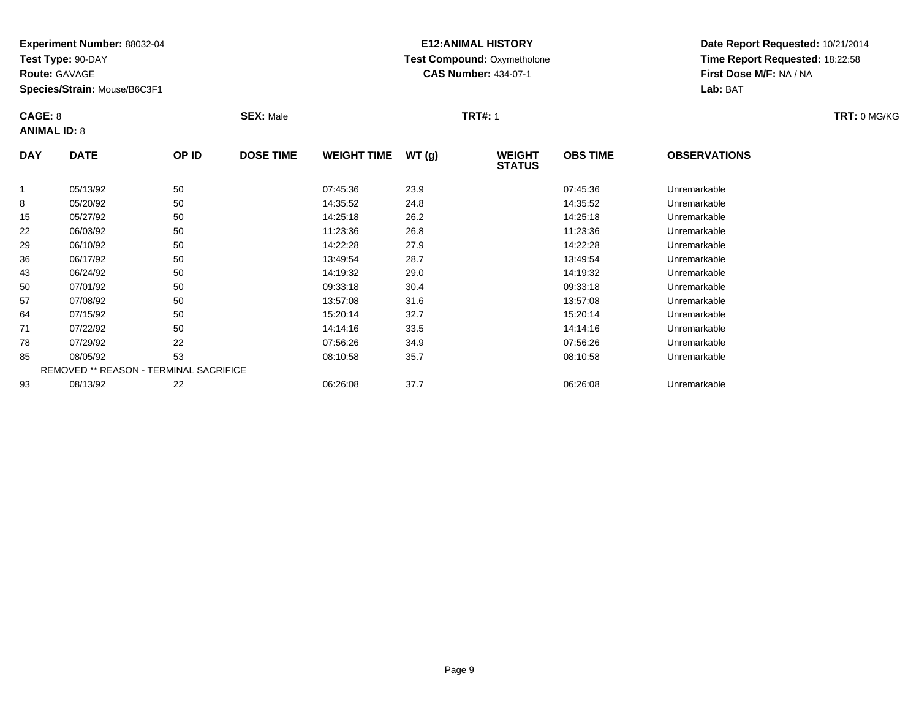**Test Type:** 90-DAY

**Route:** GAVAGE

57

64

71

78

85

93

**Species/Strain:** Mouse/B6C3F1

REMOVED \*\* REASON - TERMINAL SACRIFICE

### **E12:ANIMAL HISTORY Test Compound:** Oxymetholone**CAS Number:** 434-07-1

**Date Report Requested:** 10/21/2014**Time Report Requested:** 18:22:58**First Dose M/F:** NA / NA**Lab:** BAT

|            | CAGE: 8<br><b>ANIMAL ID: 8</b> |       | <b>SEX: Male</b> |                    |       | <b>TRT#: 1</b>                 | TRT: 0 MG/KG    |                     |  |
|------------|--------------------------------|-------|------------------|--------------------|-------|--------------------------------|-----------------|---------------------|--|
| <b>DAY</b> | <b>DATE</b>                    | OP ID | <b>DOSE TIME</b> | <b>WEIGHT TIME</b> | WT(q) | <b>WEIGHT</b><br><b>STATUS</b> | <b>OBS TIME</b> | <b>OBSERVATIONS</b> |  |
|            | 05/13/92                       | 50    |                  | 07:45:36           | 23.9  |                                | 07:45:36        | Unremarkable        |  |
| 8          | 05/20/92                       | 50    |                  | 14:35:52           | 24.8  |                                | 14:35:52        | Unremarkable        |  |
| 15         | 05/27/92                       | 50    |                  | 14:25:18           | 26.2  |                                | 14:25:18        | Unremarkable        |  |
| 22         | 06/03/92                       | 50    |                  | 11:23:36           | 26.8  |                                | 11:23:36        | Unremarkable        |  |
| 29         | 06/10/92                       | 50    |                  | 14:22:28           | 27.9  |                                | 14:22:28        | Unremarkable        |  |
| 36         | 06/17/92                       | 50    |                  | 13:49:54           | 28.7  |                                | 13:49:54        | Unremarkable        |  |
| 43         | 06/24/92                       | 50    |                  | 14:19:32           | 29.0  |                                | 14:19:32        | Unremarkable        |  |
| 50         | 07/01/92                       | 50    |                  | 09:33:18           | 30.4  |                                | 09:33:18        | Unremarkable        |  |

07/08/92 <sup>50</sup> 13:57:08 31.6 13:57:08 Unremarkable

07/15/92 <sup>50</sup> 15:20:14 32.7 15:20:14 Unremarkable

07/22/92 <sup>50</sup> 14:14:16 33.5 14:14:16 Unremarkable

07/29/92 <sup>22</sup> 07:56:26 34.9 07:56:26 Unremarkable

08/05/92 <sup>53</sup> 08:10:58 35.7 08:10:58 Unremarkable

08/13/92 <sup>22</sup> 06:26:08 37.7 06:26:08 Unremarkable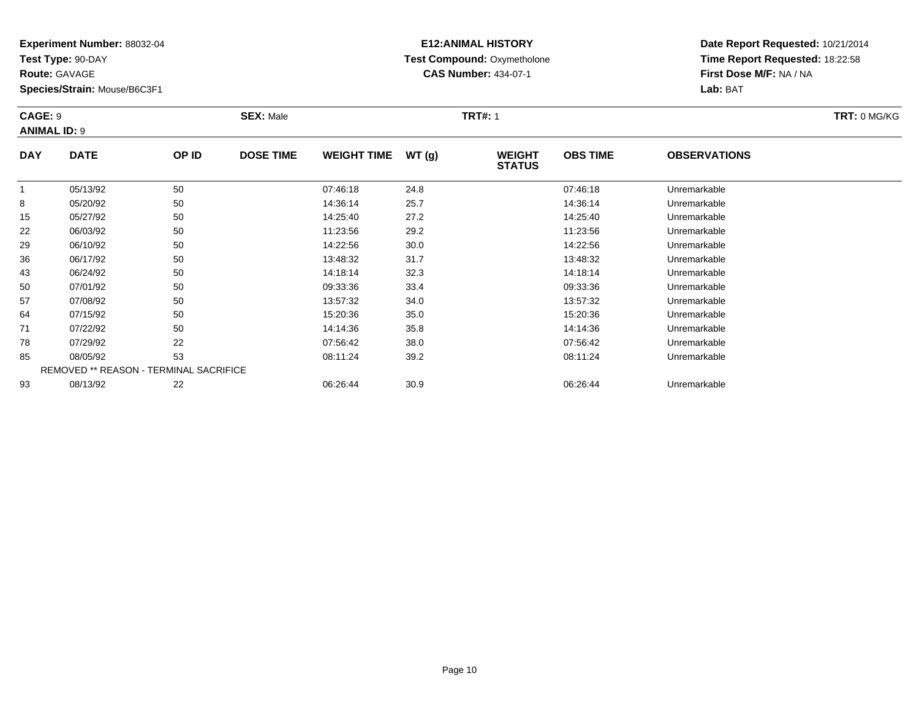**Test Type:** 90-DAY

**Route:** GAVAGE

64

71

78

85

93

**Species/Strain:** Mouse/B6C3F1

REMOVED \*\* REASON - TERMINAL SACRIFICE

# **E12:ANIMAL HISTORY Test Compound:** Oxymetholone**CAS Number:** 434-07-1

**Date Report Requested:** 10/21/2014**Time Report Requested:** 18:22:58**First Dose M/F:** NA / NA**Lab:** BAT

| CAGE: 9    | <b>ANIMAL ID: 9</b> |       | <b>SEX: Male</b> |                    |       | <b>TRT#: 1</b>                 | TRT: 0 MG/KG    |                     |  |
|------------|---------------------|-------|------------------|--------------------|-------|--------------------------------|-----------------|---------------------|--|
| <b>DAY</b> | <b>DATE</b>         | OP ID | <b>DOSE TIME</b> | <b>WEIGHT TIME</b> | WT(g) | <b>WEIGHT</b><br><b>STATUS</b> | <b>OBS TIME</b> | <b>OBSERVATIONS</b> |  |
|            | 05/13/92            | 50    |                  | 07:46:18           | 24.8  |                                | 07:46:18        | Unremarkable        |  |
| 8          | 05/20/92            | 50    |                  | 14:36:14           | 25.7  |                                | 14:36:14        | Unremarkable        |  |
| 15         | 05/27/92            | 50    |                  | 14:25:40           | 27.2  |                                | 14:25:40        | Unremarkable        |  |
| 22         | 06/03/92            | 50    |                  | 11:23:56           | 29.2  |                                | 11:23:56        | Unremarkable        |  |
| 29         | 06/10/92            | 50    |                  | 14:22:56           | 30.0  |                                | 14:22:56        | Unremarkable        |  |
| 36         | 06/17/92            | 50    |                  | 13:48:32           | 31.7  |                                | 13:48:32        | Unremarkable        |  |
| 43         | 06/24/92            | 50    |                  | 14:18:14           | 32.3  |                                | 14:18:14        | Unremarkable        |  |
| 50         | 07/01/92            | 50    |                  | 09:33:36           | 33.4  |                                | 09:33:36        | Unremarkable        |  |
| 57         | 07/08/92            | 50    |                  | 13:57:32           | 34.0  |                                | 13:57:32        | Unremarkable        |  |

07/15/92 <sup>50</sup> 15:20:36 35.0 15:20:36 Unremarkable

07/22/92 <sup>50</sup> 14:14:36 35.8 14:14:36 Unremarkable

07/29/92 <sup>22</sup> 07:56:42 38.0 07:56:42 Unremarkable

08/05/92 <sup>53</sup> 08:11:24 39.2 08:11:24 Unremarkable

08/13/92 <sup>22</sup> 06:26:44 30.9 06:26:44 Unremarkable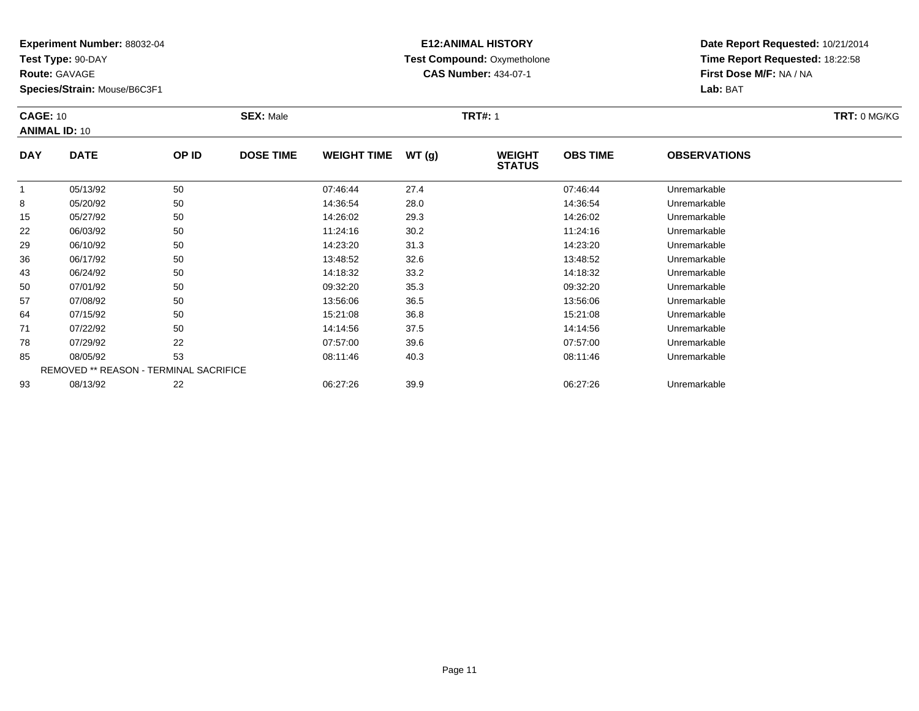**Test Type:** 90-DAY

**Route:** GAVAGE

64

71

78

85

93

**Species/Strain:** Mouse/B6C3F1

REMOVED \*\* REASON - TERMINAL SACRIFICE

# **E12:ANIMAL HISTORY Test Compound:** Oxymetholone**CAS Number:** 434-07-1

**Date Report Requested:** 10/21/2014**Time Report Requested:** 18:22:58**First Dose M/F:** NA / NA**Lab:** BAT

| <b>CAGE: 10</b><br><b>ANIMAL ID: 10</b> |             |       | <b>SEX: Male</b> |                    |       | <b>TRT#: 1</b>                 | TRT: 0 MG/KG    |                     |  |
|-----------------------------------------|-------------|-------|------------------|--------------------|-------|--------------------------------|-----------------|---------------------|--|
| <b>DAY</b>                              | <b>DATE</b> | OP ID | <b>DOSE TIME</b> | <b>WEIGHT TIME</b> | WT(g) | <b>WEIGHT</b><br><b>STATUS</b> | <b>OBS TIME</b> | <b>OBSERVATIONS</b> |  |
|                                         | 05/13/92    | 50    |                  | 07:46:44           | 27.4  |                                | 07:46:44        | Unremarkable        |  |
| 8                                       | 05/20/92    | 50    |                  | 14:36:54           | 28.0  |                                | 14:36:54        | Unremarkable        |  |
| 15                                      | 05/27/92    | 50    |                  | 14:26:02           | 29.3  |                                | 14:26:02        | Unremarkable        |  |
| 22                                      | 06/03/92    | 50    |                  | 11:24:16           | 30.2  |                                | 11:24:16        | Unremarkable        |  |
| 29                                      | 06/10/92    | 50    |                  | 14:23:20           | 31.3  |                                | 14:23:20        | Unremarkable        |  |
| 36                                      | 06/17/92    | 50    |                  | 13:48:52           | 32.6  |                                | 13:48:52        | Unremarkable        |  |
| 43                                      | 06/24/92    | 50    |                  | 14:18:32           | 33.2  |                                | 14:18:32        | Unremarkable        |  |
| 50                                      | 07/01/92    | 50    |                  | 09:32:20           | 35.3  |                                | 09:32:20        | Unremarkable        |  |
| 57                                      | 07/08/92    | 50    |                  | 13:56:06           | 36.5  |                                | 13:56:06        | Unremarkable        |  |

07/15/92 <sup>50</sup> 15:21:08 36.8 15:21:08 Unremarkable

07/22/92 <sup>50</sup> 14:14:56 37.5 14:14:56 Unremarkable

07/29/92 <sup>22</sup> 07:57:00 39.6 07:57:00 Unremarkable

08/05/92 <sup>53</sup> 08:11:46 40.3 08:11:46 Unremarkable

08/13/92 <sup>22</sup> 06:27:26 39.9 06:27:26 Unremarkable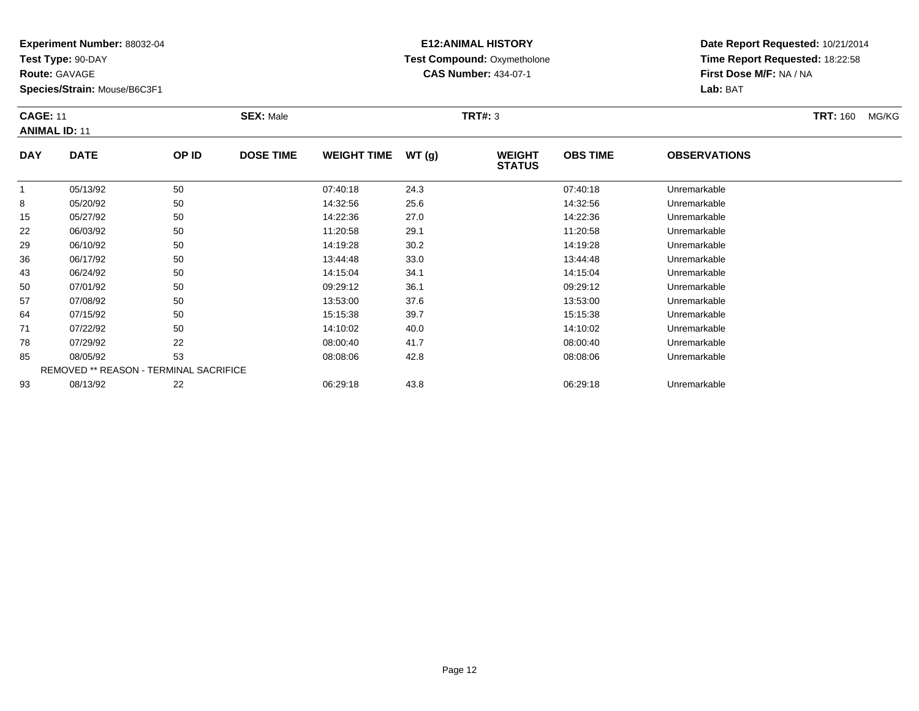**Test Type:** 90-DAY

**Route:** GAVAGE

**Species/Strain:** Mouse/B6C3F1

# **E12:ANIMAL HISTORY Test Compound:** Oxymetholone**CAS Number:** 434-07-1

**Date Report Requested:** 10/21/2014**Time Report Requested:** 18:22:58**First Dose M/F:** NA / NA**Lab:** BAT

### **CAGE:** 11 **SEX:** Male **TRT#:** <sup>3</sup> **TRT:** 160 MG/KG**ANIMAL ID:** 11**DAY DATE OP IDDOSE TIME WEIGHT TIME WT** (g) **STATUSOBS TIMEOBSERVATIONS**

|    | 05/13/92 | 50                                            | 07:40:18 | 24.3 | 07:40:18 | Unremarkable |  |
|----|----------|-----------------------------------------------|----------|------|----------|--------------|--|
| 8  | 05/20/92 | 50                                            | 14:32:56 | 25.6 | 14:32:56 | Unremarkable |  |
| 15 | 05/27/92 | 50                                            | 14:22:36 | 27.0 | 14:22:36 | Unremarkable |  |
| 22 | 06/03/92 | 50                                            | 11:20:58 | 29.1 | 11:20:58 | Unremarkable |  |
| 29 | 06/10/92 | 50                                            | 14:19:28 | 30.2 | 14:19:28 | Unremarkable |  |
| 36 | 06/17/92 | 50                                            | 13:44:48 | 33.0 | 13:44:48 | Unremarkable |  |
| 43 | 06/24/92 | 50                                            | 14:15:04 | 34.1 | 14:15:04 | Unremarkable |  |
| 50 | 07/01/92 | 50                                            | 09:29:12 | 36.1 | 09:29:12 | Unremarkable |  |
| 57 | 07/08/92 | 50                                            | 13:53:00 | 37.6 | 13:53:00 | Unremarkable |  |
| 64 | 07/15/92 | 50                                            | 15:15:38 | 39.7 | 15:15:38 | Unremarkable |  |
| 71 | 07/22/92 | 50                                            | 14:10:02 | 40.0 | 14:10:02 | Unremarkable |  |
| 78 | 07/29/92 | 22                                            | 08:00:40 | 41.7 | 08:00:40 | Unremarkable |  |
| 85 | 08/05/92 | 53                                            | 08:08:06 | 42.8 | 08:08:06 | Unremarkable |  |
|    |          | <b>REMOVED ** REASON - TERMINAL SACRIFICE</b> |          |      |          |              |  |
| 93 | 08/13/92 | 22                                            | 06:29:18 | 43.8 | 06:29:18 | Unremarkable |  |
|    |          |                                               |          |      |          |              |  |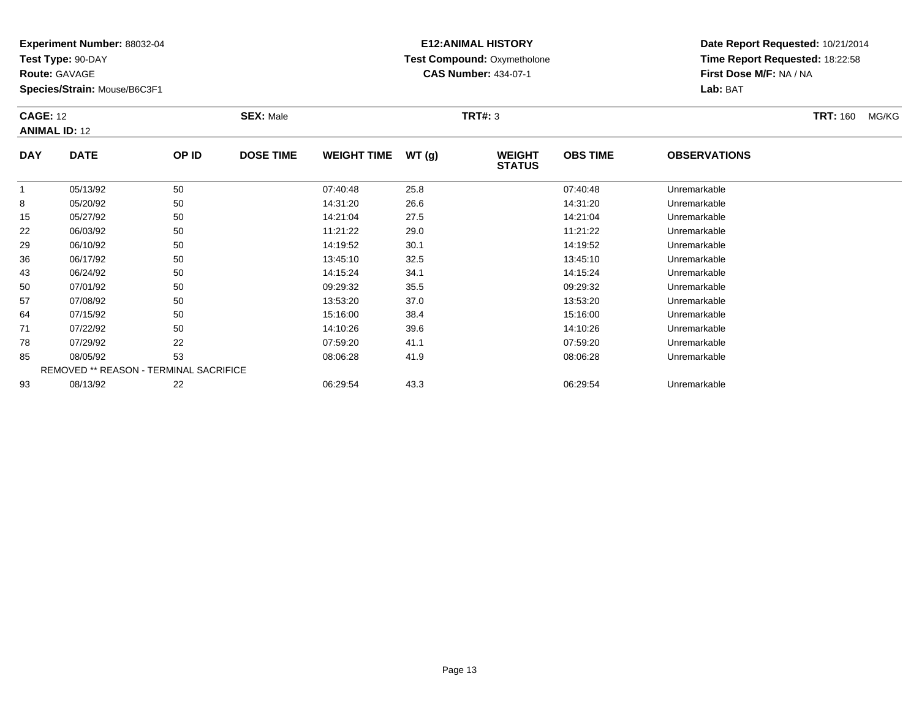**Test Type:** 90-DAY

**Route:** GAVAGE

**Species/Strain:** Mouse/B6C3F1

# **E12:ANIMAL HISTORY Test Compound:** Oxymetholone**CAS Number:** 434-07-1

| <b>CAGE: 12</b> | <b>ANIMAL ID: 12</b> |       | <b>SEX: Male</b> |                    |        | <b>TRT#: 3</b>                 |                 |                     | <b>TRT: 160</b> | MG/KG |
|-----------------|----------------------|-------|------------------|--------------------|--------|--------------------------------|-----------------|---------------------|-----------------|-------|
| <b>DAY</b>      | <b>DATE</b>          | OP ID | <b>DOSE TIME</b> | <b>WEIGHT TIME</b> | WT (g) | <b>WEIGHT</b><br><b>STATUS</b> | <b>OBS TIME</b> | <b>OBSERVATIONS</b> |                 |       |
|                 | $\frac{1}{2}$        | $ -$  |                  | -- -- --           | ___    |                                | __ _ _ _        |                     |                 |       |

|    | 05/13/92 | 50                                            | 07:40:48 | 25.8 | 07:40:48 | Unremarkable |  |
|----|----------|-----------------------------------------------|----------|------|----------|--------------|--|
| 8  | 05/20/92 | 50                                            | 14:31:20 | 26.6 | 14:31:20 | Unremarkable |  |
| 15 | 05/27/92 | 50                                            | 14:21:04 | 27.5 | 14:21:04 | Unremarkable |  |
| 22 | 06/03/92 | 50                                            | 11:21:22 | 29.0 | 11:21:22 | Unremarkable |  |
| 29 | 06/10/92 | 50                                            | 14:19:52 | 30.1 | 14:19:52 | Unremarkable |  |
| 36 | 06/17/92 | 50                                            | 13:45:10 | 32.5 | 13:45:10 | Unremarkable |  |
| 43 | 06/24/92 | 50                                            | 14:15:24 | 34.1 | 14:15:24 | Unremarkable |  |
| 50 | 07/01/92 | 50                                            | 09:29:32 | 35.5 | 09:29:32 | Unremarkable |  |
| 57 | 07/08/92 | 50                                            | 13:53:20 | 37.0 | 13:53:20 | Unremarkable |  |
| 64 | 07/15/92 | 50                                            | 15:16:00 | 38.4 | 15:16:00 | Unremarkable |  |
| 71 | 07/22/92 | 50                                            | 14:10:26 | 39.6 | 14:10:26 | Unremarkable |  |
| 78 | 07/29/92 | 22                                            | 07:59:20 | 41.1 | 07:59:20 | Unremarkable |  |
| 85 | 08/05/92 | 53                                            | 08:06:28 | 41.9 | 08:06:28 | Unremarkable |  |
|    |          | <b>REMOVED ** REASON - TERMINAL SACRIFICE</b> |          |      |          |              |  |
| 93 | 08/13/92 | 22                                            | 06:29:54 | 43.3 | 06:29:54 | Unremarkable |  |
|    |          |                                               |          |      |          |              |  |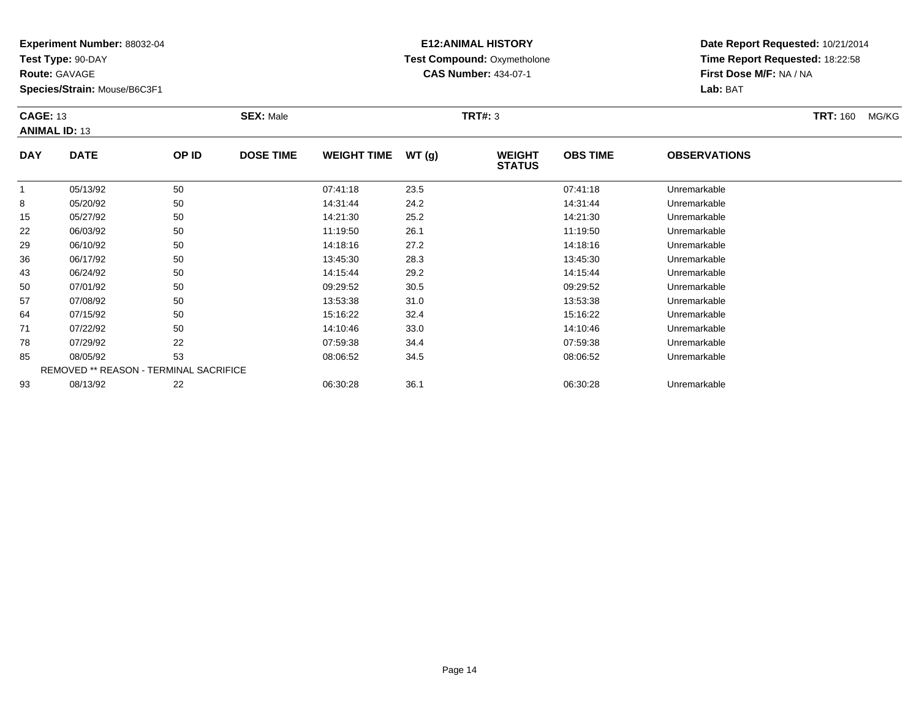**Test Type:** 90-DAY

**Route:** GAVAGE

**Species/Strain:** Mouse/B6C3F1

# **E12:ANIMAL HISTORY Test Compound:** Oxymetholone**CAS Number:** 434-07-1

| <b>CAGE: 13</b><br><b>ANIMAL ID: 13</b> |             |       | <b>SEX: Male</b> |                    |       | <b>TRT#: 3</b>                 |                 |                     | <b>TRT:</b> 160 | MG/KG |
|-----------------------------------------|-------------|-------|------------------|--------------------|-------|--------------------------------|-----------------|---------------------|-----------------|-------|
| <b>DAY</b>                              | <b>DATE</b> | OP ID | <b>DOSE TIME</b> | <b>WEIGHT TIME</b> | WT(g) | <b>WEIGHT</b><br><b>STATUS</b> | <b>OBS TIME</b> | <b>OBSERVATIONS</b> |                 |       |

|    | 05/13/92 | 50                                            | 07:41:18 | 23.5 | 07:41:18 | Unremarkable |  |
|----|----------|-----------------------------------------------|----------|------|----------|--------------|--|
| 8  | 05/20/92 | 50                                            | 14:31:44 | 24.2 | 14:31:44 | Unremarkable |  |
| 15 | 05/27/92 | 50                                            | 14:21:30 | 25.2 | 14:21:30 | Unremarkable |  |
| 22 | 06/03/92 | 50                                            | 11:19:50 | 26.1 | 11:19:50 | Unremarkable |  |
| 29 | 06/10/92 | 50                                            | 14:18:16 | 27.2 | 14:18:16 | Unremarkable |  |
| 36 | 06/17/92 | 50                                            | 13:45:30 | 28.3 | 13:45:30 | Unremarkable |  |
| 43 | 06/24/92 | 50                                            | 14:15:44 | 29.2 | 14:15:44 | Unremarkable |  |
| 50 | 07/01/92 | 50                                            | 09:29:52 | 30.5 | 09:29:52 | Unremarkable |  |
| 57 | 07/08/92 | 50                                            | 13:53:38 | 31.0 | 13:53:38 | Unremarkable |  |
| 64 | 07/15/92 | 50                                            | 15:16:22 | 32.4 | 15:16:22 | Unremarkable |  |
| 71 | 07/22/92 | 50                                            | 14:10:46 | 33.0 | 14:10:46 | Unremarkable |  |
| 78 | 07/29/92 | 22                                            | 07:59:38 | 34.4 | 07:59:38 | Unremarkable |  |
| 85 | 08/05/92 | 53                                            | 08:06:52 | 34.5 | 08:06:52 | Unremarkable |  |
|    |          | <b>REMOVED ** REASON - TERMINAL SACRIFICE</b> |          |      |          |              |  |
| 93 | 08/13/92 | 22                                            | 06:30:28 | 36.1 | 06:30:28 | Unremarkable |  |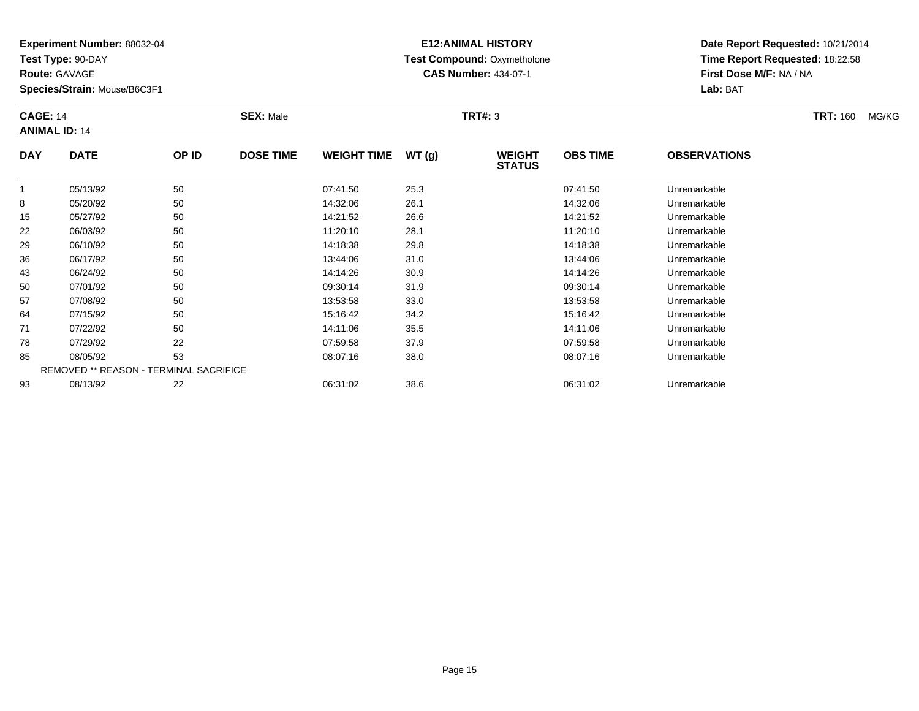**Test Type:** 90-DAY

**Route:** GAVAGE

**Species/Strain:** Mouse/B6C3F1

# **E12:ANIMAL HISTORY Test Compound:** Oxymetholone**CAS Number:** 434-07-1

| <b>CAGE: 14</b> | <b>ANIMAL ID: 14</b> | <b>SEX: Male</b> |                  |                    | <b>TRT#: 3</b> |                                |                 |                     | <b>TRT: 160</b> | MG/KG |
|-----------------|----------------------|------------------|------------------|--------------------|----------------|--------------------------------|-----------------|---------------------|-----------------|-------|
| <b>DAY</b>      | <b>DATE</b>          | OP ID            | <b>DOSE TIME</b> | <b>WEIGHT TIME</b> | WT(g)          | <b>WEIGHT</b><br><b>STATUS</b> | <b>OBS TIME</b> | <b>OBSERVATIONS</b> |                 |       |
|                 | 05/13/92             | 50               |                  | 07:41:50           | 25.3           |                                | 07:41:50        | Unremarkable        |                 |       |
| 8               | 05/20/92             | 50               |                  | 14:32:06           | 26.1           |                                | 14:32:06        | Unremarkable        |                 |       |
| 15              | 05/27/92             | 50               |                  | 14:21:52           | 26.6           |                                | 14:21:52        | Unremarkable        |                 |       |
| 22              | 06/03/92             | 50               |                  | 11:20:10           | 28.1           |                                | 11:20:10        | Unremarkable        |                 |       |
| 29              | 06/10/92             | 50               |                  | 14 18 38           | 29 R           |                                | 14.18.38        | <b>Unremarkable</b> |                 |       |

|    | 05/13/92 | 50                                            | 07:41:50 | 25.3 | 07:41:50 | Unremarkable |  |
|----|----------|-----------------------------------------------|----------|------|----------|--------------|--|
| 8  | 05/20/92 | 50                                            | 14:32:06 | 26.1 | 14:32:06 | Unremarkable |  |
| 15 | 05/27/92 | 50                                            | 14:21:52 | 26.6 | 14:21:52 | Unremarkable |  |
| 22 | 06/03/92 | 50                                            | 11:20:10 | 28.1 | 11:20:10 | Unremarkable |  |
| 29 | 06/10/92 | 50                                            | 14:18:38 | 29.8 | 14:18:38 | Unremarkable |  |
| 36 | 06/17/92 | 50                                            | 13:44:06 | 31.0 | 13:44:06 | Unremarkable |  |
| 43 | 06/24/92 | 50                                            | 14:14:26 | 30.9 | 14:14:26 | Unremarkable |  |
| 50 | 07/01/92 | 50                                            | 09:30:14 | 31.9 | 09:30:14 | Unremarkable |  |
| 57 | 07/08/92 | 50                                            | 13:53:58 | 33.0 | 13:53:58 | Unremarkable |  |
| 64 | 07/15/92 | 50                                            | 15:16:42 | 34.2 | 15:16:42 | Unremarkable |  |
| 71 | 07/22/92 | 50                                            | 14:11:06 | 35.5 | 14:11:06 | Unremarkable |  |
| 78 | 07/29/92 | 22                                            | 07:59:58 | 37.9 | 07:59:58 | Unremarkable |  |
| 85 | 08/05/92 | 53                                            | 08:07:16 | 38.0 | 08:07:16 | Unremarkable |  |
|    |          | <b>REMOVED ** REASON - TERMINAL SACRIFICE</b> |          |      |          |              |  |
| 93 | 08/13/92 | 22                                            | 06:31:02 | 38.6 | 06:31:02 | Unremarkable |  |
|    |          |                                               |          |      |          |              |  |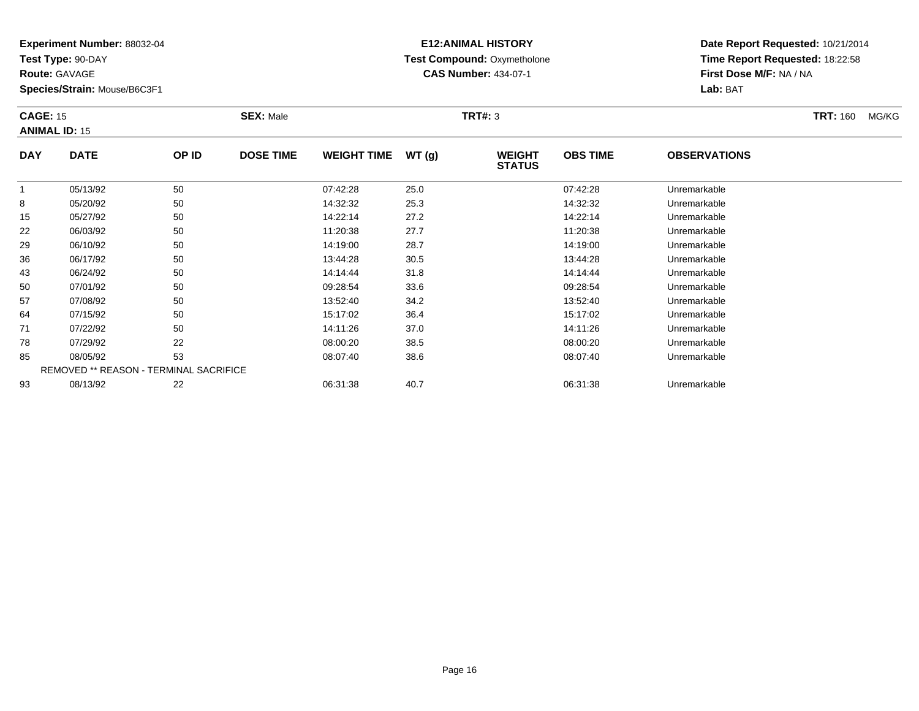**Test Type:** 90-DAY

**Route:** GAVAGE

**Species/Strain:** Mouse/B6C3F1

### **E12:ANIMAL HISTORY Test Compound:** Oxymetholone**CAS Number:** 434-07-1

**Date Report Requested:** 10/21/2014**Time Report Requested:** 18:22:58**First Dose M/F:** NA / NA**Lab:** BAT

### **CAGE:** 15 **SEX:** Male **TRT#:** <sup>3</sup> **TRT:** 160 MG/KG**ANIMAL ID:** 15**DAY DATE OP IDDOSE TIME WEIGHT TIME WT** (g) **STATUSOBS TIME OBSERVATIONS**  $\overline{1}$  05/13/92 <sup>50</sup> 07:42:28 25.0 07:42:28 Unremarkable 8

|    | U5/13/92 | oυ                                            | U/142128 | 25.U | U/:42:28 | Unremarkable |  |
|----|----------|-----------------------------------------------|----------|------|----------|--------------|--|
| 8  | 05/20/92 | 50                                            | 14:32:32 | 25.3 | 14:32:32 | Unremarkable |  |
| 15 | 05/27/92 | 50                                            | 14:22:14 | 27.2 | 14:22:14 | Unremarkable |  |
| 22 | 06/03/92 | 50                                            | 11:20:38 | 27.7 | 11:20:38 | Unremarkable |  |
| 29 | 06/10/92 | 50                                            | 14:19:00 | 28.7 | 14:19:00 | Unremarkable |  |
| 36 | 06/17/92 | 50                                            | 13:44:28 | 30.5 | 13:44:28 | Unremarkable |  |
| 43 | 06/24/92 | 50                                            | 14:14:44 | 31.8 | 14:14:44 | Unremarkable |  |
| 50 | 07/01/92 | 50                                            | 09:28:54 | 33.6 | 09:28:54 | Unremarkable |  |
| 57 | 07/08/92 | 50                                            | 13:52:40 | 34.2 | 13:52:40 | Unremarkable |  |
| 64 | 07/15/92 | 50                                            | 15:17:02 | 36.4 | 15:17:02 | Unremarkable |  |
| 71 | 07/22/92 | 50                                            | 14:11:26 | 37.0 | 14:11:26 | Unremarkable |  |
| 78 | 07/29/92 | 22                                            | 08:00:20 | 38.5 | 08:00:20 | Unremarkable |  |
| 85 | 08/05/92 | 53                                            | 08:07:40 | 38.6 | 08:07:40 | Unremarkable |  |
|    |          | <b>REMOVED ** REASON - TERMINAL SACRIFICE</b> |          |      |          |              |  |
| 93 | 08/13/92 | 22                                            | 06:31:38 | 40.7 | 06:31:38 | Unremarkable |  |
|    |          |                                               |          |      |          |              |  |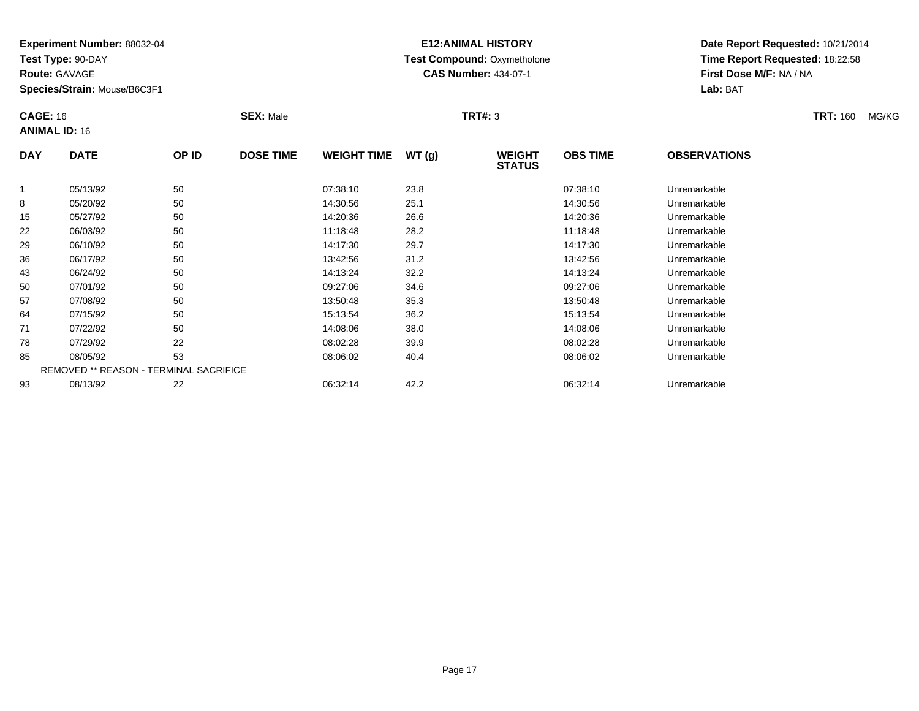**Test Type:** 90-DAY

**Route:** GAVAGE

50

57

64

71

78

85

93

**Species/Strain:** Mouse/B6C3F1

REMOVED \*\* REASON - TERMINAL SACRIFICE

### **E12:ANIMAL HISTORY Test Compound:** Oxymetholone**CAS Number:** 434-07-1

**Date Report Requested:** 10/21/2014**Time Report Requested:** 18:22:58**First Dose M/F:** NA / NA**Lab:** BAT

| <b>CAGE: 16</b><br><b>ANIMAL ID: 16</b> |             | <b>SEX: Male</b><br><b>TRT#:</b> 3 |                  |                    |       | <b>TRT: 160</b><br>MG/KG       |                 |                     |  |
|-----------------------------------------|-------------|------------------------------------|------------------|--------------------|-------|--------------------------------|-----------------|---------------------|--|
| <b>DAY</b>                              | <b>DATE</b> | OP ID                              | <b>DOSE TIME</b> | <b>WEIGHT TIME</b> | WT(g) | <b>WEIGHT</b><br><b>STATUS</b> | <b>OBS TIME</b> | <b>OBSERVATIONS</b> |  |
|                                         | 05/13/92    | 50                                 |                  | 07:38:10           | 23.8  |                                | 07:38:10        | Unremarkable        |  |
| 8                                       | 05/20/92    | 50                                 |                  | 14:30:56           | 25.1  |                                | 14:30:56        | Unremarkable        |  |
| 15                                      | 05/27/92    | 50                                 |                  | 14:20:36           | 26.6  |                                | 14:20:36        | Unremarkable        |  |
| 22                                      | 06/03/92    | 50                                 |                  | 11:18:48           | 28.2  |                                | 11:18:48        | Unremarkable        |  |
| 29                                      | 06/10/92    | 50                                 |                  | 14:17:30           | 29.7  |                                | 14:17:30        | Unremarkable        |  |
| 36                                      | 06/17/92    | 50                                 |                  | 13:42:56           | 31.2  |                                | 13:42:56        | Unremarkable        |  |
| 43                                      | 06/24/92    | 50                                 |                  | 14:13:24           | 32.2  |                                | 14:13:24        | Unremarkable        |  |

0 07/01/92 50 50 09:27:06 34.6 09:27:06 09:27:06 09:27:06 09:27:06 Unremarkable

07/08/92 <sup>50</sup> 13:50:48 35.3 13:50:48 Unremarkable

07/15/92 <sup>50</sup> 15:13:54 36.2 15:13:54 Unremarkable

07/22/92 <sup>50</sup> 14:08:06 38.0 14:08:06 Unremarkable

07/29/92 <sup>22</sup> 08:02:28 39.9 08:02:28 Unremarkable

08/05/92 <sup>53</sup> 08:06:02 40.4 08:06:02 Unremarkable

08/13/92 <sup>22</sup> 06:32:14 42.2 06:32:14 Unremarkable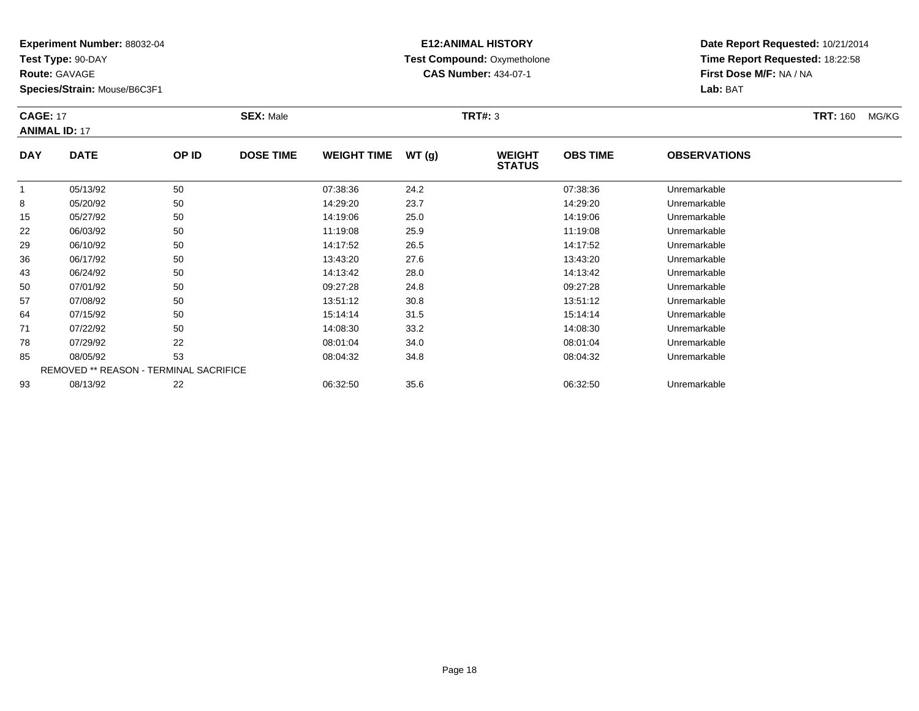**Test Type:** 90-DAY

**Route:** GAVAGE

**Species/Strain:** Mouse/B6C3F1

# **E12:ANIMAL HISTORY Test Compound:** Oxymetholone**CAS Number:** 434-07-1

**Date Report Requested:** 10/21/2014**Time Report Requested:** 18:22:58**First Dose M/F:** NA / NA**Lab:** BAT

#### **CAGE:** 17 **SEX:** Male **TRT#:** <sup>3</sup> **TRT:** 160 MG/KG**ANIMAL ID:** 17**DAY DATE OP IDDOSE TIME WEIGHT TIME WT** (g) **STATUSOBS TIMEOBSERVATIONS**

|    |          |                                               |          |      | ------   |              |
|----|----------|-----------------------------------------------|----------|------|----------|--------------|
|    | 05/13/92 | 50                                            | 07:38:36 | 24.2 | 07:38:36 | Unremarkable |
| 8  | 05/20/92 | 50                                            | 14:29:20 | 23.7 | 14:29:20 | Unremarkable |
| 15 | 05/27/92 | 50                                            | 14:19:06 | 25.0 | 14:19:06 | Unremarkable |
| 22 | 06/03/92 | 50                                            | 11:19:08 | 25.9 | 11:19:08 | Unremarkable |
| 29 | 06/10/92 | 50                                            | 14:17:52 | 26.5 | 14:17:52 | Unremarkable |
| 36 | 06/17/92 | 50                                            | 13:43:20 | 27.6 | 13:43:20 | Unremarkable |
| 43 | 06/24/92 | 50                                            | 14:13:42 | 28.0 | 14:13:42 | Unremarkable |
| 50 | 07/01/92 | 50                                            | 09:27:28 | 24.8 | 09:27:28 | Unremarkable |
| 57 | 07/08/92 | 50                                            | 13:51:12 | 30.8 | 13:51:12 | Unremarkable |
| 64 | 07/15/92 | 50                                            | 15:14:14 | 31.5 | 15:14:14 | Unremarkable |
| 71 | 07/22/92 | 50                                            | 14:08:30 | 33.2 | 14:08:30 | Unremarkable |
| 78 | 07/29/92 | 22                                            | 08:01:04 | 34.0 | 08:01:04 | Unremarkable |
| 85 | 08/05/92 | 53                                            | 08:04:32 | 34.8 | 08:04:32 | Unremarkable |
|    |          | <b>REMOVED ** REASON - TERMINAL SACRIFICE</b> |          |      |          |              |
| 93 | 08/13/92 | 22                                            | 06:32:50 | 35.6 | 06:32:50 | Unremarkable |
|    |          |                                               |          |      |          |              |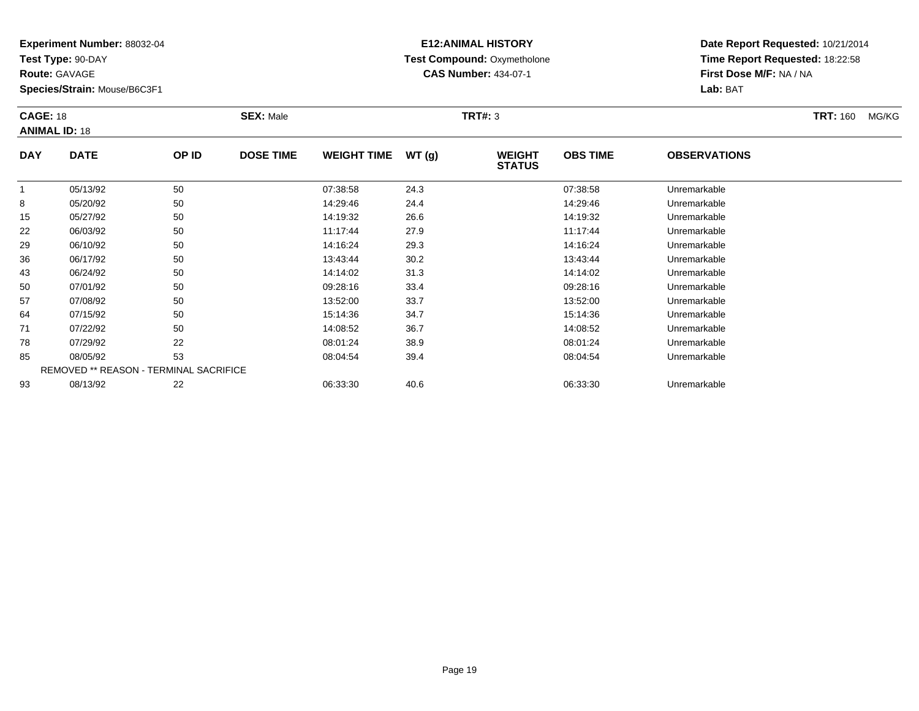**Test Type:** 90-DAY

**Route:** GAVAGE

**Species/Strain:** Mouse/B6C3F1

# **E12:ANIMAL HISTORY Test Compound:** Oxymetholone**CAS Number:** 434-07-1

| <b>CAGE: 18</b><br><b>ANIMAL ID: 18</b> |             |       | <b>SEX: Male</b> |                    |       | <b>TRT#: 3</b>                 |                 |                     | <b>TRT: 160</b> | MG/KG |
|-----------------------------------------|-------------|-------|------------------|--------------------|-------|--------------------------------|-----------------|---------------------|-----------------|-------|
| <b>DAY</b>                              | <b>DATE</b> | OP ID | <b>DOSE TIME</b> | <b>WEIGHT TIME</b> | WT(g) | <b>WEIGHT</b><br><b>STATUS</b> | <b>OBS TIME</b> | <b>OBSERVATIONS</b> |                 |       |
|                                         | 05/13/92    | 50    |                  | 07:38:58           | 24.3  |                                | 07:38:58        | Unremarkable        |                 |       |
| 8                                       | 05/20/92    | 50    |                  | 14.29.46           | 244   |                                | $14.29 - 46$    | Unremarkable        |                 |       |

|    | 05/13/92 | 50                                            | 07:38:58 | 24.3 | 07:38:58 | Unremarkable |  |
|----|----------|-----------------------------------------------|----------|------|----------|--------------|--|
| 8  | 05/20/92 | 50                                            | 14:29:46 | 24.4 | 14:29:46 | Unremarkable |  |
| 15 | 05/27/92 | 50                                            | 14:19:32 | 26.6 | 14:19:32 | Unremarkable |  |
| 22 | 06/03/92 | 50                                            | 11:17:44 | 27.9 | 11:17:44 | Unremarkable |  |
| 29 | 06/10/92 | 50                                            | 14:16:24 | 29.3 | 14:16:24 | Unremarkable |  |
| 36 | 06/17/92 | 50                                            | 13:43:44 | 30.2 | 13:43:44 | Unremarkable |  |
| 43 | 06/24/92 | 50                                            | 14:14:02 | 31.3 | 14:14:02 | Unremarkable |  |
| 50 | 07/01/92 | 50                                            | 09:28:16 | 33.4 | 09:28:16 | Unremarkable |  |
| 57 | 07/08/92 | 50                                            | 13:52:00 | 33.7 | 13:52:00 | Unremarkable |  |
| 64 | 07/15/92 | 50                                            | 15:14:36 | 34.7 | 15:14:36 | Unremarkable |  |
| 71 | 07/22/92 | 50                                            | 14:08:52 | 36.7 | 14:08:52 | Unremarkable |  |
| 78 | 07/29/92 | 22                                            | 08:01:24 | 38.9 | 08:01:24 | Unremarkable |  |
| 85 | 08/05/92 | 53                                            | 08:04:54 | 39.4 | 08:04:54 | Unremarkable |  |
|    |          | <b>REMOVED ** REASON - TERMINAL SACRIFICE</b> |          |      |          |              |  |
| 93 | 08/13/92 | 22                                            | 06:33:30 | 40.6 | 06:33:30 | Unremarkable |  |
|    |          |                                               |          |      |          |              |  |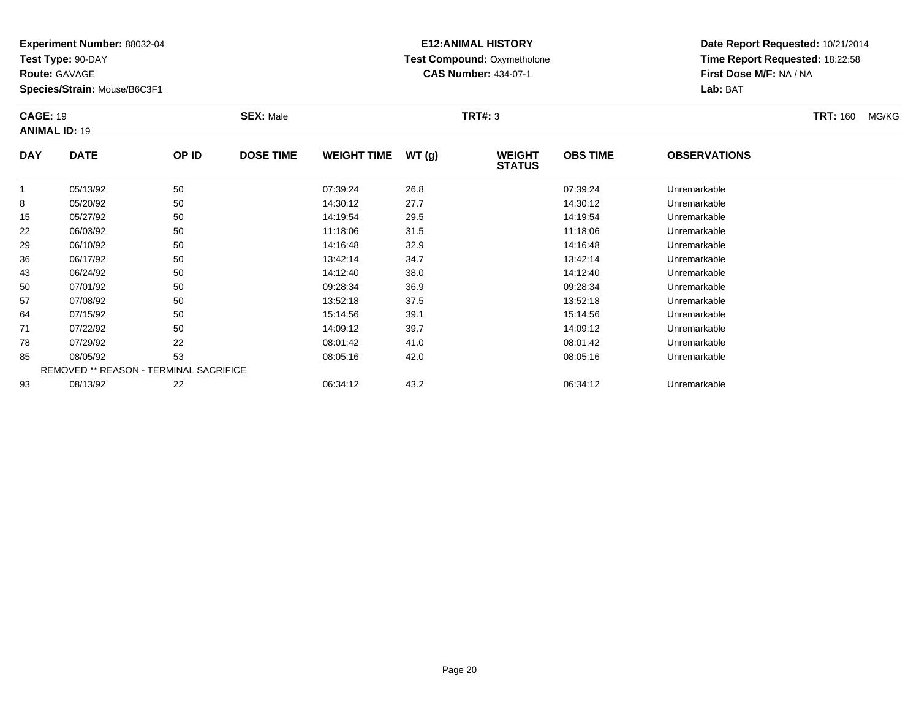**Test Type:** 90-DAY

**Route:** GAVAGE

50

57

64

71

78

85

93

**Species/Strain:** Mouse/B6C3F1

REMOVED \*\* REASON - TERMINAL SACRIFICE

### **E12:ANIMAL HISTORY Test Compound:** Oxymetholone**CAS Number:** 434-07-1

**Date Report Requested:** 10/21/2014**Time Report Requested:** 18:22:58**First Dose M/F:** NA / NA**Lab:** BAT

| <b>CAGE: 19</b><br><b>ANIMAL ID: 19</b> |             |       | <b>SEX: Male</b> |                    |       | <b>TRT#: 3</b>                 |                 |                     | <b>TRT: 160</b><br>MG/KG |
|-----------------------------------------|-------------|-------|------------------|--------------------|-------|--------------------------------|-----------------|---------------------|--------------------------|
| <b>DAY</b>                              | <b>DATE</b> | OP ID | <b>DOSE TIME</b> | <b>WEIGHT TIME</b> | WT(g) | <b>WEIGHT</b><br><b>STATUS</b> | <b>OBS TIME</b> | <b>OBSERVATIONS</b> |                          |
|                                         | 05/13/92    | 50    |                  | 07:39:24           | 26.8  |                                | 07:39:24        | Unremarkable        |                          |
| 8                                       | 05/20/92    | 50    |                  | 14:30:12           | 27.7  |                                | 14:30:12        | Unremarkable        |                          |
| 15                                      | 05/27/92    | 50    |                  | 14:19:54           | 29.5  |                                | 14:19:54        | Unremarkable        |                          |
| 22                                      | 06/03/92    | 50    |                  | 11:18:06           | 31.5  |                                | 11:18:06        | Unremarkable        |                          |
| 29                                      | 06/10/92    | 50    |                  | 14:16:48           | 32.9  |                                | 14:16:48        | Unremarkable        |                          |
| 36                                      | 06/17/92    | 50    |                  | 13:42:14           | 34.7  |                                | 13:42:14        | Unremarkable        |                          |
| 43                                      | 06/24/92    | 50    |                  | 14:12:40           | 38.0  |                                | 14:12:40        | Unremarkable        |                          |

07/01/92 <sup>50</sup> 09:28:34 36.9 09:28:34 Unremarkable

07/08/92 <sup>50</sup> 13:52:18 37.5 13:52:18 Unremarkable

07/15/92 <sup>50</sup> 15:14:56 39.1 15:14:56 Unremarkable

07/22/92 <sup>50</sup> 14:09:12 39.7 14:09:12 Unremarkable

07/29/92 <sup>22</sup> 08:01:42 41.0 08:01:42 Unremarkable

08/05/92 <sup>53</sup> 08:05:16 42.0 08:05:16 Unremarkable

08/13/92 <sup>22</sup> 06:34:12 43.2 06:34:12 Unremarkable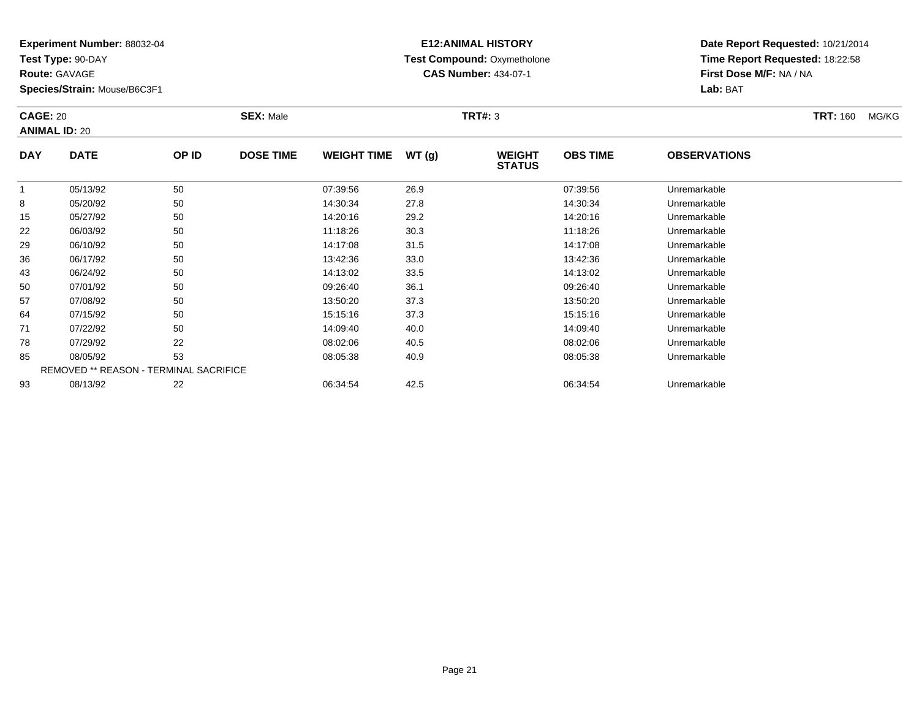**Test Type:** 90-DAY

**Route:** GAVAGE

**Species/Strain:** Mouse/B6C3F1

# **E12:ANIMAL HISTORY Test Compound:** Oxymetholone**CAS Number:** 434-07-1

| <b>CAGE: 20</b> | <b>ANIMAL ID: 20</b> |              | <b>SEX: Male</b> |                    |       | TRT#: 3                        |                 |                     | <b>TRT: 160</b> | MG/KG |
|-----------------|----------------------|--------------|------------------|--------------------|-------|--------------------------------|-----------------|---------------------|-----------------|-------|
| <b>DAY</b>      | <b>DATE</b>          | OP ID        | <b>DOSE TIME</b> | <b>WEIGHT TIME</b> | WT(g) | <b>WEIGHT</b><br><b>STATUS</b> | <b>OBS TIME</b> | <b>OBSERVATIONS</b> |                 |       |
|                 | 05/13/92             | 50           |                  | 07:39:56           | 26.9  |                                | 07:39:56        | Unremarkable        |                 |       |
|                 | 05/20/92             | $50^{\circ}$ |                  | 14:30:34           | 27.8  |                                | 14:30:34        | Unremarkable        |                 |       |

|    | 05/13/92 | 50                                            | 07:39:56 | 26.9 | 07:39:56 | Unremarkable |  |
|----|----------|-----------------------------------------------|----------|------|----------|--------------|--|
| 8  | 05/20/92 | 50                                            | 14:30:34 | 27.8 | 14:30:34 | Unremarkable |  |
| 15 | 05/27/92 | 50                                            | 14:20:16 | 29.2 | 14:20:16 | Unremarkable |  |
| 22 | 06/03/92 | 50                                            | 11:18:26 | 30.3 | 11:18:26 | Unremarkable |  |
| 29 | 06/10/92 | 50                                            | 14:17:08 | 31.5 | 14:17:08 | Unremarkable |  |
| 36 | 06/17/92 | 50                                            | 13:42:36 | 33.0 | 13:42:36 | Unremarkable |  |
| 43 | 06/24/92 | 50                                            | 14:13:02 | 33.5 | 14:13:02 | Unremarkable |  |
| 50 | 07/01/92 | 50                                            | 09:26:40 | 36.1 | 09:26:40 | Unremarkable |  |
| 57 | 07/08/92 | 50                                            | 13:50:20 | 37.3 | 13:50:20 | Unremarkable |  |
| 64 | 07/15/92 | 50                                            | 15:15:16 | 37.3 | 15:15:16 | Unremarkable |  |
| 71 | 07/22/92 | 50                                            | 14:09:40 | 40.0 | 14:09:40 | Unremarkable |  |
| 78 | 07/29/92 | 22                                            | 08:02:06 | 40.5 | 08:02:06 | Unremarkable |  |
| 85 | 08/05/92 | 53                                            | 08:05:38 | 40.9 | 08:05:38 | Unremarkable |  |
|    |          | <b>REMOVED ** REASON - TERMINAL SACRIFICE</b> |          |      |          |              |  |
| 93 | 08/13/92 | 22                                            | 06:34:54 | 42.5 | 06:34:54 | Unremarkable |  |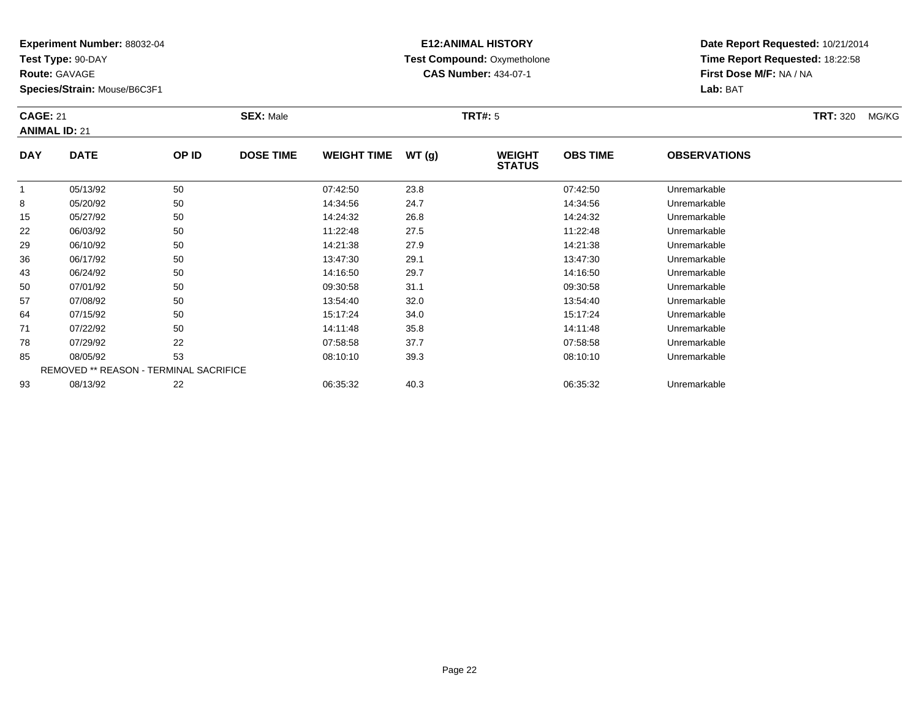**Test Type:** 90-DAY

**Route:** GAVAGE

**Species/Strain:** Mouse/B6C3F1

# **E12:ANIMAL HISTORY Test Compound:** Oxymetholone**CAS Number:** 434-07-1

**Date Report Requested:** 10/21/2014**Time Report Requested:** 18:22:58**First Dose M/F:** NA / NA**Lab:** BAT

### **CAGE:** 21 **SEX:** Male **TRT#:** <sup>5</sup> **TRT:** 320 MG/KG**ANIMAL ID:** 21**DAY DATE OP IDDOSE TIME WEIGHT TIME WT** (g) **STATUSOBS TIMEOBSERVATIONS**

|    |          |                                               |          |      | -------  |              |
|----|----------|-----------------------------------------------|----------|------|----------|--------------|
|    | 05/13/92 | 50                                            | 07:42:50 | 23.8 | 07:42:50 | Unremarkable |
| 8  | 05/20/92 | 50                                            | 14:34:56 | 24.7 | 14:34:56 | Unremarkable |
| 15 | 05/27/92 | 50                                            | 14:24:32 | 26.8 | 14:24:32 | Unremarkable |
| 22 | 06/03/92 | 50                                            | 11:22:48 | 27.5 | 11:22:48 | Unremarkable |
| 29 | 06/10/92 | 50                                            | 14:21:38 | 27.9 | 14:21:38 | Unremarkable |
| 36 | 06/17/92 | 50                                            | 13:47:30 | 29.1 | 13:47:30 | Unremarkable |
| 43 | 06/24/92 | 50                                            | 14:16:50 | 29.7 | 14:16:50 | Unremarkable |
| 50 | 07/01/92 | 50                                            | 09:30:58 | 31.1 | 09:30:58 | Unremarkable |
| 57 | 07/08/92 | 50                                            | 13:54:40 | 32.0 | 13:54:40 | Unremarkable |
| 64 | 07/15/92 | 50                                            | 15:17:24 | 34.0 | 15:17:24 | Unremarkable |
| 71 | 07/22/92 | 50                                            | 14:11:48 | 35.8 | 14:11:48 | Unremarkable |
| 78 | 07/29/92 | 22                                            | 07:58:58 | 37.7 | 07:58:58 | Unremarkable |
| 85 | 08/05/92 | 53                                            | 08:10:10 | 39.3 | 08:10:10 | Unremarkable |
|    |          | <b>REMOVED ** REASON - TERMINAL SACRIFICE</b> |          |      |          |              |
| 93 | 08/13/92 | 22                                            | 06:35:32 | 40.3 | 06:35:32 | Unremarkable |
|    |          |                                               |          |      |          |              |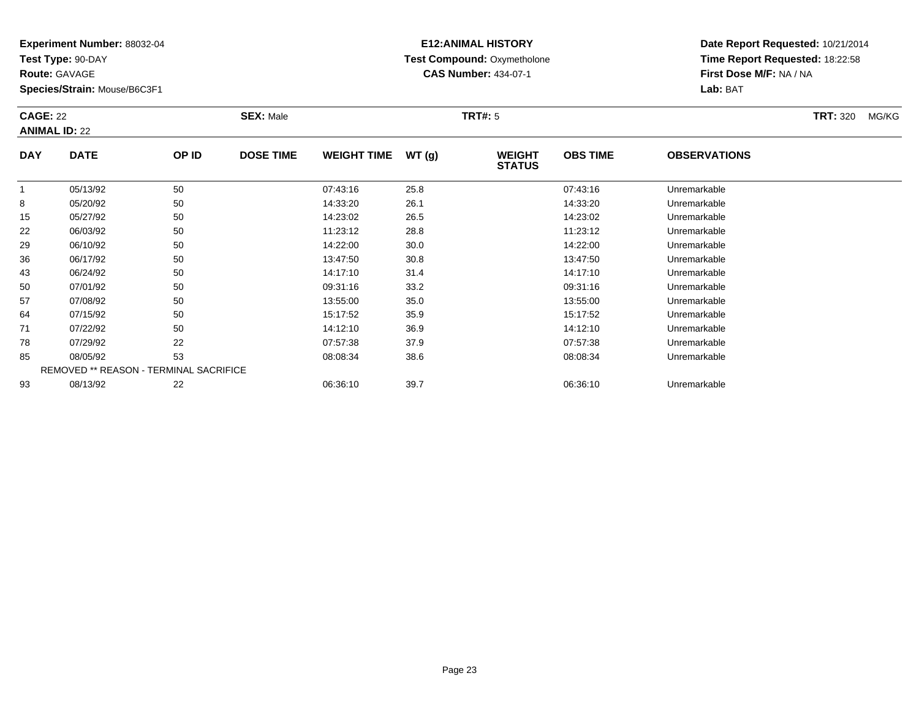**Test Type:** 90-DAY

**Route:** GAVAGE

**Species/Strain:** Mouse/B6C3F1

# **E12:ANIMAL HISTORY Test Compound:** Oxymetholone**CAS Number:** 434-07-1

**Date Report Requested:** 10/21/2014**Time Report Requested:** 18:22:58**First Dose M/F:** NA / NA**Lab:** BAT

### **CAGE:** 22 **SEX:** Male **TRT#:** <sup>5</sup> **TRT:** 320 MG/KG**ANIMAL ID:** 22**DAY DATE OP IDDOSE TIME WEIGHT TIME WT** (g) **STATUSOBS TIMEOBSERVATIONS**

|    | 05/13/92 | 50                                            | 07:43:16 | 25.8 | 07:43:16 | Unremarkable |  |
|----|----------|-----------------------------------------------|----------|------|----------|--------------|--|
| 8  | 05/20/92 | 50                                            | 14:33:20 | 26.1 | 14:33:20 | Unremarkable |  |
| 15 | 05/27/92 | 50                                            | 14:23:02 | 26.5 | 14:23:02 | Unremarkable |  |
| 22 | 06/03/92 | 50                                            | 11:23:12 | 28.8 | 11:23:12 | Unremarkable |  |
| 29 | 06/10/92 | 50                                            | 14:22:00 | 30.0 | 14:22:00 | Unremarkable |  |
| 36 | 06/17/92 | 50                                            | 13:47:50 | 30.8 | 13:47:50 | Unremarkable |  |
| 43 | 06/24/92 | 50                                            | 14:17:10 | 31.4 | 14:17:10 | Unremarkable |  |
| 50 | 07/01/92 | 50                                            | 09:31:16 | 33.2 | 09:31:16 | Unremarkable |  |
| 57 | 07/08/92 | 50                                            | 13:55:00 | 35.0 | 13:55:00 | Unremarkable |  |
| 64 | 07/15/92 | 50                                            | 15:17:52 | 35.9 | 15:17:52 | Unremarkable |  |
| 71 | 07/22/92 | 50                                            | 14:12:10 | 36.9 | 14:12:10 | Unremarkable |  |
| 78 | 07/29/92 | 22                                            | 07:57:38 | 37.9 | 07:57:38 | Unremarkable |  |
| 85 | 08/05/92 | 53                                            | 08:08:34 | 38.6 | 08:08:34 | Unremarkable |  |
|    |          | <b>REMOVED ** REASON - TERMINAL SACRIFICE</b> |          |      |          |              |  |
| 93 | 08/13/92 | 22                                            | 06:36:10 | 39.7 | 06:36:10 | Unremarkable |  |
|    |          |                                               |          |      |          |              |  |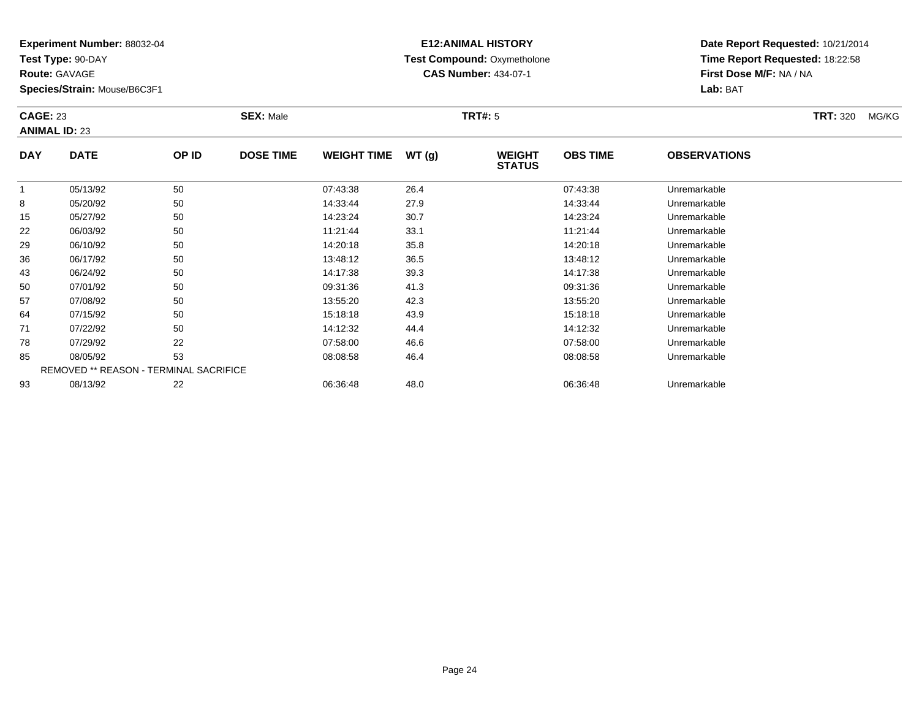**Test Type:** 90-DAY

**Route:** GAVAGE

15

22

29

36

43

50

57

64

71

78

85

93

**Species/Strain:** Mouse/B6C3F1

### **E12:ANIMAL HISTORY Test Compound:** Oxymetholone**CAS Number:** 434-07-1

**Date Report Requested:** 10/21/2014**Time Report Requested:** 18:22:58**First Dose M/F:** NA / NA**Lab:** BAT

| <b>CAGE: 23</b><br><b>ANIMAL ID: 23</b> |             |       | <b>SEX: Male</b> |                    |       | <b>TRT#: 5</b>                 |                 |                     | <b>TRT: 320</b> | MG/KG |
|-----------------------------------------|-------------|-------|------------------|--------------------|-------|--------------------------------|-----------------|---------------------|-----------------|-------|
| <b>DAY</b>                              | <b>DATE</b> | OP ID | <b>DOSE TIME</b> | <b>WEIGHT TIME</b> | WT(g) | <b>WEIGHT</b><br><b>STATUS</b> | <b>OBS TIME</b> | <b>OBSERVATIONS</b> |                 |       |
|                                         | 05/13/92    | 50    |                  | 07:43:38           | 26.4  |                                | 07:43:38        | Unremarkable        |                 |       |
| 8                                       | 05/20/92    | 50    |                  | 14:33:44           | 27.9  |                                | 14:33:44        | Unremarkable        |                 |       |

| 06/10/92 | 50 | 14:20:18                                      | 35.8 | 14:20:18 | Unremarkable |
|----------|----|-----------------------------------------------|------|----------|--------------|
| 06/17/92 | 50 | 13:48:12                                      | 36.5 | 13:48:12 | Unremarkable |
| 06/24/92 | 50 | 14:17:38                                      | 39.3 | 14:17:38 | Unremarkable |
| 07/01/92 | 50 | 09:31:36                                      | 41.3 | 09:31:36 | Unremarkable |
| 07/08/92 | 50 | 13:55:20                                      | 42.3 | 13:55:20 | Unremarkable |
| 07/15/92 | 50 | 15:18:18                                      | 43.9 | 15:18:18 | Unremarkable |
| 07/22/92 | 50 | 14:12:32                                      | 44.4 | 14:12:32 | Unremarkable |
| 07/29/92 | 22 | 07:58:00                                      | 46.6 | 07:58:00 | Unremarkable |
| 08/05/92 | 53 | 08:08:58                                      | 46.4 | 08:08:58 | Unremarkable |
|          |    |                                               |      |          |              |
| 08/13/92 | 22 | 06:36:48                                      | 48.0 | 06:36:48 | Unremarkable |
|          |    |                                               |      |          |              |
|          |    | <b>REMOVED ** REASON - TERMINAL SACRIFICE</b> |      |          |              |

8 05/20/92 50 50 14:33:44 27.9 14:33:44 14:33:44 Unremarkable

05/27/92 <sup>50</sup> 14:23:24 30.7 14:23:24 Unremarkable

2 06/03/92 50 50 11:21:44 33.1 11:21:44 11:21:44 Dhremarkable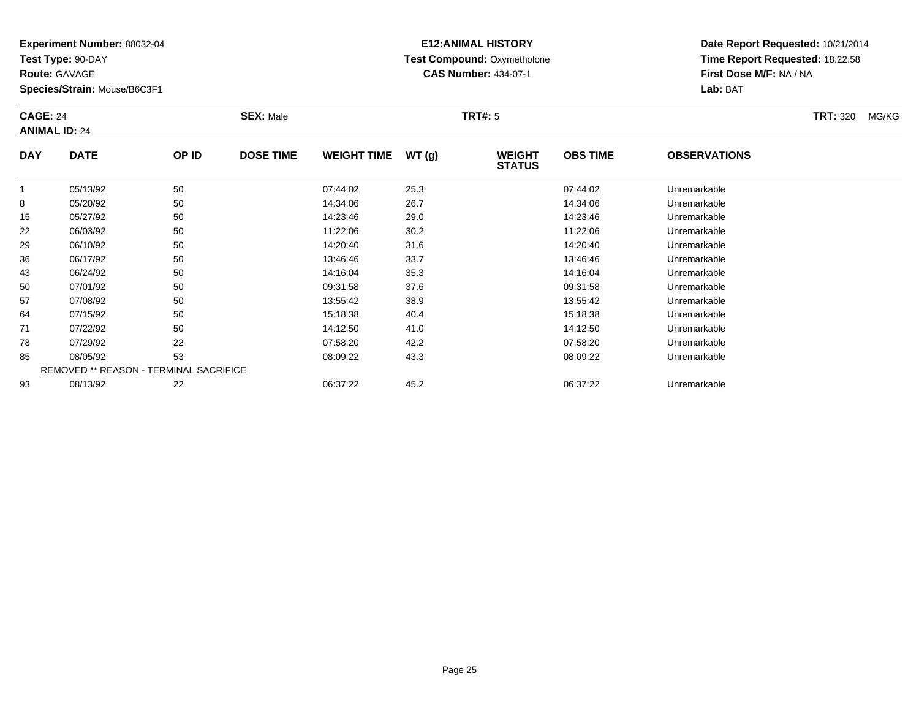**Test Type:** 90-DAY

**Route:** GAVAGE

**Species/Strain:** Mouse/B6C3F1

# **E12:ANIMAL HISTORY Test Compound:** Oxymetholone**CAS Number:** 434-07-1

**Date Report Requested:** 10/21/2014**Time Report Requested:** 18:22:58**First Dose M/F:** NA / NA**Lab:** BAT

### **CAGE:** 24 **SEX:** Male **TRT#:** <sup>5</sup> **TRT:** 320 MG/KG**ANIMAL ID:** 24**DAY DATE OP IDDOSE TIME WEIGHT TIME WT** (g) **STATUSOBS TIMEOBSERVATIONS**

|    | 05/13/92 | 50                                     | 07:44:02 | 25.3 | 07:44:02 | Unremarkable |  |
|----|----------|----------------------------------------|----------|------|----------|--------------|--|
| 8  | 05/20/92 | 50                                     | 14:34:06 | 26.7 | 14:34:06 | Unremarkable |  |
| 15 | 05/27/92 | 50                                     | 14:23:46 | 29.0 | 14:23:46 | Unremarkable |  |
| 22 | 06/03/92 | 50                                     | 11:22:06 | 30.2 | 11:22:06 | Unremarkable |  |
| 29 | 06/10/92 | 50                                     | 14:20:40 | 31.6 | 14:20:40 | Unremarkable |  |
| 36 | 06/17/92 | 50                                     | 13:46:46 | 33.7 | 13:46:46 | Unremarkable |  |
| 43 | 06/24/92 | 50                                     | 14:16:04 | 35.3 | 14:16:04 | Unremarkable |  |
| 50 | 07/01/92 | 50                                     | 09:31:58 | 37.6 | 09:31:58 | Unremarkable |  |
| 57 | 07/08/92 | 50                                     | 13:55:42 | 38.9 | 13:55:42 | Unremarkable |  |
| 64 | 07/15/92 | 50                                     | 15:18:38 | 40.4 | 15:18:38 | Unremarkable |  |
| 71 | 07/22/92 | 50                                     | 14:12:50 | 41.0 | 14:12:50 | Unremarkable |  |
| 78 | 07/29/92 | 22                                     | 07:58:20 | 42.2 | 07:58:20 | Unremarkable |  |
| 85 | 08/05/92 | 53                                     | 08:09:22 | 43.3 | 08:09:22 | Unremarkable |  |
|    |          | REMOVED ** REASON - TERMINAL SACRIFICE |          |      |          |              |  |
| 93 | 08/13/92 | 22                                     | 06:37:22 | 45.2 | 06:37:22 | Unremarkable |  |
|    |          |                                        |          |      |          |              |  |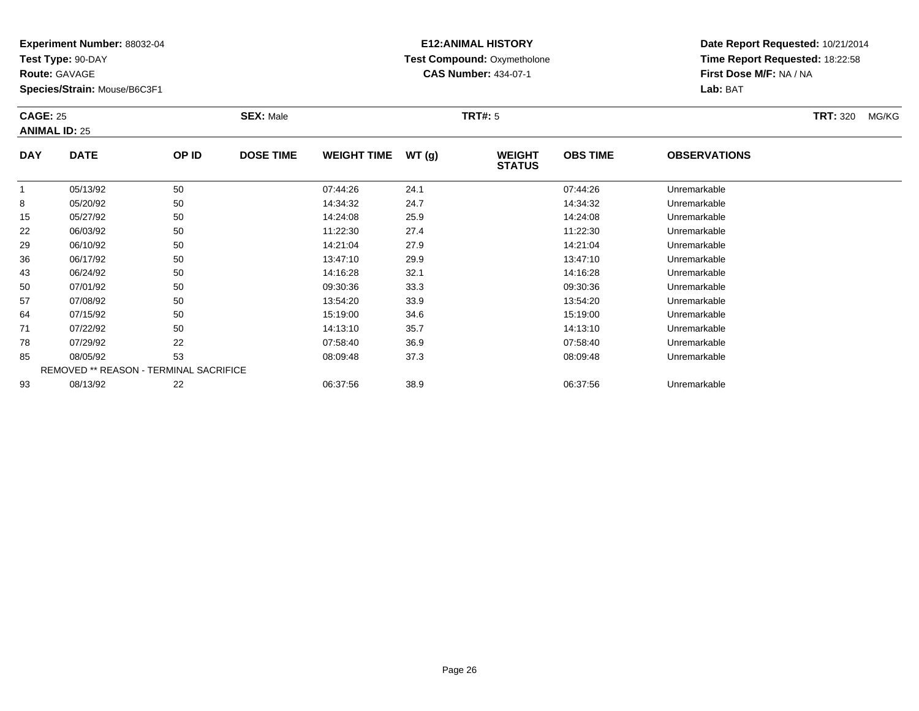**Test Type:** 90-DAY

**Route:** GAVAGE

**Species/Strain:** Mouse/B6C3F1

### **E12:ANIMAL HISTORY Test Compound:** Oxymetholone**CAS Number:** 434-07-1

**Date Report Requested:** 10/21/2014**Time Report Requested:** 18:22:58**First Dose M/F:** NA / NA**Lab:** BAT

#### **CAGE:** 25 **SEX:** Male **TRT#:** <sup>5</sup> **TRT:** 320 MG/KG**ANIMAL ID:** 25**DAY DATE OP IDDOSE TIME WEIGHT TIME WT** (g) **STATUSOBS TIME OBSERVATIONS**  $\overline{1}$  05/13/92 <sup>50</sup> 07:44:26 24.1 07:44:26 Unremarkable 88 05/20/92 50 50 14:34:32 24.7 24.7 14:34:32 Unremarkable 15 05/27/92 <sup>50</sup> 14:24:08 25.9 14:24:08 Unremarkable 2206/03/92 <sup>50</sup> 11:22:30 27.4 11:22:30 Unremarkable

|    | U5/13/92 | აი                                            | V/:44.26 | 24.1 | U/:44:26 | Unremarkable |
|----|----------|-----------------------------------------------|----------|------|----------|--------------|
| 8  | 05/20/92 | 50                                            | 14:34:32 | 24.7 | 14:34:32 | Unremarkable |
| 15 | 05/27/92 | 50                                            | 14:24:08 | 25.9 | 14:24:08 | Unremarkable |
| 22 | 06/03/92 | 50                                            | 11:22:30 | 27.4 | 11:22:30 | Unremarkable |
| 29 | 06/10/92 | 50                                            | 14:21:04 | 27.9 | 14:21:04 | Unremarkable |
| 36 | 06/17/92 | 50                                            | 13:47:10 | 29.9 | 13:47:10 | Unremarkable |
| 43 | 06/24/92 | 50                                            | 14:16:28 | 32.1 | 14:16:28 | Unremarkable |
| 50 | 07/01/92 | 50                                            | 09:30:36 | 33.3 | 09:30:36 | Unremarkable |
| 57 | 07/08/92 | 50                                            | 13:54:20 | 33.9 | 13:54:20 | Unremarkable |
| 64 | 07/15/92 | 50                                            | 15:19:00 | 34.6 | 15:19:00 | Unremarkable |
| 71 | 07/22/92 | 50                                            | 14:13:10 | 35.7 | 14:13:10 | Unremarkable |
| 78 | 07/29/92 | 22                                            | 07:58:40 | 36.9 | 07:58:40 | Unremarkable |
| 85 | 08/05/92 | 53                                            | 08:09:48 | 37.3 | 08:09:48 | Unremarkable |
|    |          | <b>REMOVED ** REASON - TERMINAL SACRIFICE</b> |          |      |          |              |
| 93 | 08/13/92 | 22                                            | 06:37:56 | 38.9 | 06:37:56 | Unremarkable |
|    |          |                                               |          |      |          |              |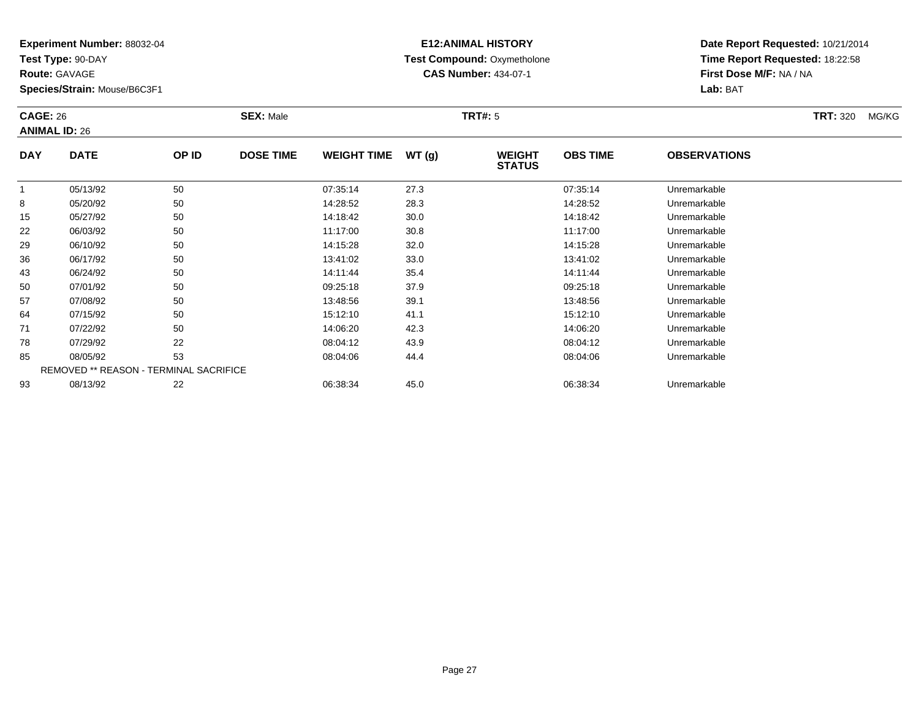**Test Type:** 90-DAY

**Route:** GAVAGE

**Species/Strain:** Mouse/B6C3F1

# **E12:ANIMAL HISTORY Test Compound:** Oxymetholone**CAS Number:** 434-07-1

**Date Report Requested:** 10/21/2014**Time Report Requested:** 18:22:58**First Dose M/F:** NA / NA**Lab:** BAT

#### **CAGE:** 26 **SEX:** Male **TRT#:** <sup>5</sup> **TRT:** 320 MG/KG**ANIMAL ID:** 26**DAY DATE OP IDDOSE TIME WEIGHT TIME WT** (g) **STATUSOBS TIME OBSERVATIONS** 1 05/13/92 <sup>50</sup> 07:35:14 27.3 07:35:14 Unremarkable 8 05/20/92 <sup>50</sup> 14:28:52 28.3 14:28:52 Unremarkable 15 05/27/92 <sup>50</sup> 14:18:42 30.0 14:18:42 Unremarkable 22 06/03/92 <sup>50</sup> 11:17:00 30.8 11:17:00 Unremarkable 2906/10/92 <sup>50</sup> 14:15:28 32.0 14:15:28 Unremarkable

|    |          | $\sim$ $\sim$                                 |          | ---  |          | -            |  |
|----|----------|-----------------------------------------------|----------|------|----------|--------------|--|
| 15 | 05/27/92 | 50                                            | 14:18:42 | 30.0 | 14:18:42 | Unremarkable |  |
| 22 | 06/03/92 | 50                                            | 11:17:00 | 30.8 | 11:17:00 | Unremarkable |  |
| 29 | 06/10/92 | 50                                            | 14:15:28 | 32.0 | 14:15:28 | Unremarkable |  |
| 36 | 06/17/92 | 50                                            | 13:41:02 | 33.0 | 13:41:02 | Unremarkable |  |
| 43 | 06/24/92 | 50                                            | 14:11:44 | 35.4 | 14:11:44 | Unremarkable |  |
| 50 | 07/01/92 | 50                                            | 09:25:18 | 37.9 | 09:25:18 | Unremarkable |  |
| 57 | 07/08/92 | 50                                            | 13:48:56 | 39.1 | 13:48:56 | Unremarkable |  |
| 64 | 07/15/92 | 50                                            | 15:12:10 | 41.1 | 15:12:10 | Unremarkable |  |
| 71 | 07/22/92 | 50                                            | 14:06:20 | 42.3 | 14:06:20 | Unremarkable |  |
| 78 | 07/29/92 | 22                                            | 08:04:12 | 43.9 | 08:04:12 | Unremarkable |  |
| 85 | 08/05/92 | 53                                            | 08:04:06 | 44.4 | 08:04:06 | Unremarkable |  |
|    |          | <b>REMOVED ** REASON - TERMINAL SACRIFICE</b> |          |      |          |              |  |
| 93 | 08/13/92 | 22                                            | 06:38:34 | 45.0 | 06:38:34 | Unremarkable |  |
|    |          |                                               |          |      |          |              |  |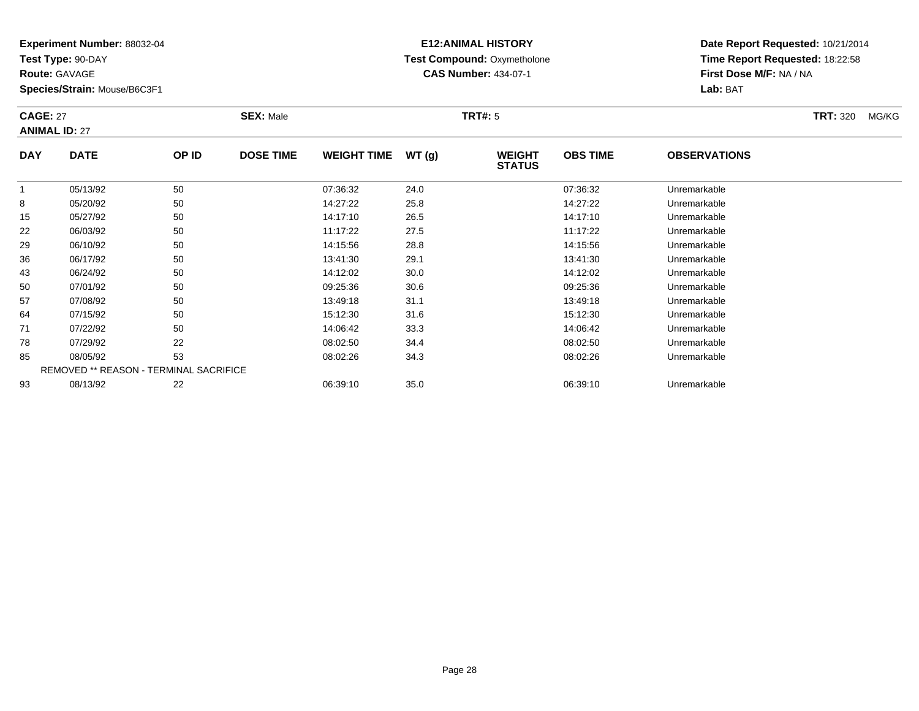**Test Type:** 90-DAY

**Route:** GAVAGE

**Species/Strain:** Mouse/B6C3F1

# **E12:ANIMAL HISTORY Test Compound:** Oxymetholone**CAS Number:** 434-07-1

**Date Report Requested:** 10/21/2014**Time Report Requested:** 18:22:58**First Dose M/F:** NA / NA**Lab:** BAT

#### **CAGE:** 27 **SEX:** Male **TRT#:** <sup>5</sup> **TRT:** 320 MG/KG**ANIMAL ID:** 27**DAY DATE OP IDDOSE TIME WEIGHT TIME WT** (g) **WEIGHT<br>STATUS OBS TIMEOBSERVATIONS**

|    |          |                                               |          |      | $31$ A1U3 |              |  |
|----|----------|-----------------------------------------------|----------|------|-----------|--------------|--|
|    | 05/13/92 | 50                                            | 07:36:32 | 24.0 | 07:36:32  | Unremarkable |  |
| 8  | 05/20/92 | 50                                            | 14:27:22 | 25.8 | 14:27:22  | Unremarkable |  |
| 15 | 05/27/92 | 50                                            | 14:17:10 | 26.5 | 14:17:10  | Unremarkable |  |
| 22 | 06/03/92 | 50                                            | 11:17:22 | 27.5 | 11:17:22  | Unremarkable |  |
| 29 | 06/10/92 | 50                                            | 14:15:56 | 28.8 | 14:15:56  | Unremarkable |  |
| 36 | 06/17/92 | 50                                            | 13:41:30 | 29.1 | 13:41:30  | Unremarkable |  |
| 43 | 06/24/92 | 50                                            | 14:12:02 | 30.0 | 14:12:02  | Unremarkable |  |
| 50 | 07/01/92 | 50                                            | 09:25:36 | 30.6 | 09:25:36  | Unremarkable |  |
| 57 | 07/08/92 | 50                                            | 13:49:18 | 31.1 | 13:49:18  | Unremarkable |  |
| 64 | 07/15/92 | 50                                            | 15:12:30 | 31.6 | 15:12:30  | Unremarkable |  |
| 71 | 07/22/92 | 50                                            | 14:06:42 | 33.3 | 14:06:42  | Unremarkable |  |
| 78 | 07/29/92 | 22                                            | 08:02:50 | 34.4 | 08:02:50  | Unremarkable |  |
| 85 | 08/05/92 | 53                                            | 08:02:26 | 34.3 | 08:02:26  | Unremarkable |  |
|    |          | <b>REMOVED ** REASON - TERMINAL SACRIFICE</b> |          |      |           |              |  |
| 93 | 08/13/92 | 22                                            | 06:39:10 | 35.0 | 06:39:10  | Unremarkable |  |
|    |          |                                               |          |      |           |              |  |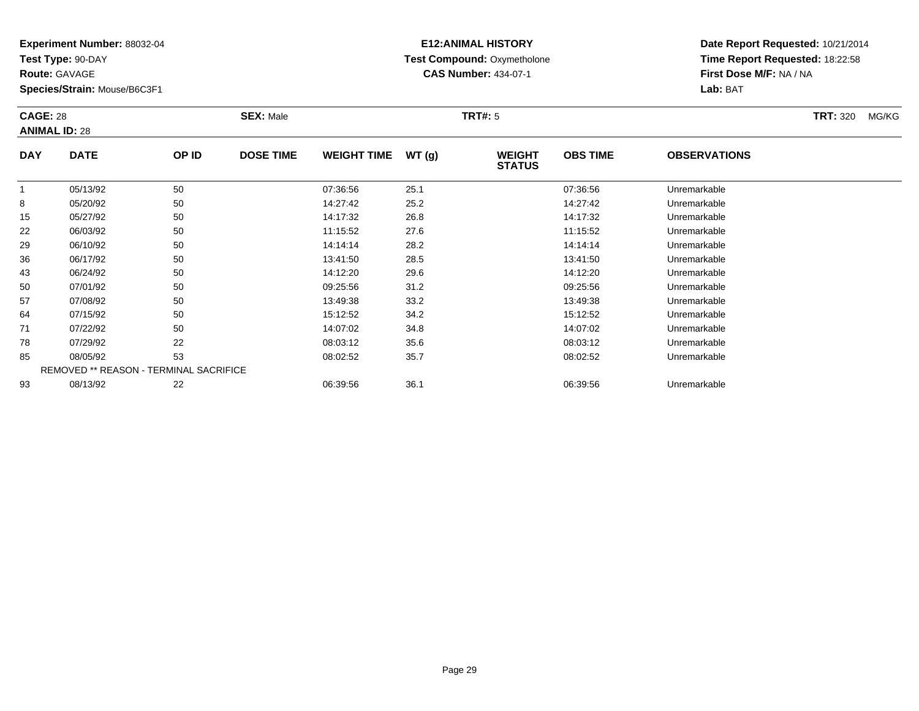**Test Type:** 90-DAY

**Route:** GAVAGE

**Species/Strain:** Mouse/B6C3F1

# **E12:ANIMAL HISTORY Test Compound:** Oxymetholone**CAS Number:** 434-07-1

| <b>CAGE: 28</b><br><b>ANIMAL ID: 28</b> |             |       | <b>SEX: Male</b> |                    |       |                                | <b>TRT#: 5</b>  |                      |  |  |
|-----------------------------------------|-------------|-------|------------------|--------------------|-------|--------------------------------|-----------------|----------------------|--|--|
| <b>DAY</b>                              | <b>DATE</b> | OP ID | <b>DOSE TIME</b> | <b>WEIGHT TIME</b> | WT(g) | <b>WEIGHT</b><br><b>STATUS</b> | <b>OBS TIME</b> | <b>OBSERVATIONS</b>  |  |  |
|                                         | 05/13/92    | 50    |                  | 07:36:56           | 25.1  |                                | 07:36:56        | Unremarkable         |  |  |
| 8                                       | 05/20/92    | 50    |                  | 14.27.42           | 252   |                                | 14.27.42        | <u>Linremarkahle</u> |  |  |

|    | 05/13/92 | 50                                            | 07:36:56 | 25.1 | 07:36:56 | Unremarkable |  |
|----|----------|-----------------------------------------------|----------|------|----------|--------------|--|
| 8  | 05/20/92 | 50                                            | 14:27:42 | 25.2 | 14:27:42 | Unremarkable |  |
| 15 | 05/27/92 | 50                                            | 14:17:32 | 26.8 | 14:17:32 | Unremarkable |  |
| 22 | 06/03/92 | 50                                            | 11:15:52 | 27.6 | 11:15:52 | Unremarkable |  |
| 29 | 06/10/92 | 50                                            | 14:14:14 | 28.2 | 14:14:14 | Unremarkable |  |
| 36 | 06/17/92 | 50                                            | 13:41:50 | 28.5 | 13:41:50 | Unremarkable |  |
| 43 | 06/24/92 | 50                                            | 14:12:20 | 29.6 | 14:12:20 | Unremarkable |  |
| 50 | 07/01/92 | 50                                            | 09:25:56 | 31.2 | 09:25:56 | Unremarkable |  |
| 57 | 07/08/92 | 50                                            | 13:49:38 | 33.2 | 13:49:38 | Unremarkable |  |
| 64 | 07/15/92 | 50                                            | 15:12:52 | 34.2 | 15:12:52 | Unremarkable |  |
| 71 | 07/22/92 | 50                                            | 14:07:02 | 34.8 | 14:07:02 | Unremarkable |  |
| 78 | 07/29/92 | 22                                            | 08:03:12 | 35.6 | 08:03:12 | Unremarkable |  |
| 85 | 08/05/92 | 53                                            | 08:02:52 | 35.7 | 08:02:52 | Unremarkable |  |
|    |          | <b>REMOVED ** REASON - TERMINAL SACRIFICE</b> |          |      |          |              |  |
| 93 | 08/13/92 | 22                                            | 06:39:56 | 36.1 | 06:39:56 | Unremarkable |  |
|    |          |                                               |          |      |          |              |  |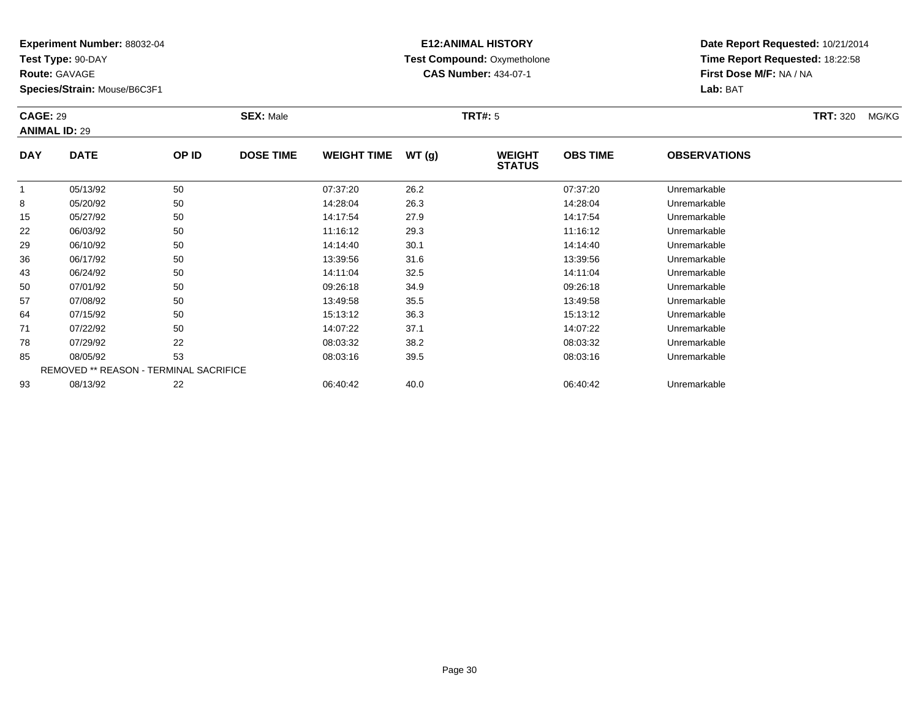**Test Type:** 90-DAY

**Route:** GAVAGE

43

50

57

64

71

78

85

93

**Species/Strain:** Mouse/B6C3F1

REMOVED \*\* REASON - TERMINAL SACRIFICE

### **E12:ANIMAL HISTORY Test Compound:** Oxymetholone**CAS Number:** 434-07-1

**Date Report Requested:** 10/21/2014**Time Report Requested:** 18:22:58**First Dose M/F:** NA / NA**Lab:** BAT

#### **CAGE:** 29 **SEX:** Male **TRT#:** <sup>5</sup> **TRT:** 320 MG/KG**ANIMAL ID:** 29**DAY DATE OP IDDOSE TIME WEIGHT TIME WT** (g) **STATUSOBS TIME OBSERVATIONS** 1 05/13/92 <sup>50</sup> 07:37:20 26.2 07:37:20 Unremarkable 88 05/20/92 50 50 14:28:04 26.3 14:28:04 15/20 14:28:04 15/20 14:28:04 15/20 15/20 15/20 15/20 16 15 05/27/92 <sup>50</sup> 14:17:54 27.9 14:17:54 Unremarkable 22 06/03/92 <sup>50</sup> 11:16:12 29.3 11:16:12 Unremarkable 29 06/10/92 <sup>50</sup> 14:14:40 30.1 14:14:40 Unremarkable 3606/17/92 <sup>50</sup> 13:39:56 31.6 13:39:56 Unremarkable

06/24/92 <sup>50</sup> 14:11:04 32.5 14:11:04 Unremarkable

07/01/92 <sup>50</sup> 09:26:18 34.9 09:26:18 Unremarkable

07/08/92 <sup>50</sup> 13:49:58 35.5 13:49:58 Unremarkable

07/15/92 <sup>50</sup> 15:13:12 36.3 15:13:12 Unremarkable

1 07/22/92 50 50 14:07:22 37.1 14:07:22 150

07/29/92 <sup>22</sup> 08:03:32 38.2 08:03:32 Unremarkable

08/05/92 <sup>53</sup> 08:03:16 39.5 08:03:16 Unremarkable

08/13/92 <sup>22</sup> 06:40:42 40.0 06:40:42 Unremarkable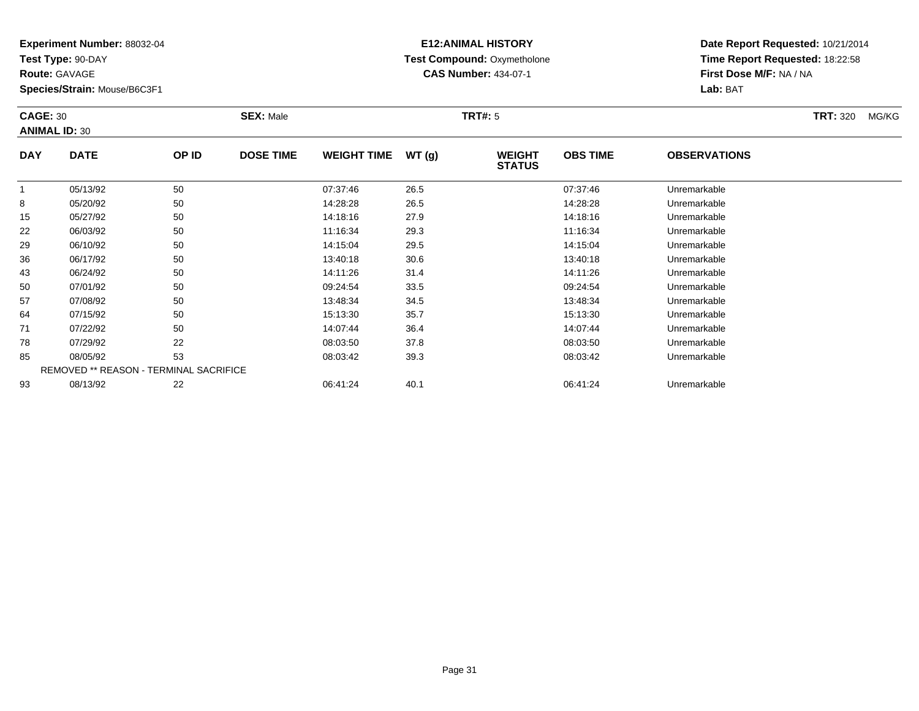**Test Type:** 90-DAY

**Route:** GAVAGE

**Species/Strain:** Mouse/B6C3F1

# **E12:ANIMAL HISTORY Test Compound:** Oxymetholone**CAS Number:** 434-07-1

**Date Report Requested:** 10/21/2014**Time Report Requested:** 18:22:58**First Dose M/F:** NA / NA**Lab:** BAT

#### **CAGE:** 30 **SEX:** Male **TRT#:** <sup>5</sup> **TRT:** 320 MG/KG**ANIMAL ID:** 30**DAY DATE OP IDDOSE TIME WEIGHT TIME WT** (g) **STATUSOBS TIME OBSERVATIONS** 1 05/13/92 <sup>50</sup> 07:37:46 26.5 07:37:46 Unremarkable 8 05/20/92 <sup>50</sup> 14:28:28 26.5 14:28:28 Unremarkable 15 05/27/92 <sup>50</sup> 14:18:16 27.9 14:18:16 Unremarkable 22 06/03/92 <sup>50</sup> 11:16:34 29.3 11:16:34 Unremarkable 2906/10/92 <sup>50</sup> 14:15:04 29.5 14:15:04 Unremarkable

| 15 | 05/27/92                                      | 50 | 14:18:16 | 27.9 | 14:18:16 | Unremarkable |
|----|-----------------------------------------------|----|----------|------|----------|--------------|
| 22 | 06/03/92                                      | 50 | 11:16:34 | 29.3 | 11:16:34 | Unremarkable |
| 29 | 06/10/92                                      | 50 | 14:15:04 | 29.5 | 14:15:04 | Unremarkable |
| 36 | 06/17/92                                      | 50 | 13:40:18 | 30.6 | 13:40:18 | Unremarkable |
| 43 | 06/24/92                                      | 50 | 14:11:26 | 31.4 | 14:11:26 | Unremarkable |
| 50 | 07/01/92                                      | 50 | 09:24:54 | 33.5 | 09:24:54 | Unremarkable |
| 57 | 07/08/92                                      | 50 | 13:48:34 | 34.5 | 13:48:34 | Unremarkable |
| 64 | 07/15/92                                      | 50 | 15:13:30 | 35.7 | 15:13:30 | Unremarkable |
| 71 | 07/22/92                                      | 50 | 14:07:44 | 36.4 | 14:07:44 | Unremarkable |
| 78 | 07/29/92                                      | 22 | 08:03:50 | 37.8 | 08:03:50 | Unremarkable |
| 85 | 08/05/92                                      | 53 | 08:03:42 | 39.3 | 08:03:42 | Unremarkable |
|    | <b>REMOVED ** REASON - TERMINAL SACRIFICE</b> |    |          |      |          |              |
| 93 | 08/13/92                                      | 22 | 06:41:24 | 40.1 | 06:41:24 | Unremarkable |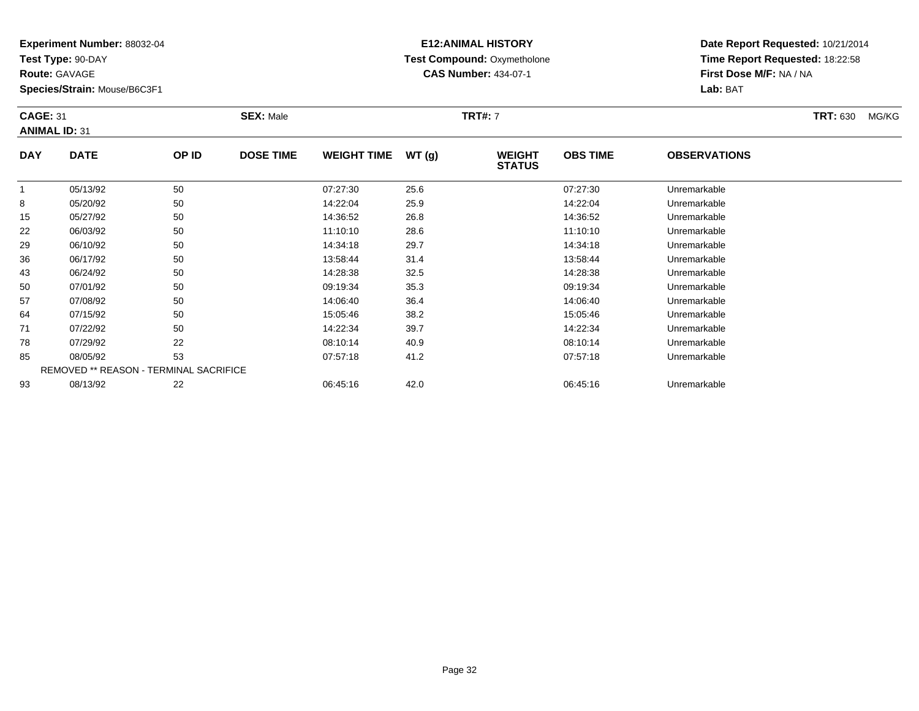**Test Type:** 90-DAY

**Route:** GAVAGE

**Species/Strain:** Mouse/B6C3F1

# **E12:ANIMAL HISTORY Test Compound:** Oxymetholone**CAS Number:** 434-07-1

| <b>CAGE: 31</b><br><b>ANIMAL ID: 31</b> |             | <b>SEX: Male</b> |                  |                    | <b>TRT#: 7</b> |                                |                 | <b>TRT: 630</b>     | MG/KG |  |
|-----------------------------------------|-------------|------------------|------------------|--------------------|----------------|--------------------------------|-----------------|---------------------|-------|--|
| <b>DAY</b>                              | <b>DATE</b> | OP ID            | <b>DOSE TIME</b> | <b>WEIGHT TIME</b> | WT(g)          | <b>WEIGHT</b><br><b>STATUS</b> | <b>OBS TIME</b> | <b>OBSERVATIONS</b> |       |  |

|    | 05/13/92 | 50                                     | 07:27:30 | 25.6 | 07:27:30 | Unremarkable |  |
|----|----------|----------------------------------------|----------|------|----------|--------------|--|
| 8  | 05/20/92 | 50                                     | 14:22:04 | 25.9 | 14:22:04 | Unremarkable |  |
| 15 | 05/27/92 | 50                                     | 14:36:52 | 26.8 | 14:36:52 | Unremarkable |  |
| 22 | 06/03/92 | 50                                     | 11:10:10 | 28.6 | 11:10:10 | Unremarkable |  |
| 29 | 06/10/92 | 50                                     | 14:34:18 | 29.7 | 14:34:18 | Unremarkable |  |
| 36 | 06/17/92 | 50                                     | 13:58:44 | 31.4 | 13:58:44 | Unremarkable |  |
| 43 | 06/24/92 | 50                                     | 14:28:38 | 32.5 | 14:28:38 | Unremarkable |  |
| 50 | 07/01/92 | 50                                     | 09:19:34 | 35.3 | 09:19:34 | Unremarkable |  |
| 57 | 07/08/92 | 50                                     | 14:06:40 | 36.4 | 14:06:40 | Unremarkable |  |
| 64 | 07/15/92 | 50                                     | 15:05:46 | 38.2 | 15:05:46 | Unremarkable |  |
| 71 | 07/22/92 | 50                                     | 14:22:34 | 39.7 | 14:22:34 | Unremarkable |  |
| 78 | 07/29/92 | 22                                     | 08:10:14 | 40.9 | 08:10:14 | Unremarkable |  |
| 85 | 08/05/92 | 53                                     | 07:57:18 | 41.2 | 07:57:18 | Unremarkable |  |
|    |          | REMOVED ** REASON - TERMINAL SACRIFICE |          |      |          |              |  |
| 93 | 08/13/92 | 22                                     | 06:45:16 | 42.0 | 06:45:16 | Unremarkable |  |
|    |          |                                        |          |      |          |              |  |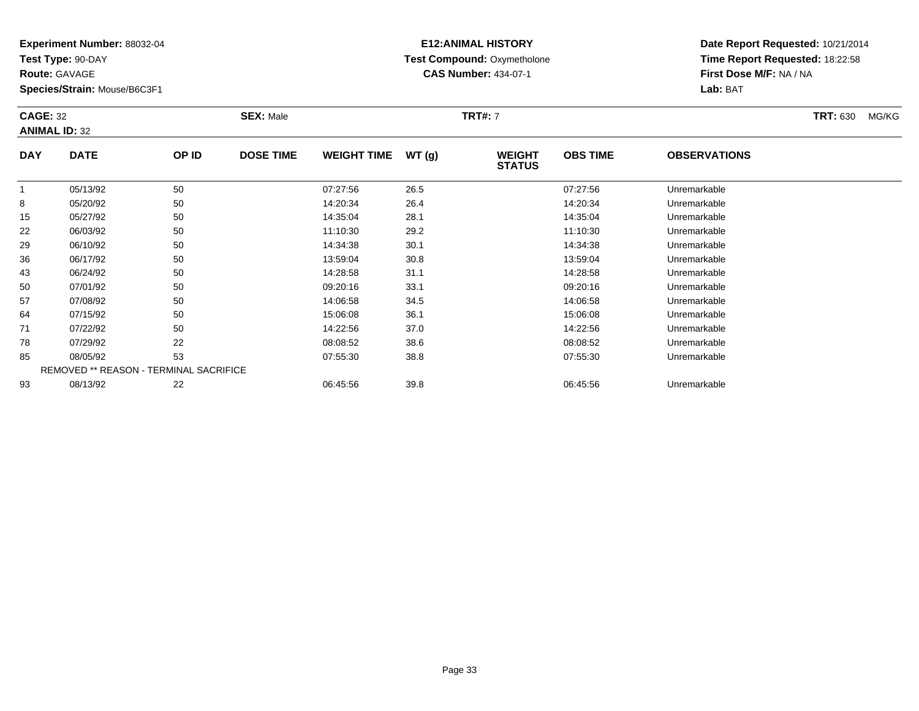**Test Type:** 90-DAY

**Route:** GAVAGE

**Species/Strain:** Mouse/B6C3F1

# **E12:ANIMAL HISTORY Test Compound:** Oxymetholone**CAS Number:** 434-07-1

**Date Report Requested:** 10/21/2014**Time Report Requested:** 18:22:58**First Dose M/F:** NA / NA**Lab:** BAT

#### **CAGE:** 32 **SEX:** Male **TRT#:** <sup>7</sup> **TRT:** 630 MG/KG**ANIMAL ID:** 32**DAY DATE OP IDDOSE TIME WEIGHT TIME WT** (g) **WEIGHT<br>STATUS OBS TIMEOBSERVATIONS**

|    |          |                                               |          |      | 31A1U3   |              |  |
|----|----------|-----------------------------------------------|----------|------|----------|--------------|--|
|    | 05/13/92 | 50                                            | 07:27:56 | 26.5 | 07:27:56 | Unremarkable |  |
| 8  | 05/20/92 | 50                                            | 14:20:34 | 26.4 | 14:20:34 | Unremarkable |  |
| 15 | 05/27/92 | 50                                            | 14:35:04 | 28.1 | 14:35:04 | Unremarkable |  |
| 22 | 06/03/92 | 50                                            | 11:10:30 | 29.2 | 11:10:30 | Unremarkable |  |
| 29 | 06/10/92 | 50                                            | 14:34:38 | 30.1 | 14:34:38 | Unremarkable |  |
| 36 | 06/17/92 | 50                                            | 13:59:04 | 30.8 | 13:59:04 | Unremarkable |  |
| 43 | 06/24/92 | 50                                            | 14:28:58 | 31.1 | 14:28:58 | Unremarkable |  |
| 50 | 07/01/92 | 50                                            | 09:20:16 | 33.1 | 09:20:16 | Unremarkable |  |
| 57 | 07/08/92 | 50                                            | 14:06:58 | 34.5 | 14:06:58 | Unremarkable |  |
| 64 | 07/15/92 | 50                                            | 15:06:08 | 36.1 | 15:06:08 | Unremarkable |  |
| 71 | 07/22/92 | 50                                            | 14:22:56 | 37.0 | 14:22:56 | Unremarkable |  |
| 78 | 07/29/92 | 22                                            | 08:08:52 | 38.6 | 08:08:52 | Unremarkable |  |
| 85 | 08/05/92 | 53                                            | 07:55:30 | 38.8 | 07:55:30 | Unremarkable |  |
|    |          | <b>REMOVED ** REASON - TERMINAL SACRIFICE</b> |          |      |          |              |  |
| 93 | 08/13/92 | 22                                            | 06:45:56 | 39.8 | 06:45:56 | Unremarkable |  |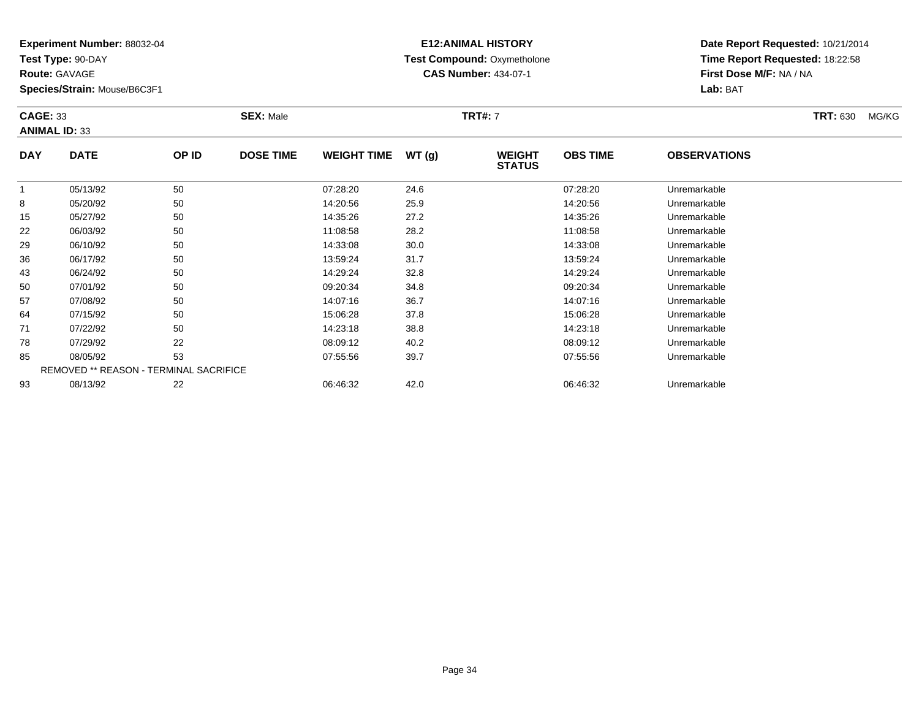**Test Type:** 90-DAY

**Route:** GAVAGE

36

43

50

57

64

71

78

85

93

**Species/Strain:** Mouse/B6C3F1

### **E12:ANIMAL HISTORY Test Compound:** Oxymetholone**CAS Number:** 434-07-1

**Date Report Requested:** 10/21/2014**Time Report Requested:** 18:22:58**First Dose M/F:** NA / NA**Lab:** BAT

| <b>CAGE: 33</b> | <b>ANIMAL ID: 33</b> |       | <b>SEX: Male</b> |                    |       | <b>TRT#: 7</b>                 |                 |                     | <b>TRT: 630</b> | MG/KG |
|-----------------|----------------------|-------|------------------|--------------------|-------|--------------------------------|-----------------|---------------------|-----------------|-------|
| <b>DAY</b>      | <b>DATE</b>          | OP ID | <b>DOSE TIME</b> | <b>WEIGHT TIME</b> | WT(g) | <b>WEIGHT</b><br><b>STATUS</b> | <b>OBS TIME</b> | <b>OBSERVATIONS</b> |                 |       |
|                 | 05/13/92             | 50    |                  | 07:28:20           | 24.6  |                                | 07:28:20        | Unremarkable        |                 |       |
| 8               | 05/20/92             | 50    |                  | 14:20:56           | 25.9  |                                | 14:20:56        | Unremarkable        |                 |       |
| 15              | 05/27/92             | 50    |                  | 14:35:26           | 27.2  |                                | 14:35:26        | Unremarkable        |                 |       |
| 22              | 06/03/92             | 50    |                  | 11:08:58           | 28.2  |                                | 11:08:58        | Unremarkable        |                 |       |
| 29              | 06/10/92             | 50    |                  | 14:33:08           | 30.0  |                                | 14:33:08        | Unremarkable        |                 |       |

|   | 07/08/92 | 50                                            | 14:07:16 | 36.7 | 14:07:16 | <b>Unremarkable</b> |
|---|----------|-----------------------------------------------|----------|------|----------|---------------------|
| 4 | 07/15/92 | 50                                            | 15:06:28 | 37.8 | 15:06:28 | Unremarkable        |
|   | 07/22/92 | 50                                            | 14:23:18 | 38.8 | 14:23:18 | Unremarkable        |
|   | 07/29/92 | 22                                            | 08:09:12 | 40.2 | 08:09:12 | Unremarkable        |
|   | 08/05/92 | 53                                            | 07:55:56 | 39.7 | 07:55:56 | Unremarkable        |
|   |          | <b>REMOVED ** REASON - TERMINAL SACRIFICE</b> |          |      |          |                     |
|   | 08/13/92 | 22                                            | 06:46:32 | 42.0 | 06:46:32 | Unremarkable        |
|   |          |                                               |          |      |          |                     |

06/17/92 <sup>50</sup> 13:59:24 31.7 13:59:24 Unremarkable

06/24/92 <sup>50</sup> 14:29:24 32.8 14:29:24 Unremarkable

0 07/01/92 50 50 09:20:34 34.8 09:20:34 09:20:34 Dhremarkable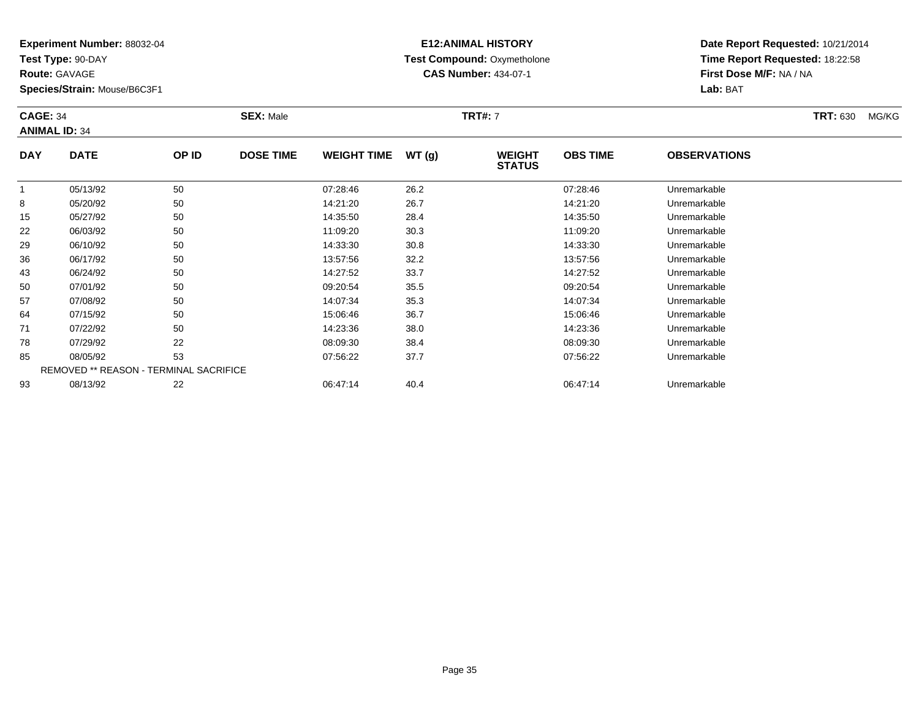**Test Type:** 90-DAY

**Route:** GAVAGE

**Species/Strain:** Mouse/B6C3F1

# **E12:ANIMAL HISTORY Test Compound:** Oxymetholone**CAS Number:** 434-07-1

| <b>CAGE: 34</b><br><b>ANIMAL ID: 34</b> |             |       | <b>SEX: Male</b> |                    | <b>TRT#: 7</b> | <b>TRT: 630</b>                | MG/KG           |                     |  |  |
|-----------------------------------------|-------------|-------|------------------|--------------------|----------------|--------------------------------|-----------------|---------------------|--|--|
| <b>DAY</b>                              | <b>DATE</b> | OP ID | <b>DOSE TIME</b> | <b>WEIGHT TIME</b> | WT(g)          | <b>WEIGHT</b><br><b>STATUS</b> | <b>OBS TIME</b> | <b>OBSERVATIONS</b> |  |  |
|                                         | 05/13/92    | 50    |                  | 07:28:46           | 26.2           |                                | 07:28:46        | Unremarkable        |  |  |
| 8                                       | 05/20/92    | 50    |                  | 14:21:20           | 26.7           |                                | 14:21:20        | Unremarkable        |  |  |
| 15                                      | 05/27/92    | 50    |                  | 14:35:50           | 28.4           |                                | 14:35:50        | Unremarkable        |  |  |
| 22                                      | 06/03/92    | 50    |                  | 11:09:20           | 30.3           |                                | 11:09:20        | Unremarkable        |  |  |
|                                         |             |       |                  |                    |                |                                |                 |                     |  |  |

| 8                                             | 05/20/92 | 50 | 14:21:20 | 26.7 | 14:21:20 | Unremarkable |  |  |
|-----------------------------------------------|----------|----|----------|------|----------|--------------|--|--|
| 15                                            | 05/27/92 | 50 | 14:35:50 | 28.4 | 14:35:50 | Unremarkable |  |  |
| 22                                            | 06/03/92 | 50 | 11:09:20 | 30.3 | 11:09:20 | Unremarkable |  |  |
| 29                                            | 06/10/92 | 50 | 14:33:30 | 30.8 | 14:33:30 | Unremarkable |  |  |
| 36                                            | 06/17/92 | 50 | 13:57:56 | 32.2 | 13:57:56 | Unremarkable |  |  |
| 43                                            | 06/24/92 | 50 | 14:27:52 | 33.7 | 14:27:52 | Unremarkable |  |  |
| 50                                            | 07/01/92 | 50 | 09:20:54 | 35.5 | 09:20:54 | Unremarkable |  |  |
| 57                                            | 07/08/92 | 50 | 14:07:34 | 35.3 | 14:07:34 | Unremarkable |  |  |
| 64                                            | 07/15/92 | 50 | 15:06:46 | 36.7 | 15:06:46 | Unremarkable |  |  |
| 71                                            | 07/22/92 | 50 | 14:23:36 | 38.0 | 14:23:36 | Unremarkable |  |  |
| 78                                            | 07/29/92 | 22 | 08:09:30 | 38.4 | 08:09:30 | Unremarkable |  |  |
| 85                                            | 08/05/92 | 53 | 07:56:22 | 37.7 | 07:56:22 | Unremarkable |  |  |
| <b>REMOVED ** REASON - TERMINAL SACRIFICE</b> |          |    |          |      |          |              |  |  |
| 93                                            | 08/13/92 | 22 | 06:47:14 | 40.4 | 06:47:14 | Unremarkable |  |  |
|                                               |          |    |          |      |          |              |  |  |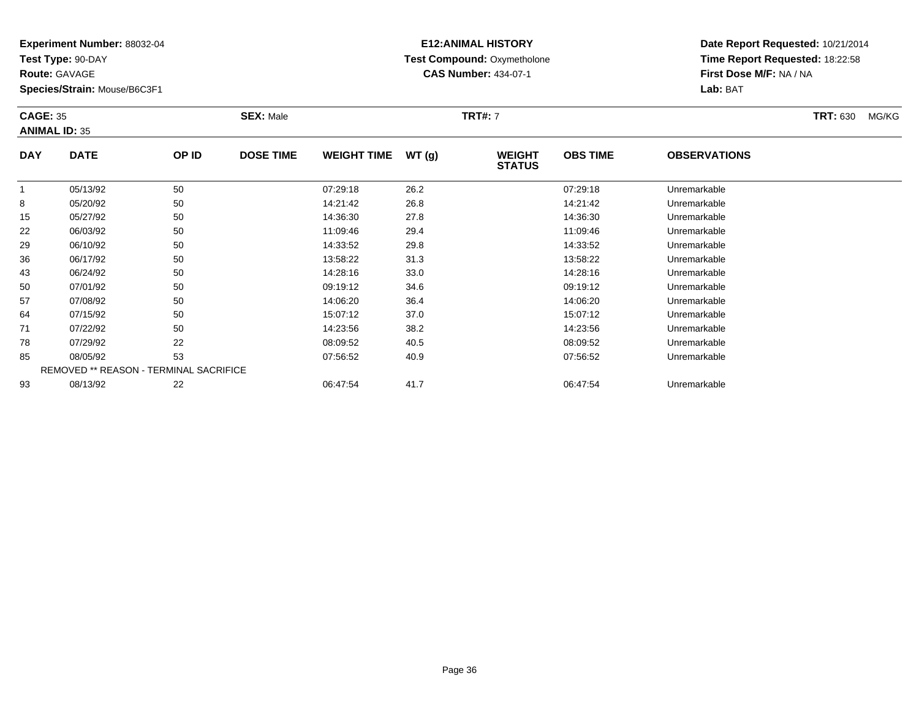**Test Type:** 90-DAY

**Route:** GAVAGE

**Species/Strain:** Mouse/B6C3F1

# **E12:ANIMAL HISTORY Test Compound:** Oxymetholone**CAS Number:** 434-07-1

| <b>CAGE: 35</b><br><b>ANIMAL ID: 35</b> |             |       | <b>SEX: Male</b> |                    |       | <b>TRT#: 7</b>                 |                 |                     | <b>TRT: 630</b><br>MG/KG |
|-----------------------------------------|-------------|-------|------------------|--------------------|-------|--------------------------------|-----------------|---------------------|--------------------------|
| <b>DAY</b>                              | <b>DATE</b> | OP ID | <b>DOSE TIME</b> | <b>WEIGHT TIME</b> | WT(g) | <b>WEIGHT</b><br><b>STATUS</b> | <b>OBS TIME</b> | <b>OBSERVATIONS</b> |                          |
|                                         | 05/13/92    | 50    |                  | 07:29:18           | 26.2  |                                | 07:29:18        | Unremarkable        |                          |
| 8                                       | 05/20/92    | 50    |                  | 14:21:42           | 26.8  |                                | 14:21:42        | Unremarkable        |                          |
| 15                                      | 05/27/92    | 50    |                  | 14:36:30           | 27.8  |                                | 14:36:30        | Unremarkable        |                          |

|    | U3/ 13/92 | ວບ                                            | 01.29.10 | ZO.Z | 01.29.10 | UNTERNAME    |  |
|----|-----------|-----------------------------------------------|----------|------|----------|--------------|--|
| 8  | 05/20/92  | 50                                            | 14:21:42 | 26.8 | 14:21:42 | Unremarkable |  |
| 15 | 05/27/92  | 50                                            | 14:36:30 | 27.8 | 14:36:30 | Unremarkable |  |
| 22 | 06/03/92  | 50                                            | 11:09:46 | 29.4 | 11:09:46 | Unremarkable |  |
| 29 | 06/10/92  | 50                                            | 14:33:52 | 29.8 | 14:33:52 | Unremarkable |  |
| 36 | 06/17/92  | 50                                            | 13:58:22 | 31.3 | 13:58:22 | Unremarkable |  |
| 43 | 06/24/92  | 50                                            | 14:28:16 | 33.0 | 14:28:16 | Unremarkable |  |
| 50 | 07/01/92  | 50                                            | 09:19:12 | 34.6 | 09:19:12 | Unremarkable |  |
| 57 | 07/08/92  | 50                                            | 14:06:20 | 36.4 | 14:06:20 | Unremarkable |  |
| 64 | 07/15/92  | 50                                            | 15:07:12 | 37.0 | 15:07:12 | Unremarkable |  |
| 71 | 07/22/92  | 50                                            | 14:23:56 | 38.2 | 14:23:56 | Unremarkable |  |
| 78 | 07/29/92  | 22                                            | 08:09:52 | 40.5 | 08:09:52 | Unremarkable |  |
| 85 | 08/05/92  | 53                                            | 07:56:52 | 40.9 | 07:56:52 | Unremarkable |  |
|    |           | <b>REMOVED ** REASON - TERMINAL SACRIFICE</b> |          |      |          |              |  |
| 93 | 08/13/92  | 22                                            | 06:47:54 | 41.7 | 06:47:54 | Unremarkable |  |
|    |           |                                               |          |      |          |              |  |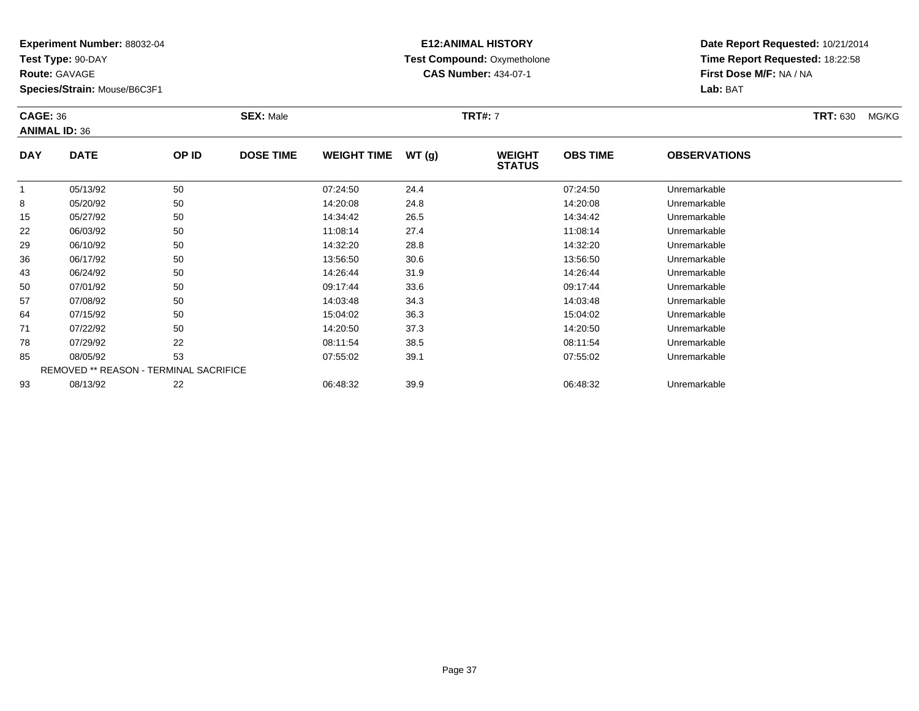**Test Type:** 90-DAY

**Route:** GAVAGE

50

57

64

71

78

85

93

**Species/Strain:** Mouse/B6C3F1

REMOVED \*\* REASON - TERMINAL SACRIFICE

## **E12:ANIMAL HISTORY Test Compound:** Oxymetholone**CAS Number:** 434-07-1

**Date Report Requested:** 10/21/2014**Time Report Requested:** 18:22:58**First Dose M/F:** NA / NA**Lab:** BAT

| <b>CAGE: 36</b> | <b>ANIMAL ID: 36</b> | <b>SEX: Male</b> |                  |                    |       | <b>TRT#: 7</b>                 |                 | <b>TRT: 630</b><br>MG/KG |  |
|-----------------|----------------------|------------------|------------------|--------------------|-------|--------------------------------|-----------------|--------------------------|--|
| <b>DAY</b>      | <b>DATE</b>          | OP ID            | <b>DOSE TIME</b> | <b>WEIGHT TIME</b> | WT(g) | <b>WEIGHT</b><br><b>STATUS</b> | <b>OBS TIME</b> | <b>OBSERVATIONS</b>      |  |
|                 | 05/13/92             | 50               |                  | 07:24:50           | 24.4  |                                | 07:24:50        | Unremarkable             |  |
| 8               | 05/20/92             | 50               |                  | 14:20:08           | 24.8  |                                | 14:20:08        | Unremarkable             |  |
| 15              | 05/27/92             | 50               |                  | 14:34:42           | 26.5  |                                | 14:34:42        | Unremarkable             |  |
| 22              | 06/03/92             | 50               |                  | 11:08:14           | 27.4  |                                | 11:08:14        | Unremarkable             |  |
| 29              | 06/10/92             | 50               |                  | 14:32:20           | 28.8  |                                | 14:32:20        | Unremarkable             |  |
| 36              | 06/17/92             | 50               |                  | 13:56:50           | 30.6  |                                | 13:56:50        | Unremarkable             |  |
| 43              | 06/24/92             | 50               |                  | 14:26:44           | 31.9  |                                | 14:26:44        | Unremarkable             |  |

06/24/92 <sup>50</sup> 14:26:44 31.9 14:26:44 Unremarkable

0 07/01/92 50 50 09:17:44 33.6 09:07:01/92 Unremarkable

07/08/92 <sup>50</sup> 14:03:48 34.3 14:03:48 Unremarkable

07/15/92 <sup>50</sup> 15:04:02 36.3 15:04:02 Unremarkable

07/22/92 <sup>50</sup> 14:20:50 37.3 14:20:50 Unremarkable

07/29/92 <sup>22</sup> 08:11:54 38.5 08:11:54 Unremarkable

08/05/92 <sup>53</sup> 07:55:02 39.1 07:55:02 Unremarkable

08/13/92 <sup>22</sup> 06:48:32 39.9 06:48:32 Unremarkable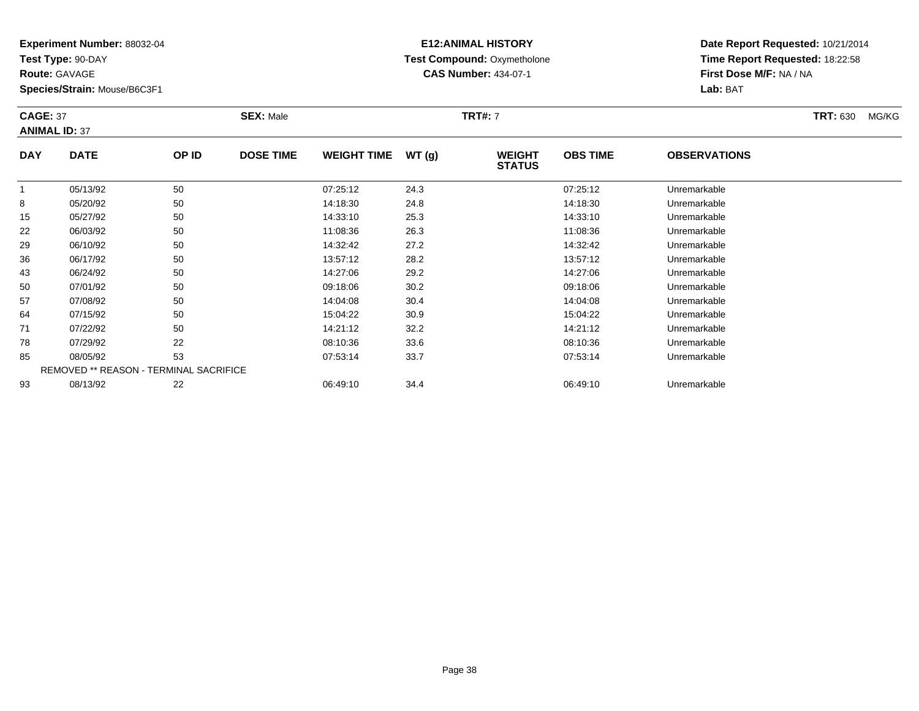**Test Type:** 90-DAY

**Route:** GAVAGE

**Species/Strain:** Mouse/B6C3F1

# **E12:ANIMAL HISTORY Test Compound:** Oxymetholone**CAS Number:** 434-07-1

**Date Report Requested:** 10/21/2014**Time Report Requested:** 18:22:58**First Dose M/F:** NA / NA**Lab:** BAT

#### **CAGE:** 37 **SEX:** Male **TRT#:** <sup>7</sup> **TRT:** 630 MG/KG**ANIMAL ID:** 37**DAY DATE OP IDDOSE TIME WEIGHT TIME WT** (g) **STATUSOBS TIMEOBSERVATIONS**

|    |          |                                               |          |      | ,,,,,,,  |              |  |
|----|----------|-----------------------------------------------|----------|------|----------|--------------|--|
|    | 05/13/92 | 50                                            | 07:25:12 | 24.3 | 07:25:12 | Unremarkable |  |
| 8  | 05/20/92 | 50                                            | 14:18:30 | 24.8 | 14:18:30 | Unremarkable |  |
| 15 | 05/27/92 | 50                                            | 14:33:10 | 25.3 | 14:33:10 | Unremarkable |  |
| 22 | 06/03/92 | 50                                            | 11:08:36 | 26.3 | 11:08:36 | Unremarkable |  |
| 29 | 06/10/92 | 50                                            | 14:32:42 | 27.2 | 14:32:42 | Unremarkable |  |
| 36 | 06/17/92 | 50                                            | 13:57:12 | 28.2 | 13:57:12 | Unremarkable |  |
| 43 | 06/24/92 | 50                                            | 14:27:06 | 29.2 | 14:27:06 | Unremarkable |  |
| 50 | 07/01/92 | 50                                            | 09:18:06 | 30.2 | 09:18:06 | Unremarkable |  |
| 57 | 07/08/92 | 50                                            | 14:04:08 | 30.4 | 14:04:08 | Unremarkable |  |
| 64 | 07/15/92 | 50                                            | 15:04:22 | 30.9 | 15:04:22 | Unremarkable |  |
| 71 | 07/22/92 | 50                                            | 14:21:12 | 32.2 | 14:21:12 | Unremarkable |  |
| 78 | 07/29/92 | 22                                            | 08:10:36 | 33.6 | 08:10:36 | Unremarkable |  |
| 85 | 08/05/92 | 53                                            | 07:53:14 | 33.7 | 07:53:14 | Unremarkable |  |
|    |          | <b>REMOVED ** REASON - TERMINAL SACRIFICE</b> |          |      |          |              |  |
| 93 | 08/13/92 | 22                                            | 06:49:10 | 34.4 | 06:49:10 | Unremarkable |  |
|    |          |                                               |          |      |          |              |  |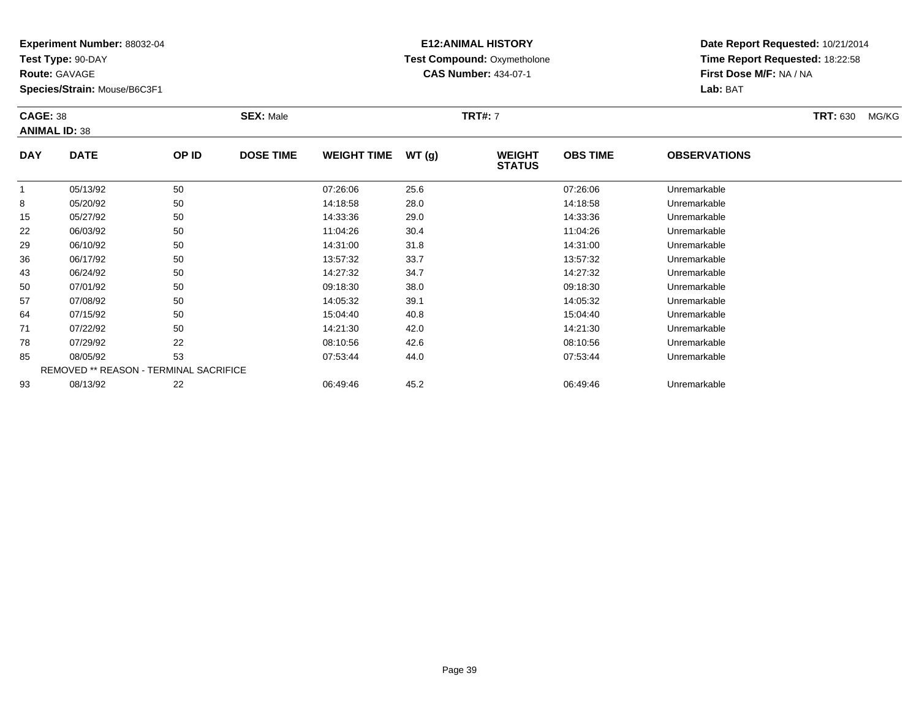**Test Type:** 90-DAY

**Route:** GAVAGE

43

50

57

64

71

78

85

93

**Species/Strain:** Mouse/B6C3F1

REMOVED \*\* REASON - TERMINAL SACRIFICE

## **E12:ANIMAL HISTORY Test Compound:** Oxymetholone**CAS Number:** 434-07-1

**Date Report Requested:** 10/21/2014**Time Report Requested:** 18:22:58**First Dose M/F:** NA / NA**Lab:** BAT

| <b>CAGE: 38</b> | <b>ANIMAL ID: 38</b> | <b>SEX: Male</b> |                  |                    |       | <b>TRT#: 7</b>                 |                 |                     | <b>TRT: 630</b><br>MG/KG |
|-----------------|----------------------|------------------|------------------|--------------------|-------|--------------------------------|-----------------|---------------------|--------------------------|
| <b>DAY</b>      | <b>DATE</b>          | OP ID            | <b>DOSE TIME</b> | <b>WEIGHT TIME</b> | WT(g) | <b>WEIGHT</b><br><b>STATUS</b> | <b>OBS TIME</b> | <b>OBSERVATIONS</b> |                          |
|                 | 05/13/92             | 50               |                  | 07:26:06           | 25.6  |                                | 07:26:06        | Unremarkable        |                          |
| 8               | 05/20/92             | 50               |                  | 14:18:58           | 28.0  |                                | 14:18:58        | Unremarkable        |                          |
| 15              | 05/27/92             | 50               |                  | 14:33:36           | 29.0  |                                | 14:33:36        | Unremarkable        |                          |
| 22              | 06/03/92             | 50               |                  | 11:04:26           | 30.4  |                                | 11:04:26        | Unremarkable        |                          |
| 29              | 06/10/92             | 50               |                  | 14:31:00           | 31.8  |                                | 14:31:00        | Unremarkable        |                          |
| 36              | 06/17/92             | 50               |                  | 13:57:32           | 33.7  |                                | 13:57:32        | Unremarkable        |                          |

06/17/92 <sup>50</sup> 13:57:32 33.7 13:57:32 Unremarkable

06/24/92 <sup>50</sup> 14:27:32 34.7 14:27:32 Unremarkable

0 07/01/92 50 50 09:18:30 38.0 38.0 09:18:30 Dhremarkable

07/08/92 <sup>50</sup> 14:05:32 39.1 14:05:32 Unremarkable

07/15/92 <sup>50</sup> 15:04:40 40.8 15:04:40 Unremarkable

07/22/92 <sup>50</sup> 14:21:30 42.0 14:21:30 Unremarkable

07/29/92 <sup>22</sup> 08:10:56 42.6 08:10:56 Unremarkable

08/05/92 <sup>53</sup> 07:53:44 44.0 07:53:44 Unremarkable

08/13/92 <sup>22</sup> 06:49:46 45.2 06:49:46 Unremarkable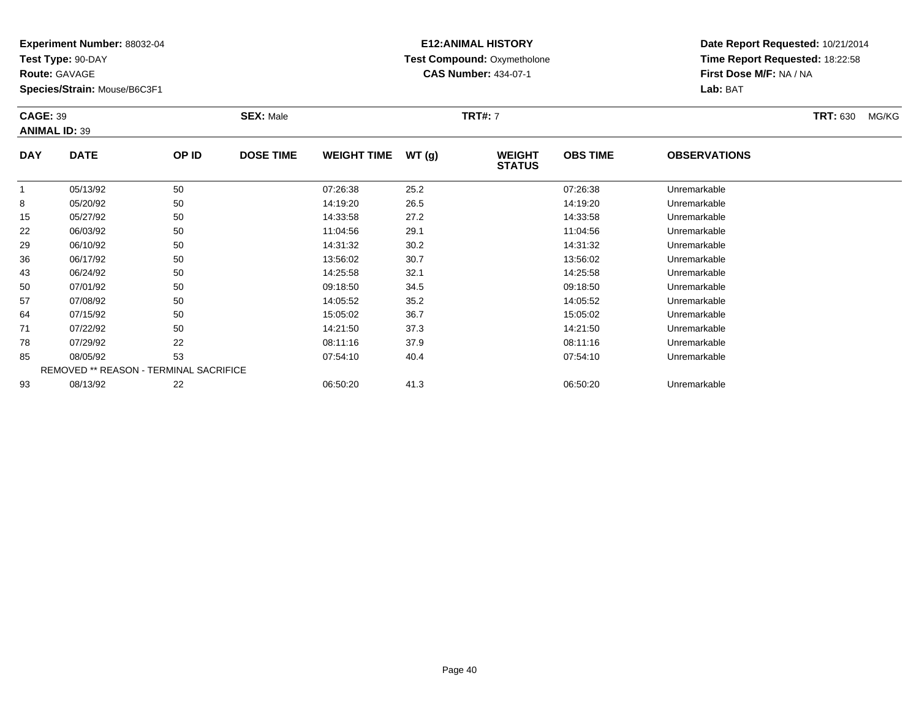**Test Type:** 90-DAY

**Route:** GAVAGE

**Species/Strain:** Mouse/B6C3F1

# **E12:ANIMAL HISTORY Test Compound:** Oxymetholone**CAS Number:** 434-07-1

|                | <b>CAGE: 39</b><br><b>ANIMAL ID: 39</b> |            |                  | <b>TRT#: 7</b><br><b>SEX: Male</b> |               |                                |                 |                              | <b>TRT: 630</b> | MG/KG |
|----------------|-----------------------------------------|------------|------------------|------------------------------------|---------------|--------------------------------|-----------------|------------------------------|-----------------|-------|
| <b>DAY</b>     | <b>DATE</b>                             | OP ID      | <b>DOSE TIME</b> | <b>WEIGHT TIME</b>                 | WT(g)         | <b>WEIGHT</b><br><b>STATUS</b> | <b>OBS TIME</b> | <b>OBSERVATIONS</b>          |                 |       |
|                | 05/13/92                                | 50         |                  | 07:26:38                           | 25.2          |                                | 07:26:38        | Unremarkable                 |                 |       |
| 8              | 05/20/92                                | 50         |                  | 14:19:20                           | 26.5          |                                | 14:19:20        | Unremarkable                 |                 |       |
| $\overline{A}$ | 0F/27/22                                | $\sqrt{2}$ |                  | 4.00.50                            | $\sim$ $\sim$ |                                | 4.00.50         | الملما متعامله ومستوجب وبالل |                 |       |

|    | U5/13/92 | 50                                            | U/:26:38 | 25.2 | U/:26:38 | Unremarkable |  |
|----|----------|-----------------------------------------------|----------|------|----------|--------------|--|
| 8  | 05/20/92 | 50                                            | 14:19:20 | 26.5 | 14:19:20 | Unremarkable |  |
| 15 | 05/27/92 | 50                                            | 14:33:58 | 27.2 | 14:33:58 | Unremarkable |  |
| 22 | 06/03/92 | 50                                            | 11:04:56 | 29.1 | 11:04:56 | Unremarkable |  |
| 29 | 06/10/92 | 50                                            | 14:31:32 | 30.2 | 14:31:32 | Unremarkable |  |
| 36 | 06/17/92 | 50                                            | 13:56:02 | 30.7 | 13:56:02 | Unremarkable |  |
| 43 | 06/24/92 | 50                                            | 14:25:58 | 32.1 | 14:25:58 | Unremarkable |  |
| 50 | 07/01/92 | 50                                            | 09:18:50 | 34.5 | 09:18:50 | Unremarkable |  |
| 57 | 07/08/92 | 50                                            | 14:05:52 | 35.2 | 14:05:52 | Unremarkable |  |
| 64 | 07/15/92 | 50                                            | 15:05:02 | 36.7 | 15:05:02 | Unremarkable |  |
| 71 | 07/22/92 | 50                                            | 14:21:50 | 37.3 | 14:21:50 | Unremarkable |  |
| 78 | 07/29/92 | 22                                            | 08:11:16 | 37.9 | 08:11:16 | Unremarkable |  |
| 85 | 08/05/92 | 53                                            | 07:54:10 | 40.4 | 07:54:10 | Unremarkable |  |
|    |          | <b>REMOVED ** REASON - TERMINAL SACRIFICE</b> |          |      |          |              |  |
| 93 | 08/13/92 | 22                                            | 06:50:20 | 41.3 | 06:50:20 | Unremarkable |  |
|    |          |                                               |          |      |          |              |  |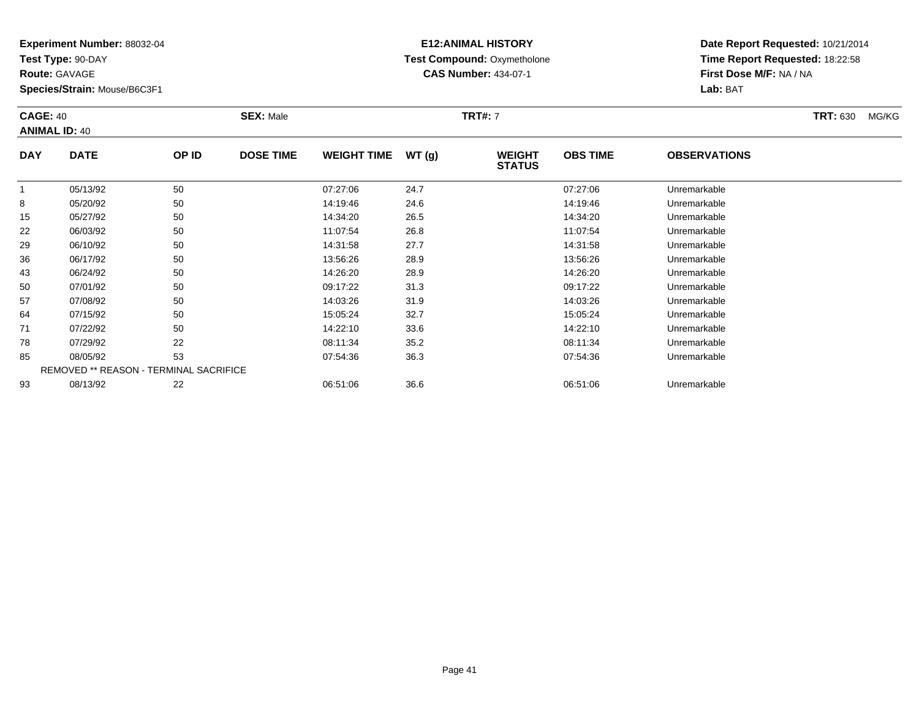**Test Type:** 90-DAY

**Route:** GAVAGE

**Species/Strain:** Mouse/B6C3F1

# **E12:ANIMAL HISTORY Test Compound:** Oxymetholone**CAS Number:** 434-07-1

| <b>CAGE: 40</b><br><b>ANIMAL ID: 40</b> |             |       | <b>SEX: Male</b> |                    |       | <b>TRT#: 7</b>                 |                 |                     | <b>TRT: 630</b> | MG/KG |
|-----------------------------------------|-------------|-------|------------------|--------------------|-------|--------------------------------|-----------------|---------------------|-----------------|-------|
| <b>DAY</b>                              | <b>DATE</b> | OP ID | <b>DOSE TIME</b> | <b>WEIGHT TIME</b> | WT(g) | <b>WEIGHT</b><br><b>STATUS</b> | <b>OBS TIME</b> | <b>OBSERVATIONS</b> |                 |       |
|                                         | 05/13/92    | 50    |                  | 07:27:06           | 24.7  |                                | 07:27:06        | Unremarkable        |                 |       |

|    | 05/13/92 | 50                                     | 07:27:06 | 24.7 | 07:27:06 | Unremarkable |  |
|----|----------|----------------------------------------|----------|------|----------|--------------|--|
| 8  | 05/20/92 | 50                                     | 14:19:46 | 24.6 | 14:19:46 | Unremarkable |  |
| 15 | 05/27/92 | 50                                     | 14:34:20 | 26.5 | 14:34:20 | Unremarkable |  |
| 22 | 06/03/92 | 50                                     | 11:07:54 | 26.8 | 11:07:54 | Unremarkable |  |
| 29 | 06/10/92 | 50                                     | 14:31:58 | 27.7 | 14:31:58 | Unremarkable |  |
| 36 | 06/17/92 | 50                                     | 13:56:26 | 28.9 | 13:56:26 | Unremarkable |  |
| 43 | 06/24/92 | 50                                     | 14:26:20 | 28.9 | 14:26:20 | Unremarkable |  |
| 50 | 07/01/92 | 50                                     | 09:17:22 | 31.3 | 09:17:22 | Unremarkable |  |
| 57 | 07/08/92 | 50                                     | 14:03:26 | 31.9 | 14:03:26 | Unremarkable |  |
| 64 | 07/15/92 | 50                                     | 15:05:24 | 32.7 | 15:05:24 | Unremarkable |  |
| 71 | 07/22/92 | 50                                     | 14:22:10 | 33.6 | 14:22:10 | Unremarkable |  |
| 78 | 07/29/92 | 22                                     | 08:11:34 | 35.2 | 08:11:34 | Unremarkable |  |
| 85 | 08/05/92 | 53                                     | 07:54:36 | 36.3 | 07:54:36 | Unremarkable |  |
|    |          | REMOVED ** REASON - TERMINAL SACRIFICE |          |      |          |              |  |
| 93 | 08/13/92 | 22                                     | 06:51:06 | 36.6 | 06:51:06 | Unremarkable |  |
|    |          |                                        |          |      |          |              |  |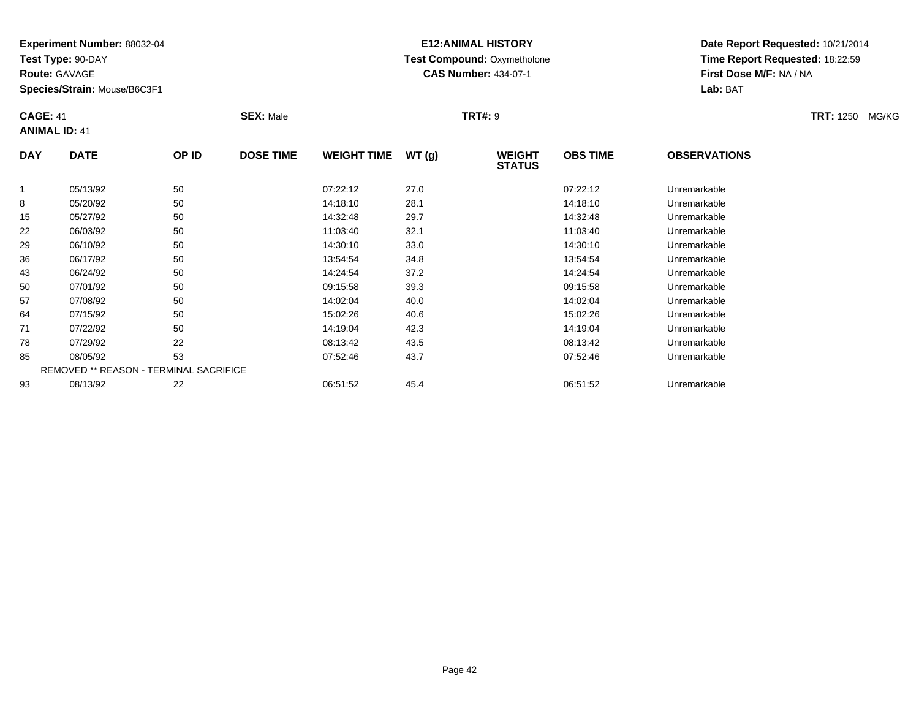**Test Type:** 90-DAY

**Route:** GAVAGE

**Species/Strain:** Mouse/B6C3F1

# **E12:ANIMAL HISTORY Test Compound:** Oxymetholone**CAS Number:** 434-07-1

**Date Report Requested:** 10/21/2014**Time Report Requested:** 18:22:59**First Dose M/F:** NA / NA**Lab:** BAT

### **CAGE:** 41 **SEX:** Male **TRT#:** <sup>9</sup> **TRT:** 1250 MG/KG**ANIMAL ID:** 41**DAY DATE OP IDDOSE TIME WEIGHT TIME WT** (g) **STATUSOBS TIME OBSERVATIONS** 1

|    | 05/13/92 | 50                                            | 07:22:12 | 27.0 | 07:22:12 | Unremarkable |  |
|----|----------|-----------------------------------------------|----------|------|----------|--------------|--|
| 8  | 05/20/92 | 50                                            | 14:18:10 | 28.1 | 14:18:10 | Unremarkable |  |
| 15 | 05/27/92 | 50                                            | 14:32:48 | 29.7 | 14:32:48 | Unremarkable |  |
| 22 | 06/03/92 | 50                                            | 11:03:40 | 32.1 | 11:03:40 | Unremarkable |  |
| 29 | 06/10/92 | 50                                            | 14:30:10 | 33.0 | 14:30:10 | Unremarkable |  |
| 36 | 06/17/92 | 50                                            | 13:54:54 | 34.8 | 13:54:54 | Unremarkable |  |
| 43 | 06/24/92 | 50                                            | 14:24:54 | 37.2 | 14:24:54 | Unremarkable |  |
| 50 | 07/01/92 | 50                                            | 09:15:58 | 39.3 | 09:15:58 | Unremarkable |  |
| 57 | 07/08/92 | 50                                            | 14:02:04 | 40.0 | 14:02:04 | Unremarkable |  |
| 64 | 07/15/92 | 50                                            | 15:02:26 | 40.6 | 15:02:26 | Unremarkable |  |
| 71 | 07/22/92 | 50                                            | 14:19:04 | 42.3 | 14:19:04 | Unremarkable |  |
| 78 | 07/29/92 | 22                                            | 08:13:42 | 43.5 | 08:13:42 | Unremarkable |  |
| 85 | 08/05/92 | 53                                            | 07:52:46 | 43.7 | 07:52:46 | Unremarkable |  |
|    |          | <b>REMOVED ** REASON - TERMINAL SACRIFICE</b> |          |      |          |              |  |
| 93 | 08/13/92 | 22                                            | 06:51:52 | 45.4 | 06:51:52 | Unremarkable |  |
|    |          |                                               |          |      |          |              |  |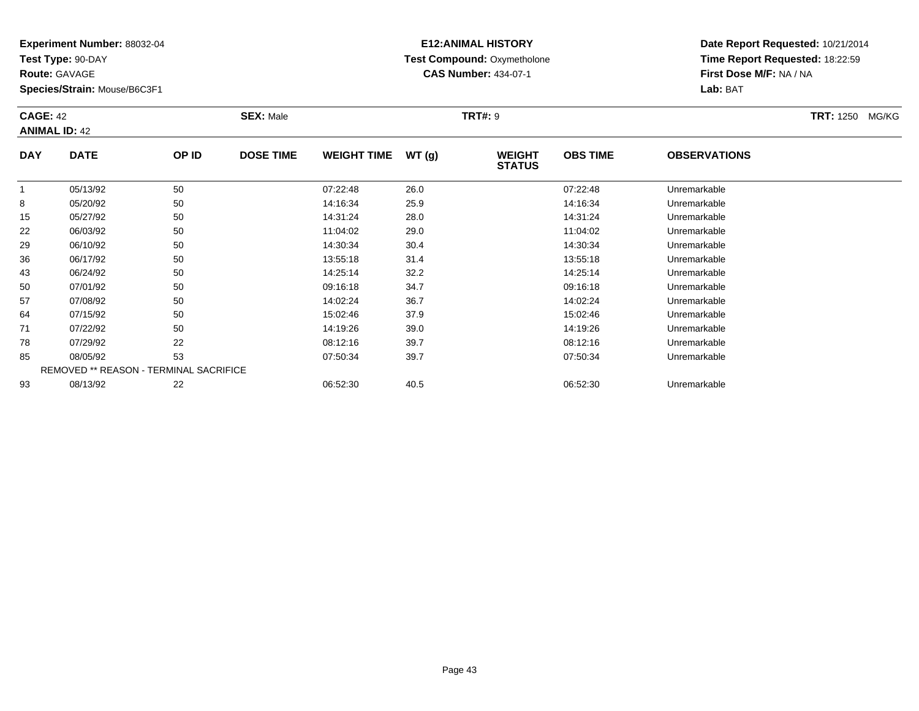**Test Type:** 90-DAY

**Route:** GAVAGE

**Species/Strain:** Mouse/B6C3F1

# **E12:ANIMAL HISTORY Test Compound:** Oxymetholone**CAS Number:** 434-07-1

**Date Report Requested:** 10/21/2014**Time Report Requested:** 18:22:59**First Dose M/F:** NA / NA**Lab:** BAT

### **CAGE:** 42 **SEX:** Male **TRT#:** <sup>9</sup> **TRT:** 1250 MG/KG**ANIMAL ID:** 42**DAY DATE OP IDDOSE TIME WEIGHT TIME WT** (g) **STATUSOBS TIMEOBSERVATIONS**

|    | 05/13/92 | 50                                            | 07:22:48 | 26.0 | 07:22:48 | Unremarkable |  |
|----|----------|-----------------------------------------------|----------|------|----------|--------------|--|
| 8  | 05/20/92 | 50                                            | 14:16:34 | 25.9 | 14:16:34 | Unremarkable |  |
| 15 | 05/27/92 | 50                                            | 14:31:24 | 28.0 | 14:31:24 | Unremarkable |  |
| 22 | 06/03/92 | 50                                            | 11:04:02 | 29.0 | 11:04:02 | Unremarkable |  |
| 29 | 06/10/92 | 50                                            | 14:30:34 | 30.4 | 14:30:34 | Unremarkable |  |
| 36 | 06/17/92 | 50                                            | 13:55:18 | 31.4 | 13:55:18 | Unremarkable |  |
| 43 | 06/24/92 | 50                                            | 14:25:14 | 32.2 | 14:25:14 | Unremarkable |  |
| 50 | 07/01/92 | 50                                            | 09:16:18 | 34.7 | 09:16:18 | Unremarkable |  |
| 57 | 07/08/92 | 50                                            | 14:02:24 | 36.7 | 14:02:24 | Unremarkable |  |
| 64 | 07/15/92 | 50                                            | 15:02:46 | 37.9 | 15:02:46 | Unremarkable |  |
| 71 | 07/22/92 | 50                                            | 14:19:26 | 39.0 | 14:19:26 | Unremarkable |  |
| 78 | 07/29/92 | 22                                            | 08:12:16 | 39.7 | 08:12:16 | Unremarkable |  |
| 85 | 08/05/92 | 53                                            | 07:50:34 | 39.7 | 07:50:34 | Unremarkable |  |
|    |          | <b>REMOVED ** REASON - TERMINAL SACRIFICE</b> |          |      |          |              |  |
| 93 | 08/13/92 | 22                                            | 06:52:30 | 40.5 | 06:52:30 | Unremarkable |  |
|    |          |                                               |          |      |          |              |  |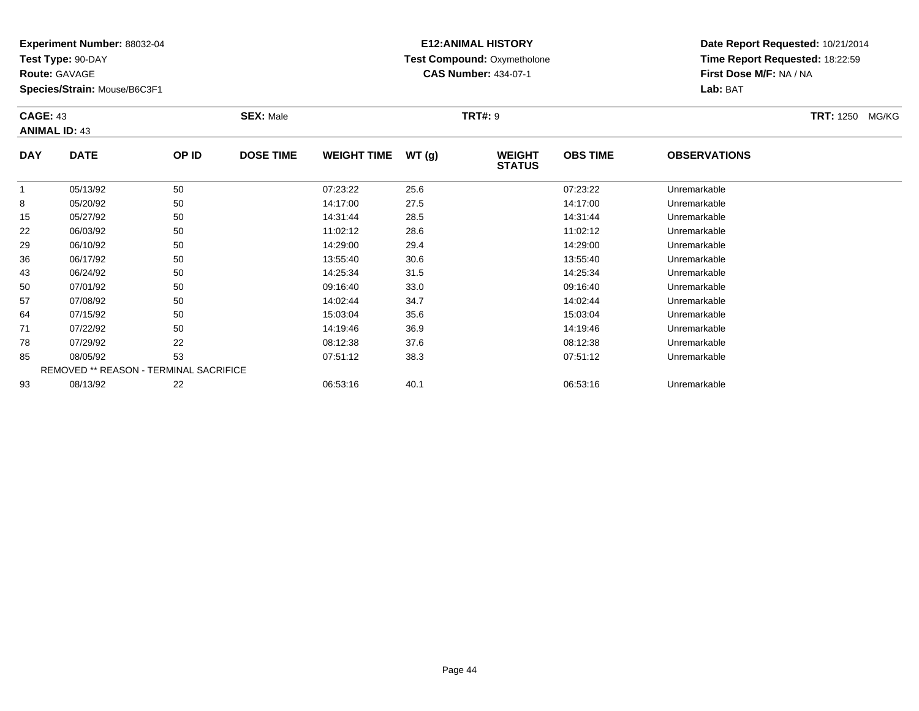**Test Type:** 90-DAY

**Route:** GAVAGE

**Species/Strain:** Mouse/B6C3F1

# **E12:ANIMAL HISTORY Test Compound:** Oxymetholone**CAS Number:** 434-07-1

**Date Report Requested:** 10/21/2014**Time Report Requested:** 18:22:59**First Dose M/F:** NA / NA**Lab:** BAT

### **CAGE:** 43 **SEX:** Male **TRT#:** <sup>9</sup> **TRT:** 1250 MG/KG**ANIMAL ID:** 43**DAY DATE OP IDDOSE TIME WEIGHT TIME WT** (g) **STATUSOBS TIME OBSERVATIONS** 105/13/92 <sup>50</sup> 07:23:22 25.6 07:23:22 Unremarkable

|    | 05/13/92 | 50                                            | 07:23:22 | 25.6 | 07:23:22 | Unremarkable |  |
|----|----------|-----------------------------------------------|----------|------|----------|--------------|--|
| 8  | 05/20/92 | 50                                            | 14:17:00 | 27.5 | 14:17:00 | Unremarkable |  |
| 15 | 05/27/92 | 50                                            | 14:31:44 | 28.5 | 14:31:44 | Unremarkable |  |
| 22 | 06/03/92 | 50                                            | 11:02:12 | 28.6 | 11:02:12 | Unremarkable |  |
| 29 | 06/10/92 | 50                                            | 14:29:00 | 29.4 | 14:29:00 | Unremarkable |  |
| 36 | 06/17/92 | 50                                            | 13:55:40 | 30.6 | 13:55:40 | Unremarkable |  |
| 43 | 06/24/92 | 50                                            | 14:25:34 | 31.5 | 14:25:34 | Unremarkable |  |
| 50 | 07/01/92 | 50                                            | 09:16:40 | 33.0 | 09:16:40 | Unremarkable |  |
| 57 | 07/08/92 | 50                                            | 14:02:44 | 34.7 | 14:02:44 | Unremarkable |  |
| 64 | 07/15/92 | 50                                            | 15:03:04 | 35.6 | 15:03:04 | Unremarkable |  |
| 71 | 07/22/92 | 50                                            | 14:19:46 | 36.9 | 14:19:46 | Unremarkable |  |
| 78 | 07/29/92 | 22                                            | 08:12:38 | 37.6 | 08:12:38 | Unremarkable |  |
| 85 | 08/05/92 | 53                                            | 07:51:12 | 38.3 | 07:51:12 | Unremarkable |  |
|    |          | <b>REMOVED ** REASON - TERMINAL SACRIFICE</b> |          |      |          |              |  |
| 93 | 08/13/92 | 22                                            | 06:53:16 | 40.1 | 06:53:16 | Unremarkable |  |
|    |          |                                               |          |      |          |              |  |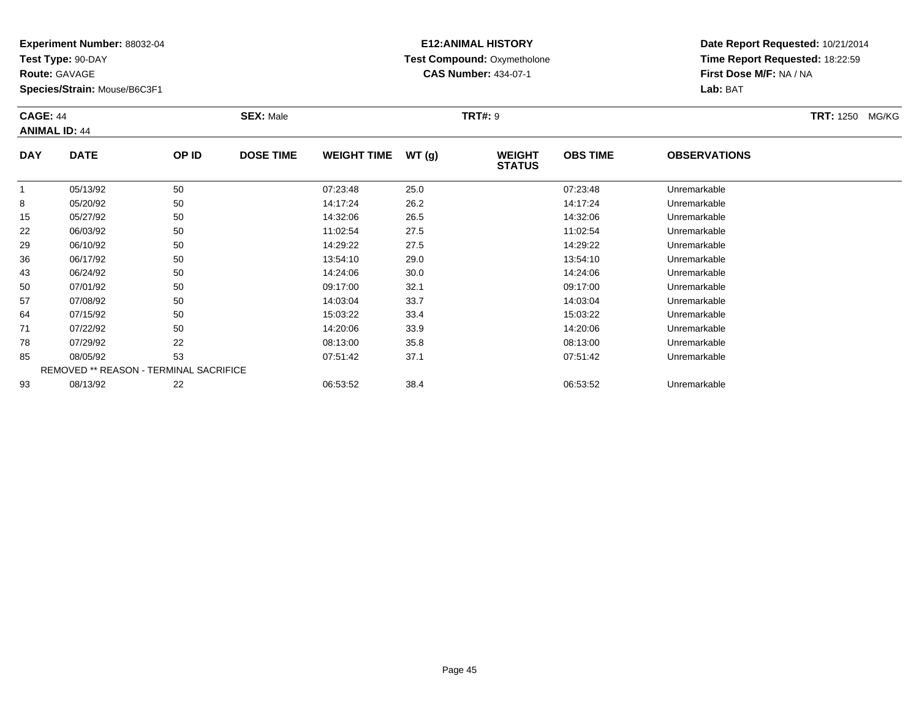**Test Type:** 90-DAY

**Route:** GAVAGE

**Species/Strain:** Mouse/B6C3F1

# **E12:ANIMAL HISTORY Test Compound:** Oxymetholone**CAS Number:** 434-07-1

**Date Report Requested:** 10/21/2014**Time Report Requested:** 18:22:59**First Dose M/F:** NA / NA**Lab:** BAT

#### **CAGE:** 44 **SEX:** Male **TRT#:** <sup>9</sup> **TRT:** 1250 MG/KG**ANIMAL ID:** 44**DAY DATE OP IDDOSE TIME WEIGHT TIME WT** (g) **STATUSOBS TIME OBSERVATIONS** 1 05/13/92 <sup>50</sup> 07:23:48 25.0 07:23:48 Unremarkable 8

|    | 05/13/92 | 50                                            | 07:23:48 | 25.0 | 07:23:48 | Unremarkable |  |
|----|----------|-----------------------------------------------|----------|------|----------|--------------|--|
| 8  | 05/20/92 | 50                                            | 14:17:24 | 26.2 | 14:17:24 | Unremarkable |  |
| 15 | 05/27/92 | 50                                            | 14:32:06 | 26.5 | 14:32:06 | Unremarkable |  |
| 22 | 06/03/92 | 50                                            | 11:02:54 | 27.5 | 11:02:54 | Unremarkable |  |
| 29 | 06/10/92 | 50                                            | 14:29:22 | 27.5 | 14:29:22 | Unremarkable |  |
| 36 | 06/17/92 | 50                                            | 13:54:10 | 29.0 | 13:54:10 | Unremarkable |  |
| 43 | 06/24/92 | 50                                            | 14:24:06 | 30.0 | 14:24:06 | Unremarkable |  |
| 50 | 07/01/92 | 50                                            | 09:17:00 | 32.1 | 09:17:00 | Unremarkable |  |
| 57 | 07/08/92 | 50                                            | 14:03:04 | 33.7 | 14:03:04 | Unremarkable |  |
| 64 | 07/15/92 | 50                                            | 15:03:22 | 33.4 | 15:03:22 | Unremarkable |  |
| 71 | 07/22/92 | 50                                            | 14:20:06 | 33.9 | 14:20:06 | Unremarkable |  |
| 78 | 07/29/92 | 22                                            | 08:13:00 | 35.8 | 08:13:00 | Unremarkable |  |
| 85 | 08/05/92 | 53                                            | 07:51:42 | 37.1 | 07:51:42 | Unremarkable |  |
|    |          | <b>REMOVED ** REASON - TERMINAL SACRIFICE</b> |          |      |          |              |  |
| 93 | 08/13/92 | 22                                            | 06:53:52 | 38.4 | 06:53:52 | Unremarkable |  |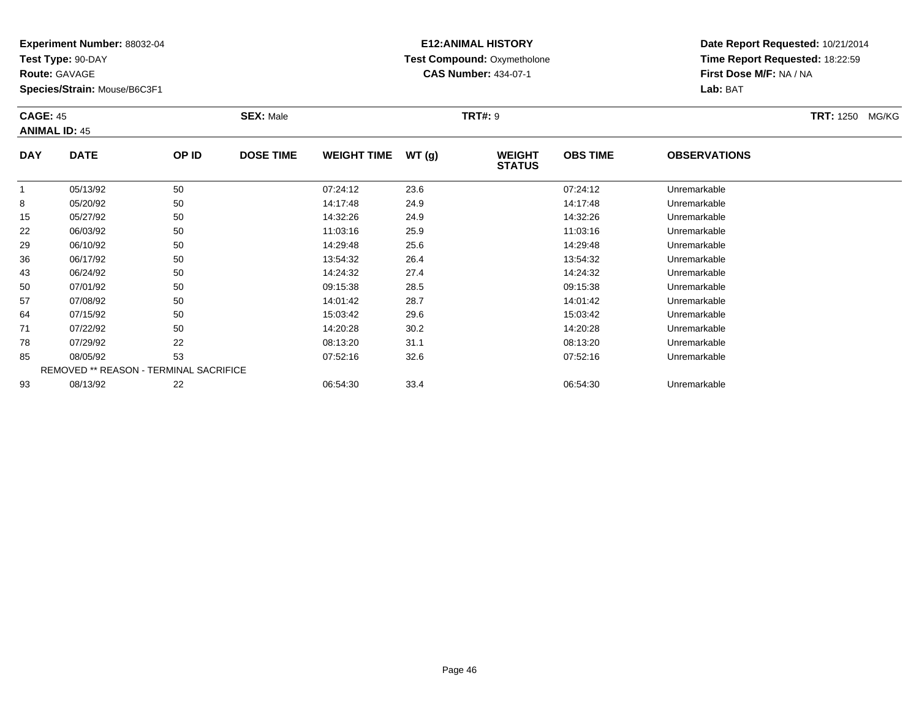**Test Type:** 90-DAY

**Route:** GAVAGE

**Species/Strain:** Mouse/B6C3F1

# **E12:ANIMAL HISTORY Test Compound:** Oxymetholone**CAS Number:** 434-07-1

**Date Report Requested:** 10/21/2014 **Time Report Requested:** 18:22:59**First Dose M/F:** NA / NA**Lab:** BAT

#### **CAGE:** 45 **SEX:** Male **TRT#:** <sup>9</sup> **TRT:** 1250 MG/KG**ANIMAL ID:** 45**DAY DATE OP IDDOSE TIME WEIGHT TIME WT** (g) **STATUSOBS TIME OBSERVATIONS**  $\overline{1}$  05/13/92 <sup>50</sup> 07:24:12 23.6 07:24:12 Unremarkable 88 05/20/92 50 50 14:17:48 24.9 24.9 14:17:48 Dhremarkable 15

| 8  | 05/20/92 | 50                                            | 14:17:48 | 24.9 | 14:17:48 | Unremarkable |  |
|----|----------|-----------------------------------------------|----------|------|----------|--------------|--|
| 15 | 05/27/92 | 50                                            | 14:32:26 | 24.9 | 14:32:26 | Unremarkable |  |
| 22 | 06/03/92 | 50                                            | 11:03:16 | 25.9 | 11:03:16 | Unremarkable |  |
| 29 | 06/10/92 | 50                                            | 14:29:48 | 25.6 | 14:29:48 | Unremarkable |  |
| 36 | 06/17/92 | 50                                            | 13:54:32 | 26.4 | 13:54:32 | Unremarkable |  |
| 43 | 06/24/92 | 50                                            | 14:24:32 | 27.4 | 14:24:32 | Unremarkable |  |
| 50 | 07/01/92 | 50                                            | 09:15:38 | 28.5 | 09:15:38 | Unremarkable |  |
| 57 | 07/08/92 | 50                                            | 14:01:42 | 28.7 | 14:01:42 | Unremarkable |  |
| 64 | 07/15/92 | 50                                            | 15:03:42 | 29.6 | 15:03:42 | Unremarkable |  |
| 71 | 07/22/92 | 50                                            | 14:20:28 | 30.2 | 14:20:28 | Unremarkable |  |
| 78 | 07/29/92 | 22                                            | 08:13:20 | 31.1 | 08:13:20 | Unremarkable |  |
| 85 | 08/05/92 | 53                                            | 07:52:16 | 32.6 | 07:52:16 | Unremarkable |  |
|    |          | <b>REMOVED ** REASON - TERMINAL SACRIFICE</b> |          |      |          |              |  |
| 93 | 08/13/92 | 22                                            | 06:54:30 | 33.4 | 06:54:30 | Unremarkable |  |
|    |          |                                               |          |      |          |              |  |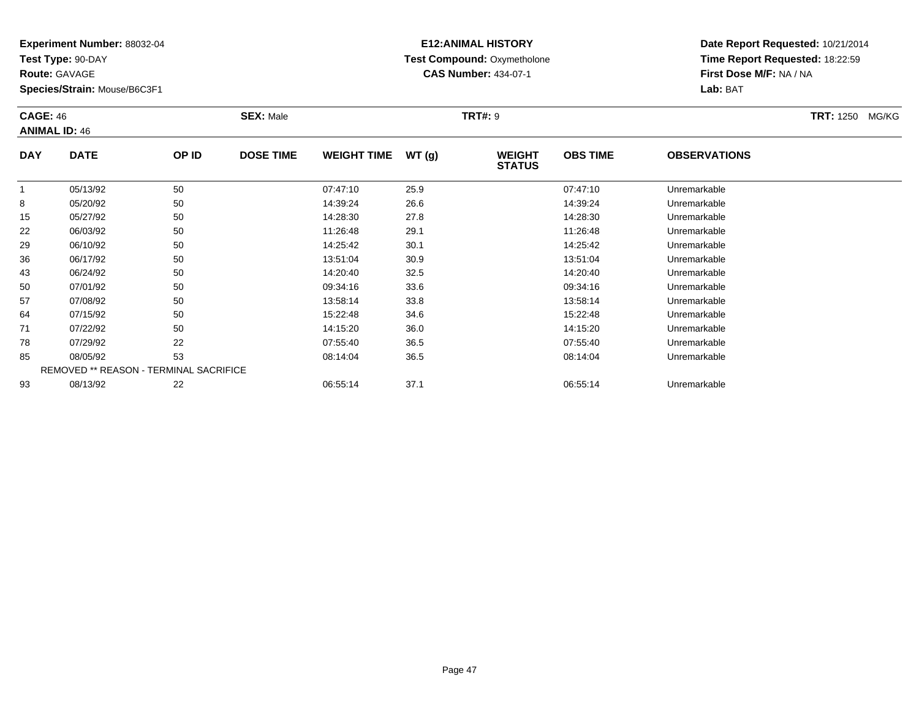**Test Type:** 90-DAY

**Route:** GAVAGE

64

71

78

85

93

**Species/Strain:** Mouse/B6C3F1

REMOVED \*\* REASON - TERMINAL SACRIFICE

## **E12:ANIMAL HISTORY Test Compound:** Oxymetholone**CAS Number:** 434-07-1

**Date Report Requested:** 10/21/2014**Time Report Requested:** 18:22:59**First Dose M/F:** NA / NA**Lab:** BAT

#### **CAGE:** 46 **SEX:** Male **TRT#:** <sup>9</sup> **TRT:** 1250 MG/KG**ANIMAL ID:** 46**DAY DATE OP ID DOSE TIME WEIGHT TIME WT (g) WEIGHT STATUSOBS TIME OBSERVATIONS** 1 05/13/92 <sup>50</sup> 07:47:10 25.9 07:47:10 Unremarkable 8 05/20/92 <sup>50</sup> 14:39:24 26.6 14:39:24 Unremarkable 15 05/27/92 <sup>50</sup> 14:28:30 27.8 14:28:30 Unremarkable 22 06/03/92 <sup>50</sup> 11:26:48 29.1 11:26:48 Unremarkable 299 06/10/92 50 50 14:25:42 30.1 14:25:42 150 Junemarkable 36 06/17/92 <sup>50</sup> 13:51:04 30.9 13:51:04 Unremarkable 43 06/24/92 <sup>50</sup> 14:20:40 32.5 14:20:40 Unremarkable 500 07/01/92 50 50 09:34:16 33.6 09:34 09:34:16 Dhremarkable 57

07/08/92 <sup>50</sup> 13:58:14 33.8 13:58:14 Unremarkable

07/15/92 <sup>50</sup> 15:22:48 34.6 15:22:48 Unremarkable

07/22/92 <sup>50</sup> 14:15:20 36.0 14:15:20 Unremarkable

07/29/92 <sup>22</sup> 07:55:40 36.5 07:55:40 Unremarkable

08/05/92 <sup>53</sup> 08:14:04 36.5 08:14:04 Unremarkable

08/13/92 <sup>22</sup> 06:55:14 37.1 06:55:14 Unremarkable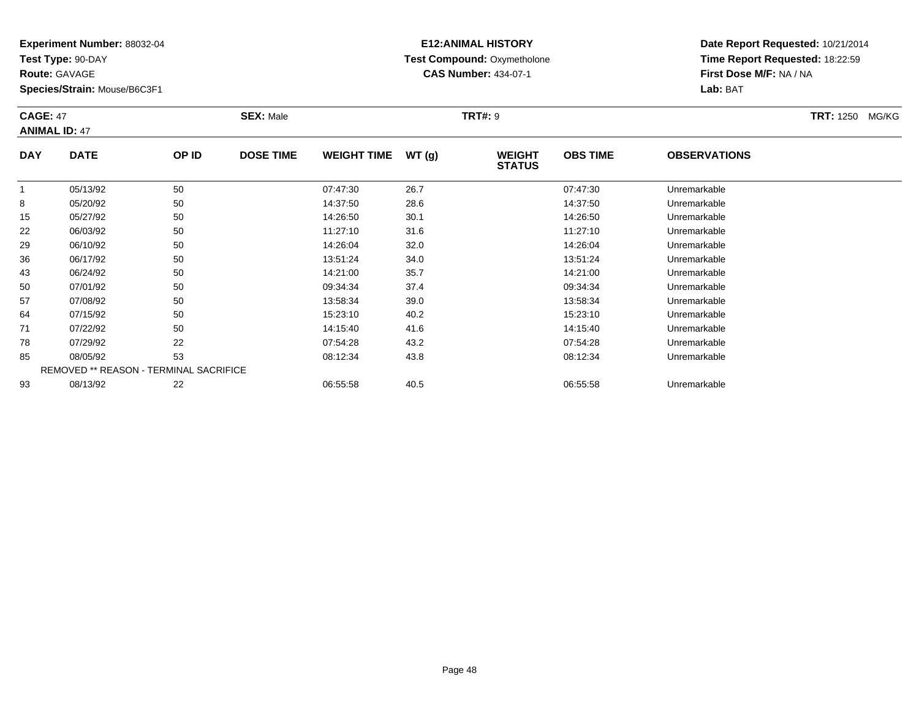**Test Type:** 90-DAY

**Route:** GAVAGE

**Species/Strain:** Mouse/B6C3F1

# **E12:ANIMAL HISTORY Test Compound:** Oxymetholone**CAS Number:** 434-07-1

**Date Report Requested:** 10/21/2014**Time Report Requested:** 18:22:59**First Dose M/F:** NA / NA**Lab:** BAT

### **CAGE:** 47 **SEX:** Male **TRT#:** <sup>9</sup> **TRT:** 1250 MG/KG**ANIMAL ID:** 47**DAY DATE OP IDDOSE TIME WEIGHT TIME WT** (g) **STATUSOBS TIME OBSERVATIONS** 105/13/92 <sup>50</sup> 07:47:30 26.7 07:47:30 Unremarkable

|    | 05/13/92 | 50                                            | 07:47:30 | 26.7 | 07:47:30 | Unremarkable |  |
|----|----------|-----------------------------------------------|----------|------|----------|--------------|--|
| 8  | 05/20/92 | 50                                            | 14:37:50 | 28.6 | 14:37:50 | Unremarkable |  |
| 15 | 05/27/92 | 50                                            | 14:26:50 | 30.1 | 14:26:50 | Unremarkable |  |
| 22 | 06/03/92 | 50                                            | 11:27:10 | 31.6 | 11:27:10 | Unremarkable |  |
| 29 | 06/10/92 | 50                                            | 14:26:04 | 32.0 | 14:26:04 | Unremarkable |  |
| 36 | 06/17/92 | 50                                            | 13:51:24 | 34.0 | 13:51:24 | Unremarkable |  |
| 43 | 06/24/92 | 50                                            | 14:21:00 | 35.7 | 14:21:00 | Unremarkable |  |
| 50 | 07/01/92 | 50                                            | 09:34:34 | 37.4 | 09:34:34 | Unremarkable |  |
| 57 | 07/08/92 | 50                                            | 13:58:34 | 39.0 | 13:58:34 | Unremarkable |  |
| 64 | 07/15/92 | 50                                            | 15:23:10 | 40.2 | 15:23:10 | Unremarkable |  |
| 71 | 07/22/92 | 50                                            | 14:15:40 | 41.6 | 14:15:40 | Unremarkable |  |
| 78 | 07/29/92 | 22                                            | 07:54:28 | 43.2 | 07:54:28 | Unremarkable |  |
| 85 | 08/05/92 | 53                                            | 08:12:34 | 43.8 | 08:12:34 | Unremarkable |  |
|    |          | <b>REMOVED ** REASON - TERMINAL SACRIFICE</b> |          |      |          |              |  |
| 93 | 08/13/92 | 22                                            | 06:55:58 | 40.5 | 06:55:58 | Unremarkable |  |
|    |          |                                               |          |      |          |              |  |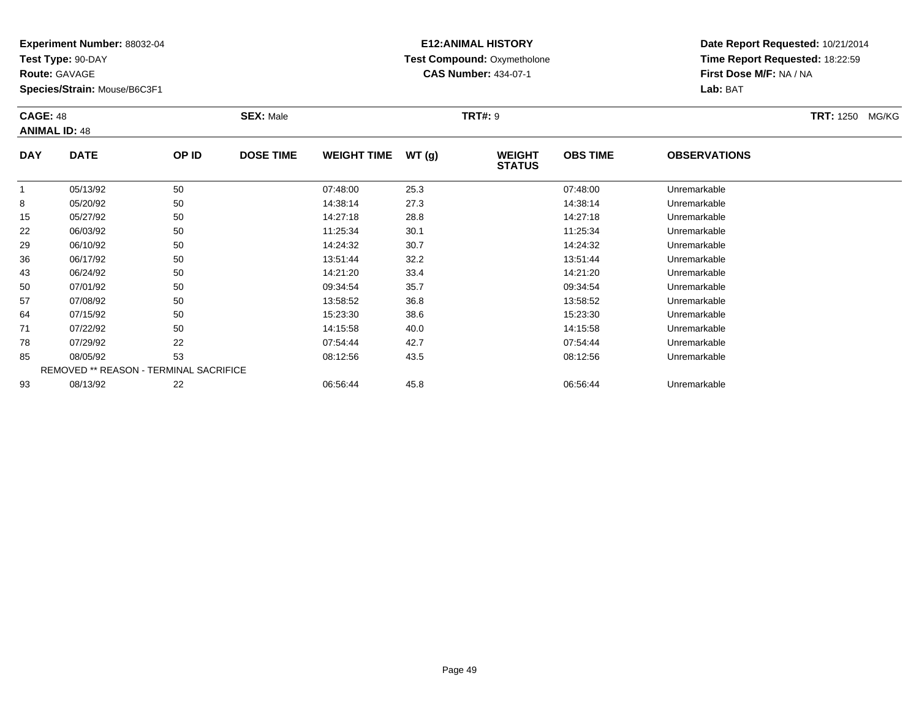**Test Type:** 90-DAY

**Route:** GAVAGE

71

78

85

93

**Species/Strain:** Mouse/B6C3F1

REMOVED \*\* REASON - TERMINAL SACRIFICE

# **E12:ANIMAL HISTORY Test Compound:** Oxymetholone**CAS Number:** 434-07-1

**Date Report Requested:** 10/21/2014**Time Report Requested:** 18:22:59**First Dose M/F:** NA / NA**Lab:** BAT

|            | <b>CAGE: 48</b><br><b>ANIMAL ID: 48</b> |       | <b>SEX: Male</b> |                    | <b>TRT#: 9</b> | <b>TRT:</b> 1250 MG/KG         |                 |                     |  |
|------------|-----------------------------------------|-------|------------------|--------------------|----------------|--------------------------------|-----------------|---------------------|--|
| <b>DAY</b> | <b>DATE</b>                             | OP ID | <b>DOSE TIME</b> | <b>WEIGHT TIME</b> | WT(g)          | <b>WEIGHT</b><br><b>STATUS</b> | <b>OBS TIME</b> | <b>OBSERVATIONS</b> |  |
|            | 05/13/92                                | 50    |                  | 07:48:00           | 25.3           |                                | 07:48:00        | Unremarkable        |  |
| 8          | 05/20/92                                | 50    |                  | 14:38:14           | 27.3           |                                | 14:38:14        | Unremarkable        |  |
| 15         | 05/27/92                                | 50    |                  | 14:27:18           | 28.8           |                                | 14:27:18        | Unremarkable        |  |
| 22         | 06/03/92                                | 50    |                  | 11:25:34           | 30.1           |                                | 11:25:34        | Unremarkable        |  |
| 29         | 06/10/92                                | 50    |                  | 14:24:32           | 30.7           |                                | 14:24:32        | Unremarkable        |  |
| 36         | 06/17/92                                | 50    |                  | 13:51:44           | 32.2           |                                | 13:51:44        | Unremarkable        |  |
| 43         | 06/24/92                                | 50    |                  | 14:21:20           | 33.4           |                                | 14:21:20        | Unremarkable        |  |
| 50         | 07/01/92                                | 50    |                  | 09:34:54           | 35.7           |                                | 09:34:54        | Unremarkable        |  |
| 57         | 07/08/92                                | 50    |                  | 13:58:52           | 36.8           |                                | 13:58:52        | Unremarkable        |  |
| 64         | 07/15/92                                | 50    |                  | 15:23:30           | 38.6           |                                | 15:23:30        | Unremarkable        |  |

07/22/92 <sup>50</sup> 14:15:58 40.0 14:15:58 Unremarkable

8 07/29/92 22 2 07:54:44 42.7 07:54:44 07:54:44 Diremarkable

08/05/92 <sup>53</sup> 08:12:56 43.5 08:12:56 Unremarkable

08/13/92 <sup>22</sup> 06:56:44 45.8 06:56:44 Unremarkable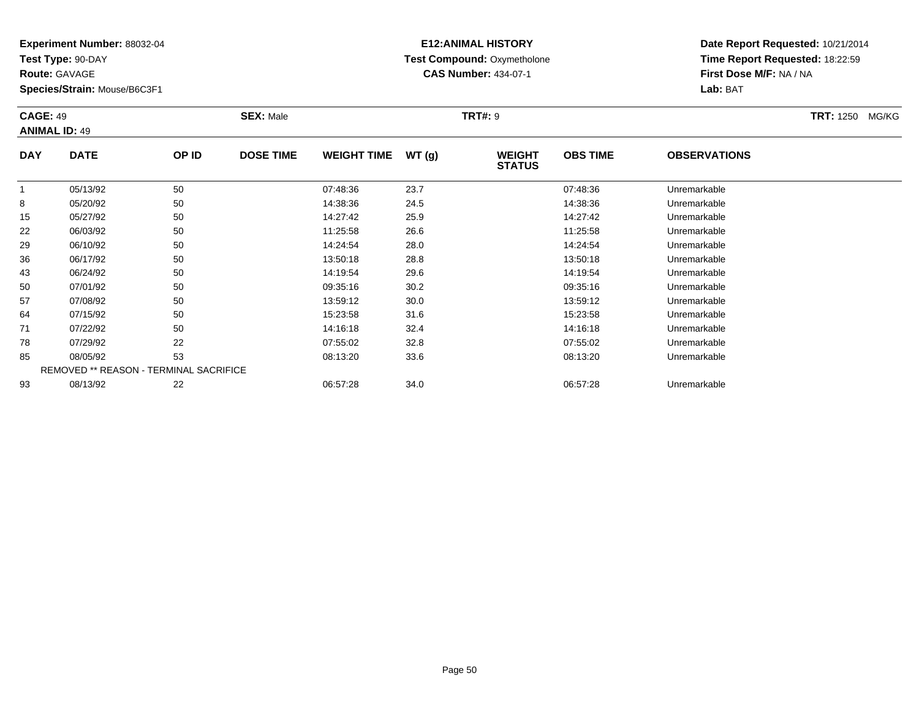**Test Type:** 90-DAY

**Route:** GAVAGE

64

71

78

85

93

**Species/Strain:** Mouse/B6C3F1

REMOVED \*\* REASON - TERMINAL SACRIFICE

# **E12:ANIMAL HISTORY Test Compound:** Oxymetholone**CAS Number:** 434-07-1

**Date Report Requested:** 10/21/2014**Time Report Requested:** 18:22:59**First Dose M/F:** NA / NA**Lab:** BAT

| <b>CAGE: 49</b><br><b>ANIMAL ID: 49</b> |             |       | <b>SEX: Male</b> |                    |       | <b>TRT#: 9</b>                 |                 |                     | <b>TRT:</b> 1250 MG/KG |
|-----------------------------------------|-------------|-------|------------------|--------------------|-------|--------------------------------|-----------------|---------------------|------------------------|
| <b>DAY</b>                              | <b>DATE</b> | OP ID | <b>DOSE TIME</b> | <b>WEIGHT TIME</b> | WT(g) | <b>WEIGHT</b><br><b>STATUS</b> | <b>OBS TIME</b> | <b>OBSERVATIONS</b> |                        |
|                                         | 05/13/92    | 50    |                  | 07:48:36           | 23.7  |                                | 07:48:36        | Unremarkable        |                        |
| 8                                       | 05/20/92    | 50    |                  | 14:38:36           | 24.5  |                                | 14:38:36        | Unremarkable        |                        |
| 15                                      | 05/27/92    | 50    |                  | 14:27:42           | 25.9  |                                | 14:27:42        | Unremarkable        |                        |
| 22                                      | 06/03/92    | 50    |                  | 11:25:58           | 26.6  |                                | 11:25:58        | Unremarkable        |                        |
| 29                                      | 06/10/92    | 50    |                  | 14:24:54           | 28.0  |                                | 14:24:54        | Unremarkable        |                        |
| 36                                      | 06/17/92    | 50    |                  | 13:50:18           | 28.8  |                                | 13:50:18        | Unremarkable        |                        |
| 43                                      | 06/24/92    | 50    |                  | 14:19:54           | 29.6  |                                | 14:19:54        | Unremarkable        |                        |
| 50                                      | 07/01/92    | 50    |                  | 09:35:16           | 30.2  |                                | 09:35:16        | Unremarkable        |                        |
| 57                                      | 07/08/92    | 50    |                  | 13:59:12           | 30.0  |                                | 13:59:12        | Unremarkable        |                        |

07/15/92 <sup>50</sup> 15:23:58 31.6 15:23:58 Unremarkable

07/22/92 <sup>50</sup> 14:16:18 32.4 14:16:18 Unremarkable

07/29/92 <sup>22</sup> 07:55:02 32.8 07:55:02 Unremarkable

08/05/92 <sup>53</sup> 08:13:20 33.6 08:13:20 Unremarkable

08/13/92 <sup>22</sup> 06:57:28 34.0 06:57:28 Unremarkable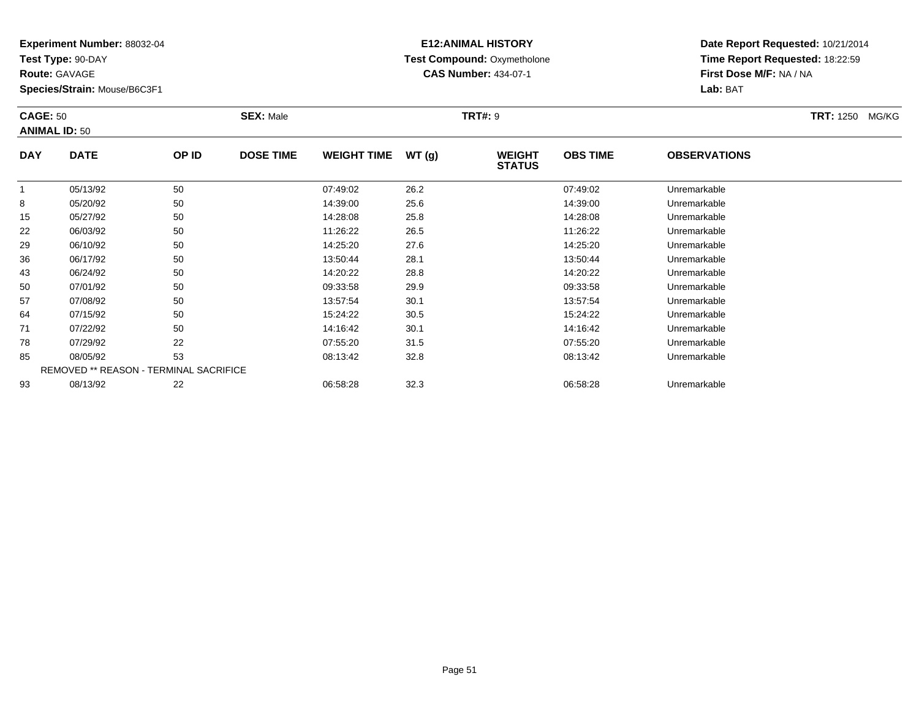**Test Type:** 90-DAY

**Route:** GAVAGE

**Species/Strain:** Mouse/B6C3F1

# **E12:ANIMAL HISTORY Test Compound:** Oxymetholone**CAS Number:** 434-07-1

**Date Report Requested:** 10/21/2014**Time Report Requested:** 18:22:59**First Dose M/F:** NA / NA**Lab:** BAT

#### **CAGE:** 50 **SEX:** Male **TRT#:** <sup>9</sup> **TRT:** 1250 MG/KG**ANIMAL ID:** 50**DAY DATE OP IDDOSE TIME WEIGHT TIME WT** (g) **STATUSOBS TIME OBSERVATIONS** 1 05/13/92 <sup>50</sup> 07:49:02 26.2 07:49:02 Unremarkable 8 05/20/92 <sup>50</sup> 14:39:00 25.6 14:39:00 Unremarkable 15 05/27/92 <sup>50</sup> 14:28:08 25.8 14:28:08 Unremarkable 22 06/03/92 <sup>50</sup> 11:26:22 26.5 11:26:22 Unremarkable 29 06/10/92 <sup>50</sup> 14:25:20 27.6 14:25:20 Unremarkable 36

| 15 | 05/27/92 | 50                                            | 14:28:08 | 25.8 | 14:28:08 | Unremarkable |  |
|----|----------|-----------------------------------------------|----------|------|----------|--------------|--|
| 22 | 06/03/92 | 50                                            | 11:26:22 | 26.5 | 11:26:22 | Unremarkable |  |
| 29 | 06/10/92 | 50                                            | 14:25:20 | 27.6 | 14:25:20 | Unremarkable |  |
| 36 | 06/17/92 | 50                                            | 13:50:44 | 28.1 | 13:50:44 | Unremarkable |  |
| 43 | 06/24/92 | 50                                            | 14:20:22 | 28.8 | 14:20:22 | Unremarkable |  |
| 50 | 07/01/92 | 50                                            | 09:33:58 | 29.9 | 09:33:58 | Unremarkable |  |
| 57 | 07/08/92 | 50                                            | 13:57:54 | 30.1 | 13:57:54 | Unremarkable |  |
| 64 | 07/15/92 | 50                                            | 15:24:22 | 30.5 | 15:24:22 | Unremarkable |  |
| 71 | 07/22/92 | 50                                            | 14:16:42 | 30.1 | 14:16:42 | Unremarkable |  |
| 78 | 07/29/92 | 22                                            | 07:55:20 | 31.5 | 07:55:20 | Unremarkable |  |
| 85 | 08/05/92 | 53                                            | 08:13:42 | 32.8 | 08:13:42 | Unremarkable |  |
|    |          | <b>REMOVED ** REASON - TERMINAL SACRIFICE</b> |          |      |          |              |  |
| 93 | 08/13/92 | 22                                            | 06:58:28 | 32.3 | 06:58:28 | Unremarkable |  |
|    |          |                                               |          |      |          |              |  |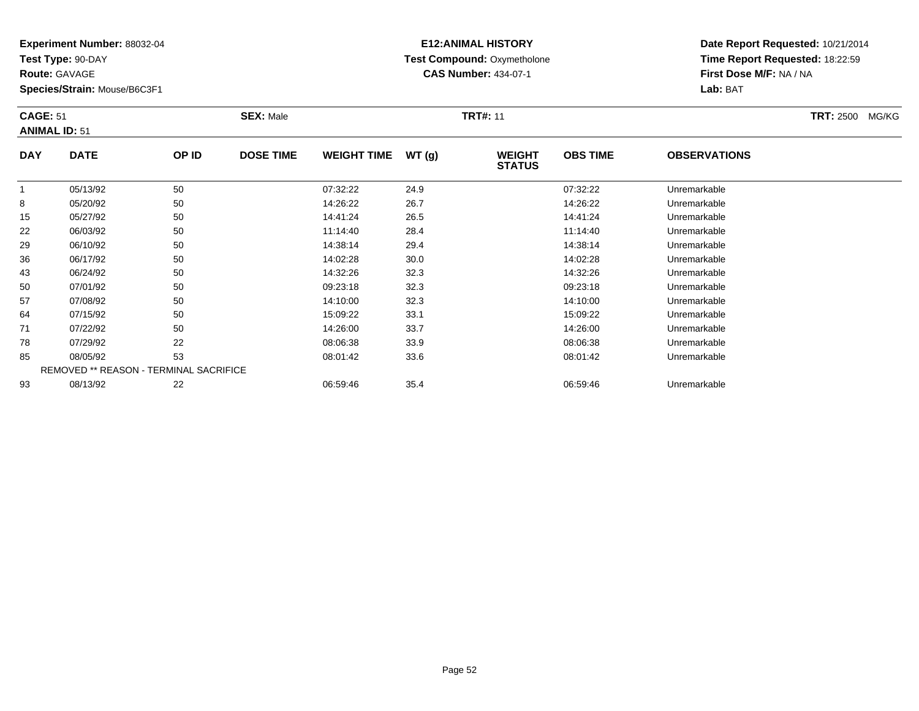**Test Type:** 90-DAY

**Route:** GAVAGE

**Species/Strain:** Mouse/B6C3F1

# **E12:ANIMAL HISTORY Test Compound:** Oxymetholone**CAS Number:** 434-07-1

| <b>CAGE: 51</b><br><b>ANIMAL ID: 51</b> |             |       | <b>SEX: Male</b> |                    |        | <b>TRT#: 11</b>                |                 |                     | <b>TRT: 2500</b> | MG/KG |
|-----------------------------------------|-------------|-------|------------------|--------------------|--------|--------------------------------|-----------------|---------------------|------------------|-------|
| <b>DAY</b>                              | <b>DATE</b> | OP ID | <b>DOSE TIME</b> | <b>WEIGHT TIME</b> | WT (g) | <b>WEIGHT</b><br><b>STATUS</b> | <b>OBS TIME</b> | <b>OBSERVATIONS</b> |                  |       |

|    |          |                                               |          |      | <b>UIRIUU</b> |              |
|----|----------|-----------------------------------------------|----------|------|---------------|--------------|
|    | 05/13/92 | 50                                            | 07:32:22 | 24.9 | 07:32:22      | Unremarkable |
| 8  | 05/20/92 | 50                                            | 14:26:22 | 26.7 | 14:26:22      | Unremarkable |
| 15 | 05/27/92 | 50                                            | 14:41:24 | 26.5 | 14:41:24      | Unremarkable |
| 22 | 06/03/92 | 50                                            | 11:14:40 | 28.4 | 11:14:40      | Unremarkable |
| 29 | 06/10/92 | 50                                            | 14:38:14 | 29.4 | 14:38:14      | Unremarkable |
| 36 | 06/17/92 | 50                                            | 14:02:28 | 30.0 | 14:02:28      | Unremarkable |
| 43 | 06/24/92 | 50                                            | 14:32:26 | 32.3 | 14:32:26      | Unremarkable |
| 50 | 07/01/92 | 50                                            | 09:23:18 | 32.3 | 09:23:18      | Unremarkable |
| 57 | 07/08/92 | 50                                            | 14:10:00 | 32.3 | 14:10:00      | Unremarkable |
| 64 | 07/15/92 | 50                                            | 15:09:22 | 33.1 | 15:09:22      | Unremarkable |
| 71 | 07/22/92 | 50                                            | 14:26:00 | 33.7 | 14:26:00      | Unremarkable |
| 78 | 07/29/92 | 22                                            | 08:06:38 | 33.9 | 08:06:38      | Unremarkable |
| 85 | 08/05/92 | 53                                            | 08:01:42 | 33.6 | 08:01:42      | Unremarkable |
|    |          | <b>REMOVED ** REASON - TERMINAL SACRIFICE</b> |          |      |               |              |
| 93 | 08/13/92 | 22                                            | 06:59:46 | 35.4 | 06:59:46      | Unremarkable |
|    |          |                                               |          |      |               |              |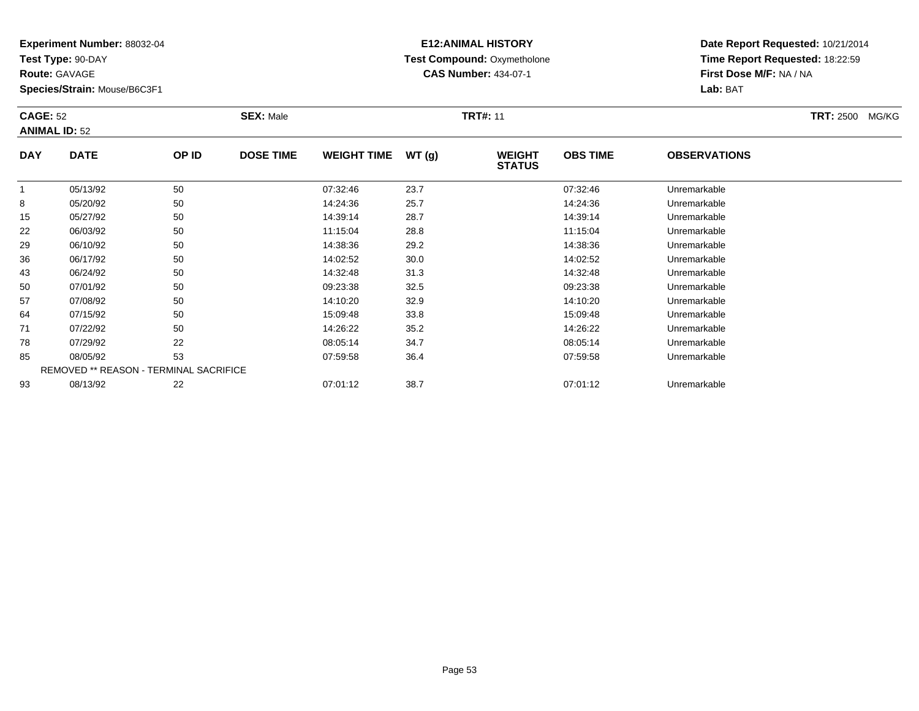**Test Type:** 90-DAY

**Route:** GAVAGE

**Species/Strain:** Mouse/B6C3F1

# **E12:ANIMAL HISTORY Test Compound:** Oxymetholone**CAS Number:** 434-07-1

| <b>CAGE: 52</b><br><b>ANIMAL ID: 52</b> |                                                                 |              | <b>SEX: Male</b> |                                |                 | <b>TRT#: 11</b>     | <b>TRT: 2500</b><br>MG/KG |                      |  |
|-----------------------------------------|-----------------------------------------------------------------|--------------|------------------|--------------------------------|-----------------|---------------------|---------------------------|----------------------|--|
| <b>DAY</b>                              | WEIGHT TIME $WT(g)$<br><b>DATE</b><br>OP ID<br><b>DOSE TIME</b> |              |                  | <b>WEIGHT</b><br><b>STATUS</b> | <b>OBS TIME</b> | <b>OBSERVATIONS</b> |                           |                      |  |
|                                         | $\triangle E / 4.2 / \triangle$                                 | $E^{\wedge}$ |                  | 07.22.40                       | $\sim$ $\sim$   |                     | 07.22.40                  | <b>Ilaramarkahla</b> |  |

|    | 05/13/92 | 50                                     | 07:32:46 | 23.7 | 07:32:46 | Unremarkable |  |
|----|----------|----------------------------------------|----------|------|----------|--------------|--|
| 8  | 05/20/92 | 50                                     | 14:24:36 | 25.7 | 14:24:36 | Unremarkable |  |
| 15 | 05/27/92 | 50                                     | 14:39:14 | 28.7 | 14:39:14 | Unremarkable |  |
| 22 | 06/03/92 | 50                                     | 11:15:04 | 28.8 | 11:15:04 | Unremarkable |  |
| 29 | 06/10/92 | 50                                     | 14:38:36 | 29.2 | 14:38:36 | Unremarkable |  |
| 36 | 06/17/92 | 50                                     | 14:02:52 | 30.0 | 14:02:52 | Unremarkable |  |
| 43 | 06/24/92 | 50                                     | 14:32:48 | 31.3 | 14:32:48 | Unremarkable |  |
| 50 | 07/01/92 | 50                                     | 09:23:38 | 32.5 | 09:23:38 | Unremarkable |  |
| 57 | 07/08/92 | 50                                     | 14:10:20 | 32.9 | 14:10:20 | Unremarkable |  |
| 64 | 07/15/92 | 50                                     | 15:09:48 | 33.8 | 15:09:48 | Unremarkable |  |
| 71 | 07/22/92 | 50                                     | 14:26:22 | 35.2 | 14:26:22 | Unremarkable |  |
| 78 | 07/29/92 | 22                                     | 08:05:14 | 34.7 | 08:05:14 | Unremarkable |  |
| 85 | 08/05/92 | 53                                     | 07:59:58 | 36.4 | 07:59:58 | Unremarkable |  |
|    |          | REMOVED ** REASON - TERMINAL SACRIFICE |          |      |          |              |  |
| 93 | 08/13/92 | 22                                     | 07:01:12 | 38.7 | 07:01:12 | Unremarkable |  |
|    |          |                                        |          |      |          |              |  |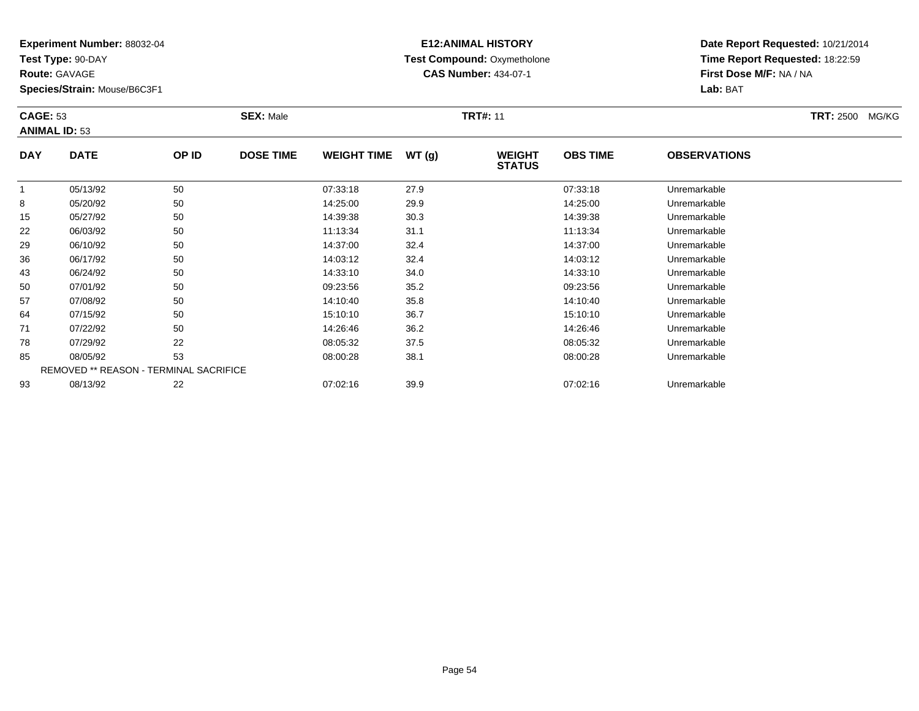**Test Type:** 90-DAY

**Route:** GAVAGE

**Species/Strain:** Mouse/B6C3F1

# **E12:ANIMAL HISTORY Test Compound:** Oxymetholone**CAS Number:** 434-07-1

| <b>CAGE: 53</b><br><b>ANIMAL ID: 53</b> |             |       | <b>SEX: Male</b> |                    |       | <b>TRT#: 11</b>                | <b>TRT: 2500</b><br>MG/KG |                     |  |
|-----------------------------------------|-------------|-------|------------------|--------------------|-------|--------------------------------|---------------------------|---------------------|--|
| <b>DAY</b>                              | <b>DATE</b> | OP ID | <b>DOSE TIME</b> | <b>WEIGHT TIME</b> | WT(q) | <b>WEIGHT</b><br><b>STATUS</b> | <b>OBS TIME</b>           | <b>OBSERVATIONS</b> |  |
|                                         | 05/13/92    | 50    |                  | 07:33:18           | 27.9  |                                | 07:33:18                  | Unremarkable        |  |
| 8                                       | 05/20/92    | 50    |                  | 14:25:00           | 29.9  |                                | 14:25:00                  | Unremarkable        |  |
| 15                                      | 05/27/92    | 50    |                  | 14:39:38           | 30.3  |                                | 14:39:38                  | Unremarkable        |  |
| 22                                      | 06/03/92    | 50    |                  | 11:13:34           | 31.1  |                                | 11:13:34                  | Unremarkable        |  |

| 8  | 05/20/92 | 50                                            | 14:25:00 | 29.9 | 14:25:00 | Unremarkable |  |
|----|----------|-----------------------------------------------|----------|------|----------|--------------|--|
| 15 | 05/27/92 | 50                                            | 14:39:38 | 30.3 | 14:39:38 | Unremarkable |  |
| 22 | 06/03/92 | 50                                            | 11:13:34 | 31.1 | 11:13:34 | Unremarkable |  |
| 29 | 06/10/92 | 50                                            | 14:37:00 | 32.4 | 14:37:00 | Unremarkable |  |
| 36 | 06/17/92 | 50                                            | 14:03:12 | 32.4 | 14:03:12 | Unremarkable |  |
| 43 | 06/24/92 | 50                                            | 14:33:10 | 34.0 | 14:33:10 | Unremarkable |  |
| 50 | 07/01/92 | 50                                            | 09:23:56 | 35.2 | 09:23:56 | Unremarkable |  |
| 57 | 07/08/92 | 50                                            | 14:10:40 | 35.8 | 14:10:40 | Unremarkable |  |
| 64 | 07/15/92 | 50                                            | 15:10:10 | 36.7 | 15:10:10 | Unremarkable |  |
| 71 | 07/22/92 | 50                                            | 14:26:46 | 36.2 | 14:26:46 | Unremarkable |  |
| 78 | 07/29/92 | 22                                            | 08:05:32 | 37.5 | 08:05:32 | Unremarkable |  |
| 85 | 08/05/92 | 53                                            | 08:00:28 | 38.1 | 08:00:28 | Unremarkable |  |
|    |          | <b>REMOVED ** REASON - TERMINAL SACRIFICE</b> |          |      |          |              |  |
| 93 | 08/13/92 | 22                                            | 07:02:16 | 39.9 | 07:02:16 | Unremarkable |  |
|    |          |                                               |          |      |          |              |  |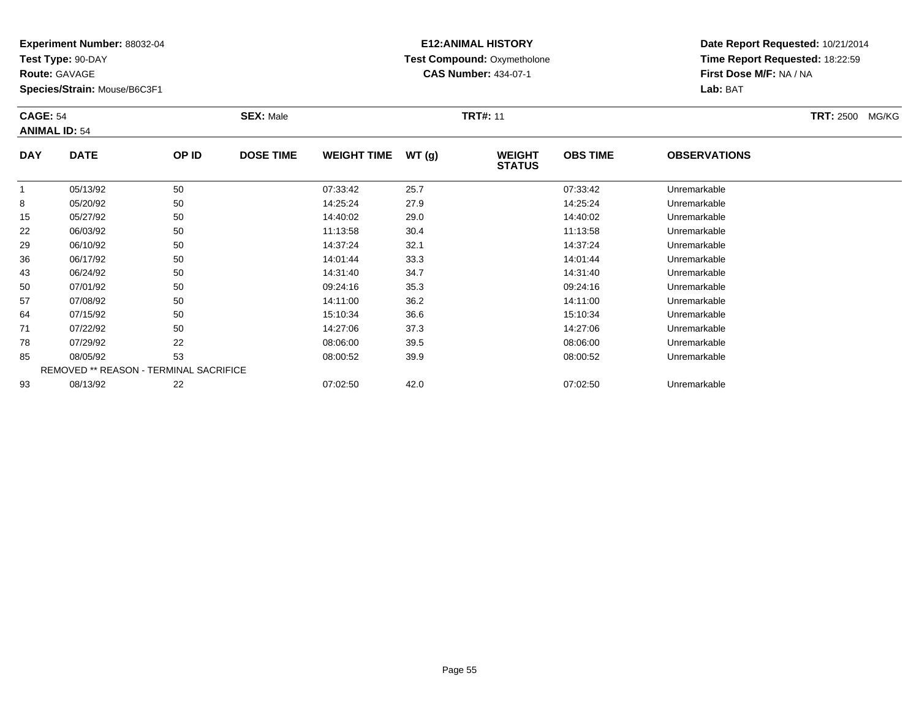**Test Type:** 90-DAY

**Route:** GAVAGE

**Species/Strain:** Mouse/B6C3F1

# **E12:ANIMAL HISTORY Test Compound:** Oxymetholone**CAS Number:** 434-07-1

| <b>CAGE: 54</b><br><b>ANIMAL ID: 54</b> |             |       | <b>SEX: Male</b> |                    |       | <b>TRT#: 11</b>                | <b>TRT: 2500</b><br>MG/KG |                     |  |
|-----------------------------------------|-------------|-------|------------------|--------------------|-------|--------------------------------|---------------------------|---------------------|--|
| <b>DAY</b>                              | <b>DATE</b> | OP ID | <b>DOSE TIME</b> | <b>WEIGHT TIME</b> | WT(g) | <b>WEIGHT</b><br><b>STATUS</b> | <b>OBS TIME</b>           | <b>OBSERVATIONS</b> |  |
|                                         | 05/13/92    | 50    |                  | 07:33:42           | 25.7  |                                | 07:33:42                  | Unremarkable        |  |
| 8                                       | 05/20/92    | 50    |                  | 14:25:24           | 27.9  |                                | 14:25:24                  | Unremarkable        |  |
| 15                                      | 05/27/92    | 50    |                  | 14:40:02           | 29.0  |                                | 14:40:02                  | Unremarkable        |  |
| 22                                      | 06/03/92    | 50    |                  | 11:13:58           | 30.4  |                                | 11:13:58                  | Unremarkable        |  |

| 22 | 06/03/92 | 50                                            | 11:13:58 | 30.4 | 11:13:58 | Unremarkable |  |
|----|----------|-----------------------------------------------|----------|------|----------|--------------|--|
| 29 | 06/10/92 | 50                                            | 14:37:24 | 32.1 | 14:37:24 | Unremarkable |  |
| 36 | 06/17/92 | 50                                            | 14:01:44 | 33.3 | 14:01:44 | Unremarkable |  |
| 43 | 06/24/92 | 50                                            | 14:31:40 | 34.7 | 14:31:40 | Unremarkable |  |
| 50 | 07/01/92 | 50                                            | 09:24:16 | 35.3 | 09:24:16 | Unremarkable |  |
| 57 | 07/08/92 | 50                                            | 14:11:00 | 36.2 | 14:11:00 | Unremarkable |  |
| 64 | 07/15/92 | 50                                            | 15:10:34 | 36.6 | 15:10:34 | Unremarkable |  |
| 71 | 07/22/92 | 50                                            | 14:27:06 | 37.3 | 14:27:06 | Unremarkable |  |
| 78 | 07/29/92 | 22                                            | 08:06:00 | 39.5 | 08:06:00 | Unremarkable |  |
| 85 | 08/05/92 | 53                                            | 08:00:52 | 39.9 | 08:00:52 | Unremarkable |  |
|    |          | <b>REMOVED ** REASON - TERMINAL SACRIFICE</b> |          |      |          |              |  |
| 93 | 08/13/92 | 22                                            | 07:02:50 | 42.0 | 07:02:50 | Unremarkable |  |
|    |          |                                               |          |      |          |              |  |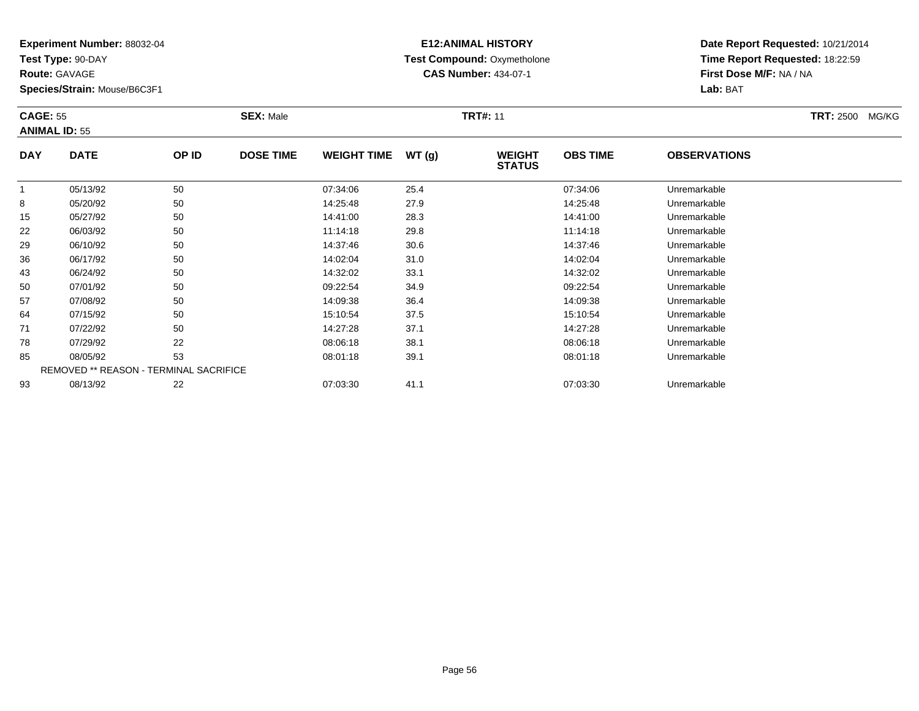**Test Type:** 90-DAY

**Route:** GAVAGE

**Species/Strain:** Mouse/B6C3F1

# **E12:ANIMAL HISTORY Test Compound:** Oxymetholone**CAS Number:** 434-07-1

| <b>CAGE: 55</b><br><b>ANIMAL ID: 55</b> |                                    |            | <b>SEX: Male</b> | <b>TRT#: 11</b>     |      |                                |                 |                                  |  | <b>TRT: 2500</b><br>MG/KG |
|-----------------------------------------|------------------------------------|------------|------------------|---------------------|------|--------------------------------|-----------------|----------------------------------|--|---------------------------|
| <b>DAY</b>                              | <b>DATE</b>                        | OP ID      | <b>DOSE TIME</b> | WEIGHT TIME $WT(g)$ |      | <b>WEIGHT</b><br><b>STATUS</b> | <b>OBS TIME</b> | <b>OBSERVATIONS</b>              |  |                           |
|                                         | 05/13/92                           | 50         |                  | 07:34:06            | 25.4 |                                | 07:34:06        | Unremarkable                     |  |                           |
| <u>ດ</u>                                | $\Omega F/ \Omega \Omega / \Omega$ | $\sqrt{2}$ |                  | 4.4.05.40           | 220  |                                | 4.05.40         | الملحا ومجاوره والمستوجب وبالباط |  |                           |

|    | 05/13/92 | 50                                     | 07:34:06 | 25.4 | 07:34:06 | Unremarkable |  |
|----|----------|----------------------------------------|----------|------|----------|--------------|--|
| 8  | 05/20/92 | 50                                     | 14:25:48 | 27.9 | 14:25:48 | Unremarkable |  |
| 15 | 05/27/92 | 50                                     | 14:41:00 | 28.3 | 14:41:00 | Unremarkable |  |
| 22 | 06/03/92 | 50                                     | 11:14:18 | 29.8 | 11:14:18 | Unremarkable |  |
| 29 | 06/10/92 | 50                                     | 14:37:46 | 30.6 | 14:37:46 | Unremarkable |  |
| 36 | 06/17/92 | 50                                     | 14:02:04 | 31.0 | 14:02:04 | Unremarkable |  |
| 43 | 06/24/92 | 50                                     | 14:32:02 | 33.1 | 14:32:02 | Unremarkable |  |
| 50 | 07/01/92 | 50                                     | 09:22:54 | 34.9 | 09:22:54 | Unremarkable |  |
| 57 | 07/08/92 | 50                                     | 14:09:38 | 36.4 | 14:09:38 | Unremarkable |  |
| 64 | 07/15/92 | 50                                     | 15:10:54 | 37.5 | 15:10:54 | Unremarkable |  |
| 71 | 07/22/92 | 50                                     | 14:27:28 | 37.1 | 14:27:28 | Unremarkable |  |
| 78 | 07/29/92 | 22                                     | 08:06:18 | 38.1 | 08:06:18 | Unremarkable |  |
| 85 | 08/05/92 | 53                                     | 08:01:18 | 39.1 | 08:01:18 | Unremarkable |  |
|    |          | REMOVED ** REASON - TERMINAL SACRIFICE |          |      |          |              |  |
| 93 | 08/13/92 | 22                                     | 07:03:30 | 41.1 | 07:03:30 | Unremarkable |  |
|    |          |                                        |          |      |          |              |  |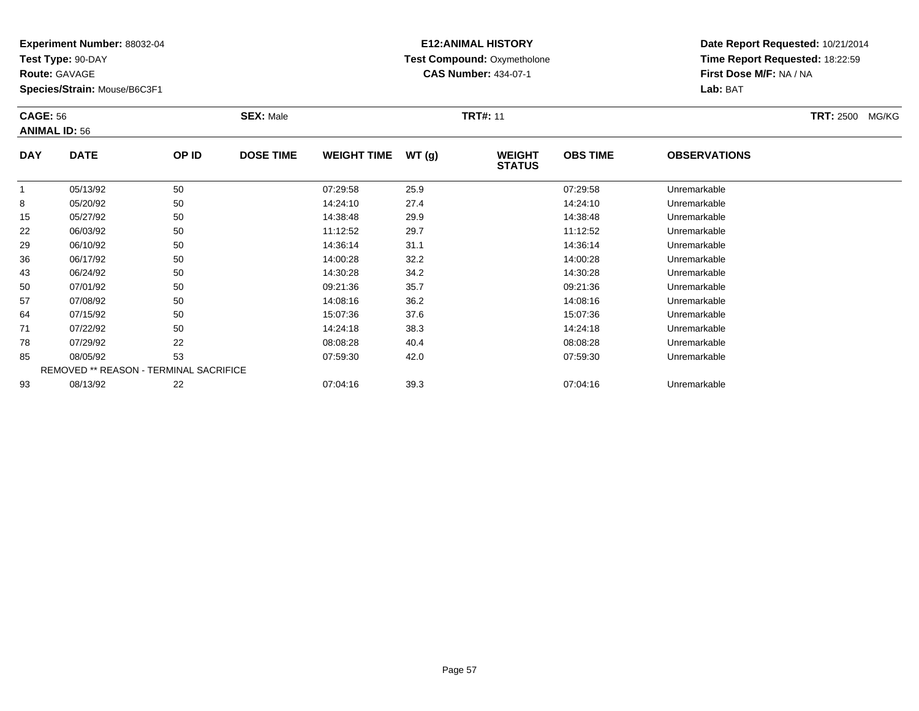**Test Type:** 90-DAY

**Route:** GAVAGE

64

71

78

85

93

**Species/Strain:** Mouse/B6C3F1

REMOVED \*\* REASON - TERMINAL SACRIFICE

# **E12:ANIMAL HISTORY Test Compound:** Oxymetholone**CAS Number:** 434-07-1

**Date Report Requested:** 10/21/2014**Time Report Requested:** 18:22:59**First Dose M/F:** NA / NA**Lab:** BAT

| <b>CAGE: 56</b><br><b>ANIMAL ID: 56</b> |             |       | <b>SEX: Male</b> |                    |       | <b>TRT#: 11</b>                |                 |                     |  |  |  |
|-----------------------------------------|-------------|-------|------------------|--------------------|-------|--------------------------------|-----------------|---------------------|--|--|--|
| <b>DAY</b>                              | <b>DATE</b> | OP ID | <b>DOSE TIME</b> | <b>WEIGHT TIME</b> | WT(g) | <b>WEIGHT</b><br><b>STATUS</b> | <b>OBS TIME</b> | <b>OBSERVATIONS</b> |  |  |  |
|                                         | 05/13/92    | 50    |                  | 07:29:58           | 25.9  |                                | 07:29:58        | Unremarkable        |  |  |  |
| 8                                       | 05/20/92    | 50    |                  | 14:24:10           | 27.4  |                                | 14:24:10        | Unremarkable        |  |  |  |
| 15                                      | 05/27/92    | 50    |                  | 14:38:48           | 29.9  |                                | 14:38:48        | Unremarkable        |  |  |  |
| 22                                      | 06/03/92    | 50    |                  | 11:12:52           | 29.7  |                                | 11:12:52        | Unremarkable        |  |  |  |
| 29                                      | 06/10/92    | 50    |                  | 14:36:14           | 31.1  |                                | 14:36:14        | Unremarkable        |  |  |  |
| 36                                      | 06/17/92    | 50    |                  | 14:00:28           | 32.2  |                                | 14:00:28        | Unremarkable        |  |  |  |
| 43                                      | 06/24/92    | 50    |                  | 14:30:28           | 34.2  |                                | 14:30:28        | Unremarkable        |  |  |  |
| 50                                      | 07/01/92    | 50    |                  | 09:21:36           | 35.7  |                                | 09:21:36        | Unremarkable        |  |  |  |
| 57                                      | 07/08/92    | 50    |                  | 14:08:16           | 36.2  |                                | 14:08:16        | Unremarkable        |  |  |  |

07/15/92 <sup>50</sup> 15:07:36 37.6 15:07:36 Unremarkable

1 07/22/92 50 50 14:24:18 38.3 14:24:18 14:24:18 Dhremarkable

07/29/92 <sup>22</sup> 08:08:28 40.4 08:08:28 Unremarkable

08/05/92 <sup>53</sup> 07:59:30 42.0 07:59:30 Unremarkable

08/13/92 <sup>22</sup> 07:04:16 39.3 07:04:16 Unremarkable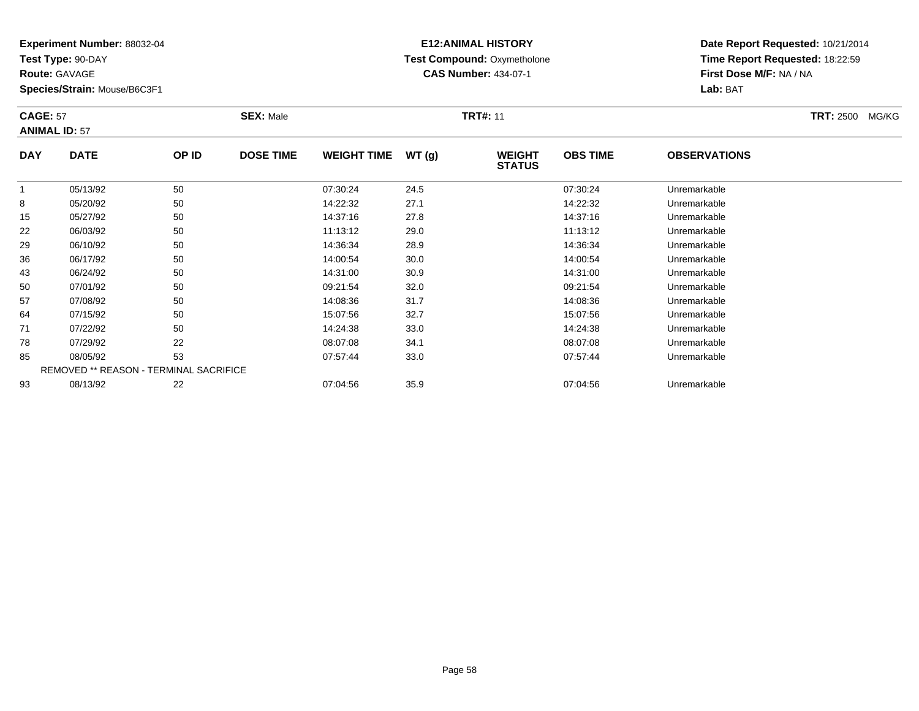**Test Type:** 90-DAY

**Route:** GAVAGE

**Species/Strain:** Mouse/B6C3F1

# **E12:ANIMAL HISTORY Test Compound:** Oxymetholone**CAS Number:** 434-07-1

**Date Report Requested:** 10/21/2014**Time Report Requested:** 18:22:59**First Dose M/F:** NA / NA**Lab:** BAT

#### **CAGE:** 57 **SEX:** Male **TRT#:** <sup>11</sup> **TRT:** 2500 MG/KG**ANIMAL ID:** 57**DAY DATE OP IDDOSE TIME WEIGHT TIME WT** (g) **STATUSOBS TIME OBSERVATIONS** 1 05/13/92 <sup>50</sup> 07:30:24 24.5 07:30:24 Unremarkable 88 05/20/92 50 50 14:22:32 27.1 14:22:32 14:22:32 Unremarkable

|    | 05/13/92 | 50                                            | 07:30:24 | 24.5 | 07:30:24 | Unremarkable |  |
|----|----------|-----------------------------------------------|----------|------|----------|--------------|--|
| 8  | 05/20/92 | 50                                            | 14:22:32 | 27.1 | 14:22:32 | Unremarkable |  |
| 15 | 05/27/92 | 50                                            | 14:37:16 | 27.8 | 14:37:16 | Unremarkable |  |
| 22 | 06/03/92 | 50                                            | 11:13:12 | 29.0 | 11:13:12 | Unremarkable |  |
| 29 | 06/10/92 | 50                                            | 14:36:34 | 28.9 | 14:36:34 | Unremarkable |  |
| 36 | 06/17/92 | 50                                            | 14:00:54 | 30.0 | 14:00:54 | Unremarkable |  |
| 43 | 06/24/92 | 50                                            | 14:31:00 | 30.9 | 14:31:00 | Unremarkable |  |
| 50 | 07/01/92 | 50                                            | 09:21:54 | 32.0 | 09:21:54 | Unremarkable |  |
| 57 | 07/08/92 | 50                                            | 14:08:36 | 31.7 | 14:08:36 | Unremarkable |  |
| 64 | 07/15/92 | 50                                            | 15:07:56 | 32.7 | 15:07:56 | Unremarkable |  |
| 71 | 07/22/92 | 50                                            | 14:24:38 | 33.0 | 14:24:38 | Unremarkable |  |
| 78 | 07/29/92 | 22                                            | 08:07:08 | 34.1 | 08:07:08 | Unremarkable |  |
| 85 | 08/05/92 | 53                                            | 07:57:44 | 33.0 | 07:57:44 | Unremarkable |  |
|    |          | <b>REMOVED ** REASON - TERMINAL SACRIFICE</b> |          |      |          |              |  |
| 93 | 08/13/92 | 22                                            | 07:04:56 | 35.9 | 07:04:56 | Unremarkable |  |
|    |          |                                               |          |      |          |              |  |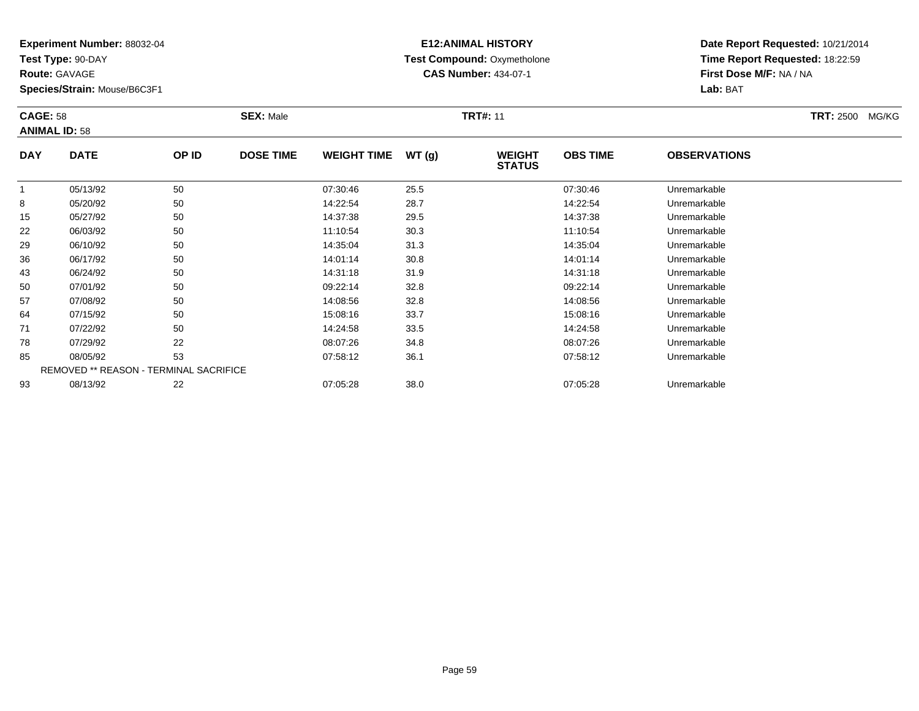**Test Type:** 90-DAY

**Route:** GAVAGE

**Species/Strain:** Mouse/B6C3F1

# **E12:ANIMAL HISTORY Test Compound:** Oxymetholone**CAS Number:** 434-07-1

| <b>CAGE: 58</b><br><b>ANIMAL ID: 58</b> |             |       | <b>SEX: Male</b> |                    |       | <b>TRT#: 11</b>                | <b>TRT: 2500 MG/KG</b> |                     |  |
|-----------------------------------------|-------------|-------|------------------|--------------------|-------|--------------------------------|------------------------|---------------------|--|
| <b>DAY</b>                              | <b>DATE</b> | OP ID | <b>DOSE TIME</b> | <b>WEIGHT TIME</b> | WT(g) | <b>WEIGHT</b><br><b>STATUS</b> | <b>OBS TIME</b>        | <b>OBSERVATIONS</b> |  |
|                                         | 05/13/92    | 50    |                  | 07:30:46           | 25.5  |                                | 07:30:46               | Unremarkable        |  |
| 8                                       | 05/20/92    | 50    |                  | 14:22:54           | 28.7  |                                | 14:22:54               | Unremarkable        |  |
| 15                                      | 05/27/92    | 50    |                  | 14:37:38           | 29.5  |                                | 14:37:38               | Unremarkable        |  |
| 22                                      | 06/03/92    | 50    |                  | 11:10:54           | 30.3  |                                | 11:10:54               | Unremarkable        |  |
| 29                                      | 06/10/92    | 50    |                  | 14:35:04           | 31.3  |                                | 14:35:04               | Unremarkable        |  |

| 15 | 05/27/92                                      | 50 | 14:37:38 | 29.5 | 14:37:38 | Unremarkable |
|----|-----------------------------------------------|----|----------|------|----------|--------------|
| 22 | 06/03/92                                      | 50 | 11:10:54 | 30.3 | 11:10:54 | Unremarkable |
| 29 | 06/10/92                                      | 50 | 14:35:04 | 31.3 | 14:35:04 | Unremarkable |
| 36 | 06/17/92                                      | 50 | 14:01:14 | 30.8 | 14:01:14 | Unremarkable |
| 43 | 06/24/92                                      | 50 | 14:31:18 | 31.9 | 14:31:18 | Unremarkable |
| 50 | 07/01/92                                      | 50 | 09:22:14 | 32.8 | 09:22:14 | Unremarkable |
| 57 | 07/08/92                                      | 50 | 14:08:56 | 32.8 | 14:08:56 | Unremarkable |
| 64 | 07/15/92                                      | 50 | 15:08:16 | 33.7 | 15:08:16 | Unremarkable |
| 71 | 07/22/92                                      | 50 | 14:24:58 | 33.5 | 14:24:58 | Unremarkable |
| 78 | 07/29/92                                      | 22 | 08:07:26 | 34.8 | 08:07:26 | Unremarkable |
| 85 | 08/05/92                                      | 53 | 07:58:12 | 36.1 | 07:58:12 | Unremarkable |
|    | <b>REMOVED ** REASON - TERMINAL SACRIFICE</b> |    |          |      |          |              |
| 93 | 08/13/92                                      | 22 | 07:05:28 | 38.0 | 07:05:28 | Unremarkable |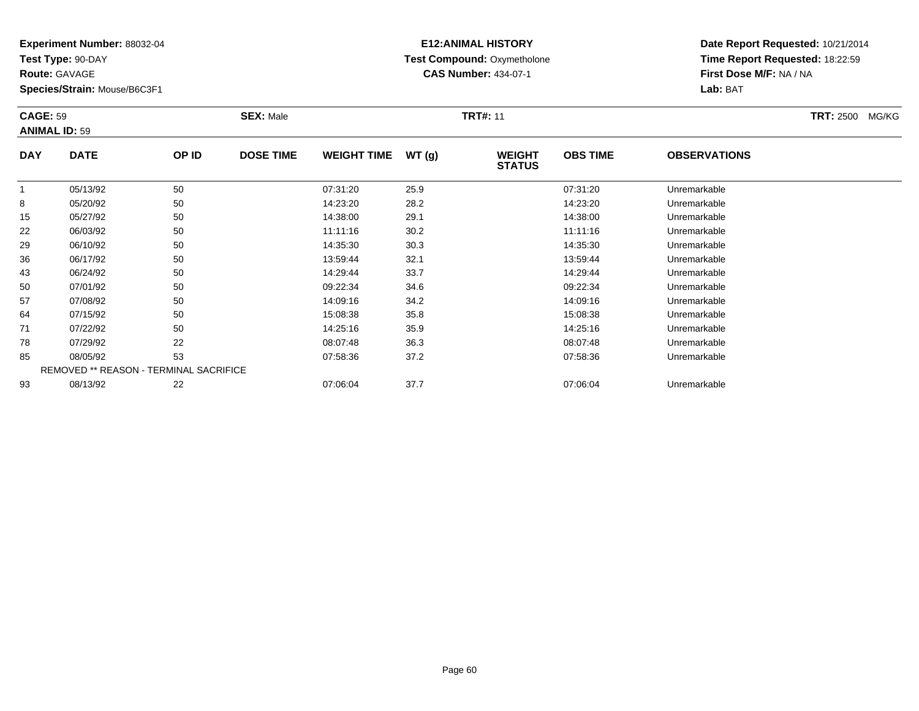**Test Type:** 90-DAY

**Route:** GAVAGE

**Species/Strain:** Mouse/B6C3F1

# **E12:ANIMAL HISTORY Test Compound:** Oxymetholone**CAS Number:** 434-07-1

| <b>CAGE: 59</b><br><b>ANIMAL ID: 59</b> |             |       | <b>SEX: Male</b> |                    |       | <b>TRT#: 11</b>                | <b>TRT: 2500</b><br>MG/KG |                     |  |
|-----------------------------------------|-------------|-------|------------------|--------------------|-------|--------------------------------|---------------------------|---------------------|--|
| <b>DAY</b>                              | <b>DATE</b> | OP ID | <b>DOSE TIME</b> | <b>WEIGHT TIME</b> | WT(g) | <b>WEIGHT</b><br><b>STATUS</b> | <b>OBS TIME</b>           | <b>OBSERVATIONS</b> |  |
|                                         | 05/13/92    | 50    |                  | 07:31:20           | 25.9  |                                | 07:31:20                  | Unremarkable        |  |
| 8                                       | 05/20/92    | 50    |                  | 14:23:20           | 28.2  |                                | 14:23:20                  | Unremarkable        |  |
| 15                                      | 05/27/92    | 50    |                  | 14:38:00           | 29.1  |                                | 14:38:00                  | Unremarkable        |  |
| 22                                      | 06/03/92    | 50    |                  | 11:11:16           | 30.2  |                                | 11:11:16                  | Unremarkable        |  |

| 8  | 05/20/92                                      | 50 | 14:23:20 | 28.2 | 14:23:20 | Unremarkable |
|----|-----------------------------------------------|----|----------|------|----------|--------------|
| 15 | 05/27/92                                      | 50 | 14:38:00 | 29.1 | 14:38:00 | Unremarkable |
| 22 | 06/03/92                                      | 50 | 11:11:16 | 30.2 | 11:11:16 | Unremarkable |
| 29 | 06/10/92                                      | 50 | 14:35:30 | 30.3 | 14:35:30 | Unremarkable |
| 36 | 06/17/92                                      | 50 | 13:59:44 | 32.1 | 13:59:44 | Unremarkable |
| 43 | 06/24/92                                      | 50 | 14:29:44 | 33.7 | 14:29:44 | Unremarkable |
| 50 | 07/01/92                                      | 50 | 09:22:34 | 34.6 | 09:22:34 | Unremarkable |
| 57 | 07/08/92                                      | 50 | 14:09:16 | 34.2 | 14:09:16 | Unremarkable |
| 64 | 07/15/92                                      | 50 | 15:08:38 | 35.8 | 15:08:38 | Unremarkable |
| 71 | 07/22/92                                      | 50 | 14:25:16 | 35.9 | 14:25:16 | Unremarkable |
| 78 | 07/29/92                                      | 22 | 08:07:48 | 36.3 | 08:07:48 | Unremarkable |
| 85 | 08/05/92                                      | 53 | 07:58:36 | 37.2 | 07:58:36 | Unremarkable |
|    | <b>REMOVED ** REASON - TERMINAL SACRIFICE</b> |    |          |      |          |              |
| 93 | 08/13/92                                      | 22 | 07:06:04 | 37.7 | 07:06:04 | Unremarkable |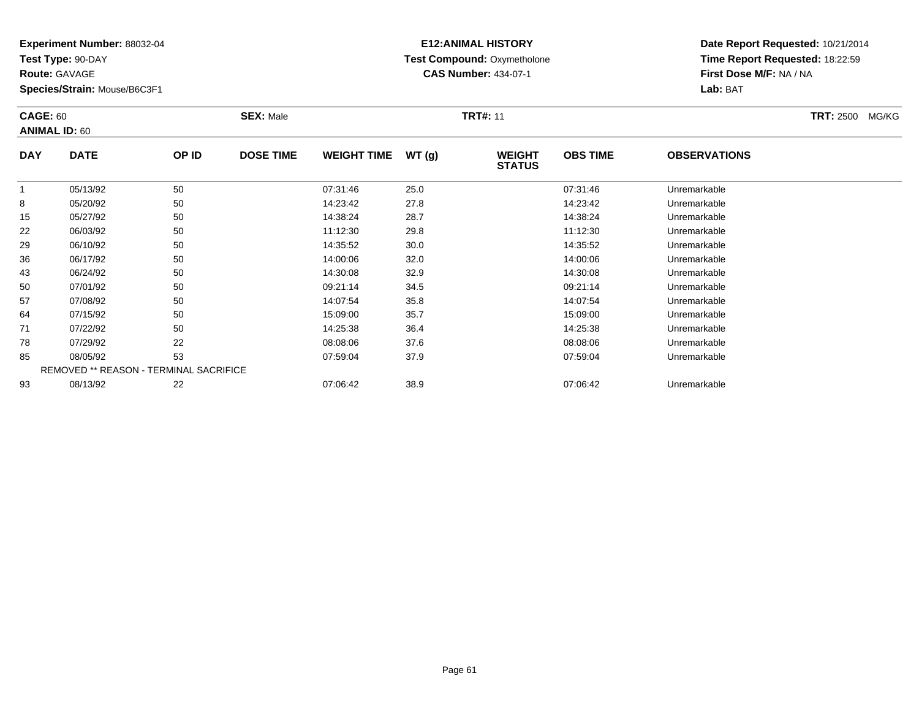**Test Type:** 90-DAY

**Route:** GAVAGE

**Species/Strain:** Mouse/B6C3F1

# **E12:ANIMAL HISTORY Test Compound:** Oxymetholone**CAS Number:** 434-07-1

| <b>CAGE: 60</b><br><b>ANIMAL ID: 60</b> |             |       | <b>SEX: Male</b> |                    |       | <b>TRT#: 11</b>                | <b>TRT:</b> 2500 MG/KG |                     |  |
|-----------------------------------------|-------------|-------|------------------|--------------------|-------|--------------------------------|------------------------|---------------------|--|
| <b>DAY</b>                              | <b>DATE</b> | OP ID | <b>DOSE TIME</b> | <b>WEIGHT TIME</b> | WT(g) | <b>WEIGHT</b><br><b>STATUS</b> | <b>OBS TIME</b>        | <b>OBSERVATIONS</b> |  |
|                                         | 05/13/92    | 50    |                  | 07:31:46           | 25.0  |                                | 07:31:46               | Unremarkable        |  |
| 8                                       | 05/20/92    | 50    |                  | 14:23:42           | 27.8  |                                | 14:23:42               | Unremarkable        |  |
| 15                                      | 05/27/92    | 50    |                  | 14:38:24           | 28.7  |                                | 14:38:24               | Unremarkable        |  |
| 22                                      | 06/03/92    | 50    |                  | 11:12:30           | 29.8  |                                | 11:12:30               | Unremarkable        |  |
|                                         |             |       |                  |                    |       |                                |                        |                     |  |

| 8  | 05/20/92 | 50                                            | 14:23:42 | 27.8 | 14:23:42 | Unremarkable |
|----|----------|-----------------------------------------------|----------|------|----------|--------------|
|    |          |                                               |          |      |          |              |
| 15 | 05/27/92 | 50                                            | 14:38:24 | 28.7 | 14:38:24 | Unremarkable |
| 22 | 06/03/92 | 50                                            | 11:12:30 | 29.8 | 11:12:30 | Unremarkable |
| 29 | 06/10/92 | 50                                            | 14:35:52 | 30.0 | 14:35:52 | Unremarkable |
| 36 | 06/17/92 | 50                                            | 14:00:06 | 32.0 | 14:00:06 | Unremarkable |
| 43 | 06/24/92 | 50                                            | 14:30:08 | 32.9 | 14:30:08 | Unremarkable |
| 50 | 07/01/92 | 50                                            | 09:21:14 | 34.5 | 09:21:14 | Unremarkable |
| 57 | 07/08/92 | 50                                            | 14:07:54 | 35.8 | 14:07:54 | Unremarkable |
| 64 | 07/15/92 | 50                                            | 15:09:00 | 35.7 | 15:09:00 | Unremarkable |
| 71 | 07/22/92 | 50                                            | 14:25:38 | 36.4 | 14:25:38 | Unremarkable |
| 78 | 07/29/92 | 22                                            | 08:08:06 | 37.6 | 08:08:06 | Unremarkable |
| 85 | 08/05/92 | 53                                            | 07:59:04 | 37.9 | 07:59:04 | Unremarkable |
|    |          | <b>REMOVED ** REASON - TERMINAL SACRIFICE</b> |          |      |          |              |
| 93 | 08/13/92 | 22                                            | 07:06:42 | 38.9 | 07:06:42 | Unremarkable |
|    |          |                                               |          |      |          |              |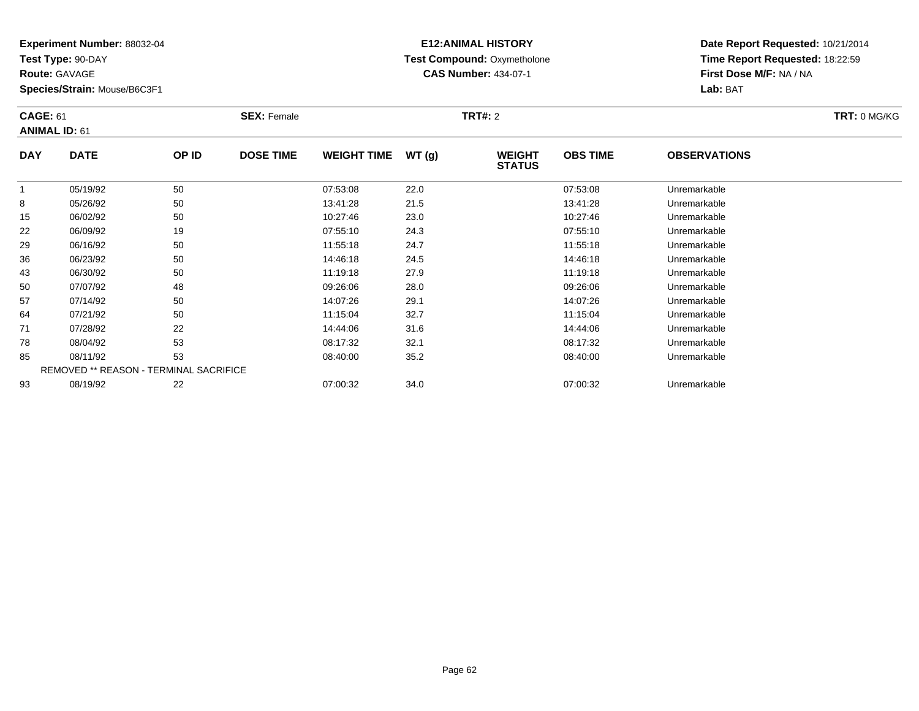**Test Type:** 90-DAY

**Route:** GAVAGE

**Species/Strain:** Mouse/B6C3F1

# **E12:ANIMAL HISTORY Test Compound:** Oxymetholone**CAS Number:** 434-07-1

**Date Report Requested:** 10/21/2014**Time Report Requested:** 18:22:59**First Dose M/F:** NA / NA**Lab:** BAT

|            | <b>CAGE: 61</b><br><b>ANIMAL ID: 61</b>       |       | <b>SEX: Female</b> |                    |       | <b>TRT#: 2</b>                 |                 |                     |  |  |  |
|------------|-----------------------------------------------|-------|--------------------|--------------------|-------|--------------------------------|-----------------|---------------------|--|--|--|
| <b>DAY</b> | <b>DATE</b>                                   | OP ID | <b>DOSE TIME</b>   | <b>WEIGHT TIME</b> | WT(g) | <b>WEIGHT</b><br><b>STATUS</b> | <b>OBS TIME</b> | <b>OBSERVATIONS</b> |  |  |  |
|            | 05/19/92                                      | 50    |                    | 07:53:08           | 22.0  |                                | 07:53:08        | Unremarkable        |  |  |  |
| 8          | 05/26/92                                      | 50    |                    | 13:41:28           | 21.5  |                                | 13:41:28        | Unremarkable        |  |  |  |
| 15         | 06/02/92                                      | 50    |                    | 10:27:46           | 23.0  |                                | 10:27:46        | Unremarkable        |  |  |  |
| 22         | 06/09/92                                      | 19    |                    | 07:55:10           | 24.3  |                                | 07:55:10        | Unremarkable        |  |  |  |
| 29         | 06/16/92                                      | 50    |                    | 11:55:18           | 24.7  |                                | 11:55:18        | Unremarkable        |  |  |  |
| 36         | 06/23/92                                      | 50    |                    | 14:46:18           | 24.5  |                                | 14:46:18        | Unremarkable        |  |  |  |
| 43         | 06/30/92                                      | 50    |                    | 11:19:18           | 27.9  |                                | 11:19:18        | Unremarkable        |  |  |  |
| 50         | 07/07/92                                      | 48    |                    | 09:26:06           | 28.0  |                                | 09:26:06        | Unremarkable        |  |  |  |
| 57         | 07/14/92                                      | 50    |                    | 14:07:26           | 29.1  |                                | 14:07:26        | Unremarkable        |  |  |  |
| 64         | 07/21/92                                      | 50    |                    | 11:15:04           | 32.7  |                                | 11:15:04        | Unremarkable        |  |  |  |
| 71         | 07/28/92                                      | 22    |                    | 14:44:06           | 31.6  |                                | 14:44:06        | Unremarkable        |  |  |  |
| 78         | 08/04/92                                      | 53    |                    | 08:17:32           | 32.1  |                                | 08:17:32        | Unremarkable        |  |  |  |
| 85         | 08/11/92                                      | 53    |                    | 08:40:00           | 35.2  |                                | 08:40:00        | Unremarkable        |  |  |  |
|            | <b>REMOVED ** REASON - TERMINAL SACRIFICE</b> |       |                    |                    |       |                                |                 |                     |  |  |  |
| 93         | 08/19/92                                      | 22    |                    | 07:00:32           | 34.0  |                                | 07:00:32        | Unremarkable        |  |  |  |

08/19/92 <sup>22</sup> 07:00:32 34.0 07:00:32 Unremarkable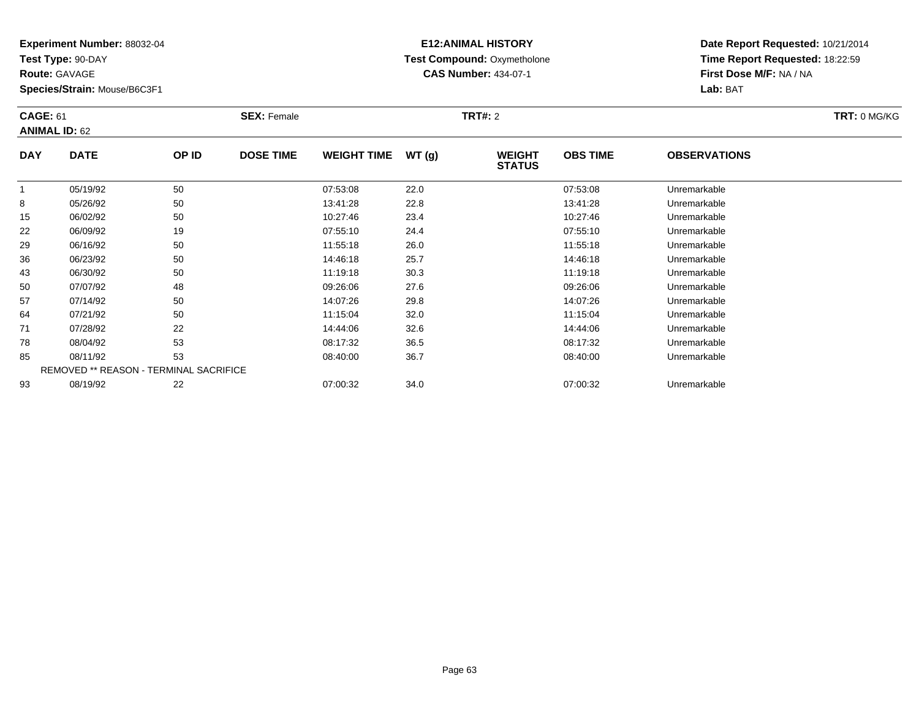**Test Type:** 90-DAY

**Route:** GAVAGE

85

93

**Species/Strain:** Mouse/B6C3F1

REMOVED \*\* REASON - TERMINAL SACRIFICE

## **E12:ANIMAL HISTORY Test Compound:** Oxymetholone**CAS Number:** 434-07-1

**Date Report Requested:** 10/21/2014**Time Report Requested:** 18:22:59**First Dose M/F:** NA / NA**Lab:** BAT

| <b>CAGE: 61</b><br><b>ANIMAL ID: 62</b> |             | <b>SEX: Female</b> |                  |                    | <b>TRT#: 2</b> |                                |                 |                     |  |  |
|-----------------------------------------|-------------|--------------------|------------------|--------------------|----------------|--------------------------------|-----------------|---------------------|--|--|
| <b>DAY</b>                              | <b>DATE</b> | OP ID              | <b>DOSE TIME</b> | <b>WEIGHT TIME</b> | WT(g)          | <b>WEIGHT</b><br><b>STATUS</b> | <b>OBS TIME</b> | <b>OBSERVATIONS</b> |  |  |
|                                         | 05/19/92    | 50                 |                  | 07:53:08           | 22.0           |                                | 07:53:08        | Unremarkable        |  |  |
| 8                                       | 05/26/92    | 50                 |                  | 13:41:28           | 22.8           |                                | 13:41:28        | Unremarkable        |  |  |
| 15                                      | 06/02/92    | 50                 |                  | 10:27:46           | 23.4           |                                | 10:27:46        | Unremarkable        |  |  |
| 22                                      | 06/09/92    | 19                 |                  | 07:55:10           | 24.4           |                                | 07:55:10        | Unremarkable        |  |  |
| 29                                      | 06/16/92    | 50                 |                  | 11:55:18           | 26.0           |                                | 11:55:18        | Unremarkable        |  |  |
| 36                                      | 06/23/92    | 50                 |                  | 14:46:18           | 25.7           |                                | 14:46:18        | Unremarkable        |  |  |
| 43                                      | 06/30/92    | 50                 |                  | 11:19:18           | 30.3           |                                | 11:19:18        | Unremarkable        |  |  |
| 50                                      | 07/07/92    | 48                 |                  | 09:26:06           | 27.6           |                                | 09:26:06        | Unremarkable        |  |  |
| 57                                      | 07/14/92    | 50                 |                  | 14:07:26           | 29.8           |                                | 14:07:26        | Unremarkable        |  |  |
| 64                                      | 07/21/92    | 50                 |                  | 11:15:04           | 32.0           |                                | 11:15:04        | Unremarkable        |  |  |
| 71                                      | 07/28/92    | 22                 |                  | 14:44:06           | 32.6           |                                | 14:44:06        | Unremarkable        |  |  |
| 78                                      | 08/04/92    | 53                 |                  | 08:17:32           | 36.5           |                                | 08:17:32        | Unremarkable        |  |  |

08/11/92 <sup>53</sup> 08:40:00 36.7 08:40:00 Unremarkable

08/19/92 <sup>22</sup> 07:00:32 34.0 07:00:32 Unremarkable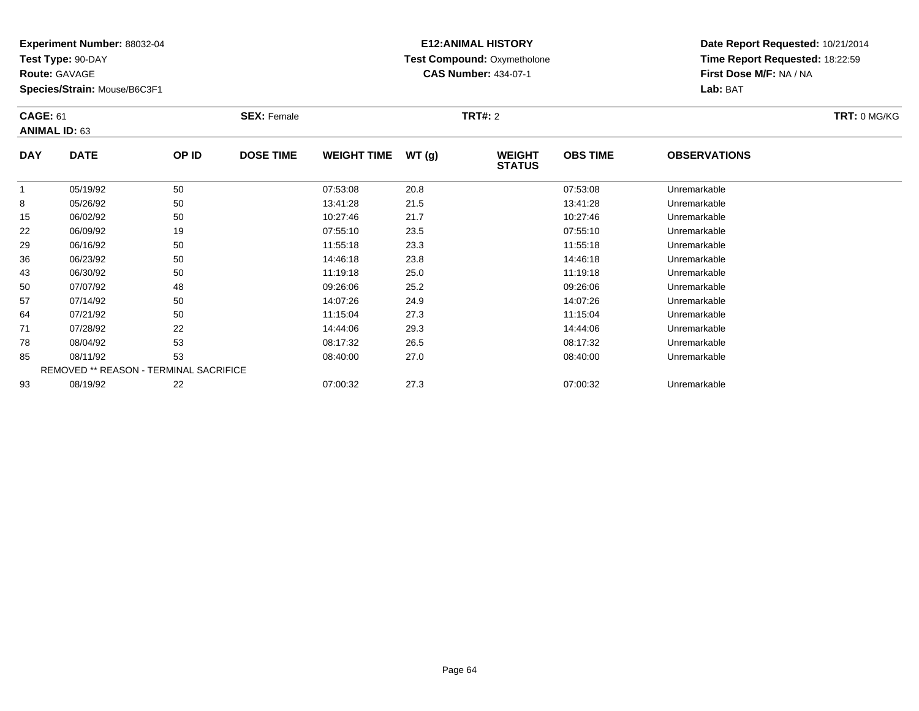**Test Type:** 90-DAY

**Route:** GAVAGE

93

**Species/Strain:** Mouse/B6C3F1

# **E12:ANIMAL HISTORY Test Compound:** Oxymetholone**CAS Number:** 434-07-1

**Date Report Requested:** 10/21/2014**Time Report Requested:** 18:22:59**First Dose M/F:** NA / NA**Lab:** BAT

| <b>CAGE: 61</b><br><b>ANIMAL ID: 63</b> |                                               | <b>SEX: Female</b> |                  |                    | <b>TRT#: 2</b> | TRT: 0 MG/KG                   |                 |                     |  |
|-----------------------------------------|-----------------------------------------------|--------------------|------------------|--------------------|----------------|--------------------------------|-----------------|---------------------|--|
| <b>DAY</b>                              | <b>DATE</b>                                   | OP ID              | <b>DOSE TIME</b> | <b>WEIGHT TIME</b> | WT(g)          | <b>WEIGHT</b><br><b>STATUS</b> | <b>OBS TIME</b> | <b>OBSERVATIONS</b> |  |
|                                         | 05/19/92                                      | 50                 |                  | 07:53:08           | 20.8           |                                | 07:53:08        | Unremarkable        |  |
| 8                                       | 05/26/92                                      | 50                 |                  | 13:41:28           | 21.5           |                                | 13:41:28        | Unremarkable        |  |
| 15                                      | 06/02/92                                      | 50                 |                  | 10:27:46           | 21.7           |                                | 10:27:46        | Unremarkable        |  |
| 22                                      | 06/09/92                                      | 19                 |                  | 07:55:10           | 23.5           |                                | 07:55:10        | Unremarkable        |  |
| 29                                      | 06/16/92                                      | 50                 |                  | 11:55:18           | 23.3           |                                | 11:55:18        | Unremarkable        |  |
| 36                                      | 06/23/92                                      | 50                 |                  | 14:46:18           | 23.8           |                                | 14:46:18        | Unremarkable        |  |
| 43                                      | 06/30/92                                      | 50                 |                  | 11:19:18           | 25.0           |                                | 11:19:18        | Unremarkable        |  |
| 50                                      | 07/07/92                                      | 48                 |                  | 09:26:06           | 25.2           |                                | 09:26:06        | Unremarkable        |  |
| 57                                      | 07/14/92                                      | 50                 |                  | 14:07:26           | 24.9           |                                | 14:07:26        | Unremarkable        |  |
| 64                                      | 07/21/92                                      | 50                 |                  | 11:15:04           | 27.3           |                                | 11:15:04        | Unremarkable        |  |
| 71                                      | 07/28/92                                      | 22                 |                  | 14:44:06           | 29.3           |                                | 14:44:06        | Unremarkable        |  |
| 78                                      | 08/04/92                                      | 53                 |                  | 08:17:32           | 26.5           |                                | 08:17:32        | Unremarkable        |  |
| 85                                      | 08/11/92                                      | 53                 |                  | 08:40:00           | 27.0           |                                | 08:40:00        | Unremarkable        |  |
|                                         | <b>REMOVED ** REASON - TERMINAL SACRIFICE</b> |                    |                  |                    |                |                                |                 |                     |  |

08/19/92 <sup>22</sup> 07:00:32 27.3 07:00:32 Unremarkable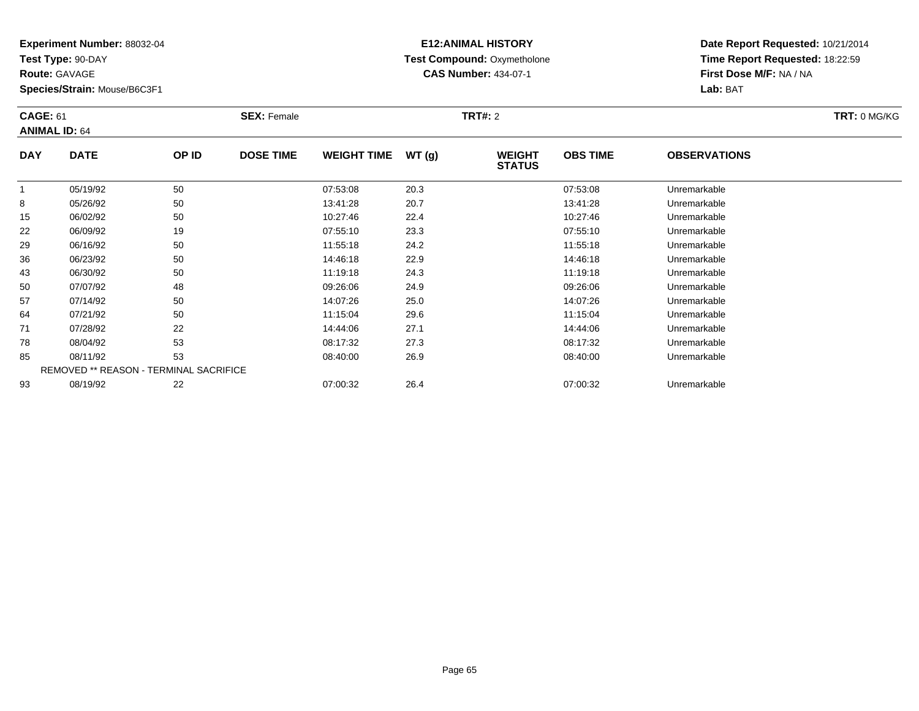**Test Type:** 90-DAY

**Route:** GAVAGE

**Species/Strain:** Mouse/B6C3F1

# **E12:ANIMAL HISTORY Test Compound:** Oxymetholone**CAS Number:** 434-07-1

| <b>CAGE: 61</b><br><b>ANIMAL ID: 64</b> |                                               | <b>SEX: Female</b> |                  |                    | <b>TRT#: 2</b> |                                |                 | TRT: 0 MG/KG        |  |
|-----------------------------------------|-----------------------------------------------|--------------------|------------------|--------------------|----------------|--------------------------------|-----------------|---------------------|--|
| <b>DAY</b>                              | <b>DATE</b>                                   | OP ID              | <b>DOSE TIME</b> | <b>WEIGHT TIME</b> | WT(g)          | <b>WEIGHT</b><br><b>STATUS</b> | <b>OBS TIME</b> | <b>OBSERVATIONS</b> |  |
|                                         | 05/19/92                                      | 50                 |                  | 07:53:08           | 20.3           |                                | 07:53:08        | Unremarkable        |  |
| 8                                       | 05/26/92                                      | 50                 |                  | 13:41:28           | 20.7           |                                | 13:41:28        | Unremarkable        |  |
| 15                                      | 06/02/92                                      | 50                 |                  | 10:27:46           | 22.4           |                                | 10:27:46        | Unremarkable        |  |
| 22                                      | 06/09/92                                      | 19                 |                  | 07:55:10           | 23.3           |                                | 07:55:10        | Unremarkable        |  |
| 29                                      | 06/16/92                                      | 50                 |                  | 11:55:18           | 24.2           |                                | 11:55:18        | Unremarkable        |  |
| 36                                      | 06/23/92                                      | 50                 |                  | 14:46:18           | 22.9           |                                | 14:46:18        | Unremarkable        |  |
| 43                                      | 06/30/92                                      | 50                 |                  | 11:19:18           | 24.3           |                                | 11:19:18        | Unremarkable        |  |
| 50                                      | 07/07/92                                      | 48                 |                  | 09:26:06           | 24.9           |                                | 09:26:06        | Unremarkable        |  |
| 57                                      | 07/14/92                                      | 50                 |                  | 14:07:26           | 25.0           |                                | 14:07:26        | Unremarkable        |  |
| 64                                      | 07/21/92                                      | 50                 |                  | 11:15:04           | 29.6           |                                | 11:15:04        | Unremarkable        |  |
| 71                                      | 07/28/92                                      | 22                 |                  | 14:44:06           | 27.1           |                                | 14:44:06        | Unremarkable        |  |
| 78                                      | 08/04/92                                      | 53                 |                  | 08:17:32           | 27.3           |                                | 08:17:32        | Unremarkable        |  |
| 85                                      | 08/11/92                                      | 53                 |                  | 08:40:00           | 26.9           |                                | 08:40:00        | Unremarkable        |  |
|                                         | <b>REMOVED ** REASON - TERMINAL SACRIFICE</b> |                    |                  |                    |                |                                |                 |                     |  |
| 93                                      | 08/19/92                                      | 22                 |                  | 07:00:32           | 26.4           |                                | 07:00:32        | Unremarkable        |  |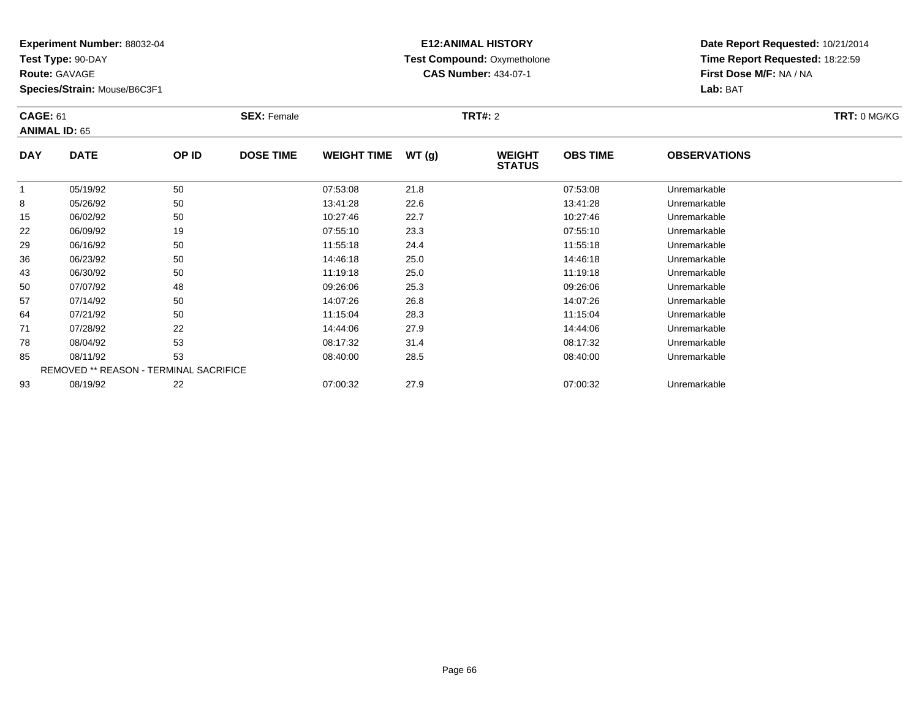**Test Type:** 90-DAY

**Route:** GAVAGE

93

**Species/Strain:** Mouse/B6C3F1

REMOVED \*\* REASON - TERMINAL SACRIFICE

## **E12:ANIMAL HISTORY Test Compound:** Oxymetholone**CAS Number:** 434-07-1

**Date Report Requested:** 10/21/2014**Time Report Requested:** 18:22:59**First Dose M/F:** NA / NA**Lab:** BAT

| <b>CAGE: 61</b><br><b>ANIMAL ID: 65</b> |             | <b>SEX: Female</b> |                  |                    | <b>TRT#: 2</b> |                                |                 | <b>TRT: 0 MG/KG</b> |  |
|-----------------------------------------|-------------|--------------------|------------------|--------------------|----------------|--------------------------------|-----------------|---------------------|--|
| <b>DAY</b>                              | <b>DATE</b> | OP ID              | <b>DOSE TIME</b> | <b>WEIGHT TIME</b> | WT(g)          | <b>WEIGHT</b><br><b>STATUS</b> | <b>OBS TIME</b> | <b>OBSERVATIONS</b> |  |
|                                         | 05/19/92    | 50                 |                  | 07:53:08           | 21.8           |                                | 07:53:08        | Unremarkable        |  |
| 8                                       | 05/26/92    | 50                 |                  | 13:41:28           | 22.6           |                                | 13:41:28        | Unremarkable        |  |
| 15                                      | 06/02/92    | 50                 |                  | 10:27:46           | 22.7           |                                | 10:27:46        | Unremarkable        |  |
| 22                                      | 06/09/92    | 19                 |                  | 07:55:10           | 23.3           |                                | 07:55:10        | Unremarkable        |  |
| 29                                      | 06/16/92    | 50                 |                  | 11:55:18           | 24.4           |                                | 11:55:18        | Unremarkable        |  |
| 36                                      | 06/23/92    | 50                 |                  | 14:46:18           | 25.0           |                                | 14:46:18        | Unremarkable        |  |
| 43                                      | 06/30/92    | 50                 |                  | 11:19:18           | 25.0           |                                | 11:19:18        | Unremarkable        |  |
| 50                                      | 07/07/92    | 48                 |                  | 09:26:06           | 25.3           |                                | 09:26:06        | Unremarkable        |  |
| 57                                      | 07/14/92    | 50                 |                  | 14:07:26           | 26.8           |                                | 14:07:26        | Unremarkable        |  |
| 64                                      | 07/21/92    | 50                 |                  | 11:15:04           | 28.3           |                                | 11:15:04        | Unremarkable        |  |
| 71                                      | 07/28/92    | 22                 |                  | 14:44:06           | 27.9           |                                | 14:44:06        | Unremarkable        |  |
| 78                                      | 08/04/92    | 53                 |                  | 08:17:32           | 31.4           |                                | 08:17:32        | Unremarkable        |  |
| 85                                      | 08/11/92    | 53                 |                  | 08:40:00           | 28.5           |                                | 08:40:00        | Unremarkable        |  |

08/19/92 <sup>22</sup> 07:00:32 27.9 07:00:32 Unremarkable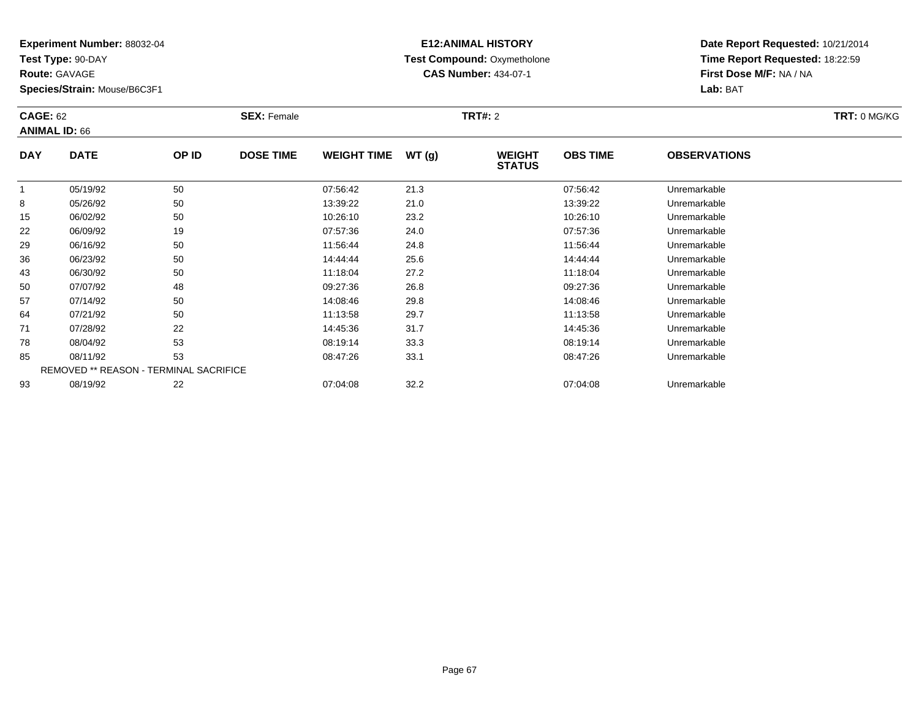**Test Type:** 90-DAY

**Route:** GAVAGE

**Species/Strain:** Mouse/B6C3F1

# **E12:ANIMAL HISTORY Test Compound:** Oxymetholone**CAS Number:** 434-07-1

**Date Report Requested:** 10/21/2014**Time Report Requested:** 18:22:59**First Dose M/F:** NA / NA**Lab:** BAT

| <b>CAGE: 62</b><br><b>ANIMAL ID: 66</b> |                                        | <b>SEX: Female</b> |                  |                    | <b>TRT#: 2</b> |                                |                 | TRT: 0 MG/KG        |  |
|-----------------------------------------|----------------------------------------|--------------------|------------------|--------------------|----------------|--------------------------------|-----------------|---------------------|--|
| <b>DAY</b>                              | <b>DATE</b>                            | OP ID              | <b>DOSE TIME</b> | <b>WEIGHT TIME</b> | WT(g)          | <b>WEIGHT</b><br><b>STATUS</b> | <b>OBS TIME</b> | <b>OBSERVATIONS</b> |  |
|                                         | 05/19/92                               | 50                 |                  | 07:56:42           | 21.3           |                                | 07:56:42        | Unremarkable        |  |
| 8                                       | 05/26/92                               | 50                 |                  | 13:39:22           | 21.0           |                                | 13:39:22        | Unremarkable        |  |
| 15                                      | 06/02/92                               | 50                 |                  | 10:26:10           | 23.2           |                                | 10:26:10        | Unremarkable        |  |
| 22                                      | 06/09/92                               | 19                 |                  | 07:57:36           | 24.0           |                                | 07.57.36        | Unremarkable        |  |
| 29                                      | 06/16/92                               | 50                 |                  | 11:56:44           | 24.8           |                                | 11:56:44        | Unremarkable        |  |
| 36                                      | 06/23/92                               | 50                 |                  | 14:44:44           | 25.6           |                                | 14:44:44        | Unremarkable        |  |
| 43                                      | 06/30/92                               | 50                 |                  | 11:18:04           | 27.2           |                                | 11:18:04        | Unremarkable        |  |
| 50                                      | 07/07/92                               | 48                 |                  | 09:27:36           | 26.8           |                                | 09:27:36        | Unremarkable        |  |
| 57                                      | 07/14/92                               | 50                 |                  | 14:08:46           | 29.8           |                                | 14:08:46        | Unremarkable        |  |
| 64                                      | 07/21/92                               | 50                 |                  | 11:13:58           | 29.7           |                                | 11:13:58        | Unremarkable        |  |
| 71                                      | 07/28/92                               | 22                 |                  | 14:45:36           | 31.7           |                                | 14:45:36        | Unremarkable        |  |
| 78                                      | 08/04/92                               | 53                 |                  | 08:19:14           | 33.3           |                                | 08:19:14        | Unremarkable        |  |
| 85                                      | 08/11/92                               | 53                 |                  | 08:47:26           | 33.1           |                                | 08:47:26        | Unremarkable        |  |
|                                         | REMOVED ** REASON - TERMINAL SACRIFICE |                    |                  |                    |                |                                |                 |                     |  |
| 93                                      | 08/19/92                               | 22                 |                  | 07:04:08           | 32.2           |                                | 07:04:08        | Unremarkable        |  |

08/19/92 <sup>22</sup> 07:04:08 32.2 07:04:08 Unremarkable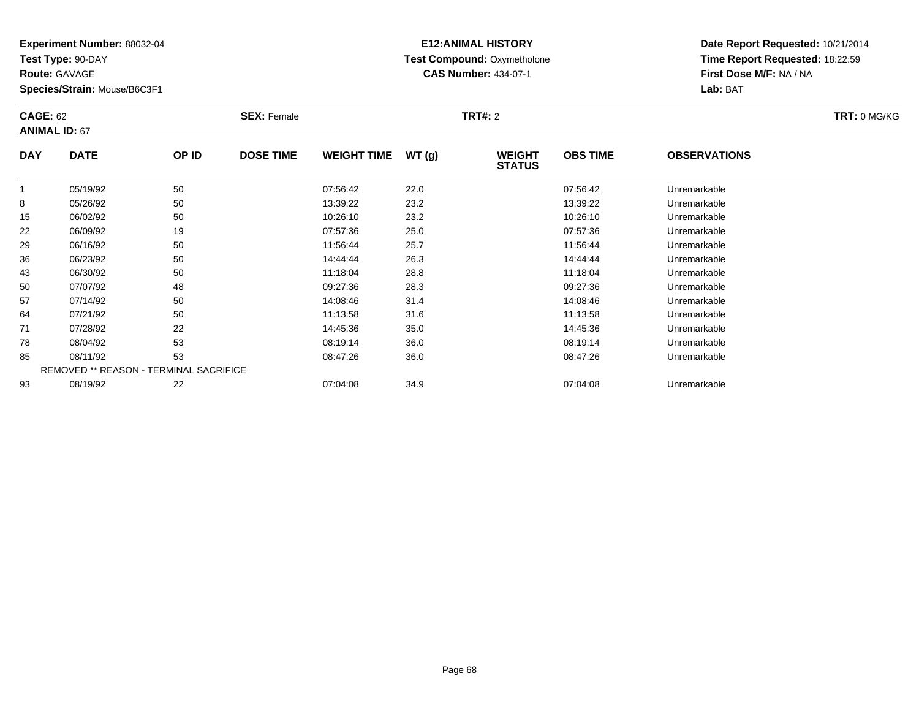**Test Type:** 90-DAY

**Route:** GAVAGE

93

**Species/Strain:** Mouse/B6C3F1

# **E12:ANIMAL HISTORY Test Compound:** Oxymetholone**CAS Number:** 434-07-1

**Date Report Requested:** 10/21/2014**Time Report Requested:** 18:22:59**First Dose M/F:** NA / NA**Lab:** BAT

| <b>CAGE: 62</b><br><b>ANIMAL ID: 67</b> |                                               | <b>SEX: Female</b> |                  |                    | <b>TRT#: 2</b> | TRT: 0 MG/KG                   |                 |                     |  |
|-----------------------------------------|-----------------------------------------------|--------------------|------------------|--------------------|----------------|--------------------------------|-----------------|---------------------|--|
| <b>DAY</b>                              | <b>DATE</b>                                   | OP ID              | <b>DOSE TIME</b> | <b>WEIGHT TIME</b> | WT(g)          | <b>WEIGHT</b><br><b>STATUS</b> | <b>OBS TIME</b> | <b>OBSERVATIONS</b> |  |
|                                         | 05/19/92                                      | 50                 |                  | 07:56:42           | 22.0           |                                | 07:56:42        | Unremarkable        |  |
| 8                                       | 05/26/92                                      | 50                 |                  | 13:39:22           | 23.2           |                                | 13:39:22        | Unremarkable        |  |
| 15                                      | 06/02/92                                      | 50                 |                  | 10:26:10           | 23.2           |                                | 10:26:10        | Unremarkable        |  |
| 22                                      | 06/09/92                                      | 19                 |                  | 07:57:36           | 25.0           |                                | 07:57:36        | Unremarkable        |  |
| 29                                      | 06/16/92                                      | 50                 |                  | 11:56:44           | 25.7           |                                | 11:56:44        | Unremarkable        |  |
| 36                                      | 06/23/92                                      | 50                 |                  | 14:44:44           | 26.3           |                                | 14:44:44        | Unremarkable        |  |
| 43                                      | 06/30/92                                      | 50                 |                  | 11:18:04           | 28.8           |                                | 11:18:04        | Unremarkable        |  |
| 50                                      | 07/07/92                                      | 48                 |                  | 09:27:36           | 28.3           |                                | 09:27:36        | Unremarkable        |  |
| 57                                      | 07/14/92                                      | 50                 |                  | 14:08:46           | 31.4           |                                | 14:08:46        | Unremarkable        |  |
| 64                                      | 07/21/92                                      | 50                 |                  | 11:13:58           | 31.6           |                                | 11:13:58        | Unremarkable        |  |
| 71                                      | 07/28/92                                      | 22                 |                  | 14:45:36           | 35.0           |                                | 14:45:36        | Unremarkable        |  |
| 78                                      | 08/04/92                                      | 53                 |                  | 08:19:14           | 36.0           |                                | 08:19:14        | Unremarkable        |  |
| 85                                      | 08/11/92                                      | 53                 |                  | 08:47:26           | 36.0           |                                | 08:47:26        | Unremarkable        |  |
|                                         | <b>REMOVED ** REASON - TERMINAL SACRIFICE</b> |                    |                  |                    |                |                                |                 |                     |  |

08/19/92 <sup>22</sup> 07:04:08 34.9 07:04:08 Unremarkable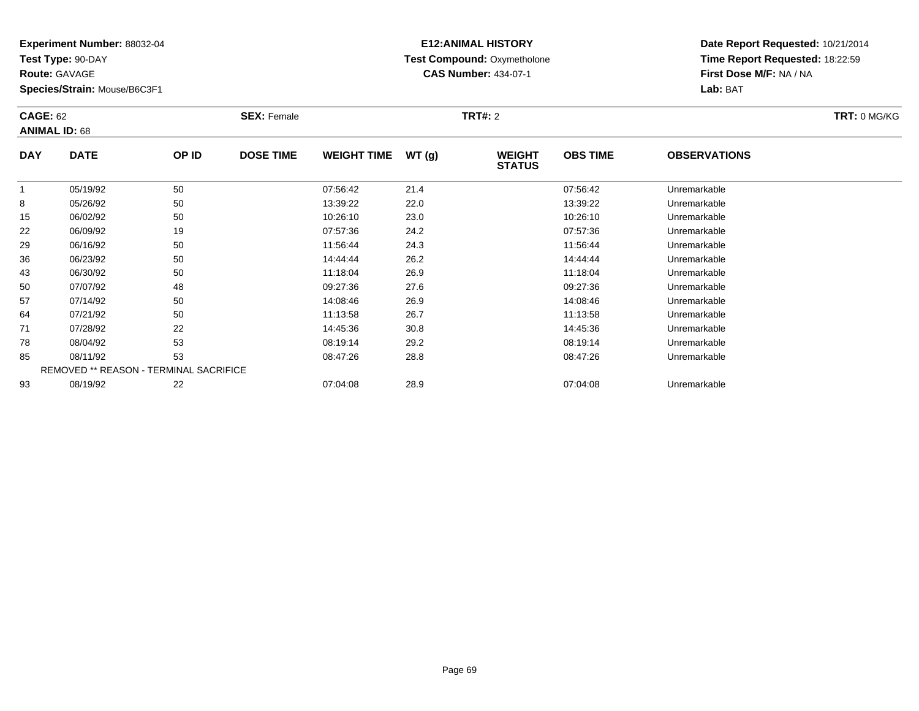**Test Type:** 90-DAY

**Route:** GAVAGE

**Species/Strain:** Mouse/B6C3F1

# **E12:ANIMAL HISTORY Test Compound:** Oxymetholone**CAS Number:** 434-07-1

**Date Report Requested:** 10/21/2014**Time Report Requested:** 18:22:59**First Dose M/F:** NA / NA**Lab:** BAT

| <b>CAGE: 62</b><br><b>ANIMAL ID: 68</b> |                                        | <b>SEX: Female</b> |                  |                    | <b>TRT#: 2</b> |                                |                 | TRT: 0 MG/KG        |  |
|-----------------------------------------|----------------------------------------|--------------------|------------------|--------------------|----------------|--------------------------------|-----------------|---------------------|--|
| <b>DAY</b>                              | <b>DATE</b>                            | OP ID              | <b>DOSE TIME</b> | <b>WEIGHT TIME</b> | WT(g)          | <b>WEIGHT</b><br><b>STATUS</b> | <b>OBS TIME</b> | <b>OBSERVATIONS</b> |  |
|                                         | 05/19/92                               | 50                 |                  | 07:56:42           | 21.4           |                                | 07:56:42        | Unremarkable        |  |
| 8                                       | 05/26/92                               | 50                 |                  | 13:39:22           | 22.0           |                                | 13:39:22        | Unremarkable        |  |
| 15                                      | 06/02/92                               | 50                 |                  | 10:26:10           | 23.0           |                                | 10:26:10        | Unremarkable        |  |
| 22                                      | 06/09/92                               | 19                 |                  | 07:57:36           | 24.2           |                                | 07.57.36        | Unremarkable        |  |
| 29                                      | 06/16/92                               | 50                 |                  | 11:56:44           | 24.3           |                                | 11:56:44        | Unremarkable        |  |
| 36                                      | 06/23/92                               | 50                 |                  | 14:44:44           | 26.2           |                                | 14:44:44        | Unremarkable        |  |
| 43                                      | 06/30/92                               | 50                 |                  | 11:18:04           | 26.9           |                                | 11:18:04        | Unremarkable        |  |
| 50                                      | 07/07/92                               | 48                 |                  | 09:27:36           | 27.6           |                                | 09:27:36        | Unremarkable        |  |
| 57                                      | 07/14/92                               | 50                 |                  | 14:08:46           | 26.9           |                                | 14:08:46        | Unremarkable        |  |
| 64                                      | 07/21/92                               | 50                 |                  | 11:13:58           | 26.7           |                                | 11:13:58        | Unremarkable        |  |
| 71                                      | 07/28/92                               | 22                 |                  | 14:45:36           | 30.8           |                                | 14:45:36        | Unremarkable        |  |
| 78                                      | 08/04/92                               | 53                 |                  | 08:19:14           | 29.2           |                                | 08:19:14        | Unremarkable        |  |
| 85                                      | 08/11/92                               | 53                 |                  | 08:47:26           | 28.8           |                                | 08:47:26        | Unremarkable        |  |
|                                         | REMOVED ** REASON - TERMINAL SACRIFICE |                    |                  |                    |                |                                |                 |                     |  |
| 93                                      | 08/19/92                               | 22                 |                  | 07:04:08           | 28.9           |                                | 07:04:08        | Unremarkable        |  |

08/19/92 <sup>22</sup> 07:04:08 28.9 07:04:08 Unremarkable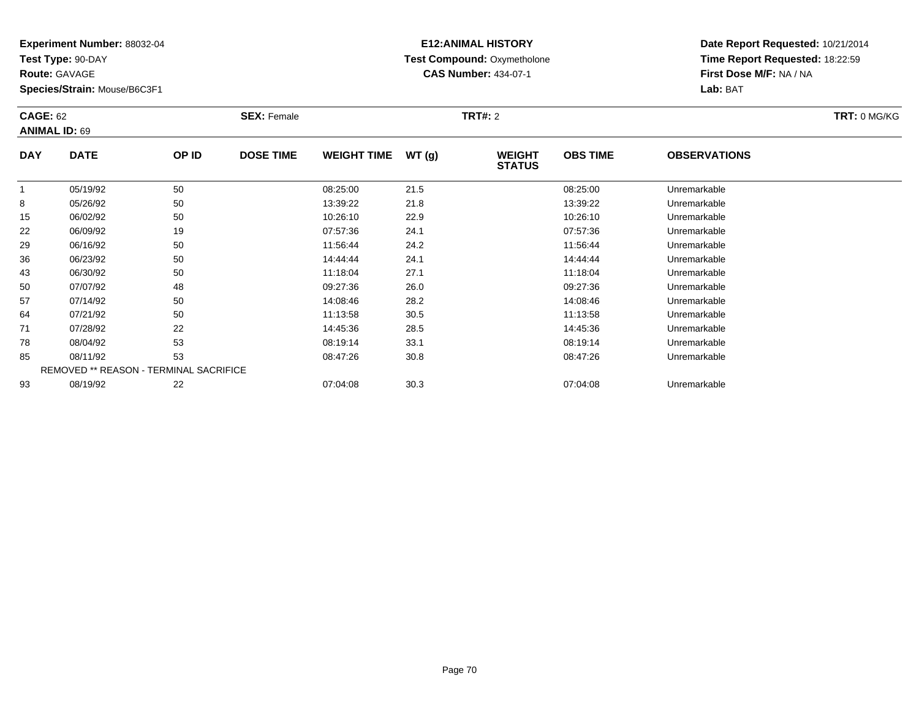**Test Type:** 90-DAY

**Route:** GAVAGE

**Species/Strain:** Mouse/B6C3F1

# **E12:ANIMAL HISTORY Test Compound:** Oxymetholone**CAS Number:** 434-07-1

| <b>CAGE: 62</b><br><b>ANIMAL ID: 69</b> |                                        | <b>SEX: Female</b> |                  |                    | <b>TRT#: 2</b> |                                |                 | TRT: 0 MG/KG        |  |
|-----------------------------------------|----------------------------------------|--------------------|------------------|--------------------|----------------|--------------------------------|-----------------|---------------------|--|
| <b>DAY</b>                              | <b>DATE</b>                            | OP ID              | <b>DOSE TIME</b> | <b>WEIGHT TIME</b> | WT(g)          | <b>WEIGHT</b><br><b>STATUS</b> | <b>OBS TIME</b> | <b>OBSERVATIONS</b> |  |
|                                         | 05/19/92                               | 50                 |                  | 08:25:00           | 21.5           |                                | 08:25:00        | Unremarkable        |  |
| 8                                       | 05/26/92                               | 50                 |                  | 13:39:22           | 21.8           |                                | 13:39:22        | Unremarkable        |  |
| 15                                      | 06/02/92                               | 50                 |                  | 10:26:10           | 22.9           |                                | 10:26:10        | Unremarkable        |  |
| 22                                      | 06/09/92                               | 19                 |                  | 07:57:36           | 24.1           |                                | 07:57:36        | Unremarkable        |  |
| 29                                      | 06/16/92                               | 50                 |                  | 11:56:44           | 24.2           |                                | 11:56:44        | Unremarkable        |  |
| 36                                      | 06/23/92                               | 50                 |                  | 14:44:44           | 24.1           |                                | 14:44:44        | Unremarkable        |  |
| 43                                      | 06/30/92                               | 50                 |                  | 11:18:04           | 27.1           |                                | 11:18:04        | Unremarkable        |  |
| 50                                      | 07/07/92                               | 48                 |                  | 09:27:36           | 26.0           |                                | 09:27:36        | Unremarkable        |  |
| 57                                      | 07/14/92                               | 50                 |                  | 14:08:46           | 28.2           |                                | 14:08:46        | Unremarkable        |  |
| 64                                      | 07/21/92                               | 50                 |                  | 11:13:58           | 30.5           |                                | 11:13:58        | Unremarkable        |  |
| 71                                      | 07/28/92                               | 22                 |                  | 14:45:36           | 28.5           |                                | 14:45:36        | Unremarkable        |  |
| 78                                      | 08/04/92                               | 53                 |                  | 08:19:14           | 33.1           |                                | 08:19:14        | Unremarkable        |  |
| 85                                      | 08/11/92                               | 53                 |                  | 08:47:26           | 30.8           |                                | 08:47:26        | Unremarkable        |  |
|                                         | REMOVED ** REASON - TERMINAL SACRIFICE |                    |                  |                    |                |                                |                 |                     |  |
| 93                                      | 08/19/92                               | 22                 |                  | 07:04:08           | 30.3           |                                | 07:04:08        | Unremarkable        |  |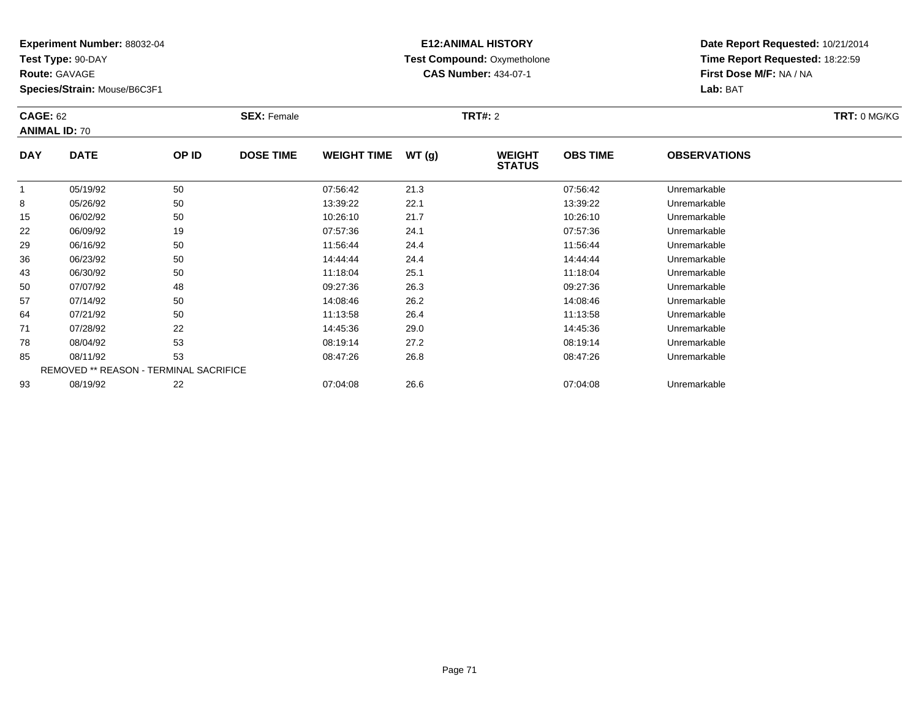**Test Type:** 90-DAY

**Route:** GAVAGE

**Species/Strain:** Mouse/B6C3F1

# **E12:ANIMAL HISTORY Test Compound:** Oxymetholone**CAS Number:** 434-07-1

**Date Report Requested:** 10/21/2014**Time Report Requested:** 18:22:59**First Dose M/F:** NA / NA**Lab:** BAT

| <b>CAGE: 62</b><br><b>ANIMAL ID: 70</b> |                                               | <b>SEX: Female</b> |                  |                    | <b>TRT#: 2</b> |                                |                 | TRT: 0 MG/KG        |  |
|-----------------------------------------|-----------------------------------------------|--------------------|------------------|--------------------|----------------|--------------------------------|-----------------|---------------------|--|
| <b>DAY</b>                              | <b>DATE</b>                                   | OP ID              | <b>DOSE TIME</b> | <b>WEIGHT TIME</b> | WT(g)          | <b>WEIGHT</b><br><b>STATUS</b> | <b>OBS TIME</b> | <b>OBSERVATIONS</b> |  |
|                                         | 05/19/92                                      | 50                 |                  | 07:56:42           | 21.3           |                                | 07:56:42        | Unremarkable        |  |
| 8                                       | 05/26/92                                      | 50                 |                  | 13:39:22           | 22.1           |                                | 13:39:22        | Unremarkable        |  |
| 15                                      | 06/02/92                                      | 50                 |                  | 10:26:10           | 21.7           |                                | 10:26:10        | Unremarkable        |  |
| 22                                      | 06/09/92                                      | 19                 |                  | 07:57:36           | 24.1           |                                | 07:57:36        | Unremarkable        |  |
| 29                                      | 06/16/92                                      | 50                 |                  | 11:56:44           | 24.4           |                                | 11:56:44        | Unremarkable        |  |
| 36                                      | 06/23/92                                      | 50                 |                  | 14:44:44           | 24.4           |                                | 14:44:44        | Unremarkable        |  |
| 43                                      | 06/30/92                                      | 50                 |                  | 11:18:04           | 25.1           |                                | 11:18:04        | Unremarkable        |  |
| 50                                      | 07/07/92                                      | 48                 |                  | 09:27:36           | 26.3           |                                | 09:27:36        | Unremarkable        |  |
| 57                                      | 07/14/92                                      | 50                 |                  | 14:08:46           | 26.2           |                                | 14:08:46        | Unremarkable        |  |
| 64                                      | 07/21/92                                      | 50                 |                  | 11:13:58           | 26.4           |                                | 11:13:58        | Unremarkable        |  |
| 71                                      | 07/28/92                                      | 22                 |                  | 14:45:36           | 29.0           |                                | 14:45:36        | Unremarkable        |  |
| 78                                      | 08/04/92                                      | 53                 |                  | 08:19:14           | 27.2           |                                | 08:19:14        | Unremarkable        |  |
| 85                                      | 08/11/92                                      | 53                 |                  | 08:47:26           | 26.8           |                                | 08:47:26        | Unremarkable        |  |
|                                         | <b>REMOVED ** REASON - TERMINAL SACRIFICE</b> |                    |                  |                    |                |                                |                 |                     |  |
| 93                                      | 08/19/92                                      | 22                 |                  | 07:04:08           | 26.6           |                                | 07:04:08        | Unremarkable        |  |

08/19/92 <sup>22</sup> 07:04:08 26.6 07:04:08 Unremarkable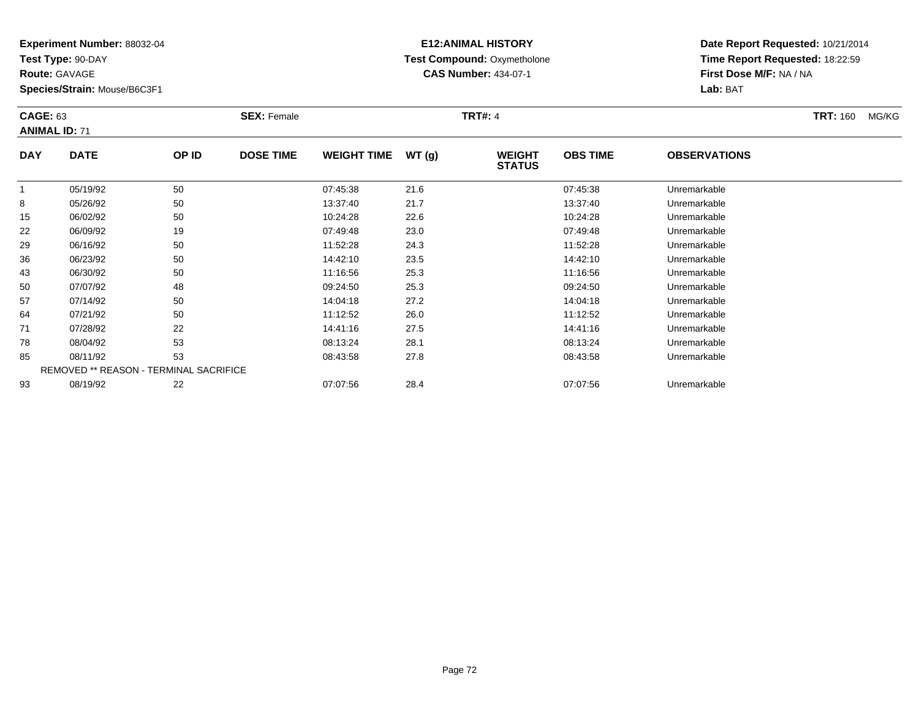**Test Type:** 90-DAY

**Route:** GAVAGE

93

**Species/Strain:** Mouse/B6C3F1

REMOVED \*\* REASON - TERMINAL SACRIFICE

## **E12:ANIMAL HISTORY Test Compound:** Oxymetholone**CAS Number:** 434-07-1

**Date Report Requested:** 10/21/2014**Time Report Requested:** 18:22:59**First Dose M/F:** NA / NA**Lab:** BAT

| <b>CAGE: 63</b><br><b>ANIMAL ID: 71</b> |             | <b>SEX: Female</b> |                  |                    | <b>TRT#: 4</b> |                                |                 | <b>TRT: 160</b>     | MG/KG |  |
|-----------------------------------------|-------------|--------------------|------------------|--------------------|----------------|--------------------------------|-----------------|---------------------|-------|--|
| <b>DAY</b>                              | <b>DATE</b> | OP ID              | <b>DOSE TIME</b> | <b>WEIGHT TIME</b> | WT(g)          | <b>WEIGHT</b><br><b>STATUS</b> | <b>OBS TIME</b> | <b>OBSERVATIONS</b> |       |  |
| 1                                       | 05/19/92    | 50                 |                  | 07:45:38           | 21.6           |                                | 07:45:38        | Unremarkable        |       |  |
| 8                                       | 05/26/92    | 50                 |                  | 13:37:40           | 21.7           |                                | 13:37:40        | Unremarkable        |       |  |
| 15                                      | 06/02/92    | 50                 |                  | 10:24:28           | 22.6           |                                | 10:24:28        | Unremarkable        |       |  |
| 22                                      | 06/09/92    | 19                 |                  | 07:49:48           | 23.0           |                                | 07:49:48        | Unremarkable        |       |  |
| 29                                      | 06/16/92    | 50                 |                  | 11:52:28           | 24.3           |                                | 11:52:28        | Unremarkable        |       |  |
| 36                                      | 06/23/92    | 50                 |                  | 14:42:10           | 23.5           |                                | 14:42:10        | Unremarkable        |       |  |
| 43                                      | 06/30/92    | 50                 |                  | 11:16:56           | 25.3           |                                | 11:16:56        | Unremarkable        |       |  |
| 50                                      | 07/07/92    | 48                 |                  | 09:24:50           | 25.3           |                                | 09:24:50        | Unremarkable        |       |  |
| 57                                      | 07/14/92    | 50                 |                  | 14:04:18           | 27.2           |                                | 14:04:18        | Unremarkable        |       |  |
| 64                                      | 07/21/92    | 50                 |                  | 11:12:52           | 26.0           |                                | 11:12:52        | Unremarkable        |       |  |
| 71                                      | 07/28/92    | 22                 |                  | 14:41:16           | 27.5           |                                | 14:41:16        | Unremarkable        |       |  |
| 78                                      | 08/04/92    | 53                 |                  | 08:13:24           | 28.1           |                                | 08:13:24        | Unremarkable        |       |  |
| 85                                      | 08/11/92    | 53                 |                  | 08:43:58           | 27.8           |                                | 08:43:58        | Unremarkable        |       |  |

08/11/92 <sup>53</sup> 08:43:58 27.8 08:43:58 Unremarkable

08/19/92 <sup>22</sup> 07:07:56 28.4 07:07:56 Unremarkable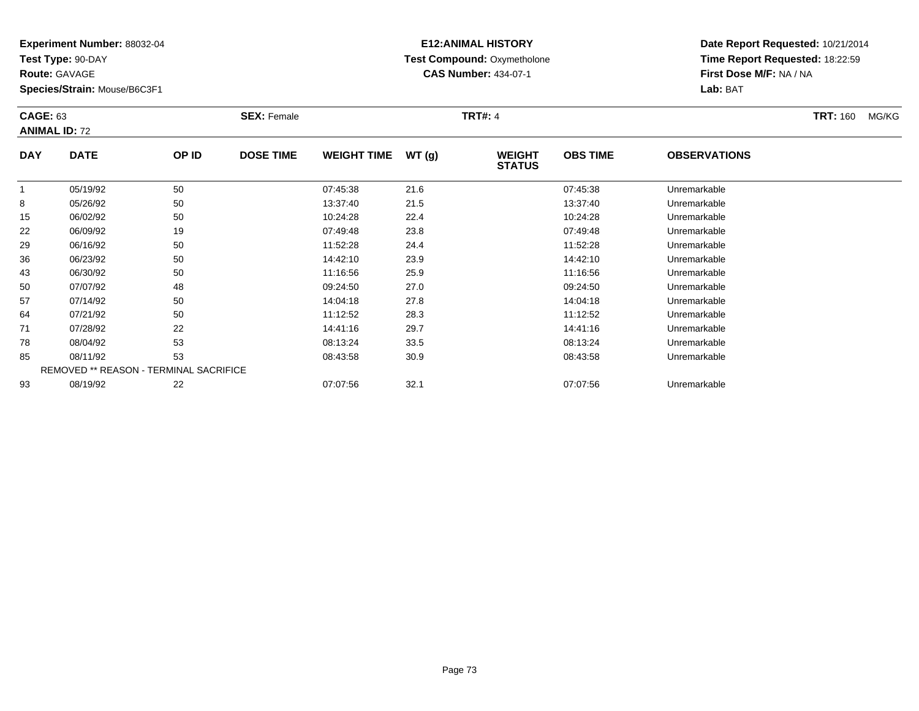**Test Type:** 90-DAY

**Route:** GAVAGE

71

78

85

93

**Species/Strain:** Mouse/B6C3F1

REMOVED \*\* REASON - TERMINAL SACRIFICE

## **E12:ANIMAL HISTORY Test Compound:** Oxymetholone**CAS Number:** 434-07-1

**Date Report Requested:** 10/21/2014**Time Report Requested:** 18:22:59**First Dose M/F:** NA / NA**Lab:** BAT

|            | <b>CAGE: 63</b><br><b>ANIMAL ID: 72</b> |       | <b>SEX: Female</b> |                    |       | <b>TRT#: 4</b>                 |                 | <b>TRT: 160</b>     | MG/KG |  |
|------------|-----------------------------------------|-------|--------------------|--------------------|-------|--------------------------------|-----------------|---------------------|-------|--|
| <b>DAY</b> | <b>DATE</b>                             | OP ID | <b>DOSE TIME</b>   | <b>WEIGHT TIME</b> | WT(g) | <b>WEIGHT</b><br><b>STATUS</b> | <b>OBS TIME</b> | <b>OBSERVATIONS</b> |       |  |
|            | 05/19/92                                | 50    |                    | 07:45:38           | 21.6  |                                | 07:45:38        | Unremarkable        |       |  |
| 8          | 05/26/92                                | 50    |                    | 13:37:40           | 21.5  |                                | 13:37:40        | Unremarkable        |       |  |
| 15         | 06/02/92                                | 50    |                    | 10:24:28           | 22.4  |                                | 10:24:28        | Unremarkable        |       |  |
| 22         | 06/09/92                                | 19    |                    | 07:49:48           | 23.8  |                                | 07:49:48        | Unremarkable        |       |  |
| 29         | 06/16/92                                | 50    |                    | 11:52:28           | 24.4  |                                | 11:52:28        | Unremarkable        |       |  |
| 36         | 06/23/92                                | 50    |                    | 14:42:10           | 23.9  |                                | 14:42:10        | Unremarkable        |       |  |
| 43         | 06/30/92                                | 50    |                    | 11:16:56           | 25.9  |                                | 11:16:56        | Unremarkable        |       |  |
| 50         | 07/07/92                                | 48    |                    | 09:24:50           | 27.0  |                                | 09:24:50        | Unremarkable        |       |  |
| 57         | 07/14/92                                | 50    |                    | 14:04:18           | 27.8  |                                | 14:04:18        | Unremarkable        |       |  |
| 64         | 07/21/92                                | 50    |                    | 11:12:52           | 28.3  |                                | 11:12:52        | Unremarkable        |       |  |

07/21/92 <sup>50</sup> 11:12:52 28.3 11:12:52 Unremarkable

07/28/92 <sup>22</sup> 14:41:16 29.7 14:41:16 Unremarkable

08/04/92 <sup>53</sup> 08:13:24 33.5 08:13:24 Unremarkable

08/11/92 <sup>53</sup> 08:43:58 30.9 08:43:58 Unremarkable

08/19/92 <sup>22</sup> 07:07:56 32.1 07:07:56 Unremarkable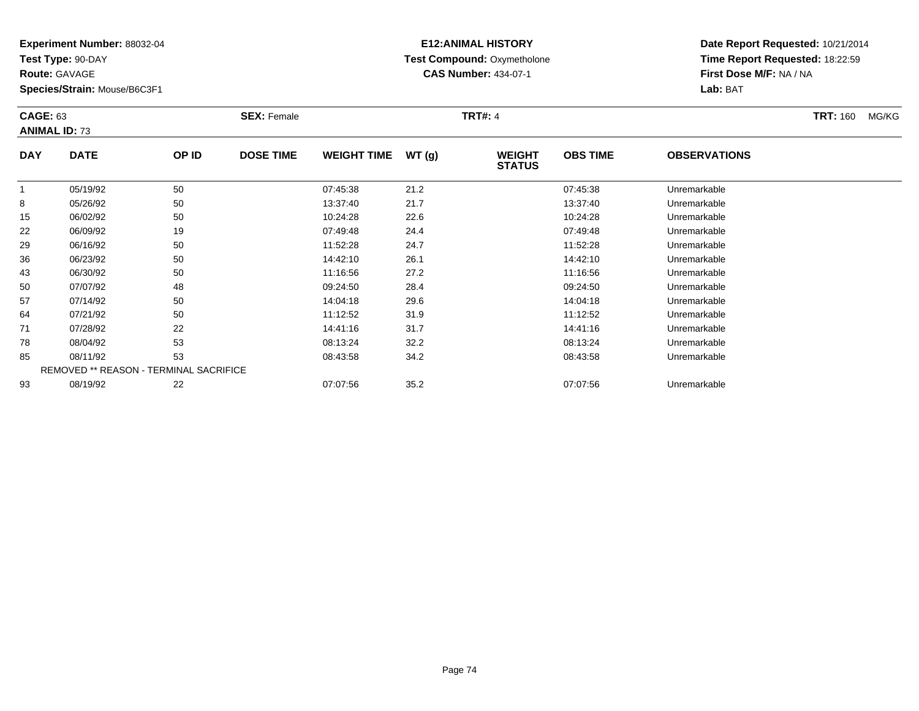**Test Type:** 90-DAY

**Route:** GAVAGE

93

**Species/Strain:** Mouse/B6C3F1

# **E12:ANIMAL HISTORY Test Compound:** Oxymetholone**CAS Number:** 434-07-1

**Date Report Requested:** 10/21/2014**Time Report Requested:** 18:22:59**First Dose M/F:** NA / NA**Lab:** BAT

| <b>CAGE: 63</b> | <b>ANIMAL ID: 73</b>                   |       | <b>SEX: Female</b> |                    |       | <b>TRT#: 4</b>                 |                 |                     | <b>TRT: 160</b> | MG/KG |
|-----------------|----------------------------------------|-------|--------------------|--------------------|-------|--------------------------------|-----------------|---------------------|-----------------|-------|
| <b>DAY</b>      | <b>DATE</b>                            | OP ID | <b>DOSE TIME</b>   | <b>WEIGHT TIME</b> | WT(g) | <b>WEIGHT</b><br><b>STATUS</b> | <b>OBS TIME</b> | <b>OBSERVATIONS</b> |                 |       |
|                 | 05/19/92                               | 50    |                    | 07:45:38           | 21.2  |                                | 07:45:38        | Unremarkable        |                 |       |
| 8               | 05/26/92                               | 50    |                    | 13:37:40           | 21.7  |                                | 13:37:40        | Unremarkable        |                 |       |
| 15              | 06/02/92                               | 50    |                    | 10:24:28           | 22.6  |                                | 10:24:28        | Unremarkable        |                 |       |
| 22              | 06/09/92                               | 19    |                    | 07:49:48           | 24.4  |                                | 07:49:48        | Unremarkable        |                 |       |
| 29              | 06/16/92                               | 50    |                    | 11:52:28           | 24.7  |                                | 11:52:28        | Unremarkable        |                 |       |
| 36              | 06/23/92                               | 50    |                    | 14:42:10           | 26.1  |                                | 14:42:10        | Unremarkable        |                 |       |
| 43              | 06/30/92                               | 50    |                    | 11:16:56           | 27.2  |                                | 11:16:56        | Unremarkable        |                 |       |
| 50              | 07/07/92                               | 48    |                    | 09:24:50           | 28.4  |                                | 09:24:50        | Unremarkable        |                 |       |
| 57              | 07/14/92                               | 50    |                    | 14:04:18           | 29.6  |                                | 14:04:18        | Unremarkable        |                 |       |
| 64              | 07/21/92                               | 50    |                    | 11:12:52           | 31.9  |                                | 11:12:52        | Unremarkable        |                 |       |
| 71              | 07/28/92                               | 22    |                    | 14:41:16           | 31.7  |                                | 14:41:16        | Unremarkable        |                 |       |
| 78              | 08/04/92                               | 53    |                    | 08:13:24           | 32.2  |                                | 08:13:24        | Unremarkable        |                 |       |
| 85              | 08/11/92                               | 53    |                    | 08:43:58           | 34.2  |                                | 08:43:58        | Unremarkable        |                 |       |
|                 | REMOVED ** REASON - TERMINAL SACRIFICE |       |                    |                    |       |                                |                 |                     |                 |       |

08/19/92 <sup>22</sup> 07:07:56 35.2 07:07:56 Unremarkable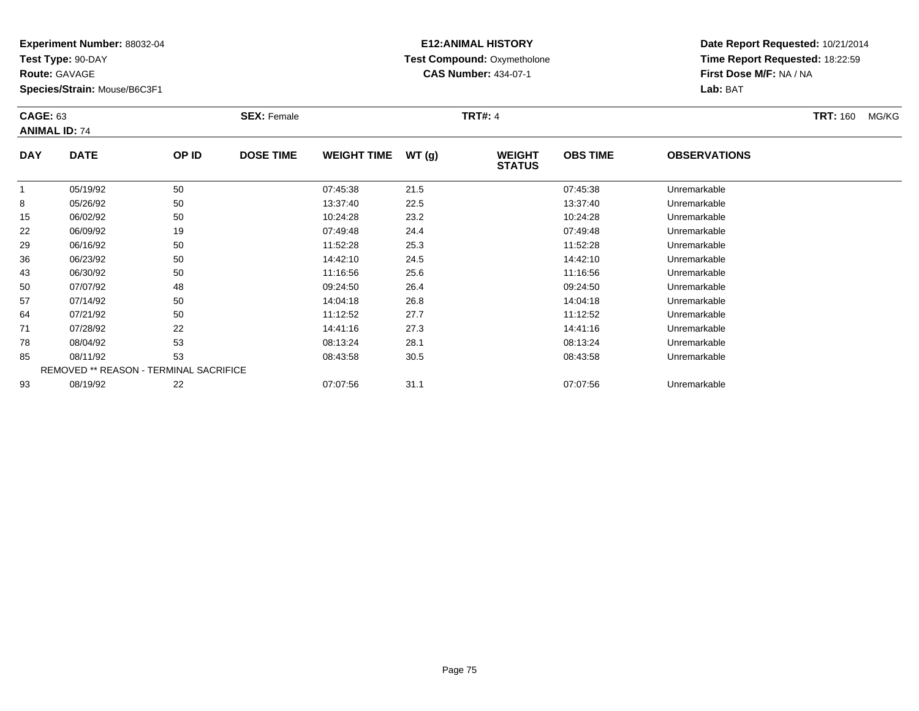**Test Type:** 90-DAY

**Route:** GAVAGE

93

**Species/Strain:** Mouse/B6C3F1

REMOVED \*\* REASON - TERMINAL SACRIFICE

## **E12:ANIMAL HISTORY Test Compound:** Oxymetholone**CAS Number:** 434-07-1

**Date Report Requested:** 10/21/2014**Time Report Requested:** 18:22:59**First Dose M/F:** NA / NA**Lab:** BAT

| <b>CAGE: 63</b><br><b>ANIMAL ID: 74</b> |             |       | <b>SEX: Female</b> |                    |       | <b>TRT#: 4</b>                 |                 |                     | <b>TRT: 160</b> | MG/KG |
|-----------------------------------------|-------------|-------|--------------------|--------------------|-------|--------------------------------|-----------------|---------------------|-----------------|-------|
| <b>DAY</b>                              | <b>DATE</b> | OP ID | <b>DOSE TIME</b>   | <b>WEIGHT TIME</b> | WT(g) | <b>WEIGHT</b><br><b>STATUS</b> | <b>OBS TIME</b> | <b>OBSERVATIONS</b> |                 |       |
|                                         | 05/19/92    | 50    |                    | 07:45:38           | 21.5  |                                | 07:45:38        | Unremarkable        |                 |       |
| 8                                       | 05/26/92    | 50    |                    | 13:37:40           | 22.5  |                                | 13:37:40        | Unremarkable        |                 |       |
| 15                                      | 06/02/92    | 50    |                    | 10:24:28           | 23.2  |                                | 10:24:28        | Unremarkable        |                 |       |
| 22                                      | 06/09/92    | 19    |                    | 07:49:48           | 24.4  |                                | 07:49:48        | Unremarkable        |                 |       |
| 29                                      | 06/16/92    | 50    |                    | 11:52:28           | 25.3  |                                | 11:52:28        | Unremarkable        |                 |       |
| 36                                      | 06/23/92    | 50    |                    | 14:42:10           | 24.5  |                                | 14:42:10        | Unremarkable        |                 |       |
| 43                                      | 06/30/92    | 50    |                    | 11:16:56           | 25.6  |                                | 11:16:56        | Unremarkable        |                 |       |
| 50                                      | 07/07/92    | 48    |                    | 09:24:50           | 26.4  |                                | 09:24:50        | Unremarkable        |                 |       |
| 57                                      | 07/14/92    | 50    |                    | 14:04:18           | 26.8  |                                | 14:04:18        | Unremarkable        |                 |       |
| 64                                      | 07/21/92    | 50    |                    | 11:12:52           | 27.7  |                                | 11:12:52        | Unremarkable        |                 |       |
| 71                                      | 07/28/92    | 22    |                    | 14:41:16           | 27.3  |                                | 14:41:16        | Unremarkable        |                 |       |
| 78                                      | 08/04/92    | 53    |                    | 08:13:24           | 28.1  |                                | 08:13:24        | Unremarkable        |                 |       |
| 85                                      | 08/11/92    | 53    |                    | 08:43:58           | 30.5  |                                | 08:43:58        | Unremarkable        |                 |       |

08/19/92 <sup>22</sup> 07:07:56 31.1 07:07:56 Unremarkable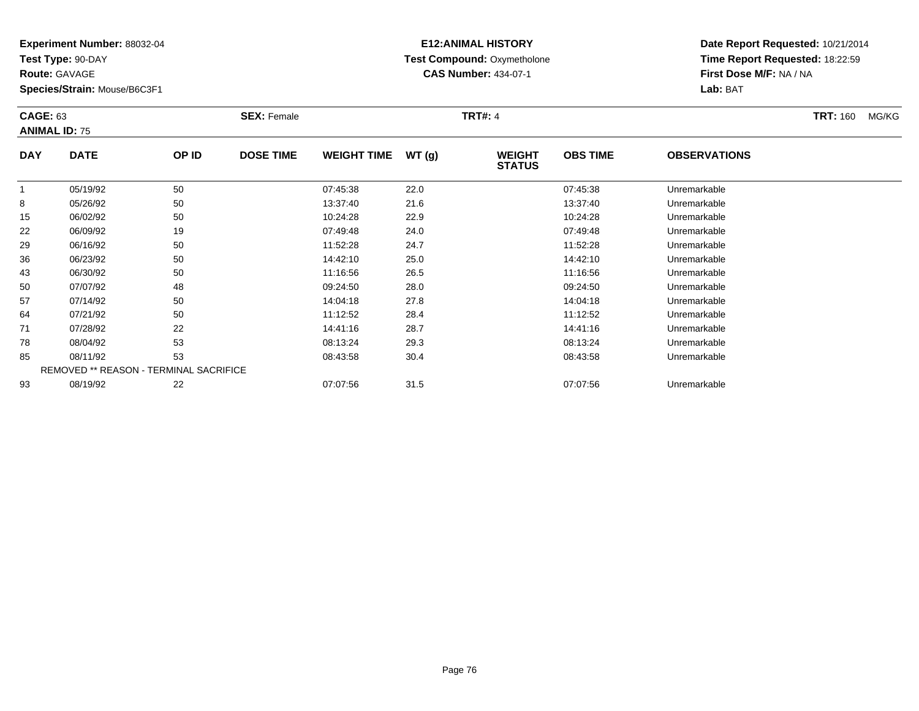**Test Type:** 90-DAY

**Route:** GAVAGE

93

**Species/Strain:** Mouse/B6C3F1

# **E12:ANIMAL HISTORY Test Compound:** Oxymetholone**CAS Number:** 434-07-1

**Date Report Requested:** 10/21/2014**Time Report Requested:** 18:22:59**First Dose M/F:** NA / NA**Lab:** BAT

| <b>CAGE: 63</b><br><b>ANIMAL ID: 75</b> |             |                                               | <b>SEX: Female</b> |                    |       | <b>TRT#: 4</b>                 |                 |                     | <b>TRT: 160</b><br>MG/KG |
|-----------------------------------------|-------------|-----------------------------------------------|--------------------|--------------------|-------|--------------------------------|-----------------|---------------------|--------------------------|
| <b>DAY</b>                              | <b>DATE</b> | OP ID                                         | <b>DOSE TIME</b>   | <b>WEIGHT TIME</b> | WT(g) | <b>WEIGHT</b><br><b>STATUS</b> | <b>OBS TIME</b> | <b>OBSERVATIONS</b> |                          |
| 1                                       | 05/19/92    | 50                                            |                    | 07:45:38           | 22.0  |                                | 07:45:38        | Unremarkable        |                          |
| 8                                       | 05/26/92    | 50                                            |                    | 13:37:40           | 21.6  |                                | 13:37:40        | Unremarkable        |                          |
| 15                                      | 06/02/92    | 50                                            |                    | 10:24:28           | 22.9  |                                | 10:24:28        | Unremarkable        |                          |
| 22                                      | 06/09/92    | 19                                            |                    | 07:49:48           | 24.0  |                                | 07:49:48        | Unremarkable        |                          |
| 29                                      | 06/16/92    | 50                                            |                    | 11:52:28           | 24.7  |                                | 11:52:28        | Unremarkable        |                          |
| 36                                      | 06/23/92    | 50                                            |                    | 14:42:10           | 25.0  |                                | 14:42:10        | Unremarkable        |                          |
| 43                                      | 06/30/92    | 50                                            |                    | 11:16:56           | 26.5  |                                | 11:16:56        | Unremarkable        |                          |
| 50                                      | 07/07/92    | 48                                            |                    | 09:24:50           | 28.0  |                                | 09:24:50        | Unremarkable        |                          |
| 57                                      | 07/14/92    | 50                                            |                    | 14:04:18           | 27.8  |                                | 14:04:18        | Unremarkable        |                          |
| 64                                      | 07/21/92    | 50                                            |                    | 11:12:52           | 28.4  |                                | 11:12:52        | Unremarkable        |                          |
| 71                                      | 07/28/92    | 22                                            |                    | 14:41:16           | 28.7  |                                | 14:41:16        | Unremarkable        |                          |
| 78                                      | 08/04/92    | 53                                            |                    | 08:13:24           | 29.3  |                                | 08:13:24        | Unremarkable        |                          |
| 85                                      | 08/11/92    | 53                                            |                    | 08:43:58           | 30.4  |                                | 08:43:58        | Unremarkable        |                          |
|                                         |             | <b>REMOVED ** REASON - TERMINAL SACRIFICE</b> |                    |                    |       |                                |                 |                     |                          |

08/19/92 <sup>22</sup> 07:07:56 31.5 07:07:56 Unremarkable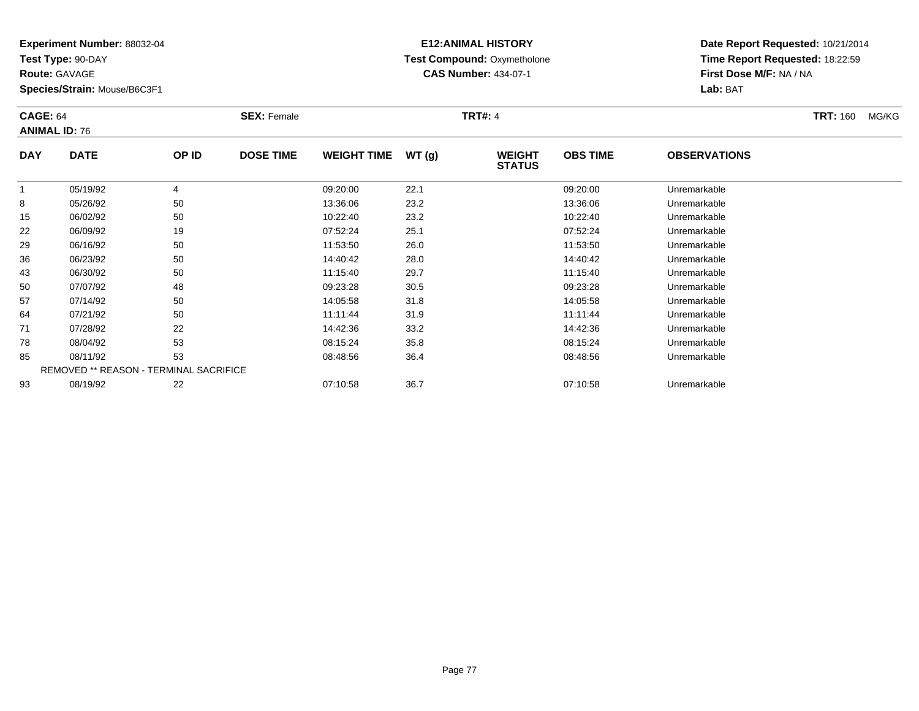**Test Type:** 90-DAY

**Route:** GAVAGE

93

**Species/Strain:** Mouse/B6C3F1

REMOVED \*\* REASON - TERMINAL SACRIFICE

## **E12:ANIMAL HISTORY Test Compound:** Oxymetholone**CAS Number:** 434-07-1

**Date Report Requested:** 10/21/2014**Time Report Requested:** 18:22:59**First Dose M/F:** NA / NA**Lab:** BAT

|            | <b>CAGE: 64</b><br><b>ANIMAL ID: 76</b> |       | <b>SEX: Female</b> |                    |       | <b>TRT#: 4</b>                 |                 |                     |  |  |
|------------|-----------------------------------------|-------|--------------------|--------------------|-------|--------------------------------|-----------------|---------------------|--|--|
| <b>DAY</b> | <b>DATE</b>                             | OP ID | <b>DOSE TIME</b>   | <b>WEIGHT TIME</b> | WT(g) | <b>WEIGHT</b><br><b>STATUS</b> | <b>OBS TIME</b> | <b>OBSERVATIONS</b> |  |  |
|            | 05/19/92                                | 4     |                    | 09:20:00           | 22.1  |                                | 09:20:00        | Unremarkable        |  |  |
| 8          | 05/26/92                                | 50    |                    | 13:36:06           | 23.2  |                                | 13:36:06        | Unremarkable        |  |  |
| 15         | 06/02/92                                | 50    |                    | 10:22:40           | 23.2  |                                | 10:22:40        | Unremarkable        |  |  |
| 22         | 06/09/92                                | 19    |                    | 07:52:24           | 25.1  |                                | 07:52:24        | Unremarkable        |  |  |
| 29         | 06/16/92                                | 50    |                    | 11:53:50           | 26.0  |                                | 11:53:50        | Unremarkable        |  |  |
| 36         | 06/23/92                                | 50    |                    | 14:40:42           | 28.0  |                                | 14:40:42        | Unremarkable        |  |  |
| 43         | 06/30/92                                | 50    |                    | 11:15:40           | 29.7  |                                | 11:15:40        | Unremarkable        |  |  |
| 50         | 07/07/92                                | 48    |                    | 09:23:28           | 30.5  |                                | 09:23:28        | Unremarkable        |  |  |
| 57         | 07/14/92                                | 50    |                    | 14:05:58           | 31.8  |                                | 14:05:58        | Unremarkable        |  |  |
| 64         | 07/21/92                                | 50    |                    | 11:11:44           | 31.9  |                                | 11:11:44        | Unremarkable        |  |  |
| 71         | 07/28/92                                | 22    |                    | 14:42:36           | 33.2  |                                | 14:42:36        | Unremarkable        |  |  |
| 78         | 08/04/92                                | 53    |                    | 08:15:24           | 35.8  |                                | 08:15:24        | Unremarkable        |  |  |
| 85         | 08/11/92                                | 53    |                    | 08:48:56           | 36.4  |                                | 08:48:56        | Unremarkable        |  |  |

08/19/92 <sup>22</sup> 07:10:58 36.7 07:10:58 Unremarkable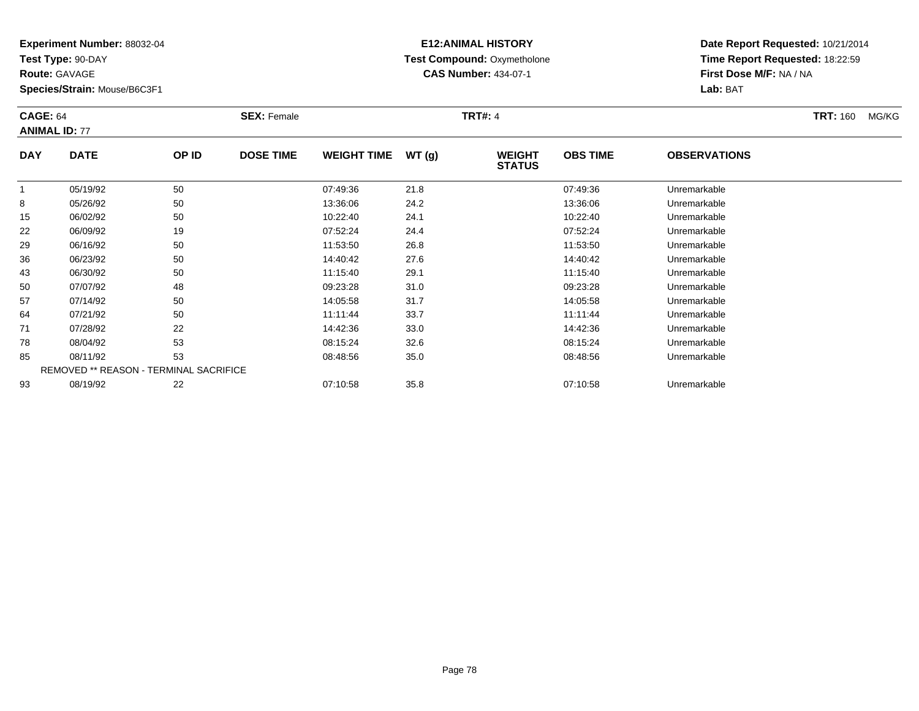**Test Type:** 90-DAY

**Route:** GAVAGE

71

78

85

93

**Species/Strain:** Mouse/B6C3F1

REMOVED \*\* REASON - TERMINAL SACRIFICE

## **E12:ANIMAL HISTORY Test Compound:** Oxymetholone**CAS Number:** 434-07-1

**Date Report Requested:** 10/21/2014**Time Report Requested:** 18:22:59**First Dose M/F:** NA / NA**Lab:** BAT

|            | <b>CAGE: 64</b><br><b>ANIMAL ID: 77</b> |       | <b>SEX: Female</b> |                    |       | <b>TRT#: 4</b>                 |                 | <b>TRT: 160</b>     | MG/KG |  |
|------------|-----------------------------------------|-------|--------------------|--------------------|-------|--------------------------------|-----------------|---------------------|-------|--|
| <b>DAY</b> | <b>DATE</b>                             | OP ID | <b>DOSE TIME</b>   | <b>WEIGHT TIME</b> | WT(g) | <b>WEIGHT</b><br><b>STATUS</b> | <b>OBS TIME</b> | <b>OBSERVATIONS</b> |       |  |
|            | 05/19/92                                | 50    |                    | 07:49:36           | 21.8  |                                | 07:49:36        | Unremarkable        |       |  |
| 8          | 05/26/92                                | 50    |                    | 13:36:06           | 24.2  |                                | 13:36:06        | Unremarkable        |       |  |
| 15         | 06/02/92                                | 50    |                    | 10:22:40           | 24.1  |                                | 10:22:40        | Unremarkable        |       |  |
| 22         | 06/09/92                                | 19    |                    | 07:52:24           | 24.4  |                                | 07:52:24        | Unremarkable        |       |  |
| 29         | 06/16/92                                | 50    |                    | 11:53:50           | 26.8  |                                | 11:53:50        | Unremarkable        |       |  |
| 36         | 06/23/92                                | 50    |                    | 14:40:42           | 27.6  |                                | 14:40:42        | Unremarkable        |       |  |
| 43         | 06/30/92                                | 50    |                    | 11:15:40           | 29.1  |                                | 11:15:40        | Unremarkable        |       |  |
| 50         | 07/07/92                                | 48    |                    | 09:23:28           | 31.0  |                                | 09:23:28        | Unremarkable        |       |  |
| 57         | 07/14/92                                | 50    |                    | 14:05:58           | 31.7  |                                | 14:05:58        | Unremarkable        |       |  |
| 64         | 07/21/92                                | 50    |                    | 11:11:44           | 33.7  |                                | 11:11:44        | Unremarkable        |       |  |

07/28/92 <sup>22</sup> 14:42:36 33.0 14:42:36 Unremarkable

08/04/92 <sup>53</sup> 08:15:24 32.6 08:15:24 Unremarkable

08/11/92 <sup>53</sup> 08:48:56 35.0 08:48:56 Unremarkable

08/19/92 <sup>22</sup> 07:10:58 35.8 07:10:58 Unremarkable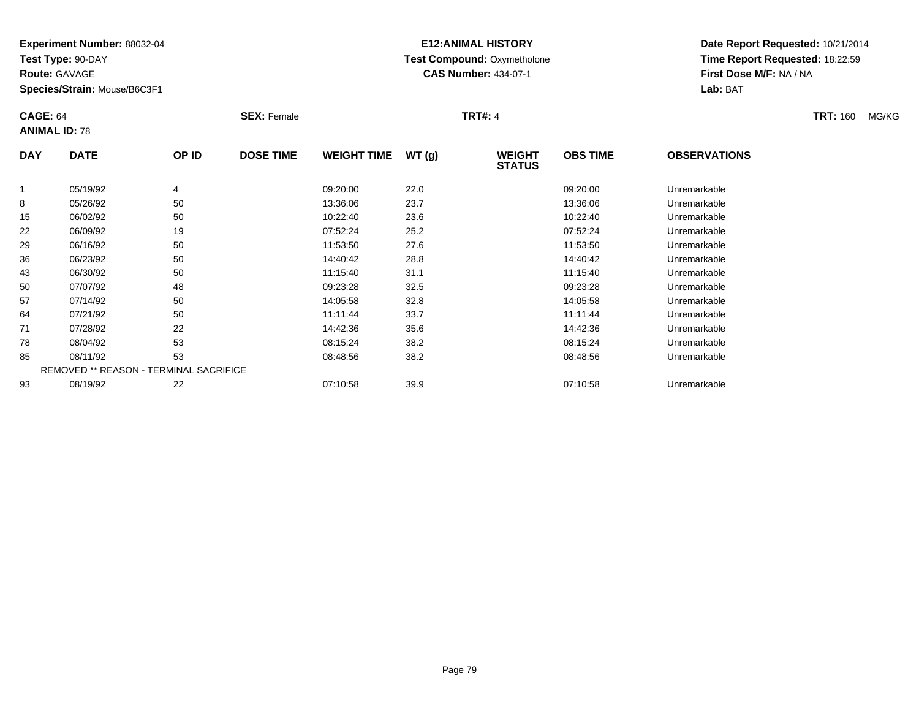**Test Type:** 90-DAY

**Route:** GAVAGE

93

**Species/Strain:** Mouse/B6C3F1

REMOVED \*\* REASON - TERMINAL SACRIFICE

## **E12:ANIMAL HISTORY Test Compound:** Oxymetholone**CAS Number:** 434-07-1

**Date Report Requested:** 10/21/2014**Time Report Requested:** 18:22:59**First Dose M/F:** NA / NA**Lab:** BAT

|            | <b>CAGE: 64</b><br><b>ANIMAL ID: 78</b> |                | <b>SEX: Female</b> |                    | <b>TRT#: 4</b> |                                | <b>TRT: 160</b> | MG/KG               |  |  |
|------------|-----------------------------------------|----------------|--------------------|--------------------|----------------|--------------------------------|-----------------|---------------------|--|--|
| <b>DAY</b> | <b>DATE</b>                             | OP ID          | <b>DOSE TIME</b>   | <b>WEIGHT TIME</b> | WT(g)          | <b>WEIGHT</b><br><b>STATUS</b> | <b>OBS TIME</b> | <b>OBSERVATIONS</b> |  |  |
|            | 05/19/92                                | $\overline{4}$ |                    | 09:20:00           | 22.0           |                                | 09:20:00        | Unremarkable        |  |  |
| 8          | 05/26/92                                | 50             |                    | 13:36:06           | 23.7           |                                | 13:36:06        | Unremarkable        |  |  |
| 15         | 06/02/92                                | 50             |                    | 10:22:40           | 23.6           |                                | 10:22:40        | Unremarkable        |  |  |
| 22         | 06/09/92                                | 19             |                    | 07:52:24           | 25.2           |                                | 07:52:24        | Unremarkable        |  |  |
| 29         | 06/16/92                                | 50             |                    | 11:53:50           | 27.6           |                                | 11:53:50        | Unremarkable        |  |  |
| 36         | 06/23/92                                | 50             |                    | 14:40:42           | 28.8           |                                | 14:40:42        | Unremarkable        |  |  |
| 43         | 06/30/92                                | 50             |                    | 11:15:40           | 31.1           |                                | 11:15:40        | Unremarkable        |  |  |
| 50         | 07/07/92                                | 48             |                    | 09:23:28           | 32.5           |                                | 09:23:28        | Unremarkable        |  |  |
| 57         | 07/14/92                                | 50             |                    | 14:05:58           | 32.8           |                                | 14:05:58        | Unremarkable        |  |  |
| 64         | 07/21/92                                | 50             |                    | 11:11:44           | 33.7           |                                | 11:11:44        | Unremarkable        |  |  |
| 71         | 07/28/92                                | 22             |                    | 14:42:36           | 35.6           |                                | 14:42:36        | Unremarkable        |  |  |
| 78         | 08/04/92                                | 53             |                    | 08:15:24           | 38.2           |                                | 08:15:24        | Unremarkable        |  |  |
| 85         | 08/11/92                                | 53             |                    | 08:48:56           | 38.2           |                                | 08:48:56        | Unremarkable        |  |  |

08/11/92 <sup>53</sup> 08:48:56 38.2 08:48:56 Unremarkable

08/19/92 <sup>22</sup> 07:10:58 39.9 07:10:58 Unremarkable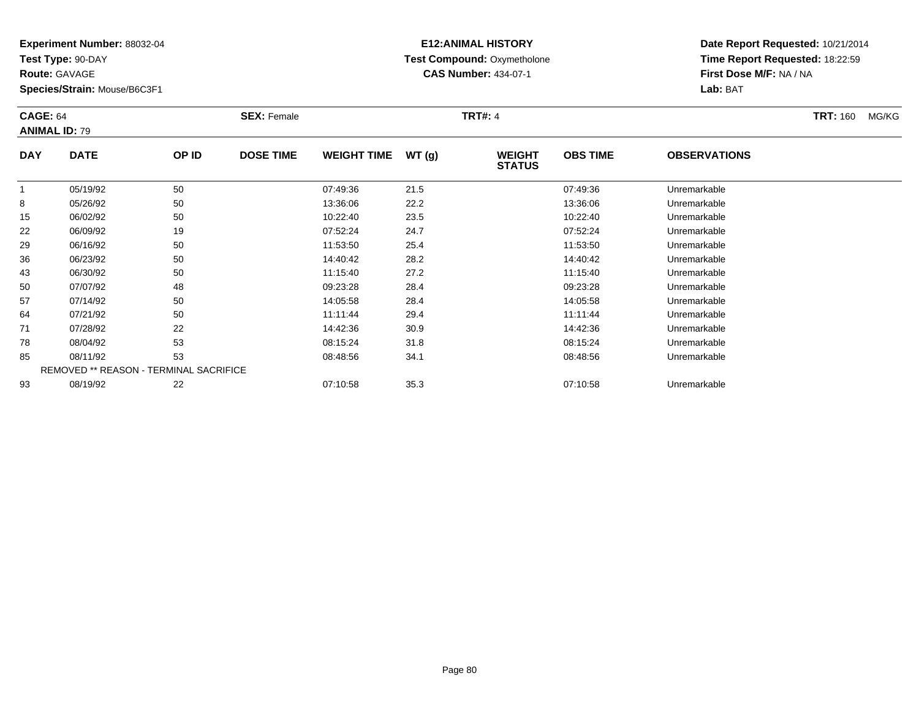**Test Type:** 90-DAY

**Route:** GAVAGE

93

**Species/Strain:** Mouse/B6C3F1

REMOVED \*\* REASON - TERMINAL SACRIFICE

## **E12:ANIMAL HISTORY Test Compound:** Oxymetholone**CAS Number:** 434-07-1

**Date Report Requested:** 10/21/2014**Time Report Requested:** 18:22:59**First Dose M/F:** NA / NA**Lab:** BAT

| <b>CAGE: 64</b><br><b>ANIMAL ID: 79</b> |             |       | <b>SEX: Female</b> |                    |       | <b>TRT#: 4</b>                 |                 |                     | <b>TRT: 160</b> | MG/KG |
|-----------------------------------------|-------------|-------|--------------------|--------------------|-------|--------------------------------|-----------------|---------------------|-----------------|-------|
| <b>DAY</b>                              | <b>DATE</b> | OP ID | <b>DOSE TIME</b>   | <b>WEIGHT TIME</b> | WT(g) | <b>WEIGHT</b><br><b>STATUS</b> | <b>OBS TIME</b> | <b>OBSERVATIONS</b> |                 |       |
|                                         | 05/19/92    | 50    |                    | 07:49:36           | 21.5  |                                | 07:49:36        | Unremarkable        |                 |       |
| 8                                       | 05/26/92    | 50    |                    | 13:36:06           | 22.2  |                                | 13:36:06        | Unremarkable        |                 |       |
| 15                                      | 06/02/92    | 50    |                    | 10:22:40           | 23.5  |                                | 10:22:40        | Unremarkable        |                 |       |
| 22                                      | 06/09/92    | 19    |                    | 07:52:24           | 24.7  |                                | 07:52:24        | Unremarkable        |                 |       |
| 29                                      | 06/16/92    | 50    |                    | 11:53:50           | 25.4  |                                | 11:53:50        | Unremarkable        |                 |       |
| 36                                      | 06/23/92    | 50    |                    | 14:40:42           | 28.2  |                                | 14:40:42        | Unremarkable        |                 |       |
| 43                                      | 06/30/92    | 50    |                    | 11:15:40           | 27.2  |                                | 11:15:40        | Unremarkable        |                 |       |
| 50                                      | 07/07/92    | 48    |                    | 09:23:28           | 28.4  |                                | 09:23:28        | Unremarkable        |                 |       |
| 57                                      | 07/14/92    | 50    |                    | 14:05:58           | 28.4  |                                | 14:05:58        | Unremarkable        |                 |       |
| 64                                      | 07/21/92    | 50    |                    | 11:11:44           | 29.4  |                                | 11:11:44        | Unremarkable        |                 |       |
| 71                                      | 07/28/92    | 22    |                    | 14:42:36           | 30.9  |                                | 14:42:36        | Unremarkable        |                 |       |
| 78                                      | 08/04/92    | 53    |                    | 08:15:24           | 31.8  |                                | 08:15:24        | Unremarkable        |                 |       |
| 85                                      | 08/11/92    | 53    |                    | 08:48:56           | 34.1  |                                | 08:48:56        | Unremarkable        |                 |       |

08/19/92 <sup>22</sup> 07:10:58 35.3 07:10:58 Unremarkable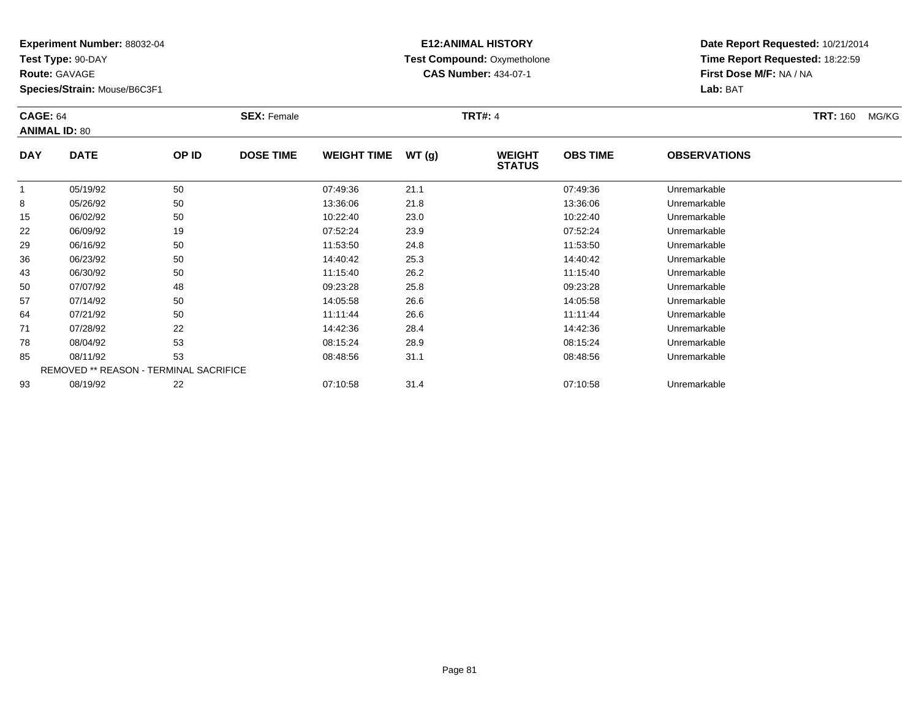**Test Type:** 90-DAY

**Route:** GAVAGE

93

**Species/Strain:** Mouse/B6C3F1

REMOVED \*\* REASON - TERMINAL SACRIFICE

## **E12:ANIMAL HISTORY Test Compound:** Oxymetholone**CAS Number:** 434-07-1

**Date Report Requested:** 10/21/2014**Time Report Requested:** 18:22:59**First Dose M/F:** NA / NA**Lab:** BAT

|            | <b>CAGE: 64</b><br><b>ANIMAL ID: 80</b> |       | <b>SEX: Female</b> |                    |       | <b>TRT#: 4</b>                 |                 | <b>TRT: 160</b>     | MG/KG |  |
|------------|-----------------------------------------|-------|--------------------|--------------------|-------|--------------------------------|-----------------|---------------------|-------|--|
| <b>DAY</b> | <b>DATE</b>                             | OP ID | <b>DOSE TIME</b>   | <b>WEIGHT TIME</b> | WT(g) | <b>WEIGHT</b><br><b>STATUS</b> | <b>OBS TIME</b> | <b>OBSERVATIONS</b> |       |  |
|            | 05/19/92                                | 50    |                    | 07:49:36           | 21.1  |                                | 07:49:36        | Unremarkable        |       |  |
| 8          | 05/26/92                                | 50    |                    | 13:36:06           | 21.8  |                                | 13:36:06        | Unremarkable        |       |  |
| 15         | 06/02/92                                | 50    |                    | 10:22:40           | 23.0  |                                | 10:22:40        | Unremarkable        |       |  |
| 22         | 06/09/92                                | 19    |                    | 07:52:24           | 23.9  |                                | 07:52:24        | Unremarkable        |       |  |
| 29         | 06/16/92                                | 50    |                    | 11:53:50           | 24.8  |                                | 11:53:50        | Unremarkable        |       |  |
| 36         | 06/23/92                                | 50    |                    | 14:40:42           | 25.3  |                                | 14:40:42        | Unremarkable        |       |  |
| 43         | 06/30/92                                | 50    |                    | 11:15:40           | 26.2  |                                | 11:15:40        | Unremarkable        |       |  |
| 50         | 07/07/92                                | 48    |                    | 09:23:28           | 25.8  |                                | 09:23:28        | Unremarkable        |       |  |
| 57         | 07/14/92                                | 50    |                    | 14:05:58           | 26.6  |                                | 14:05:58        | Unremarkable        |       |  |
| 64         | 07/21/92                                | 50    |                    | 11:11:44           | 26.6  |                                | 11:11:44        | Unremarkable        |       |  |
| 71         | 07/28/92                                | 22    |                    | 14:42:36           | 28.4  |                                | 14:42:36        | Unremarkable        |       |  |
| 78         | 08/04/92                                | 53    |                    | 08:15:24           | 28.9  |                                | 08:15:24        | Unremarkable        |       |  |
| 85         | 08/11/92                                | 53    |                    | 08:48:56           | 31.1  |                                | 08:48:56        | Unremarkable        |       |  |

08/19/92 <sup>22</sup> 07:10:58 31.4 07:10:58 Unremarkable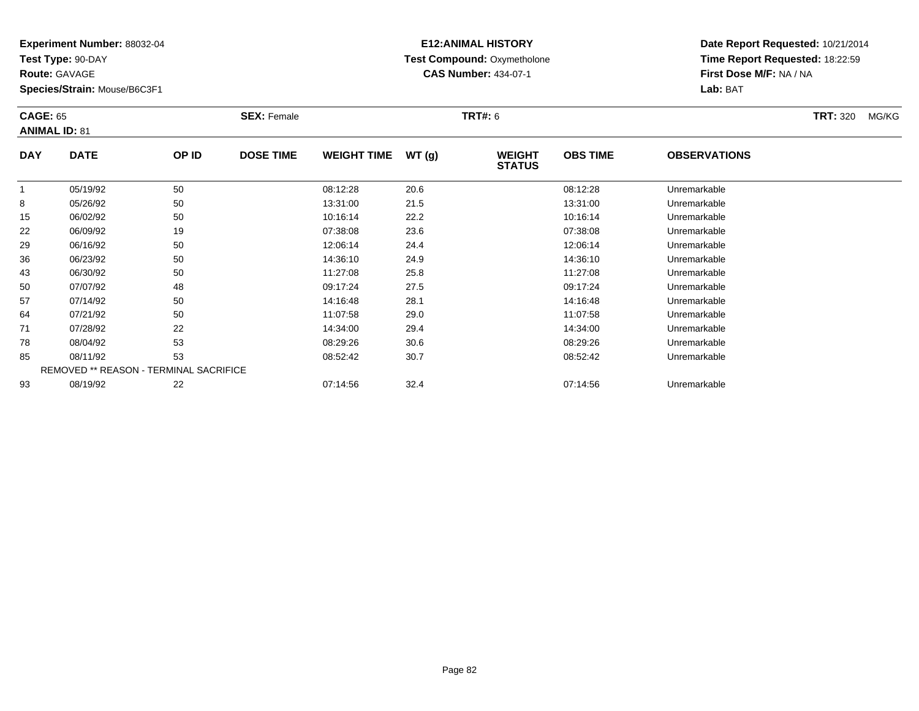**Test Type:** 90-DAY

**Route:** GAVAGE

93

**Species/Strain:** Mouse/B6C3F1

# **E12:ANIMAL HISTORY Test Compound:** Oxymetholone**CAS Number:** 434-07-1

**Date Report Requested:** 10/21/2014**Time Report Requested:** 18:22:59**First Dose M/F:** NA / NA**Lab:** BAT

| <b>CAGE: 65</b><br><b>ANIMAL ID: 81</b> |             |                                               | <b>SEX: Female</b> |                    |       | <b>TRT#: 6</b>                 |                 |                     | <b>TRT: 320</b> | MG/KG |
|-----------------------------------------|-------------|-----------------------------------------------|--------------------|--------------------|-------|--------------------------------|-----------------|---------------------|-----------------|-------|
| <b>DAY</b>                              | <b>DATE</b> | OP ID                                         | <b>DOSE TIME</b>   | <b>WEIGHT TIME</b> | WT(g) | <b>WEIGHT</b><br><b>STATUS</b> | <b>OBS TIME</b> | <b>OBSERVATIONS</b> |                 |       |
| 1                                       | 05/19/92    | 50                                            |                    | 08:12:28           | 20.6  |                                | 08:12:28        | Unremarkable        |                 |       |
| 8                                       | 05/26/92    | 50                                            |                    | 13:31:00           | 21.5  |                                | 13:31:00        | Unremarkable        |                 |       |
| 15                                      | 06/02/92    | 50                                            |                    | 10:16:14           | 22.2  |                                | 10:16:14        | Unremarkable        |                 |       |
| 22                                      | 06/09/92    | 19                                            |                    | 07:38:08           | 23.6  |                                | 07:38:08        | Unremarkable        |                 |       |
| 29                                      | 06/16/92    | 50                                            |                    | 12:06:14           | 24.4  |                                | 12:06:14        | Unremarkable        |                 |       |
| 36                                      | 06/23/92    | 50                                            |                    | 14:36:10           | 24.9  |                                | 14:36:10        | Unremarkable        |                 |       |
| 43                                      | 06/30/92    | 50                                            |                    | 11:27:08           | 25.8  |                                | 11:27:08        | Unremarkable        |                 |       |
| 50                                      | 07/07/92    | 48                                            |                    | 09:17:24           | 27.5  |                                | 09:17:24        | Unremarkable        |                 |       |
| 57                                      | 07/14/92    | 50                                            |                    | 14:16:48           | 28.1  |                                | 14:16:48        | Unremarkable        |                 |       |
| 64                                      | 07/21/92    | 50                                            |                    | 11:07:58           | 29.0  |                                | 11:07:58        | Unremarkable        |                 |       |
| 71                                      | 07/28/92    | 22                                            |                    | 14:34:00           | 29.4  |                                | 14:34:00        | Unremarkable        |                 |       |
| 78                                      | 08/04/92    | 53                                            |                    | 08:29:26           | 30.6  |                                | 08:29:26        | Unremarkable        |                 |       |
| 85                                      | 08/11/92    | 53                                            |                    | 08:52:42           | 30.7  |                                | 08:52:42        | Unremarkable        |                 |       |
|                                         |             | <b>REMOVED ** REASON - TERMINAL SACRIFICE</b> |                    |                    |       |                                |                 |                     |                 |       |

08/19/92 <sup>22</sup> 07:14:56 32.4 07:14:56 Unremarkable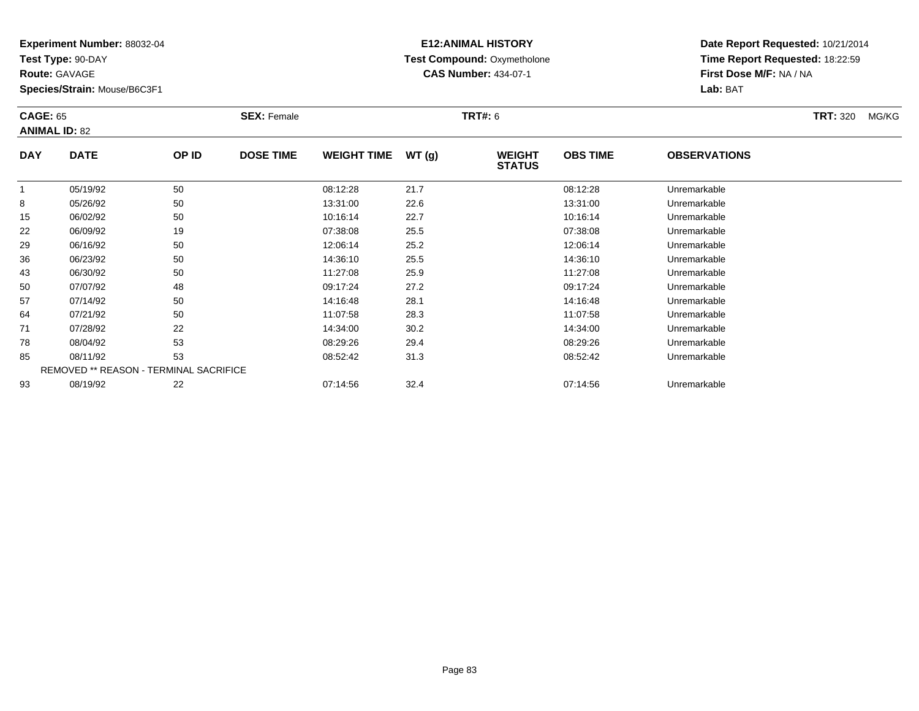**Test Type:** 90-DAY

**Route:** GAVAGE

93

**Species/Strain:** Mouse/B6C3F1

## **E12:ANIMAL HISTORY Test Compound:** Oxymetholone**CAS Number:** 434-07-1

**Date Report Requested:** 10/21/2014**Time Report Requested:** 18:22:59**First Dose M/F:** NA / NA**Lab:** BAT

| <b>CAGE: 65</b> | <b>ANIMAL ID: 82</b>                   |       | <b>SEX: Female</b> |                    |       | <b>TRT#: 6</b>                 |                 |                     | <b>TRT: 320</b> | MG/KG |
|-----------------|----------------------------------------|-------|--------------------|--------------------|-------|--------------------------------|-----------------|---------------------|-----------------|-------|
| <b>DAY</b>      | <b>DATE</b>                            | OP ID | <b>DOSE TIME</b>   | <b>WEIGHT TIME</b> | WT(g) | <b>WEIGHT</b><br><b>STATUS</b> | <b>OBS TIME</b> | <b>OBSERVATIONS</b> |                 |       |
|                 | 05/19/92                               | 50    |                    | 08:12:28           | 21.7  |                                | 08:12:28        | Unremarkable        |                 |       |
| 8               | 05/26/92                               | 50    |                    | 13:31:00           | 22.6  |                                | 13:31:00        | Unremarkable        |                 |       |
| 15              | 06/02/92                               | 50    |                    | 10:16:14           | 22.7  |                                | 10:16:14        | Unremarkable        |                 |       |
| 22              | 06/09/92                               | 19    |                    | 07:38:08           | 25.5  |                                | 07:38:08        | Unremarkable        |                 |       |
| 29              | 06/16/92                               | 50    |                    | 12:06:14           | 25.2  |                                | 12:06:14        | Unremarkable        |                 |       |
| 36              | 06/23/92                               | 50    |                    | 14:36:10           | 25.5  |                                | 14:36:10        | Unremarkable        |                 |       |
| 43              | 06/30/92                               | 50    |                    | 11:27:08           | 25.9  |                                | 11:27:08        | Unremarkable        |                 |       |
| 50              | 07/07/92                               | 48    |                    | 09:17:24           | 27.2  |                                | 09:17:24        | Unremarkable        |                 |       |
| 57              | 07/14/92                               | 50    |                    | 14:16:48           | 28.1  |                                | 14:16:48        | Unremarkable        |                 |       |
| 64              | 07/21/92                               | 50    |                    | 11:07:58           | 28.3  |                                | 11:07:58        | Unremarkable        |                 |       |
| 71              | 07/28/92                               | 22    |                    | 14:34:00           | 30.2  |                                | 14:34:00        | Unremarkable        |                 |       |
| 78              | 08/04/92                               | 53    |                    | 08:29:26           | 29.4  |                                | 08:29:26        | Unremarkable        |                 |       |
| 85              | 08/11/92                               | 53    |                    | 08:52:42           | 31.3  |                                | 08:52:42        | Unremarkable        |                 |       |
|                 | REMOVED ** REASON - TERMINAL SACRIFICE |       |                    |                    |       |                                |                 |                     |                 |       |

08/19/92 <sup>22</sup> 07:14:56 32.4 07:14:56 Unremarkable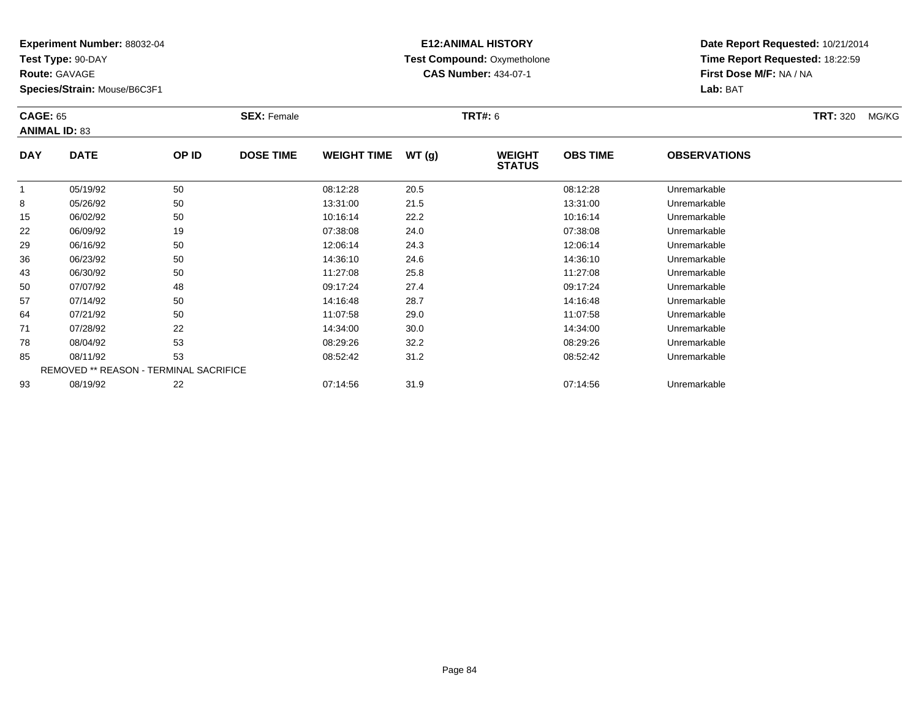**Test Type:** 90-DAY

**Route:** GAVAGE

**Species/Strain:** Mouse/B6C3F1

# **E12:ANIMAL HISTORY Test Compound:** Oxymetholone**CAS Number:** 434-07-1

| <b>CAGE: 65</b> | <b>ANIMAL ID: 83</b>                          |       | <b>SEX: Female</b> |                    |       | <b>TRT#: 6</b>                 |                 |                     | <b>TRT: 320</b><br>MG/KG |
|-----------------|-----------------------------------------------|-------|--------------------|--------------------|-------|--------------------------------|-----------------|---------------------|--------------------------|
| <b>DAY</b>      | <b>DATE</b>                                   | OP ID | <b>DOSE TIME</b>   | <b>WEIGHT TIME</b> | WT(g) | <b>WEIGHT</b><br><b>STATUS</b> | <b>OBS TIME</b> | <b>OBSERVATIONS</b> |                          |
|                 | 05/19/92                                      | 50    |                    | 08:12:28           | 20.5  |                                | 08:12:28        | Unremarkable        |                          |
| 8               | 05/26/92                                      | 50    |                    | 13:31:00           | 21.5  |                                | 13:31:00        | Unremarkable        |                          |
| 15              | 06/02/92                                      | 50    |                    | 10:16:14           | 22.2  |                                | 10:16:14        | Unremarkable        |                          |
| 22              | 06/09/92                                      | 19    |                    | 07:38:08           | 24.0  |                                | 07:38:08        | Unremarkable        |                          |
| 29              | 06/16/92                                      | 50    |                    | 12:06:14           | 24.3  |                                | 12:06:14        | Unremarkable        |                          |
| 36              | 06/23/92                                      | 50    |                    | 14:36:10           | 24.6  |                                | 14:36:10        | Unremarkable        |                          |
| 43              | 06/30/92                                      | 50    |                    | 11:27:08           | 25.8  |                                | 11:27:08        | Unremarkable        |                          |
| 50              | 07/07/92                                      | 48    |                    | 09:17:24           | 27.4  |                                | 09:17:24        | Unremarkable        |                          |
| 57              | 07/14/92                                      | 50    |                    | 14:16:48           | 28.7  |                                | 14:16:48        | Unremarkable        |                          |
| 64              | 07/21/92                                      | 50    |                    | 11:07:58           | 29.0  |                                | 11:07:58        | Unremarkable        |                          |
| 71              | 07/28/92                                      | 22    |                    | 14:34:00           | 30.0  |                                | 14:34:00        | Unremarkable        |                          |
| 78              | 08/04/92                                      | 53    |                    | 08:29:26           | 32.2  |                                | 08:29:26        | Unremarkable        |                          |
| 85              | 08/11/92                                      | 53    |                    | 08:52:42           | 31.2  |                                | 08:52:42        | Unremarkable        |                          |
|                 | <b>REMOVED ** REASON - TERMINAL SACRIFICE</b> |       |                    |                    |       |                                |                 |                     |                          |
| 93              | 08/19/92                                      | 22    |                    | 07:14:56           | 31.9  |                                | 07:14:56        | Unremarkable        |                          |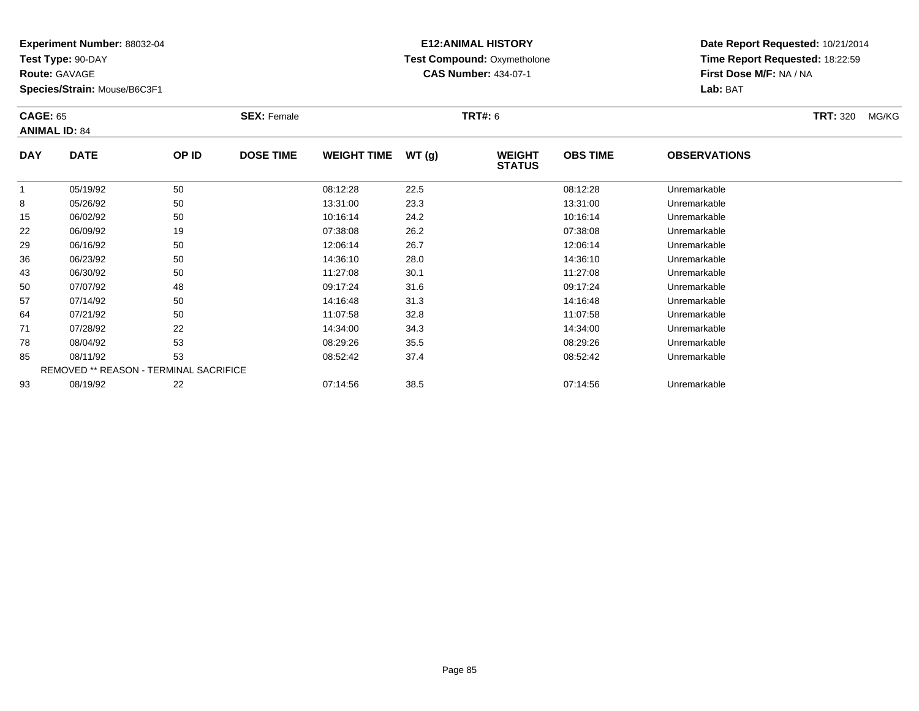**Test Type:** 90-DAY

**Route:** GAVAGE

**Species/Strain:** Mouse/B6C3F1

# **E12:ANIMAL HISTORY Test Compound:** Oxymetholone**CAS Number:** 434-07-1

**Date Report Requested:** 10/21/2014**Time Report Requested:** 18:22:59**First Dose M/F:** NA / NA**Lab:** BAT

| <b>CAGE: 65</b> | <b>ANIMAL ID: 84</b>                   |       | <b>SEX: Female</b> |                    |       | <b>TRT#: 6</b>                 |                 |                     | <b>TRT: 320</b> | MG/KG |
|-----------------|----------------------------------------|-------|--------------------|--------------------|-------|--------------------------------|-----------------|---------------------|-----------------|-------|
| <b>DAY</b>      | <b>DATE</b>                            | OP ID | <b>DOSE TIME</b>   | <b>WEIGHT TIME</b> | WT(g) | <b>WEIGHT</b><br><b>STATUS</b> | <b>OBS TIME</b> | <b>OBSERVATIONS</b> |                 |       |
|                 | 05/19/92                               | 50    |                    | 08:12:28           | 22.5  |                                | 08:12:28        | Unremarkable        |                 |       |
| 8               | 05/26/92                               | 50    |                    | 13:31:00           | 23.3  |                                | 13:31:00        | Unremarkable        |                 |       |
| 15              | 06/02/92                               | 50    |                    | 10:16:14           | 24.2  |                                | 10:16:14        | Unremarkable        |                 |       |
| 22              | 06/09/92                               | 19    |                    | 07:38:08           | 26.2  |                                | 07:38:08        | Unremarkable        |                 |       |
| 29              | 06/16/92                               | 50    |                    | 12:06:14           | 26.7  |                                | 12:06:14        | Unremarkable        |                 |       |
| 36              | 06/23/92                               | 50    |                    | 14:36:10           | 28.0  |                                | 14:36:10        | Unremarkable        |                 |       |
| 43              | 06/30/92                               | 50    |                    | 11:27:08           | 30.1  |                                | 11:27:08        | Unremarkable        |                 |       |
| 50              | 07/07/92                               | 48    |                    | 09:17:24           | 31.6  |                                | 09:17:24        | Unremarkable        |                 |       |
| 57              | 07/14/92                               | 50    |                    | 14:16:48           | 31.3  |                                | 14:16:48        | Unremarkable        |                 |       |
| 64              | 07/21/92                               | 50    |                    | 11:07:58           | 32.8  |                                | 11:07:58        | Unremarkable        |                 |       |
| 71              | 07/28/92                               | 22    |                    | 14:34:00           | 34.3  |                                | 14:34:00        | Unremarkable        |                 |       |
| 78              | 08/04/92                               | 53    |                    | 08:29:26           | 35.5  |                                | 08:29:26        | Unremarkable        |                 |       |
| 85              | 08/11/92                               | 53    |                    | 08:52:42           | 37.4  |                                | 08:52:42        | Unremarkable        |                 |       |
|                 | REMOVED ** REASON - TERMINAL SACRIFICE |       |                    |                    |       |                                |                 |                     |                 |       |
| 93              | 08/19/92                               | 22    |                    | 07:14:56           | 38.5  |                                | 07:14:56        | Unremarkable        |                 |       |

08/19/92 <sup>22</sup> 07:14:56 38.5 07:14:56 Unremarkable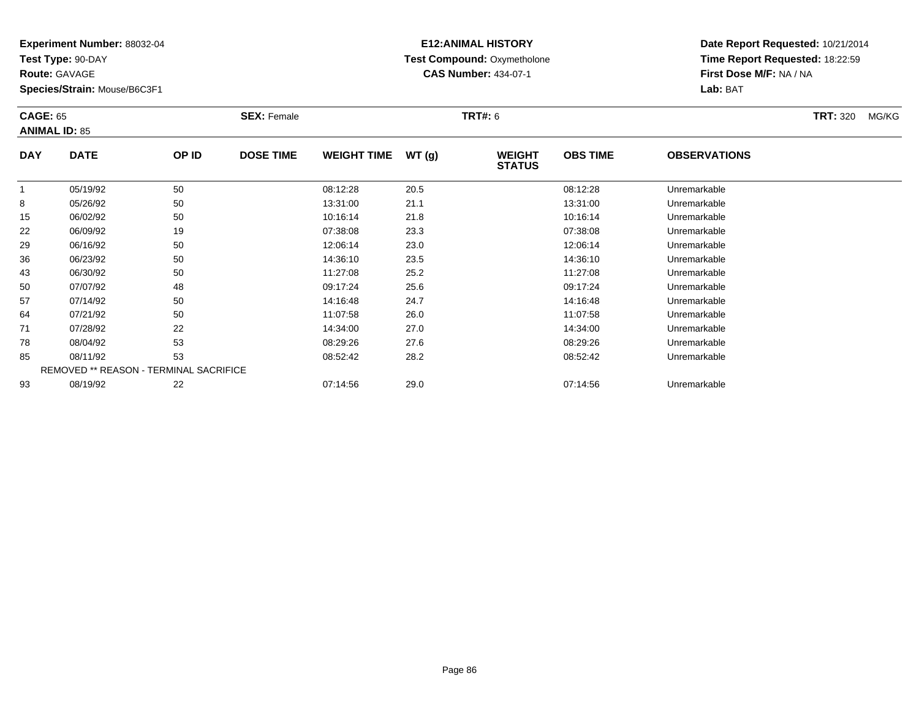**Test Type:** 90-DAY

**Route:** GAVAGE

**Species/Strain:** Mouse/B6C3F1

# **E12:ANIMAL HISTORY Test Compound:** Oxymetholone**CAS Number:** 434-07-1

|            | <b>CAGE: 65</b><br><b>ANIMAL ID: 85</b> |       | <b>SEX: Female</b> |                    |       | <b>TRT#: 6</b>                 |                 |                     | <b>TRT: 320</b> | MG/KG |
|------------|-----------------------------------------|-------|--------------------|--------------------|-------|--------------------------------|-----------------|---------------------|-----------------|-------|
| <b>DAY</b> | <b>DATE</b>                             | OP ID | <b>DOSE TIME</b>   | <b>WEIGHT TIME</b> | WT(g) | <b>WEIGHT</b><br><b>STATUS</b> | <b>OBS TIME</b> | <b>OBSERVATIONS</b> |                 |       |
| 1          | 05/19/92                                | 50    |                    | 08:12:28           | 20.5  |                                | 08:12:28        | Unremarkable        |                 |       |
| 8          | 05/26/92                                | 50    |                    | 13:31:00           | 21.1  |                                | 13:31:00        | Unremarkable        |                 |       |
| 15         | 06/02/92                                | 50    |                    | 10:16:14           | 21.8  |                                | 10:16:14        | Unremarkable        |                 |       |
| 22         | 06/09/92                                | 19    |                    | 07:38:08           | 23.3  |                                | 07:38:08        | Unremarkable        |                 |       |
| 29         | 06/16/92                                | 50    |                    | 12:06:14           | 23.0  |                                | 12:06:14        | Unremarkable        |                 |       |
| 36         | 06/23/92                                | 50    |                    | 14:36:10           | 23.5  |                                | 14:36:10        | Unremarkable        |                 |       |
| 43         | 06/30/92                                | 50    |                    | 11:27:08           | 25.2  |                                | 11:27:08        | Unremarkable        |                 |       |
| 50         | 07/07/92                                | 48    |                    | 09:17:24           | 25.6  |                                | 09:17:24        | Unremarkable        |                 |       |
| 57         | 07/14/92                                | 50    |                    | 14:16:48           | 24.7  |                                | 14:16:48        | Unremarkable        |                 |       |
| 64         | 07/21/92                                | 50    |                    | 11:07:58           | 26.0  |                                | 11:07:58        | Unremarkable        |                 |       |
| 71         | 07/28/92                                | 22    |                    | 14:34:00           | 27.0  |                                | 14:34:00        | Unremarkable        |                 |       |
| 78         | 08/04/92                                | 53    |                    | 08:29:26           | 27.6  |                                | 08:29:26        | Unremarkable        |                 |       |
| 85         | 08/11/92                                | 53    |                    | 08:52:42           | 28.2  |                                | 08:52:42        | Unremarkable        |                 |       |
|            | REMOVED ** REASON - TERMINAL SACRIFICE  |       |                    |                    |       |                                |                 |                     |                 |       |
| 93         | 08/19/92                                | 22    |                    | 07:14:56           | 29.0  |                                | 07:14:56        | Unremarkable        |                 |       |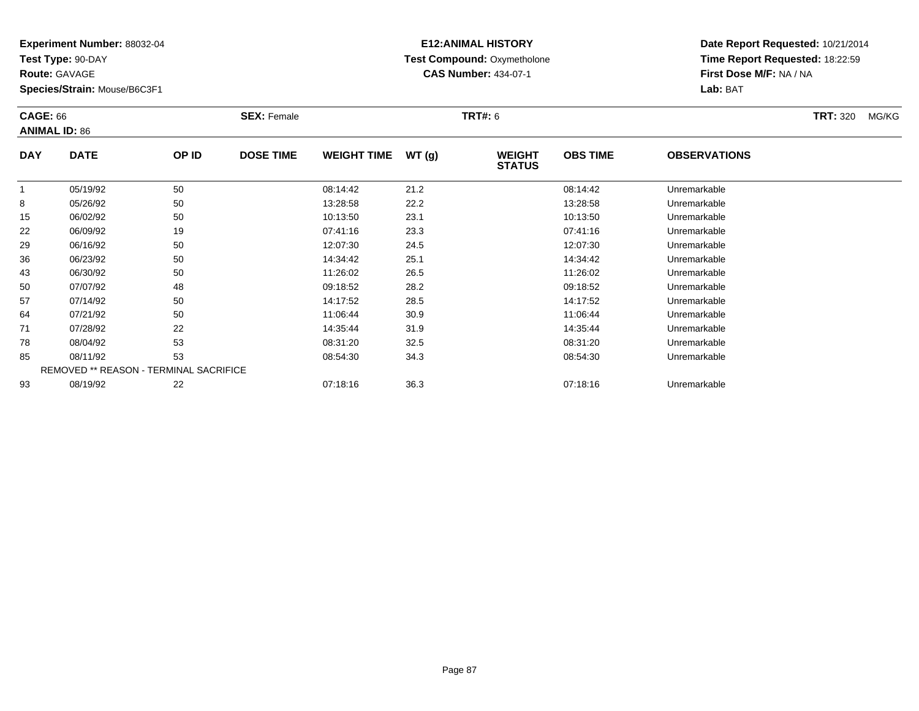**Test Type:** 90-DAY

**Route:** GAVAGE

**Species/Strain:** Mouse/B6C3F1

# **E12:ANIMAL HISTORY Test Compound:** Oxymetholone**CAS Number:** 434-07-1

| <b>CAGE: 66</b><br><b>ANIMAL ID: 86</b> |                                        | <b>SEX: Female</b> |                  | <b>TRT#: 6</b>     |       | <b>TRT: 320</b><br>MG/KG       |                 |                     |  |
|-----------------------------------------|----------------------------------------|--------------------|------------------|--------------------|-------|--------------------------------|-----------------|---------------------|--|
| <b>DAY</b>                              | <b>DATE</b>                            | OP ID              | <b>DOSE TIME</b> | <b>WEIGHT TIME</b> | WT(g) | <b>WEIGHT</b><br><b>STATUS</b> | <b>OBS TIME</b> | <b>OBSERVATIONS</b> |  |
| 1                                       | 05/19/92                               | 50                 |                  | 08:14:42           | 21.2  |                                | 08:14:42        | Unremarkable        |  |
| 8                                       | 05/26/92                               | 50                 |                  | 13:28:58           | 22.2  |                                | 13:28:58        | Unremarkable        |  |
| 15                                      | 06/02/92                               | 50                 |                  | 10:13:50           | 23.1  |                                | 10:13:50        | Unremarkable        |  |
| 22                                      | 06/09/92                               | 19                 |                  | 07:41:16           | 23.3  |                                | 07:41:16        | Unremarkable        |  |
| 29                                      | 06/16/92                               | 50                 |                  | 12:07:30           | 24.5  |                                | 12:07:30        | Unremarkable        |  |
| 36                                      | 06/23/92                               | 50                 |                  | 14:34:42           | 25.1  |                                | 14:34:42        | Unremarkable        |  |
| 43                                      | 06/30/92                               | 50                 |                  | 11:26:02           | 26.5  |                                | 11:26:02        | Unremarkable        |  |
| 50                                      | 07/07/92                               | 48                 |                  | 09:18:52           | 28.2  |                                | 09:18:52        | Unremarkable        |  |
| 57                                      | 07/14/92                               | 50                 |                  | 14:17:52           | 28.5  |                                | 14:17:52        | Unremarkable        |  |
| 64                                      | 07/21/92                               | 50                 |                  | 11:06:44           | 30.9  |                                | 11:06:44        | Unremarkable        |  |
| 71                                      | 07/28/92                               | 22                 |                  | 14:35:44           | 31.9  |                                | 14:35:44        | Unremarkable        |  |
| 78                                      | 08/04/92                               | 53                 |                  | 08:31:20           | 32.5  |                                | 08:31:20        | Unremarkable        |  |
| 85                                      | 08/11/92                               | 53                 |                  | 08:54:30           | 34.3  |                                | 08:54:30        | Unremarkable        |  |
|                                         | REMOVED ** REASON - TERMINAL SACRIFICE |                    |                  |                    |       |                                |                 |                     |  |
| 93                                      | 08/19/92                               | 22                 |                  | 07:18:16           | 36.3  |                                | 07:18:16        | Unremarkable        |  |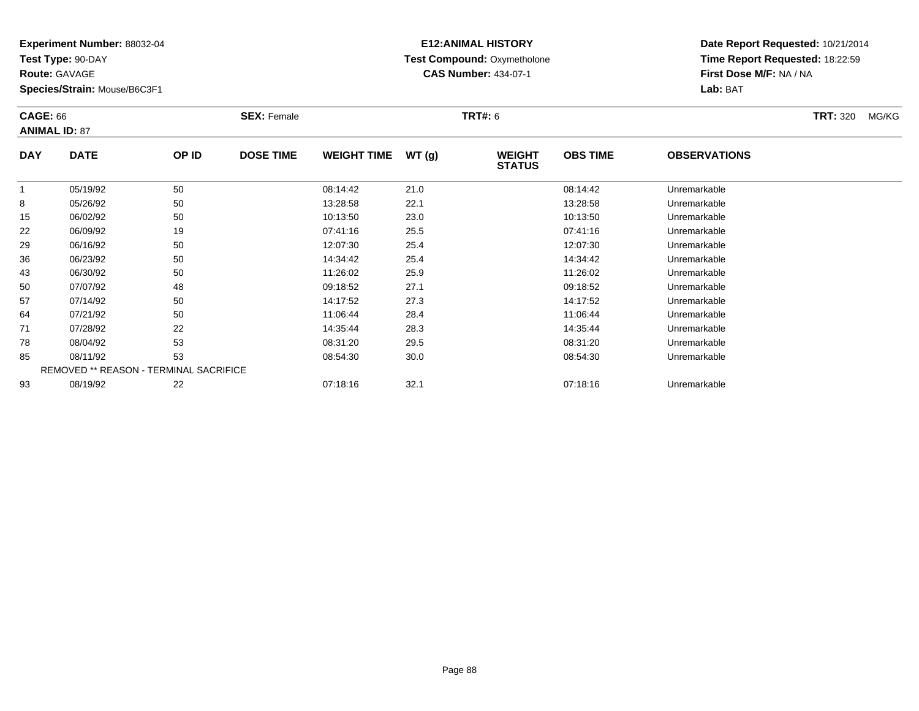**Test Type:** 90-DAY

**Route:** GAVAGE

93

**Species/Strain:** Mouse/B6C3F1

# **E12:ANIMAL HISTORY Test Compound:** Oxymetholone**CAS Number:** 434-07-1

**Date Report Requested:** 10/21/2014**Time Report Requested:** 18:22:59**First Dose M/F:** NA / NA**Lab:** BAT

| <b>CAGE: 66</b> | <b>ANIMAL ID: 87</b>                          |       | <b>SEX: Female</b> |                    |       | <b>TRT#: 6</b>                 |                 |                     | <b>TRT: 320</b> | MG/KG |
|-----------------|-----------------------------------------------|-------|--------------------|--------------------|-------|--------------------------------|-----------------|---------------------|-----------------|-------|
| <b>DAY</b>      | <b>DATE</b>                                   | OP ID | <b>DOSE TIME</b>   | <b>WEIGHT TIME</b> | WT(g) | <b>WEIGHT</b><br><b>STATUS</b> | <b>OBS TIME</b> | <b>OBSERVATIONS</b> |                 |       |
| $\mathbf{1}$    | 05/19/92                                      | 50    |                    | 08:14:42           | 21.0  |                                | 08:14:42        | Unremarkable        |                 |       |
| 8               | 05/26/92                                      | 50    |                    | 13:28:58           | 22.1  |                                | 13:28:58        | Unremarkable        |                 |       |
| 15              | 06/02/92                                      | 50    |                    | 10:13:50           | 23.0  |                                | 10:13:50        | Unremarkable        |                 |       |
| 22              | 06/09/92                                      | 19    |                    | 07:41:16           | 25.5  |                                | 07:41:16        | Unremarkable        |                 |       |
| 29              | 06/16/92                                      | 50    |                    | 12:07:30           | 25.4  |                                | 12:07:30        | Unremarkable        |                 |       |
| 36              | 06/23/92                                      | 50    |                    | 14:34:42           | 25.4  |                                | 14:34:42        | Unremarkable        |                 |       |
| 43              | 06/30/92                                      | 50    |                    | 11:26:02           | 25.9  |                                | 11:26:02        | Unremarkable        |                 |       |
| 50              | 07/07/92                                      | 48    |                    | 09:18:52           | 27.1  |                                | 09:18:52        | Unremarkable        |                 |       |
| 57              | 07/14/92                                      | 50    |                    | 14:17:52           | 27.3  |                                | 14:17:52        | Unremarkable        |                 |       |
| 64              | 07/21/92                                      | 50    |                    | 11:06:44           | 28.4  |                                | 11:06:44        | Unremarkable        |                 |       |
| 71              | 07/28/92                                      | 22    |                    | 14:35:44           | 28.3  |                                | 14:35:44        | Unremarkable        |                 |       |
| 78              | 08/04/92                                      | 53    |                    | 08:31:20           | 29.5  |                                | 08:31:20        | Unremarkable        |                 |       |
| 85              | 08/11/92                                      | 53    |                    | 08:54:30           | 30.0  |                                | 08:54:30        | Unremarkable        |                 |       |
|                 | <b>REMOVED ** REASON - TERMINAL SACRIFICE</b> |       |                    |                    |       |                                |                 |                     |                 |       |

08/19/92 <sup>22</sup> 07:18:16 32.1 07:18:16 Unremarkable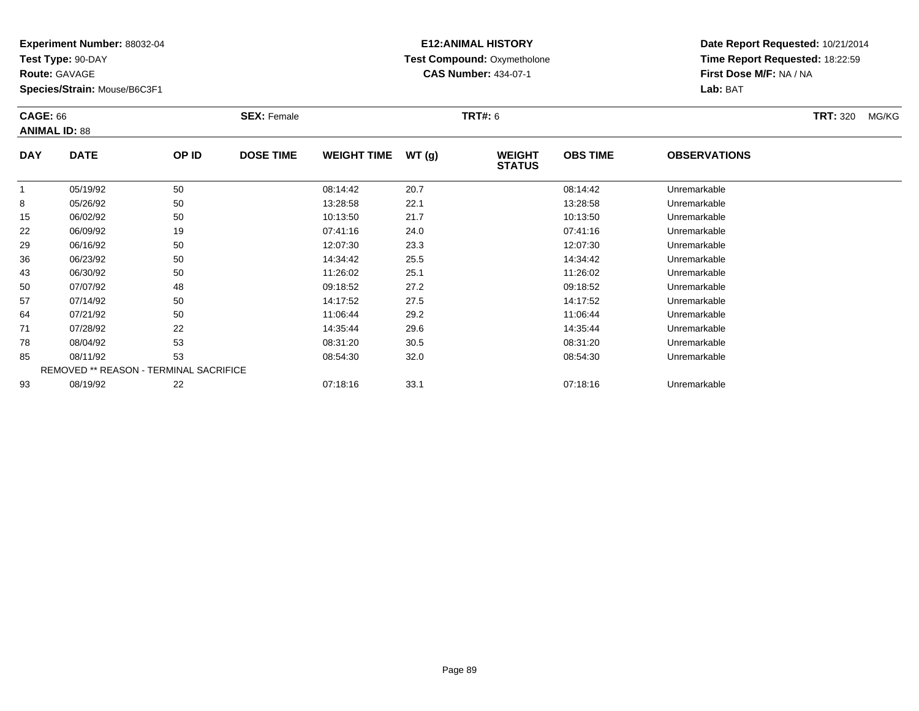**Test Type:** 90-DAY

**Route:** GAVAGE

**Species/Strain:** Mouse/B6C3F1

# **E12:ANIMAL HISTORY Test Compound:** Oxymetholone**CAS Number:** 434-07-1

|            | <b>CAGE: 66</b><br><b>ANIMAL ID: 88</b> |       | <b>SEX: Female</b> |                    |       | <b>TRT#: 6</b>                 |                 | <b>TRT: 320</b>     | MG/KG |  |
|------------|-----------------------------------------|-------|--------------------|--------------------|-------|--------------------------------|-----------------|---------------------|-------|--|
| <b>DAY</b> | <b>DATE</b>                             | OP ID | <b>DOSE TIME</b>   | <b>WEIGHT TIME</b> | WT(g) | <b>WEIGHT</b><br><b>STATUS</b> | <b>OBS TIME</b> | <b>OBSERVATIONS</b> |       |  |
| 1          | 05/19/92                                | 50    |                    | 08:14:42           | 20.7  |                                | 08:14:42        | Unremarkable        |       |  |
| 8          | 05/26/92                                | 50    |                    | 13:28:58           | 22.1  |                                | 13:28:58        | Unremarkable        |       |  |
| 15         | 06/02/92                                | 50    |                    | 10:13:50           | 21.7  |                                | 10:13:50        | Unremarkable        |       |  |
| 22         | 06/09/92                                | 19    |                    | 07:41:16           | 24.0  |                                | 07:41:16        | Unremarkable        |       |  |
| 29         | 06/16/92                                | 50    |                    | 12:07:30           | 23.3  |                                | 12:07:30        | Unremarkable        |       |  |
| 36         | 06/23/92                                | 50    |                    | 14:34:42           | 25.5  |                                | 14:34:42        | Unremarkable        |       |  |
| 43         | 06/30/92                                | 50    |                    | 11:26:02           | 25.1  |                                | 11:26:02        | Unremarkable        |       |  |
| 50         | 07/07/92                                | 48    |                    | 09:18:52           | 27.2  |                                | 09:18:52        | Unremarkable        |       |  |
| 57         | 07/14/92                                | 50    |                    | 14:17:52           | 27.5  |                                | 14:17:52        | Unremarkable        |       |  |
| 64         | 07/21/92                                | 50    |                    | 11:06:44           | 29.2  |                                | 11:06:44        | Unremarkable        |       |  |
| 71         | 07/28/92                                | 22    |                    | 14:35:44           | 29.6  |                                | 14:35:44        | Unremarkable        |       |  |
| 78         | 08/04/92                                | 53    |                    | 08:31:20           | 30.5  |                                | 08:31:20        | Unremarkable        |       |  |
| 85         | 08/11/92                                | 53    |                    | 08:54:30           | 32.0  |                                | 08:54:30        | Unremarkable        |       |  |
|            | REMOVED ** REASON - TERMINAL SACRIFICE  |       |                    |                    |       |                                |                 |                     |       |  |
| 93         | 08/19/92                                | 22    |                    | 07:18:16           | 33.1  |                                | 07:18:16        | Unremarkable        |       |  |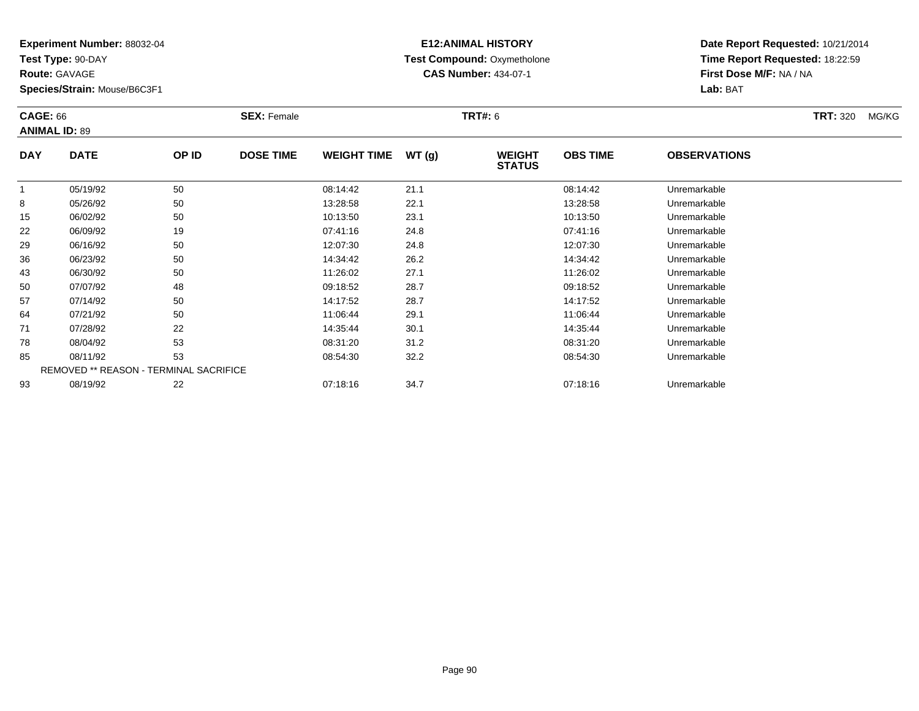**Test Type:** 90-DAY

**Route:** GAVAGE

**Species/Strain:** Mouse/B6C3F1

# **E12:ANIMAL HISTORY Test Compound:** Oxymetholone**CAS Number:** 434-07-1

|            | <b>CAGE: 66</b><br><b>ANIMAL ID: 89</b> |       | <b>SEX: Female</b> |                    |       | <b>TRT#: 6</b>                 |                 |                     | <b>TRT: 320</b> | MG/KG |
|------------|-----------------------------------------|-------|--------------------|--------------------|-------|--------------------------------|-----------------|---------------------|-----------------|-------|
| <b>DAY</b> | <b>DATE</b>                             | OP ID | <b>DOSE TIME</b>   | <b>WEIGHT TIME</b> | WT(g) | <b>WEIGHT</b><br><b>STATUS</b> | <b>OBS TIME</b> | <b>OBSERVATIONS</b> |                 |       |
|            | 05/19/92                                | 50    |                    | 08:14:42           | 21.1  |                                | 08:14:42        | Unremarkable        |                 |       |
| 8          | 05/26/92                                | 50    |                    | 13:28:58           | 22.1  |                                | 13:28:58        | Unremarkable        |                 |       |
| 15         | 06/02/92                                | 50    |                    | 10:13:50           | 23.1  |                                | 10:13:50        | Unremarkable        |                 |       |
| 22         | 06/09/92                                | 19    |                    | 07:41:16           | 24.8  |                                | 07:41:16        | Unremarkable        |                 |       |
| 29         | 06/16/92                                | 50    |                    | 12:07:30           | 24.8  |                                | 12:07:30        | Unremarkable        |                 |       |
| 36         | 06/23/92                                | 50    |                    | 14:34:42           | 26.2  |                                | 14:34:42        | Unremarkable        |                 |       |
| 43         | 06/30/92                                | 50    |                    | 11:26:02           | 27.1  |                                | 11:26:02        | Unremarkable        |                 |       |
| 50         | 07/07/92                                | 48    |                    | 09:18:52           | 28.7  |                                | 09:18:52        | Unremarkable        |                 |       |
| 57         | 07/14/92                                | 50    |                    | 14:17:52           | 28.7  |                                | 14:17:52        | Unremarkable        |                 |       |
| 64         | 07/21/92                                | 50    |                    | 11:06:44           | 29.1  |                                | 11:06:44        | Unremarkable        |                 |       |
| 71         | 07/28/92                                | 22    |                    | 14:35:44           | 30.1  |                                | 14:35:44        | Unremarkable        |                 |       |
| 78         | 08/04/92                                | 53    |                    | 08:31:20           | 31.2  |                                | 08:31:20        | Unremarkable        |                 |       |
| 85         | 08/11/92                                | 53    |                    | 08:54:30           | 32.2  |                                | 08:54:30        | Unremarkable        |                 |       |
|            | REMOVED ** REASON - TERMINAL SACRIFICE  |       |                    |                    |       |                                |                 |                     |                 |       |
| 93         | 08/19/92                                | 22    |                    | 07:18:16           | 34.7  |                                | 07:18:16        | Unremarkable        |                 |       |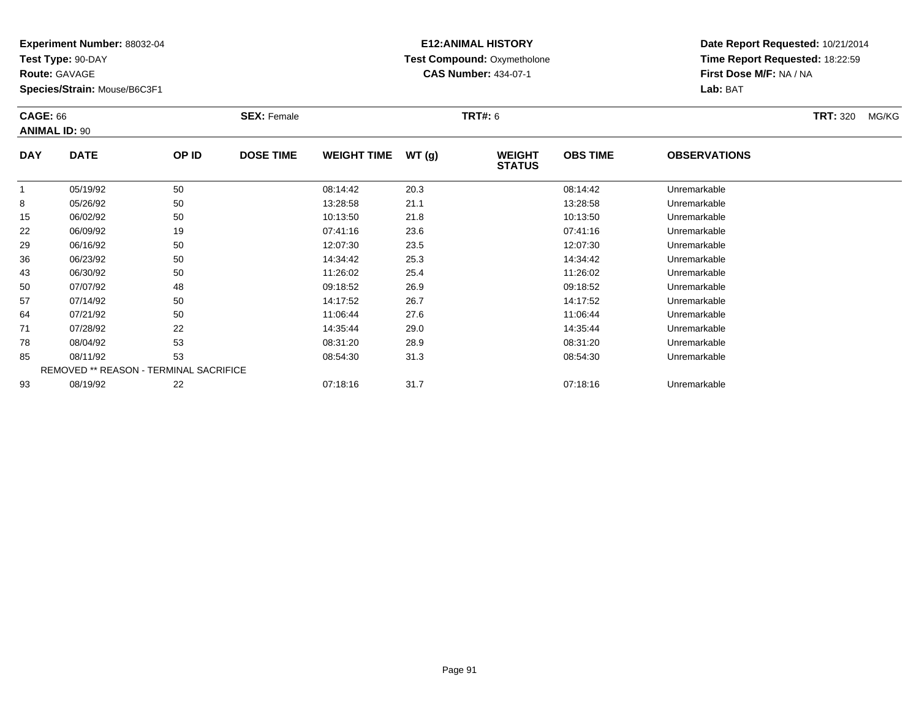**Test Type:** 90-DAY

**Route:** GAVAGE

**Species/Strain:** Mouse/B6C3F1

# **E12:ANIMAL HISTORY Test Compound:** Oxymetholone**CAS Number:** 434-07-1

|            | <b>CAGE: 66</b><br><b>ANIMAL ID: 90</b> |       | <b>SEX: Female</b> |                    |       | <b>TRT#: 6</b>                 |                 |                     | <b>TRT: 320</b> | MG/KG |
|------------|-----------------------------------------|-------|--------------------|--------------------|-------|--------------------------------|-----------------|---------------------|-----------------|-------|
| <b>DAY</b> | <b>DATE</b>                             | OP ID | <b>DOSE TIME</b>   | <b>WEIGHT TIME</b> | WT(g) | <b>WEIGHT</b><br><b>STATUS</b> | <b>OBS TIME</b> | <b>OBSERVATIONS</b> |                 |       |
|            | 05/19/92                                | 50    |                    | 08:14:42           | 20.3  |                                | 08:14:42        | Unremarkable        |                 |       |
| 8          | 05/26/92                                | 50    |                    | 13:28:58           | 21.1  |                                | 13:28:58        | Unremarkable        |                 |       |
| 15         | 06/02/92                                | 50    |                    | 10:13:50           | 21.8  |                                | 10:13:50        | Unremarkable        |                 |       |
| 22         | 06/09/92                                | 19    |                    | 07:41:16           | 23.6  |                                | 07:41:16        | Unremarkable        |                 |       |
| 29         | 06/16/92                                | 50    |                    | 12:07:30           | 23.5  |                                | 12:07:30        | Unremarkable        |                 |       |
| 36         | 06/23/92                                | 50    |                    | 14:34:42           | 25.3  |                                | 14:34:42        | Unremarkable        |                 |       |
| 43         | 06/30/92                                | 50    |                    | 11:26:02           | 25.4  |                                | 11:26:02        | Unremarkable        |                 |       |
| 50         | 07/07/92                                | 48    |                    | 09:18:52           | 26.9  |                                | 09:18:52        | Unremarkable        |                 |       |
| 57         | 07/14/92                                | 50    |                    | 14:17:52           | 26.7  |                                | 14:17:52        | Unremarkable        |                 |       |
| 64         | 07/21/92                                | 50    |                    | 11:06:44           | 27.6  |                                | 11:06:44        | Unremarkable        |                 |       |
| 71         | 07/28/92                                | 22    |                    | 14:35:44           | 29.0  |                                | 14:35:44        | Unremarkable        |                 |       |
| 78         | 08/04/92                                | 53    |                    | 08:31:20           | 28.9  |                                | 08:31:20        | Unremarkable        |                 |       |
| 85         | 08/11/92                                | 53    |                    | 08:54:30           | 31.3  |                                | 08:54:30        | Unremarkable        |                 |       |
|            | REMOVED ** REASON - TERMINAL SACRIFICE  |       |                    |                    |       |                                |                 |                     |                 |       |
| 93         | 08/19/92                                | 22    |                    | 07:18:16           | 31.7  |                                | 07:18:16        | Unremarkable        |                 |       |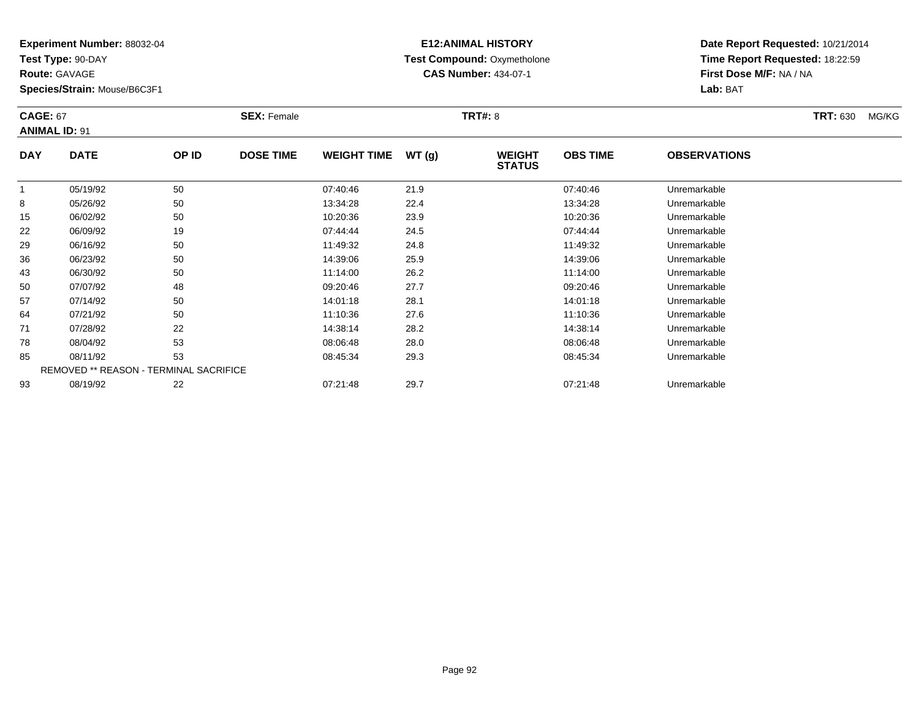**Test Type:** 90-DAY

**Route:** GAVAGE

**Species/Strain:** Mouse/B6C3F1

# **E12:ANIMAL HISTORY Test Compound:** Oxymetholone**CAS Number:** 434-07-1

| <b>CAGE: 67</b> | <b>ANIMAL ID: 91</b>                   |       | <b>SEX: Female</b> |                    |       | <b>TRT#: 8</b>                 |                 |                     | <b>TRT: 630</b> | MG/KG |
|-----------------|----------------------------------------|-------|--------------------|--------------------|-------|--------------------------------|-----------------|---------------------|-----------------|-------|
| <b>DAY</b>      | <b>DATE</b>                            | OP ID | <b>DOSE TIME</b>   | <b>WEIGHT TIME</b> | WT(g) | <b>WEIGHT</b><br><b>STATUS</b> | <b>OBS TIME</b> | <b>OBSERVATIONS</b> |                 |       |
| -1              | 05/19/92                               | 50    |                    | 07:40:46           | 21.9  |                                | 07:40:46        | Unremarkable        |                 |       |
| 8               | 05/26/92                               | 50    |                    | 13:34:28           | 22.4  |                                | 13:34:28        | Unremarkable        |                 |       |
| 15              | 06/02/92                               | 50    |                    | 10:20:36           | 23.9  |                                | 10:20:36        | Unremarkable        |                 |       |
| 22              | 06/09/92                               | 19    |                    | 07:44:44           | 24.5  |                                | 07:44:44        | Unremarkable        |                 |       |
| 29              | 06/16/92                               | 50    |                    | 11:49:32           | 24.8  |                                | 11:49:32        | Unremarkable        |                 |       |
| 36              | 06/23/92                               | 50    |                    | 14:39:06           | 25.9  |                                | 14:39:06        | Unremarkable        |                 |       |
| 43              | 06/30/92                               | 50    |                    | 11:14:00           | 26.2  |                                | 11:14:00        | Unremarkable        |                 |       |
| 50              | 07/07/92                               | 48    |                    | 09:20:46           | 27.7  |                                | 09:20:46        | Unremarkable        |                 |       |
| 57              | 07/14/92                               | 50    |                    | 14:01:18           | 28.1  |                                | 14:01:18        | Unremarkable        |                 |       |
| 64              | 07/21/92                               | 50    |                    | 11:10:36           | 27.6  |                                | 11:10:36        | Unremarkable        |                 |       |
| 71              | 07/28/92                               | 22    |                    | 14:38:14           | 28.2  |                                | 14:38:14        | Unremarkable        |                 |       |
| 78              | 08/04/92                               | 53    |                    | 08:06:48           | 28.0  |                                | 08:06:48        | Unremarkable        |                 |       |
| 85              | 08/11/92                               | 53    |                    | 08:45:34           | 29.3  |                                | 08:45:34        | Unremarkable        |                 |       |
|                 | REMOVED ** REASON - TERMINAL SACRIFICE |       |                    |                    |       |                                |                 |                     |                 |       |
| 93              | 08/19/92                               | 22    |                    | 07:21:48           | 29.7  |                                | 07:21:48        | Unremarkable        |                 |       |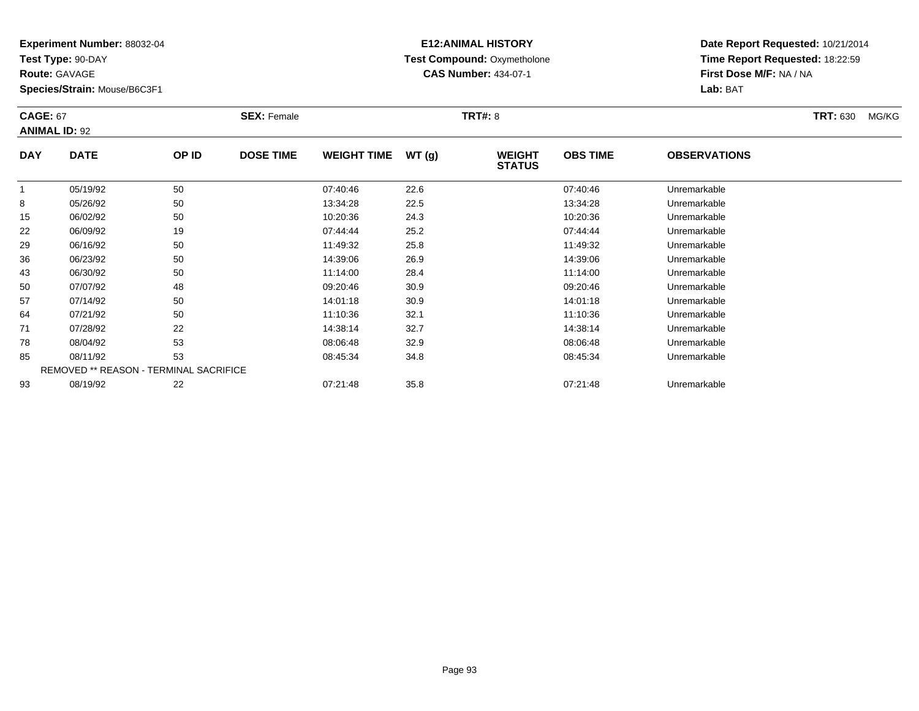**Test Type:** 90-DAY

**Route:** GAVAGE

85

93

**Species/Strain:** Mouse/B6C3F1

REMOVED \*\* REASON - TERMINAL SACRIFICE

## **E12:ANIMAL HISTORY Test Compound:** Oxymetholone**CAS Number:** 434-07-1

**Date Report Requested:** 10/21/2014**Time Report Requested:** 18:22:59**First Dose M/F:** NA / NA**Lab:** BAT

| <b>CAGE: 67</b><br><b>ANIMAL ID: 92</b> |             |       | <b>SEX: Female</b> |                    |       | <b>TRT#: 8</b>                 |                 |                     | <b>TRT: 630</b> | MG/KG |
|-----------------------------------------|-------------|-------|--------------------|--------------------|-------|--------------------------------|-----------------|---------------------|-----------------|-------|
| <b>DAY</b>                              | <b>DATE</b> | OP ID | <b>DOSE TIME</b>   | <b>WEIGHT TIME</b> | WT(g) | <b>WEIGHT</b><br><b>STATUS</b> | <b>OBS TIME</b> | <b>OBSERVATIONS</b> |                 |       |
|                                         | 05/19/92    | 50    |                    | 07:40:46           | 22.6  |                                | 07:40:46        | Unremarkable        |                 |       |
| 8                                       | 05/26/92    | 50    |                    | 13:34:28           | 22.5  |                                | 13:34:28        | Unremarkable        |                 |       |
| 15                                      | 06/02/92    | 50    |                    | 10:20:36           | 24.3  |                                | 10:20:36        | Unremarkable        |                 |       |
| 22                                      | 06/09/92    | 19    |                    | 07:44:44           | 25.2  |                                | 07:44:44        | Unremarkable        |                 |       |
| 29                                      | 06/16/92    | 50    |                    | 11:49:32           | 25.8  |                                | 11:49:32        | Unremarkable        |                 |       |
| 36                                      | 06/23/92    | 50    |                    | 14:39:06           | 26.9  |                                | 14:39:06        | Unremarkable        |                 |       |
| 43                                      | 06/30/92    | 50    |                    | 11:14:00           | 28.4  |                                | 11:14:00        | Unremarkable        |                 |       |
| 50                                      | 07/07/92    | 48    |                    | 09:20:46           | 30.9  |                                | 09:20:46        | Unremarkable        |                 |       |
| 57                                      | 07/14/92    | 50    |                    | 14:01:18           | 30.9  |                                | 14:01:18        | Unremarkable        |                 |       |
| 64                                      | 07/21/92    | 50    |                    | 11:10:36           | 32.1  |                                | 11:10:36        | Unremarkable        |                 |       |
| 71                                      | 07/28/92    | 22    |                    | 14:38:14           | 32.7  |                                | 14:38:14        | Unremarkable        |                 |       |
| 78                                      | 08/04/92    | 53    |                    | 08:06:48           | 32.9  |                                | 08:06:48        | Unremarkable        |                 |       |

08/11/92 <sup>53</sup> 08:45:34 34.8 08:45:34 Unremarkable

08/19/92 <sup>22</sup> 07:21:48 35.8 07:21:48 Unremarkable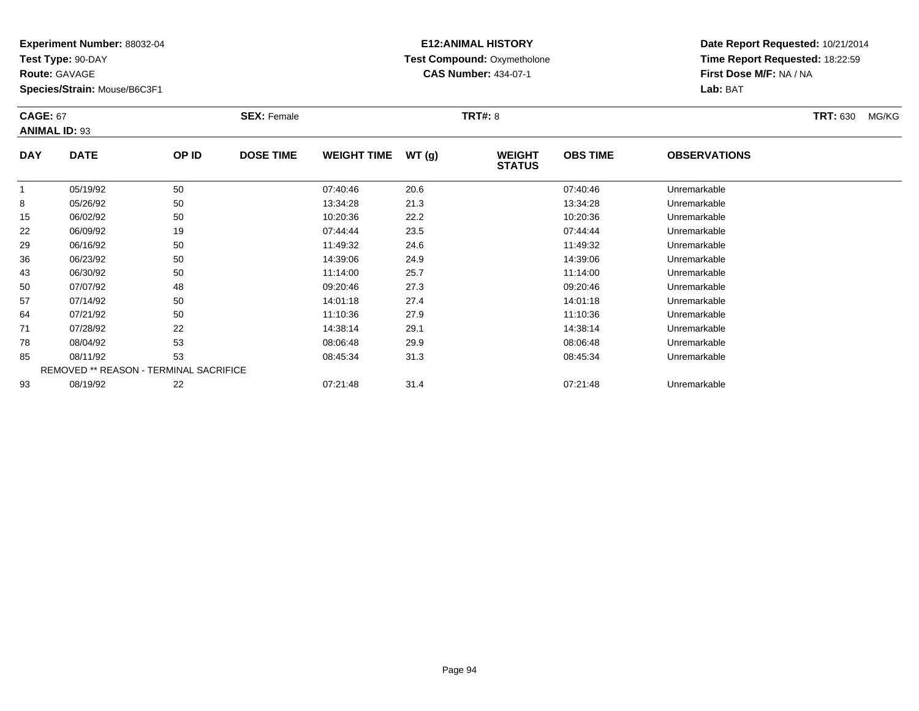**Test Type:** 90-DAY

**Route:** GAVAGE

**Species/Strain:** Mouse/B6C3F1

# **E12:ANIMAL HISTORY Test Compound:** Oxymetholone**CAS Number:** 434-07-1

| <b>CAGE: 67</b> | <b>ANIMAL ID: 93</b>                   |       | <b>SEX: Female</b> |                    |       | <b>TRT#: 8</b>                 |                 |                     | <b>TRT: 630</b> | MG/KG |
|-----------------|----------------------------------------|-------|--------------------|--------------------|-------|--------------------------------|-----------------|---------------------|-----------------|-------|
| <b>DAY</b>      | <b>DATE</b>                            | OP ID | <b>DOSE TIME</b>   | <b>WEIGHT TIME</b> | WT(g) | <b>WEIGHT</b><br><b>STATUS</b> | <b>OBS TIME</b> | <b>OBSERVATIONS</b> |                 |       |
|                 | 05/19/92                               | 50    |                    | 07:40:46           | 20.6  |                                | 07:40:46        | Unremarkable        |                 |       |
| 8               | 05/26/92                               | 50    |                    | 13:34:28           | 21.3  |                                | 13:34:28        | Unremarkable        |                 |       |
| 15              | 06/02/92                               | 50    |                    | 10:20:36           | 22.2  |                                | 10:20:36        | Unremarkable        |                 |       |
| 22              | 06/09/92                               | 19    |                    | 07:44:44           | 23.5  |                                | 07:44:44        | Unremarkable        |                 |       |
| 29              | 06/16/92                               | 50    |                    | 11:49:32           | 24.6  |                                | 11:49:32        | Unremarkable        |                 |       |
| 36              | 06/23/92                               | 50    |                    | 14:39:06           | 24.9  |                                | 14:39:06        | Unremarkable        |                 |       |
| 43              | 06/30/92                               | 50    |                    | 11:14:00           | 25.7  |                                | 11:14:00        | Unremarkable        |                 |       |
| 50              | 07/07/92                               | 48    |                    | 09:20:46           | 27.3  |                                | 09:20:46        | Unremarkable        |                 |       |
| 57              | 07/14/92                               | 50    |                    | 14:01:18           | 27.4  |                                | 14:01:18        | Unremarkable        |                 |       |
| 64              | 07/21/92                               | 50    |                    | 11:10:36           | 27.9  |                                | 11:10:36        | Unremarkable        |                 |       |
| 71              | 07/28/92                               | 22    |                    | 14:38:14           | 29.1  |                                | 14:38:14        | Unremarkable        |                 |       |
| 78              | 08/04/92                               | 53    |                    | 08:06:48           | 29.9  |                                | 08:06:48        | Unremarkable        |                 |       |
| 85              | 08/11/92                               | 53    |                    | 08:45:34           | 31.3  |                                | 08:45:34        | Unremarkable        |                 |       |
|                 | REMOVED ** REASON - TERMINAL SACRIFICE |       |                    |                    |       |                                |                 |                     |                 |       |
| 93              | 08/19/92                               | 22    |                    | 07:21:48           | 31.4  |                                | 07:21:48        | Unremarkable        |                 |       |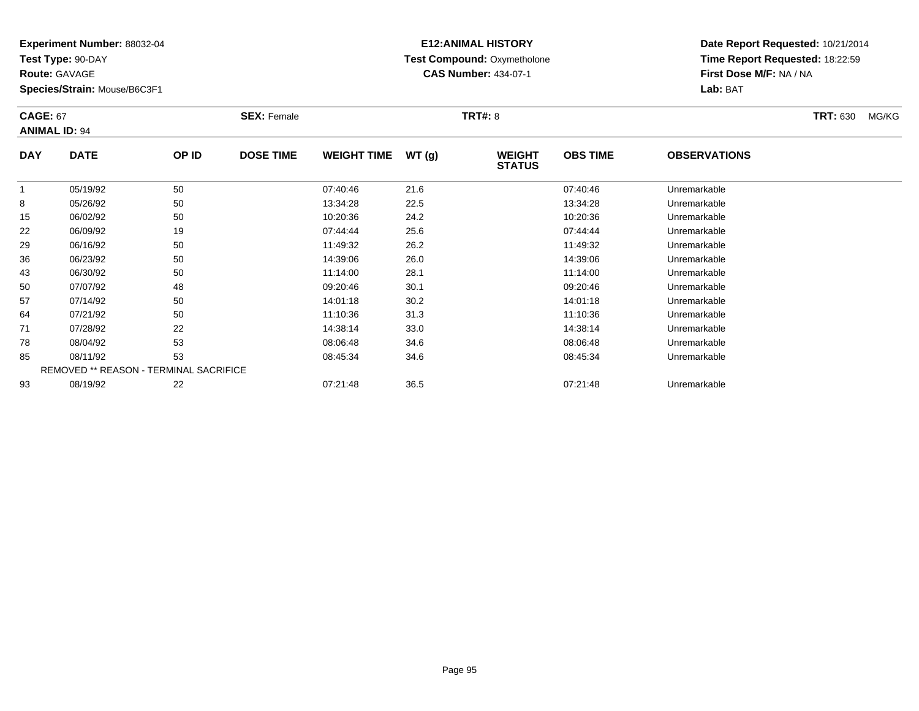**Test Type:** 90-DAY

**Route:** GAVAGE

93

**Species/Strain:** Mouse/B6C3F1

# **E12:ANIMAL HISTORY Test Compound:** Oxymetholone**CAS Number:** 434-07-1

**Date Report Requested:** 10/21/2014**Time Report Requested:** 18:22:59**First Dose M/F:** NA / NA**Lab:** BAT

| <b>CAGE: 67</b><br><b>ANIMAL ID: 94</b> |                                               | <b>SEX: Female</b> |                  |                    | <b>TRT#: 8</b> |                                | <b>TRT: 630</b> | MG/KG               |  |  |
|-----------------------------------------|-----------------------------------------------|--------------------|------------------|--------------------|----------------|--------------------------------|-----------------|---------------------|--|--|
| <b>DAY</b>                              | <b>DATE</b>                                   | OP ID              | <b>DOSE TIME</b> | <b>WEIGHT TIME</b> | WT(g)          | <b>WEIGHT</b><br><b>STATUS</b> | <b>OBS TIME</b> | <b>OBSERVATIONS</b> |  |  |
| 1                                       | 05/19/92                                      | 50                 |                  | 07:40:46           | 21.6           |                                | 07:40:46        | Unremarkable        |  |  |
| 8                                       | 05/26/92                                      | 50                 |                  | 13:34:28           | 22.5           |                                | 13:34:28        | Unremarkable        |  |  |
| 15                                      | 06/02/92                                      | 50                 |                  | 10:20:36           | 24.2           |                                | 10:20:36        | Unremarkable        |  |  |
| 22                                      | 06/09/92                                      | 19                 |                  | 07:44:44           | 25.6           |                                | 07:44:44        | Unremarkable        |  |  |
| 29                                      | 06/16/92                                      | 50                 |                  | 11:49:32           | 26.2           |                                | 11:49:32        | Unremarkable        |  |  |
| 36                                      | 06/23/92                                      | 50                 |                  | 14:39:06           | 26.0           |                                | 14:39:06        | Unremarkable        |  |  |
| 43                                      | 06/30/92                                      | 50                 |                  | 11:14:00           | 28.1           |                                | 11:14:00        | Unremarkable        |  |  |
| 50                                      | 07/07/92                                      | 48                 |                  | 09:20:46           | 30.1           |                                | 09:20:46        | Unremarkable        |  |  |
| 57                                      | 07/14/92                                      | 50                 |                  | 14:01:18           | 30.2           |                                | 14:01:18        | Unremarkable        |  |  |
| 64                                      | 07/21/92                                      | 50                 |                  | 11:10:36           | 31.3           |                                | 11:10:36        | Unremarkable        |  |  |
| 71                                      | 07/28/92                                      | 22                 |                  | 14:38:14           | 33.0           |                                | 14:38:14        | Unremarkable        |  |  |
| 78                                      | 08/04/92                                      | 53                 |                  | 08:06:48           | 34.6           |                                | 08:06:48        | Unremarkable        |  |  |
| 85                                      | 08/11/92                                      | 53                 |                  | 08:45:34           | 34.6           |                                | 08:45:34        | Unremarkable        |  |  |
|                                         | <b>REMOVED ** REASON - TERMINAL SACRIFICE</b> |                    |                  |                    |                |                                |                 |                     |  |  |

08/19/92 <sup>22</sup> 07:21:48 36.5 07:21:48 Unremarkable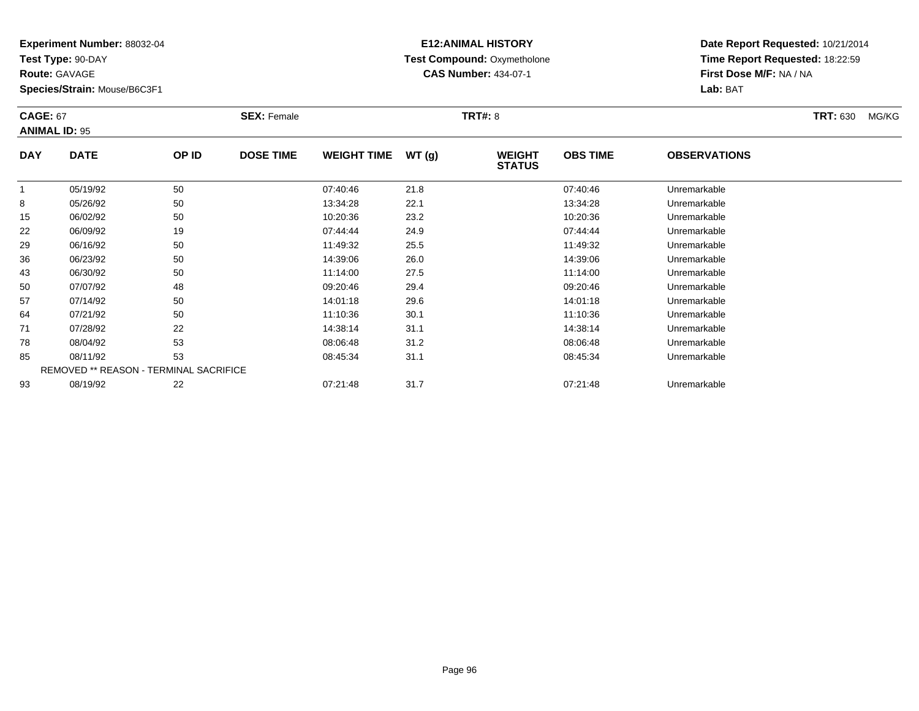**Test Type:** 90-DAY

**Route:** GAVAGE

93

**Species/Strain:** Mouse/B6C3F1

REMOVED \*\* REASON - TERMINAL SACRIFICE

# **E12:ANIMAL HISTORY Test Compound:** Oxymetholone**CAS Number:** 434-07-1

**Date Report Requested:** 10/21/2014**Time Report Requested:** 18:22:59**First Dose M/F:** NA / NA**Lab:** BAT

|            | <b>CAGE: 67</b><br><b>ANIMAL ID: 95</b> |       | <b>SEX: Female</b> |                    | <b>TRT#: 8</b> |                                | <b>TRT: 630</b> | MG/KG               |  |  |
|------------|-----------------------------------------|-------|--------------------|--------------------|----------------|--------------------------------|-----------------|---------------------|--|--|
| <b>DAY</b> | <b>DATE</b>                             | OP ID | <b>DOSE TIME</b>   | <b>WEIGHT TIME</b> | WT(g)          | <b>WEIGHT</b><br><b>STATUS</b> | <b>OBS TIME</b> | <b>OBSERVATIONS</b> |  |  |
|            | 05/19/92                                | 50    |                    | 07:40:46           | 21.8           |                                | 07:40:46        | Unremarkable        |  |  |
| 8          | 05/26/92                                | 50    |                    | 13:34:28           | 22.1           |                                | 13:34:28        | Unremarkable        |  |  |
| 15         | 06/02/92                                | 50    |                    | 10:20:36           | 23.2           |                                | 10:20:36        | Unremarkable        |  |  |
| 22         | 06/09/92                                | 19    |                    | 07:44:44           | 24.9           |                                | 07:44:44        | Unremarkable        |  |  |
| 29         | 06/16/92                                | 50    |                    | 11:49:32           | 25.5           |                                | 11:49:32        | Unremarkable        |  |  |
| 36         | 06/23/92                                | 50    |                    | 14:39:06           | 26.0           |                                | 14:39:06        | Unremarkable        |  |  |
| 43         | 06/30/92                                | 50    |                    | 11:14:00           | 27.5           |                                | 11:14:00        | Unremarkable        |  |  |
| 50         | 07/07/92                                | 48    |                    | 09:20:46           | 29.4           |                                | 09:20:46        | Unremarkable        |  |  |
| 57         | 07/14/92                                | 50    |                    | 14:01:18           | 29.6           |                                | 14:01:18        | Unremarkable        |  |  |
| 64         | 07/21/92                                | 50    |                    | 11:10:36           | 30.1           |                                | 11:10:36        | Unremarkable        |  |  |
| 71         | 07/28/92                                | 22    |                    | 14:38:14           | 31.1           |                                | 14:38:14        | Unremarkable        |  |  |
| 78         | 08/04/92                                | 53    |                    | 08:06:48           | 31.2           |                                | 08:06:48        | Unremarkable        |  |  |
| 85         | 08/11/92                                | 53    |                    | 08:45:34           | 31.1           |                                | 08:45:34        | Unremarkable        |  |  |

08/19/92 <sup>22</sup> 07:21:48 31.7 07:21:48 Unremarkable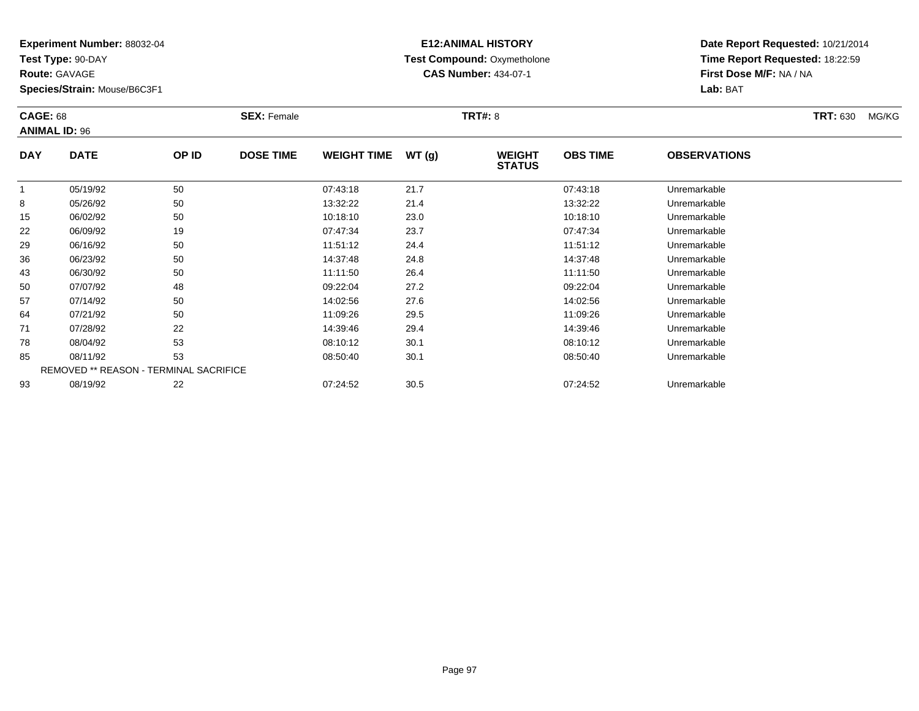**Test Type:** 90-DAY

**Route:** GAVAGE

93

**Species/Strain:** Mouse/B6C3F1

## **E12:ANIMAL HISTORY Test Compound:** Oxymetholone**CAS Number:** 434-07-1

**Date Report Requested:** 10/21/2014**Time Report Requested:** 18:22:59**First Dose M/F:** NA / NA**Lab:** BAT

|             | <b>CAGE: 68</b><br><b>ANIMAL ID: 96</b>       |       | <b>SEX: Female</b> |                    |       | <b>TRT#: 8</b>                 | <b>TRT: 630</b><br>MG/KG |                     |  |
|-------------|-----------------------------------------------|-------|--------------------|--------------------|-------|--------------------------------|--------------------------|---------------------|--|
| <b>DAY</b>  | <b>DATE</b>                                   | OP ID | <b>DOSE TIME</b>   | <b>WEIGHT TIME</b> | WT(g) | <b>WEIGHT</b><br><b>STATUS</b> | <b>OBS TIME</b>          | <b>OBSERVATIONS</b> |  |
| $\mathbf 1$ | 05/19/92                                      | 50    |                    | 07:43:18           | 21.7  |                                | 07:43:18                 | Unremarkable        |  |
| 8           | 05/26/92                                      | 50    |                    | 13:32:22           | 21.4  |                                | 13:32:22                 | Unremarkable        |  |
| 15          | 06/02/92                                      | 50    |                    | 10:18:10           | 23.0  |                                | 10:18:10                 | Unremarkable        |  |
| 22          | 06/09/92                                      | 19    |                    | 07:47:34           | 23.7  |                                | 07:47:34                 | Unremarkable        |  |
| 29          | 06/16/92                                      | 50    |                    | 11:51:12           | 24.4  |                                | 11:51:12                 | Unremarkable        |  |
| 36          | 06/23/92                                      | 50    |                    | 14:37:48           | 24.8  |                                | 14:37:48                 | Unremarkable        |  |
| 43          | 06/30/92                                      | 50    |                    | 11:11:50           | 26.4  |                                | 11:11:50                 | Unremarkable        |  |
| 50          | 07/07/92                                      | 48    |                    | 09:22:04           | 27.2  |                                | 09:22:04                 | Unremarkable        |  |
| 57          | 07/14/92                                      | 50    |                    | 14:02:56           | 27.6  |                                | 14:02:56                 | Unremarkable        |  |
| 64          | 07/21/92                                      | 50    |                    | 11:09:26           | 29.5  |                                | 11:09:26                 | Unremarkable        |  |
| 71          | 07/28/92                                      | 22    |                    | 14:39:46           | 29.4  |                                | 14:39:46                 | Unremarkable        |  |
| 78          | 08/04/92                                      | 53    |                    | 08:10:12           | 30.1  |                                | 08:10:12                 | Unremarkable        |  |
| 85          | 08/11/92                                      | 53    |                    | 08:50:40           | 30.1  |                                | 08:50:40                 | Unremarkable        |  |
|             | <b>REMOVED ** REASON - TERMINAL SACRIFICE</b> |       |                    |                    |       |                                |                          |                     |  |

08/19/92 <sup>22</sup> 07:24:52 30.5 07:24:52 Unremarkable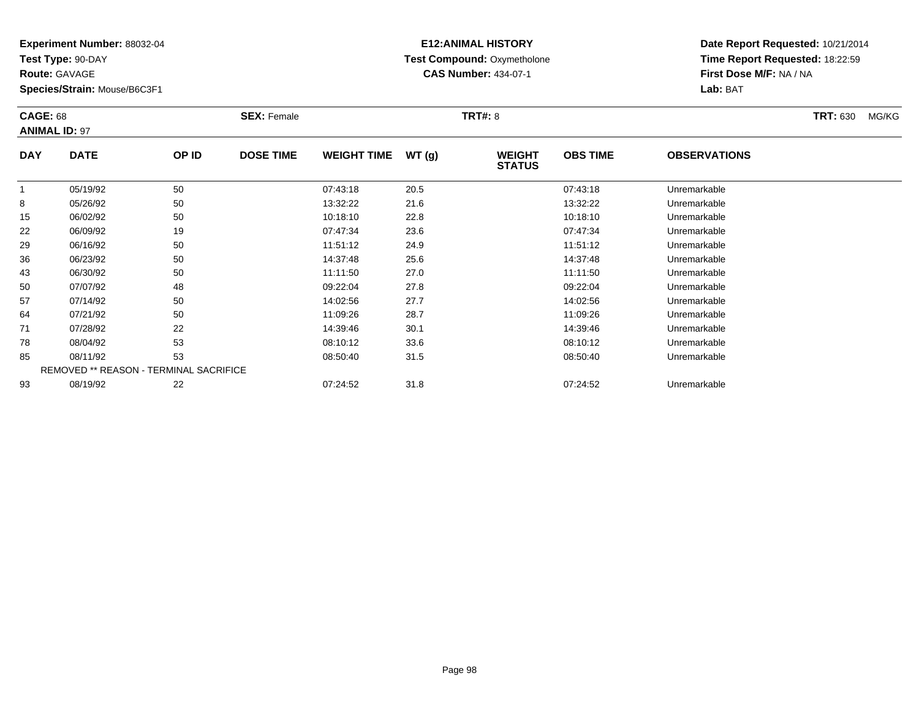**Test Type:** 90-DAY

**Route:** GAVAGE

93

**Species/Strain:** Mouse/B6C3F1

REMOVED \*\* REASON - TERMINAL SACRIFICE

## **E12:ANIMAL HISTORY Test Compound:** Oxymetholone**CAS Number:** 434-07-1

**Date Report Requested:** 10/21/2014**Time Report Requested:** 18:22:59**First Dose M/F:** NA / NA**Lab:** BAT

| <b>CAGE: 68</b><br><b>ANIMAL ID: 97</b> |             |       | <b>SEX: Female</b> |                    |       | <b>TRT#: 8</b>                 |                 |                     | <b>TRT: 630</b> | MG/KG |
|-----------------------------------------|-------------|-------|--------------------|--------------------|-------|--------------------------------|-----------------|---------------------|-----------------|-------|
| <b>DAY</b>                              | <b>DATE</b> | OP ID | <b>DOSE TIME</b>   | <b>WEIGHT TIME</b> | WT(g) | <b>WEIGHT</b><br><b>STATUS</b> | <b>OBS TIME</b> | <b>OBSERVATIONS</b> |                 |       |
|                                         | 05/19/92    | 50    |                    | 07:43:18           | 20.5  |                                | 07:43:18        | Unremarkable        |                 |       |
| 8                                       | 05/26/92    | 50    |                    | 13:32:22           | 21.6  |                                | 13:32:22        | Unremarkable        |                 |       |
| 15                                      | 06/02/92    | 50    |                    | 10:18:10           | 22.8  |                                | 10:18:10        | Unremarkable        |                 |       |
| 22                                      | 06/09/92    | 19    |                    | 07:47:34           | 23.6  |                                | 07:47:34        | Unremarkable        |                 |       |
| 29                                      | 06/16/92    | 50    |                    | 11:51:12           | 24.9  |                                | 11:51:12        | Unremarkable        |                 |       |
| 36                                      | 06/23/92    | 50    |                    | 14:37:48           | 25.6  |                                | 14:37:48        | Unremarkable        |                 |       |
| 43                                      | 06/30/92    | 50    |                    | 11:11:50           | 27.0  |                                | 11:11:50        | Unremarkable        |                 |       |
| 50                                      | 07/07/92    | 48    |                    | 09:22:04           | 27.8  |                                | 09:22:04        | Unremarkable        |                 |       |
| 57                                      | 07/14/92    | 50    |                    | 14:02:56           | 27.7  |                                | 14:02:56        | Unremarkable        |                 |       |
| 64                                      | 07/21/92    | 50    |                    | 11:09:26           | 28.7  |                                | 11:09:26        | Unremarkable        |                 |       |
| 71                                      | 07/28/92    | 22    |                    | 14:39:46           | 30.1  |                                | 14:39:46        | Unremarkable        |                 |       |
| 78                                      | 08/04/92    | 53    |                    | 08:10:12           | 33.6  |                                | 08:10:12        | Unremarkable        |                 |       |
| 85                                      | 08/11/92    | 53    |                    | 08:50:40           | 31.5  |                                | 08:50:40        | Unremarkable        |                 |       |

08/19/92 <sup>22</sup> 07:24:52 31.8 07:24:52 Unremarkable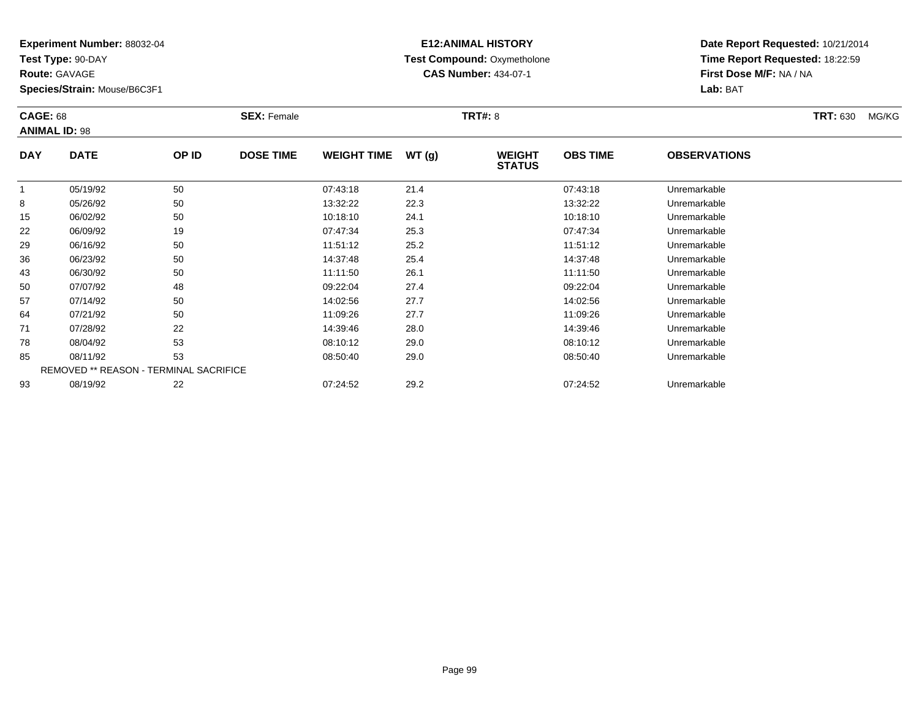**Test Type:** 90-DAY

**Route:** GAVAGE

93

**Species/Strain:** Mouse/B6C3F1

# **E12:ANIMAL HISTORY Test Compound:** Oxymetholone**CAS Number:** 434-07-1

**Date Report Requested:** 10/21/2014**Time Report Requested:** 18:22:59**First Dose M/F:** NA / NA**Lab:** BAT

|             | <b>CAGE: 68</b><br><b>ANIMAL ID: 98</b>       |       | <b>SEX: Female</b> |                    |       | <b>TRT#: 8</b>                 | <b>TRT: 630</b><br>MG/KG |                     |  |
|-------------|-----------------------------------------------|-------|--------------------|--------------------|-------|--------------------------------|--------------------------|---------------------|--|
| <b>DAY</b>  | <b>DATE</b>                                   | OP ID | <b>DOSE TIME</b>   | <b>WEIGHT TIME</b> | WT(g) | <b>WEIGHT</b><br><b>STATUS</b> | <b>OBS TIME</b>          | <b>OBSERVATIONS</b> |  |
| $\mathbf 1$ | 05/19/92                                      | 50    |                    | 07:43:18           | 21.4  |                                | 07:43:18                 | Unremarkable        |  |
| 8           | 05/26/92                                      | 50    |                    | 13:32:22           | 22.3  |                                | 13:32:22                 | Unremarkable        |  |
| 15          | 06/02/92                                      | 50    |                    | 10:18:10           | 24.1  |                                | 10:18:10                 | Unremarkable        |  |
| 22          | 06/09/92                                      | 19    |                    | 07:47:34           | 25.3  |                                | 07:47:34                 | Unremarkable        |  |
| 29          | 06/16/92                                      | 50    |                    | 11:51:12           | 25.2  |                                | 11:51:12                 | Unremarkable        |  |
| 36          | 06/23/92                                      | 50    |                    | 14:37:48           | 25.4  |                                | 14:37:48                 | Unremarkable        |  |
| 43          | 06/30/92                                      | 50    |                    | 11:11:50           | 26.1  |                                | 11:11:50                 | Unremarkable        |  |
| 50          | 07/07/92                                      | 48    |                    | 09:22:04           | 27.4  |                                | 09:22:04                 | Unremarkable        |  |
| 57          | 07/14/92                                      | 50    |                    | 14:02:56           | 27.7  |                                | 14:02:56                 | Unremarkable        |  |
| 64          | 07/21/92                                      | 50    |                    | 11:09:26           | 27.7  |                                | 11:09:26                 | Unremarkable        |  |
| 71          | 07/28/92                                      | 22    |                    | 14:39:46           | 28.0  |                                | 14:39:46                 | Unremarkable        |  |
| 78          | 08/04/92                                      | 53    |                    | 08:10:12           | 29.0  |                                | 08:10:12                 | Unremarkable        |  |
| 85          | 08/11/92                                      | 53    |                    | 08:50:40           | 29.0  |                                | 08:50:40                 | Unremarkable        |  |
|             | <b>REMOVED ** REASON - TERMINAL SACRIFICE</b> |       |                    |                    |       |                                |                          |                     |  |

08/19/92 <sup>22</sup> 07:24:52 29.2 07:24:52 Unremarkable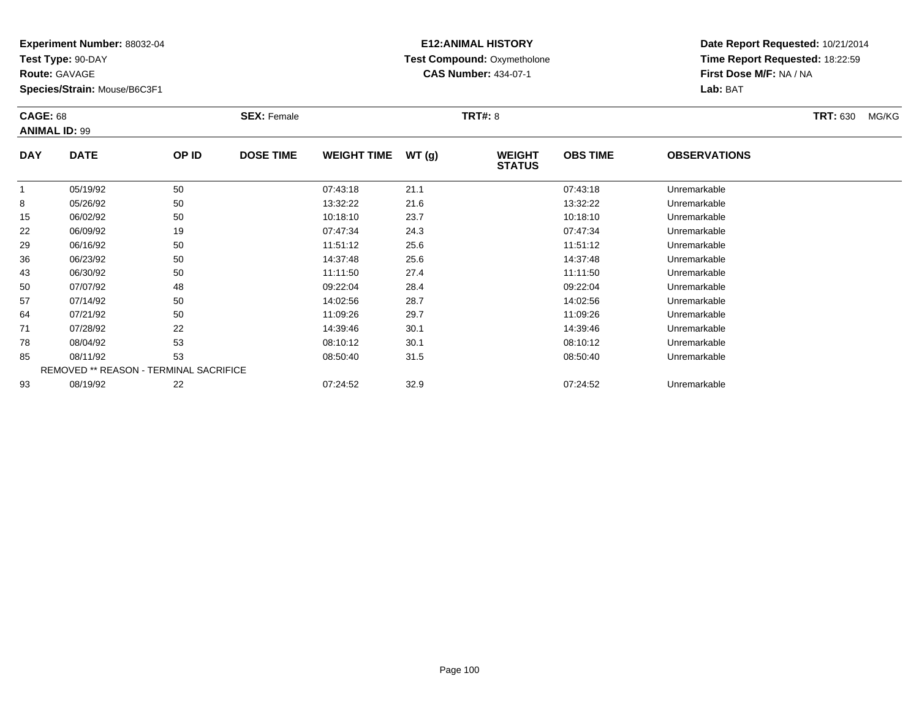**Test Type:** 90-DAY

**Route:** GAVAGE

93

**Species/Strain:** Mouse/B6C3F1

# **E12:ANIMAL HISTORY Test Compound:** Oxymetholone**CAS Number:** 434-07-1

**Date Report Requested:** 10/21/2014**Time Report Requested:** 18:22:59**First Dose M/F:** NA / NA**Lab:** BAT

|            | <b>CAGE: 68</b><br><b>ANIMAL ID: 99</b>       |       | <b>SEX: Female</b> |                    |       | <b>TRT#:</b> 8                 |                 | <b>TRT: 630</b>     | MG/KG |  |
|------------|-----------------------------------------------|-------|--------------------|--------------------|-------|--------------------------------|-----------------|---------------------|-------|--|
| <b>DAY</b> | <b>DATE</b>                                   | OP ID | <b>DOSE TIME</b>   | <b>WEIGHT TIME</b> | WT(g) | <b>WEIGHT</b><br><b>STATUS</b> | <b>OBS TIME</b> | <b>OBSERVATIONS</b> |       |  |
| 1          | 05/19/92                                      | 50    |                    | 07:43:18           | 21.1  |                                | 07:43:18        | Unremarkable        |       |  |
| 8          | 05/26/92                                      | 50    |                    | 13:32:22           | 21.6  |                                | 13:32:22        | Unremarkable        |       |  |
| 15         | 06/02/92                                      | 50    |                    | 10:18:10           | 23.7  |                                | 10:18:10        | Unremarkable        |       |  |
| 22         | 06/09/92                                      | 19    |                    | 07:47:34           | 24.3  |                                | 07:47:34        | Unremarkable        |       |  |
| 29         | 06/16/92                                      | 50    |                    | 11:51:12           | 25.6  |                                | 11:51:12        | Unremarkable        |       |  |
| 36         | 06/23/92                                      | 50    |                    | 14:37:48           | 25.6  |                                | 14:37:48        | Unremarkable        |       |  |
| 43         | 06/30/92                                      | 50    |                    | 11:11:50           | 27.4  |                                | 11:11:50        | Unremarkable        |       |  |
| 50         | 07/07/92                                      | 48    |                    | 09:22:04           | 28.4  |                                | 09:22:04        | Unremarkable        |       |  |
| 57         | 07/14/92                                      | 50    |                    | 14:02:56           | 28.7  |                                | 14:02:56        | Unremarkable        |       |  |
| 64         | 07/21/92                                      | 50    |                    | 11:09:26           | 29.7  |                                | 11:09:26        | Unremarkable        |       |  |
| 71         | 07/28/92                                      | 22    |                    | 14:39:46           | 30.1  |                                | 14:39:46        | Unremarkable        |       |  |
| 78         | 08/04/92                                      | 53    |                    | 08:10:12           | 30.1  |                                | 08:10:12        | Unremarkable        |       |  |
| 85         | 08/11/92                                      | 53    |                    | 08:50:40           | 31.5  |                                | 08:50:40        | Unremarkable        |       |  |
|            | <b>REMOVED ** REASON - TERMINAL SACRIFICE</b> |       |                    |                    |       |                                |                 |                     |       |  |

08/19/92 <sup>22</sup> 07:24:52 32.9 07:24:52 Unremarkable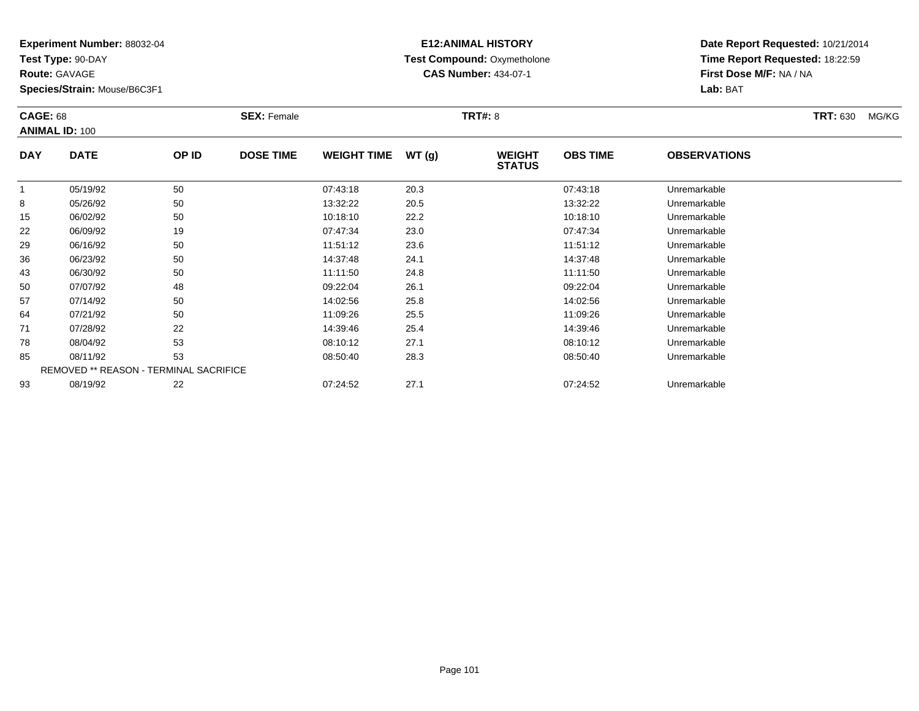**Test Type:** 90-DAY

**Route:** GAVAGE

93

**Species/Strain:** Mouse/B6C3F1

# **E12:ANIMAL HISTORY Test Compound:** Oxymetholone**CAS Number:** 434-07-1

**Date Report Requested:** 10/21/2014**Time Report Requested:** 18:22:59**First Dose M/F:** NA / NA**Lab:** BAT

|            | <b>CAGE: 68</b><br><b>ANIMAL ID: 100</b> |       | <b>SEX: Female</b> |                    |       | <b>TRT#: 8</b>                 | <b>TRT: 630</b> | MG/KG               |  |  |
|------------|------------------------------------------|-------|--------------------|--------------------|-------|--------------------------------|-----------------|---------------------|--|--|
| <b>DAY</b> | <b>DATE</b>                              | OP ID | <b>DOSE TIME</b>   | <b>WEIGHT TIME</b> | WT(g) | <b>WEIGHT</b><br><b>STATUS</b> | <b>OBS TIME</b> | <b>OBSERVATIONS</b> |  |  |
| 1          | 05/19/92                                 | 50    |                    | 07:43:18           | 20.3  |                                | 07:43:18        | Unremarkable        |  |  |
| 8          | 05/26/92                                 | 50    |                    | 13:32:22           | 20.5  |                                | 13:32:22        | Unremarkable        |  |  |
| 15         | 06/02/92                                 | 50    |                    | 10:18:10           | 22.2  |                                | 10:18:10        | Unremarkable        |  |  |
| 22         | 06/09/92                                 | 19    |                    | 07:47:34           | 23.0  |                                | 07:47:34        | Unremarkable        |  |  |
| 29         | 06/16/92                                 | 50    |                    | 11:51:12           | 23.6  |                                | 11:51:12        | Unremarkable        |  |  |
| 36         | 06/23/92                                 | 50    |                    | 14:37:48           | 24.1  |                                | 14:37:48        | Unremarkable        |  |  |
| 43         | 06/30/92                                 | 50    |                    | 11:11:50           | 24.8  |                                | 11:11:50        | Unremarkable        |  |  |
| 50         | 07/07/92                                 | 48    |                    | 09:22:04           | 26.1  |                                | 09:22:04        | Unremarkable        |  |  |
| 57         | 07/14/92                                 | 50    |                    | 14:02:56           | 25.8  |                                | 14:02:56        | Unremarkable        |  |  |
| 64         | 07/21/92                                 | 50    |                    | 11:09:26           | 25.5  |                                | 11:09:26        | Unremarkable        |  |  |
| 71         | 07/28/92                                 | 22    |                    | 14:39:46           | 25.4  |                                | 14:39:46        | Unremarkable        |  |  |
| 78         | 08/04/92                                 | 53    |                    | 08:10:12           | 27.1  |                                | 08:10:12        | Unremarkable        |  |  |
| 85         | 08/11/92                                 | 53    |                    | 08:50:40           | 28.3  |                                | 08:50:40        | Unremarkable        |  |  |
|            | REMOVED ** REASON - TERMINAL SACRIFICE   |       |                    |                    |       |                                |                 |                     |  |  |

08/19/92 <sup>22</sup> 07:24:52 27.1 07:24:52 Unremarkable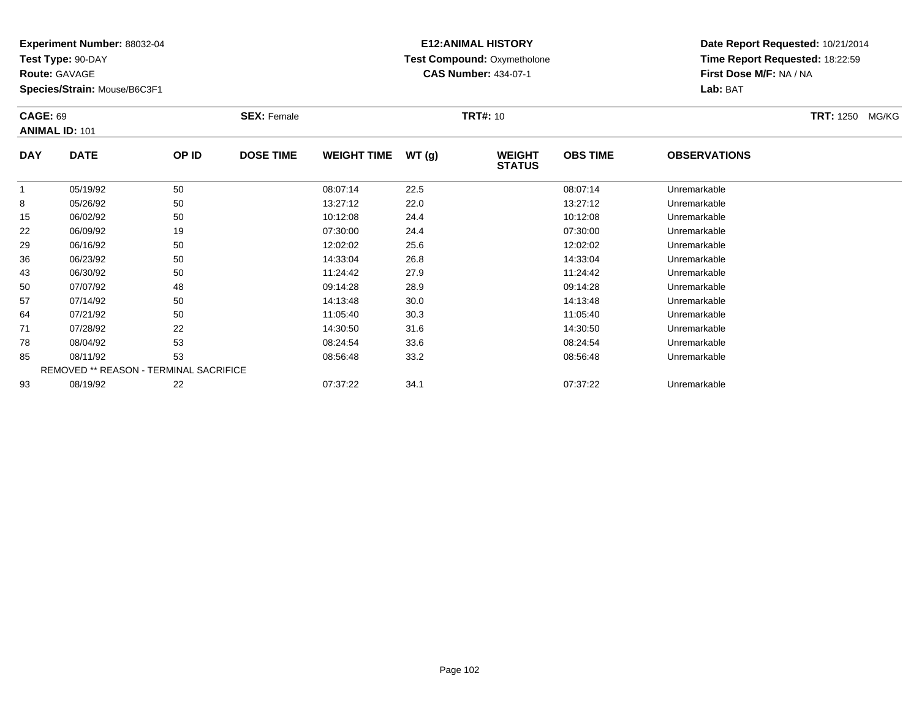**Test Type:** 90-DAY

**Route:** GAVAGE

**Species/Strain:** Mouse/B6C3F1

# **E12:ANIMAL HISTORY Test Compound:** Oxymetholone**CAS Number:** 434-07-1

**Date Report Requested:** 10/21/2014**Time Report Requested:** 18:22:59**First Dose M/F:** NA / NA**Lab:** BAT

|            | <b>CAGE: 69</b><br><b>ANIMAL ID: 101</b>      |       | <b>SEX: Female</b> |                    |       | <b>TRT#: 10</b>                | <b>TRT: 1250</b><br>MG/KG |                     |  |
|------------|-----------------------------------------------|-------|--------------------|--------------------|-------|--------------------------------|---------------------------|---------------------|--|
| <b>DAY</b> | <b>DATE</b>                                   | OP ID | <b>DOSE TIME</b>   | <b>WEIGHT TIME</b> | WT(g) | <b>WEIGHT</b><br><b>STATUS</b> | <b>OBS TIME</b>           | <b>OBSERVATIONS</b> |  |
|            | 05/19/92                                      | 50    |                    | 08:07:14           | 22.5  |                                | 08:07:14                  | Unremarkable        |  |
| 8          | 05/26/92                                      | 50    |                    | 13:27:12           | 22.0  |                                | 13:27:12                  | Unremarkable        |  |
| 15         | 06/02/92                                      | 50    |                    | 10:12:08           | 24.4  |                                | 10:12:08                  | Unremarkable        |  |
| 22         | 06/09/92                                      | 19    |                    | 07:30:00           | 24.4  |                                | 07:30:00                  | Unremarkable        |  |
| 29         | 06/16/92                                      | 50    |                    | 12:02:02           | 25.6  |                                | 12:02:02                  | Unremarkable        |  |
| 36         | 06/23/92                                      | 50    |                    | 14:33:04           | 26.8  |                                | 14:33:04                  | Unremarkable        |  |
| 43         | 06/30/92                                      | 50    |                    | 11:24:42           | 27.9  |                                | 11:24:42                  | Unremarkable        |  |
| 50         | 07/07/92                                      | 48    |                    | 09:14:28           | 28.9  |                                | 09:14:28                  | Unremarkable        |  |
| 57         | 07/14/92                                      | 50    |                    | 14:13:48           | 30.0  |                                | 14:13:48                  | Unremarkable        |  |
| 64         | 07/21/92                                      | 50    |                    | 11:05:40           | 30.3  |                                | 11:05:40                  | Unremarkable        |  |
| 71         | 07/28/92                                      | 22    |                    | 14:30:50           | 31.6  |                                | 14:30:50                  | Unremarkable        |  |
| 78         | 08/04/92                                      | 53    |                    | 08:24:54           | 33.6  |                                | 08:24:54                  | Unremarkable        |  |
| 85         | 08/11/92                                      | 53    |                    | 08:56:48           | 33.2  |                                | 08:56:48                  | Unremarkable        |  |
|            | <b>REMOVED ** REASON - TERMINAL SACRIFICE</b> |       |                    |                    |       |                                |                           |                     |  |
| 93         | 08/19/92                                      | 22    |                    | 07:37:22           | 34.1  |                                | 07:37:22                  | Unremarkable        |  |

#### **Experiment Number:** 88032-04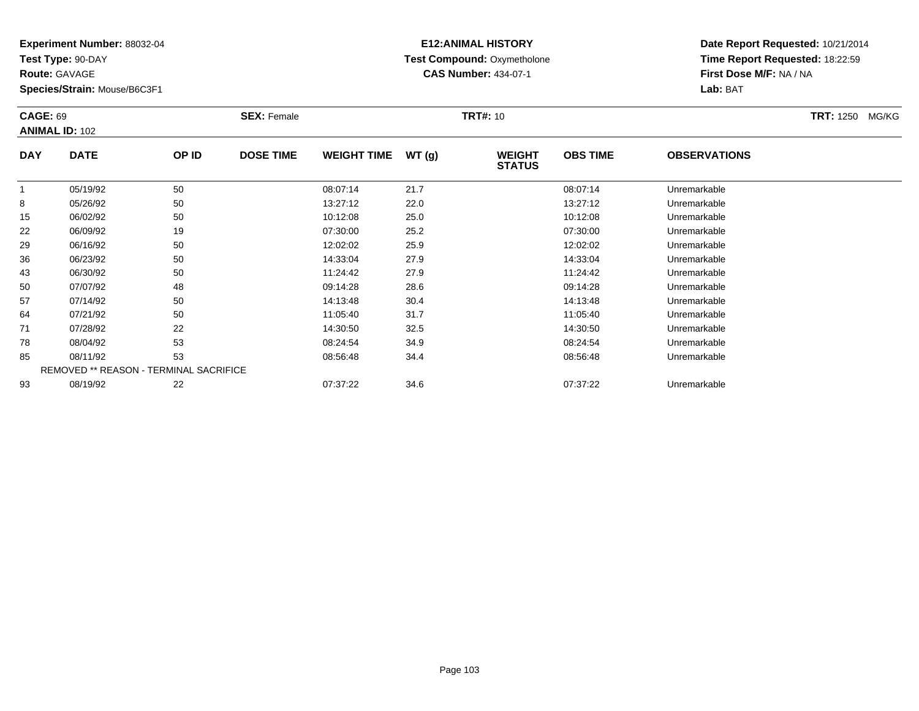**Test Type:** 90-DAY

**Route:** GAVAGE

**Species/Strain:** Mouse/B6C3F1

# **E12:ANIMAL HISTORY Test Compound:** Oxymetholone**CAS Number:** 434-07-1

| <b>CAGE: 69</b><br><b>ANIMAL ID: 102</b> |                                               | <b>SEX: Female</b> |                  |                    | <b>TRT#: 10</b> | <b>TRT: 1250</b>               | MG/KG           |                     |  |  |
|------------------------------------------|-----------------------------------------------|--------------------|------------------|--------------------|-----------------|--------------------------------|-----------------|---------------------|--|--|
| <b>DAY</b>                               | <b>DATE</b>                                   | OP ID              | <b>DOSE TIME</b> | <b>WEIGHT TIME</b> | WT(g)           | <b>WEIGHT</b><br><b>STATUS</b> | <b>OBS TIME</b> | <b>OBSERVATIONS</b> |  |  |
|                                          | 05/19/92                                      | 50                 |                  | 08:07:14           | 21.7            |                                | 08:07:14        | Unremarkable        |  |  |
| 8                                        | 05/26/92                                      | 50                 |                  | 13:27:12           | 22.0            |                                | 13:27:12        | Unremarkable        |  |  |
| 15                                       | 06/02/92                                      | 50                 |                  | 10:12:08           | 25.0            |                                | 10:12:08        | Unremarkable        |  |  |
| 22                                       | 06/09/92                                      | 19                 |                  | 07:30:00           | 25.2            |                                | 07:30:00        | Unremarkable        |  |  |
| 29                                       | 06/16/92                                      | 50                 |                  | 12:02:02           | 25.9            |                                | 12:02:02        | Unremarkable        |  |  |
| 36                                       | 06/23/92                                      | 50                 |                  | 14:33:04           | 27.9            |                                | 14:33:04        | Unremarkable        |  |  |
| 43                                       | 06/30/92                                      | 50                 |                  | 11:24:42           | 27.9            |                                | 11:24:42        | Unremarkable        |  |  |
| 50                                       | 07/07/92                                      | 48                 |                  | 09:14:28           | 28.6            |                                | 09:14:28        | Unremarkable        |  |  |
| 57                                       | 07/14/92                                      | 50                 |                  | 14:13:48           | 30.4            |                                | 14:13:48        | Unremarkable        |  |  |
| 64                                       | 07/21/92                                      | 50                 |                  | 11:05:40           | 31.7            |                                | 11:05:40        | Unremarkable        |  |  |
| 71                                       | 07/28/92                                      | 22                 |                  | 14:30:50           | 32.5            |                                | 14:30:50        | Unremarkable        |  |  |
| 78                                       | 08/04/92                                      | 53                 |                  | 08:24:54           | 34.9            |                                | 08:24:54        | Unremarkable        |  |  |
| 85                                       | 08/11/92                                      | 53                 |                  | 08:56:48           | 34.4            |                                | 08:56:48        | Unremarkable        |  |  |
|                                          | <b>REMOVED ** REASON - TERMINAL SACRIFICE</b> |                    |                  |                    |                 |                                |                 |                     |  |  |
| 93                                       | 08/19/92                                      | 22                 |                  | 07:37:22           | 34.6            |                                | 07:37:22        | Unremarkable        |  |  |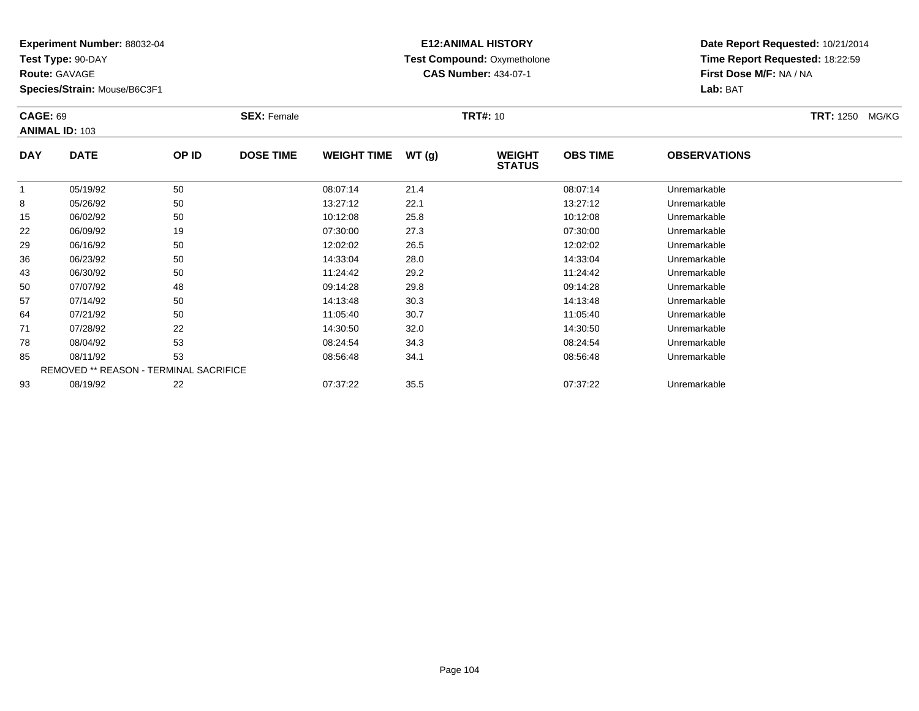**Test Type:** 90-DAY

**Route:** GAVAGE

**Species/Strain:** Mouse/B6C3F1

# **E12:ANIMAL HISTORY Test Compound:** Oxymetholone**CAS Number:** 434-07-1

| <b>CAGE: 69</b> | <b>ANIMAL ID: 103</b>                  |       | <b>SEX: Female</b> |                    |       | <b>TRT#: 10</b>                |                 |                     | <b>TRT: 1250</b><br>MG/KG |
|-----------------|----------------------------------------|-------|--------------------|--------------------|-------|--------------------------------|-----------------|---------------------|---------------------------|
| <b>DAY</b>      | <b>DATE</b>                            | OP ID | <b>DOSE TIME</b>   | <b>WEIGHT TIME</b> | WT(g) | <b>WEIGHT</b><br><b>STATUS</b> | <b>OBS TIME</b> | <b>OBSERVATIONS</b> |                           |
|                 | 05/19/92                               | 50    |                    | 08:07:14           | 21.4  |                                | 08:07:14        | Unremarkable        |                           |
| 8               | 05/26/92                               | 50    |                    | 13:27:12           | 22.1  |                                | 13:27:12        | Unremarkable        |                           |
| 15              | 06/02/92                               | 50    |                    | 10:12:08           | 25.8  |                                | 10:12:08        | Unremarkable        |                           |
| 22              | 06/09/92                               | 19    |                    | 07:30:00           | 27.3  |                                | 07:30:00        | Unremarkable        |                           |
| 29              | 06/16/92                               | 50    |                    | 12:02:02           | 26.5  |                                | 12:02:02        | Unremarkable        |                           |
| 36              | 06/23/92                               | 50    |                    | 14:33:04           | 28.0  |                                | 14:33:04        | Unremarkable        |                           |
| 43              | 06/30/92                               | 50    |                    | 11:24:42           | 29.2  |                                | 11:24:42        | Unremarkable        |                           |
| 50              | 07/07/92                               | 48    |                    | 09:14:28           | 29.8  |                                | 09:14:28        | Unremarkable        |                           |
| 57              | 07/14/92                               | 50    |                    | 14:13:48           | 30.3  |                                | 14:13:48        | Unremarkable        |                           |
| 64              | 07/21/92                               | 50    |                    | 11:05:40           | 30.7  |                                | 11:05:40        | Unremarkable        |                           |
| 71              | 07/28/92                               | 22    |                    | 14:30:50           | 32.0  |                                | 14:30:50        | Unremarkable        |                           |
| 78              | 08/04/92                               | 53    |                    | 08:24:54           | 34.3  |                                | 08:24:54        | Unremarkable        |                           |
| 85              | 08/11/92                               | 53    |                    | 08:56:48           | 34.1  |                                | 08:56:48        | Unremarkable        |                           |
|                 | REMOVED ** REASON - TERMINAL SACRIFICE |       |                    |                    |       |                                |                 |                     |                           |
| 93              | 08/19/92                               | 22    |                    | 07:37:22           | 35.5  |                                | 07:37:22        | Unremarkable        |                           |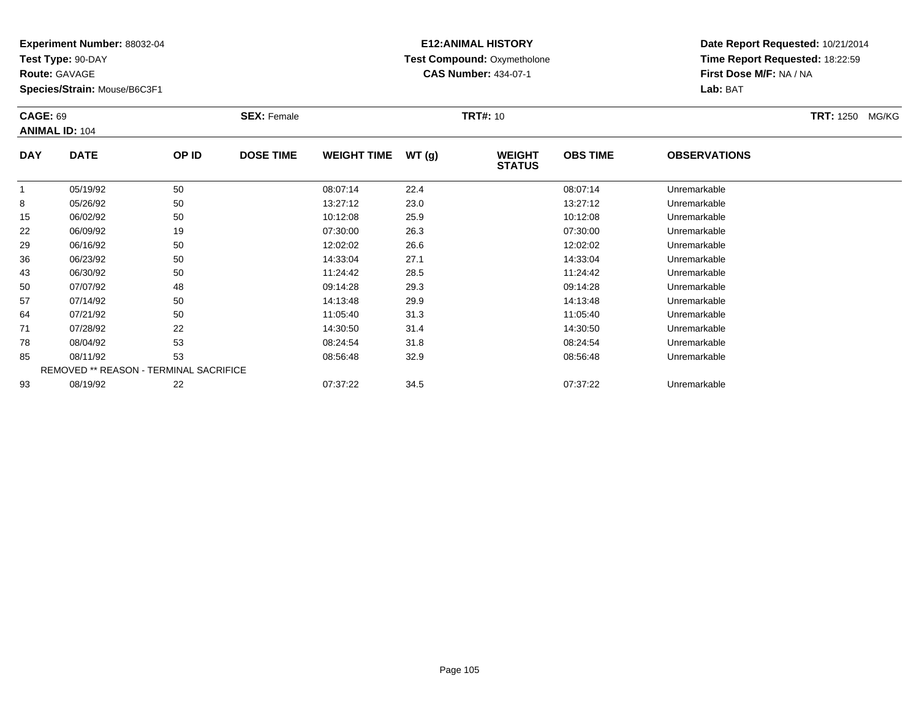**Test Type:** 90-DAY

**Route:** GAVAGE

**Species/Strain:** Mouse/B6C3F1

# **E12:ANIMAL HISTORY Test Compound:** Oxymetholone**CAS Number:** 434-07-1

| <b>CAGE: 69</b> | <b>ANIMAL ID: 104</b>                  |       | <b>SEX: Female</b> |                    |       | <b>TRT#: 10</b>                |                 |                     | TRT: 1250 MG/KG |
|-----------------|----------------------------------------|-------|--------------------|--------------------|-------|--------------------------------|-----------------|---------------------|-----------------|
| <b>DAY</b>      | <b>DATE</b>                            | OP ID | <b>DOSE TIME</b>   | <b>WEIGHT TIME</b> | WT(g) | <b>WEIGHT</b><br><b>STATUS</b> | <b>OBS TIME</b> | <b>OBSERVATIONS</b> |                 |
|                 | 05/19/92                               | 50    |                    | 08:07:14           | 22.4  |                                | 08:07:14        | Unremarkable        |                 |
| 8               | 05/26/92                               | 50    |                    | 13:27:12           | 23.0  |                                | 13:27:12        | Unremarkable        |                 |
| 15              | 06/02/92                               | 50    |                    | 10:12:08           | 25.9  |                                | 10:12:08        | Unremarkable        |                 |
| 22              | 06/09/92                               | 19    |                    | 07:30:00           | 26.3  |                                | 07:30:00        | Unremarkable        |                 |
| 29              | 06/16/92                               | 50    |                    | 12:02:02           | 26.6  |                                | 12:02:02        | Unremarkable        |                 |
| 36              | 06/23/92                               | 50    |                    | 14:33:04           | 27.1  |                                | 14:33:04        | Unremarkable        |                 |
| 43              | 06/30/92                               | 50    |                    | 11:24:42           | 28.5  |                                | 11:24:42        | Unremarkable        |                 |
| 50              | 07/07/92                               | 48    |                    | 09:14:28           | 29.3  |                                | 09:14:28        | Unremarkable        |                 |
| 57              | 07/14/92                               | 50    |                    | 14:13:48           | 29.9  |                                | 14:13:48        | Unremarkable        |                 |
| 64              | 07/21/92                               | 50    |                    | 11:05:40           | 31.3  |                                | 11:05:40        | Unremarkable        |                 |
| 71              | 07/28/92                               | 22    |                    | 14:30:50           | 31.4  |                                | 14:30:50        | Unremarkable        |                 |
| 78              | 08/04/92                               | 53    |                    | 08:24:54           | 31.8  |                                | 08:24:54        | Unremarkable        |                 |
| 85              | 08/11/92                               | 53    |                    | 08:56:48           | 32.9  |                                | 08:56:48        | Unremarkable        |                 |
|                 | REMOVED ** REASON - TERMINAL SACRIFICE |       |                    |                    |       |                                |                 |                     |                 |
| 93              | 08/19/92                               | 22    |                    | 07:37:22           | 34.5  |                                | 07:37:22        | Unremarkable        |                 |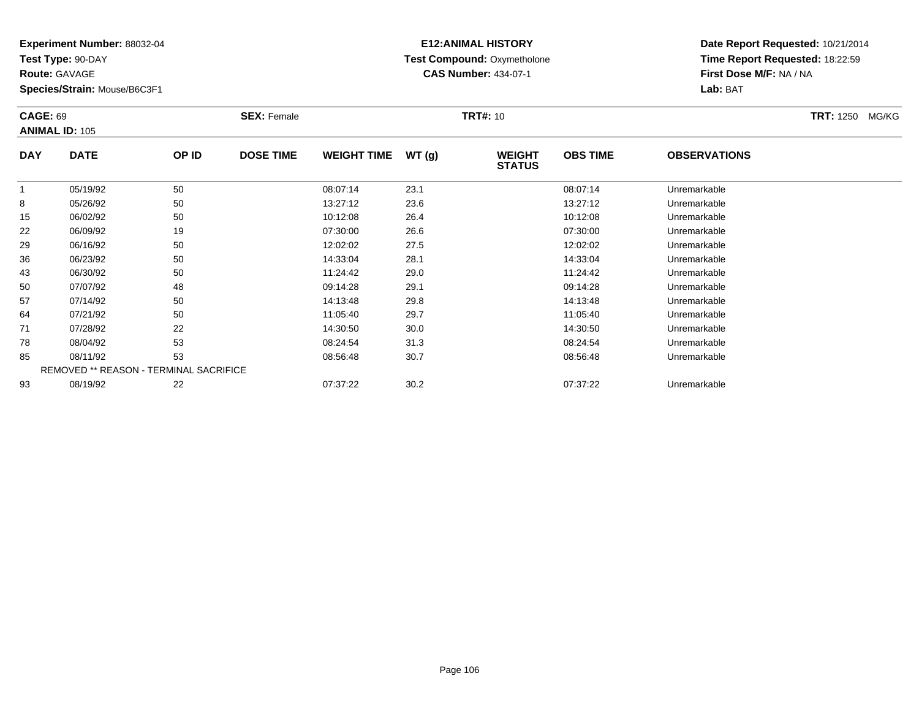**Test Type:** 90-DAY

**Route:** GAVAGE

**Species/Strain:** Mouse/B6C3F1

# **E12:ANIMAL HISTORY Test Compound:** Oxymetholone**CAS Number:** 434-07-1

| <b>CAGE: 69</b> | <b>ANIMAL ID: 105</b>                  |       | <b>SEX: Female</b> |                    |       | <b>TRT#: 10</b>                |                 |                     | <b>TRT: 1250</b><br>MG/KG |
|-----------------|----------------------------------------|-------|--------------------|--------------------|-------|--------------------------------|-----------------|---------------------|---------------------------|
| <b>DAY</b>      | <b>DATE</b>                            | OP ID | <b>DOSE TIME</b>   | <b>WEIGHT TIME</b> | WT(g) | <b>WEIGHT</b><br><b>STATUS</b> | <b>OBS TIME</b> | <b>OBSERVATIONS</b> |                           |
|                 | 05/19/92                               | 50    |                    | 08:07:14           | 23.1  |                                | 08:07:14        | Unremarkable        |                           |
| 8               | 05/26/92                               | 50    |                    | 13:27:12           | 23.6  |                                | 13:27:12        | Unremarkable        |                           |
| 15              | 06/02/92                               | 50    |                    | 10:12:08           | 26.4  |                                | 10:12:08        | Unremarkable        |                           |
| 22              | 06/09/92                               | 19    |                    | 07:30:00           | 26.6  |                                | 07:30:00        | Unremarkable        |                           |
| 29              | 06/16/92                               | 50    |                    | 12:02:02           | 27.5  |                                | 12:02:02        | Unremarkable        |                           |
| 36              | 06/23/92                               | 50    |                    | 14:33:04           | 28.1  |                                | 14:33:04        | Unremarkable        |                           |
| 43              | 06/30/92                               | 50    |                    | 11:24:42           | 29.0  |                                | 11:24:42        | Unremarkable        |                           |
| 50              | 07/07/92                               | 48    |                    | 09:14:28           | 29.1  |                                | 09:14:28        | Unremarkable        |                           |
| 57              | 07/14/92                               | 50    |                    | 14:13:48           | 29.8  |                                | 14:13:48        | Unremarkable        |                           |
| 64              | 07/21/92                               | 50    |                    | 11:05:40           | 29.7  |                                | 11:05:40        | Unremarkable        |                           |
| 71              | 07/28/92                               | 22    |                    | 14:30:50           | 30.0  |                                | 14:30:50        | Unremarkable        |                           |
| 78              | 08/04/92                               | 53    |                    | 08:24:54           | 31.3  |                                | 08:24:54        | Unremarkable        |                           |
| 85              | 08/11/92                               | 53    |                    | 08:56:48           | 30.7  |                                | 08:56:48        | Unremarkable        |                           |
|                 | REMOVED ** REASON - TERMINAL SACRIFICE |       |                    |                    |       |                                |                 |                     |                           |
| 93              | 08/19/92                               | 22    |                    | 07:37:22           | 30.2  |                                | 07:37:22        | Unremarkable        |                           |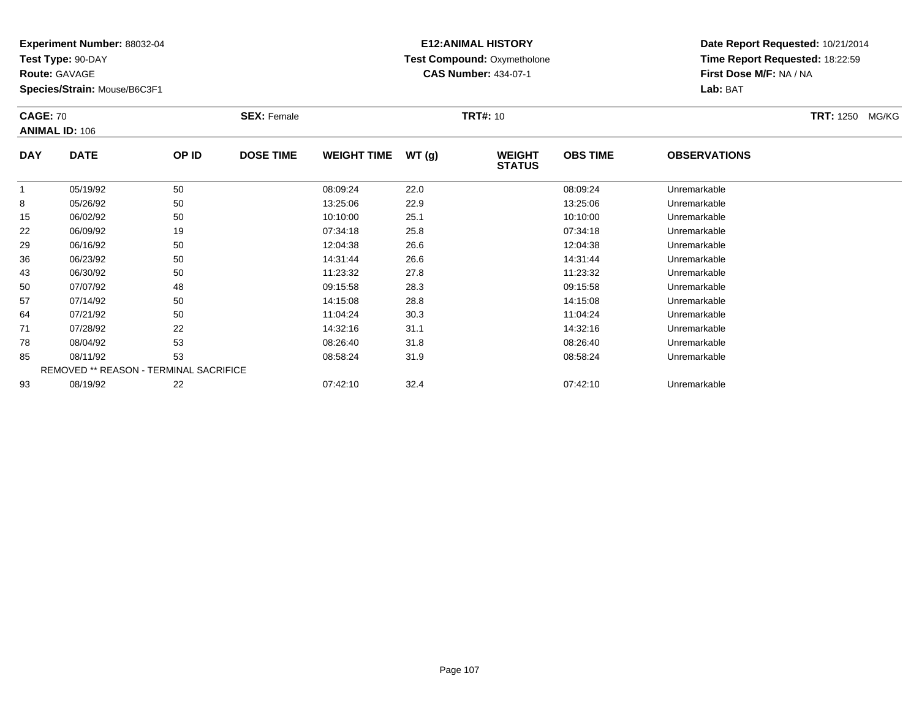**Test Type:** 90-DAY

**Route:** GAVAGE

**Species/Strain:** Mouse/B6C3F1

# **E12:ANIMAL HISTORY Test Compound:** Oxymetholone**CAS Number:** 434-07-1

**Date Report Requested:** 10/21/2014**Time Report Requested:** 18:22:59**First Dose M/F:** NA / NA**Lab:** BAT

| <b>CAGE: 70</b><br><b>ANIMAL ID: 106</b> |                                        |       | <b>SEX: Female</b> |                    | <b>TRT#: 10</b> |                                |                 |                     | <b>TRT: 1250 MG/KG</b> |
|------------------------------------------|----------------------------------------|-------|--------------------|--------------------|-----------------|--------------------------------|-----------------|---------------------|------------------------|
| <b>DAY</b>                               | <b>DATE</b>                            | OP ID | <b>DOSE TIME</b>   | <b>WEIGHT TIME</b> | WT(g)           | <b>WEIGHT</b><br><b>STATUS</b> | <b>OBS TIME</b> | <b>OBSERVATIONS</b> |                        |
|                                          | 05/19/92                               | 50    |                    | 08:09:24           | 22.0            |                                | 08:09:24        | Unremarkable        |                        |
| 8                                        | 05/26/92                               | 50    |                    | 13:25:06           | 22.9            |                                | 13:25:06        | Unremarkable        |                        |
| 15                                       | 06/02/92                               | 50    |                    | 10:10:00           | 25.1            |                                | 10:10:00        | Unremarkable        |                        |
| 22                                       | 06/09/92                               | 19    |                    | 07:34:18           | 25.8            |                                | 07:34:18        | Unremarkable        |                        |
| 29                                       | 06/16/92                               | 50    |                    | 12:04:38           | 26.6            |                                | 12:04:38        | Unremarkable        |                        |
| 36                                       | 06/23/92                               | 50    |                    | 14:31:44           | 26.6            |                                | 14:31:44        | Unremarkable        |                        |
| 43                                       | 06/30/92                               | 50    |                    | 11:23:32           | 27.8            |                                | 11:23:32        | Unremarkable        |                        |
| 50                                       | 07/07/92                               | 48    |                    | 09:15:58           | 28.3            |                                | 09:15:58        | Unremarkable        |                        |
| 57                                       | 07/14/92                               | 50    |                    | 14:15:08           | 28.8            |                                | 14:15:08        | Unremarkable        |                        |
| 64                                       | 07/21/92                               | 50    |                    | 11:04:24           | 30.3            |                                | 11:04:24        | Unremarkable        |                        |
| 71                                       | 07/28/92                               | 22    |                    | 14:32:16           | 31.1            |                                | 14:32:16        | Unremarkable        |                        |
| 78                                       | 08/04/92                               | 53    |                    | 08:26:40           | 31.8            |                                | 08:26:40        | Unremarkable        |                        |
| 85                                       | 08/11/92                               | 53    |                    | 08:58:24           | 31.9            |                                | 08:58:24        | Unremarkable        |                        |
|                                          | REMOVED ** REASON - TERMINAL SACRIFICE |       |                    |                    |                 |                                |                 |                     |                        |
| 93                                       | 08/19/92                               | 22    |                    | 07:42:10           | 32.4            |                                | 07:42:10        | Unremarkable        |                        |

08/19/92 <sup>22</sup> 07:42:10 32.4 07:42:10 Unremarkable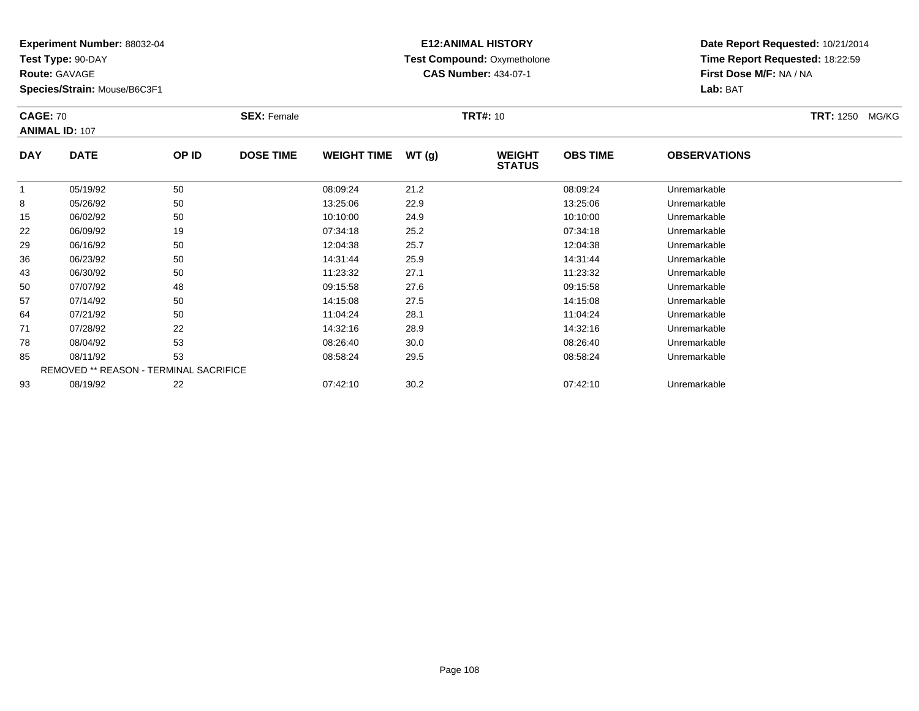**Test Type:** 90-DAY

**Route:** GAVAGE

93

**Species/Strain:** Mouse/B6C3F1

# **E12:ANIMAL HISTORY Test Compound:** Oxymetholone**CAS Number:** 434-07-1

**Date Report Requested:** 10/21/2014**Time Report Requested:** 18:22:59**First Dose M/F:** NA / NA**Lab:** BAT

| <b>CAGE: 70</b><br><b>ANIMAL ID: 107</b> |                                        | <b>SEX: Female</b> |                  |                    | <b>TRT#: 10</b> | <b>TRT: 1250</b><br>MG/KG      |                 |                     |  |
|------------------------------------------|----------------------------------------|--------------------|------------------|--------------------|-----------------|--------------------------------|-----------------|---------------------|--|
| <b>DAY</b>                               | <b>DATE</b>                            | OP ID              | <b>DOSE TIME</b> | <b>WEIGHT TIME</b> | WT(g)           | <b>WEIGHT</b><br><b>STATUS</b> | <b>OBS TIME</b> | <b>OBSERVATIONS</b> |  |
| 1                                        | 05/19/92                               | 50                 |                  | 08:09:24           | 21.2            |                                | 08:09:24        | Unremarkable        |  |
| 8                                        | 05/26/92                               | 50                 |                  | 13:25:06           | 22.9            |                                | 13:25:06        | Unremarkable        |  |
| 15                                       | 06/02/92                               | 50                 |                  | 10:10:00           | 24.9            |                                | 10:10:00        | Unremarkable        |  |
| 22                                       | 06/09/92                               | 19                 |                  | 07:34:18           | 25.2            |                                | 07:34:18        | Unremarkable        |  |
| 29                                       | 06/16/92                               | 50                 |                  | 12:04:38           | 25.7            |                                | 12:04:38        | Unremarkable        |  |
| 36                                       | 06/23/92                               | 50                 |                  | 14:31:44           | 25.9            |                                | 14:31:44        | Unremarkable        |  |
| 43                                       | 06/30/92                               | 50                 |                  | 11:23:32           | 27.1            |                                | 11:23:32        | Unremarkable        |  |
| 50                                       | 07/07/92                               | 48                 |                  | 09:15:58           | 27.6            |                                | 09:15:58        | Unremarkable        |  |
| 57                                       | 07/14/92                               | 50                 |                  | 14:15:08           | 27.5            |                                | 14:15:08        | Unremarkable        |  |
| 64                                       | 07/21/92                               | 50                 |                  | 11:04:24           | 28.1            |                                | 11:04:24        | Unremarkable        |  |
| 71                                       | 07/28/92                               | 22                 |                  | 14:32:16           | 28.9            |                                | 14:32:16        | Unremarkable        |  |
| 78                                       | 08/04/92                               | 53                 |                  | 08:26:40           | 30.0            |                                | 08:26:40        | Unremarkable        |  |
| 85                                       | 08/11/92                               | 53                 |                  | 08:58:24           | 29.5            |                                | 08:58:24        | Unremarkable        |  |
|                                          | REMOVED ** REASON - TERMINAL SACRIFICE |                    |                  |                    |                 |                                |                 |                     |  |

08/19/92 <sup>22</sup> 07:42:10 30.2 07:42:10 Unremarkable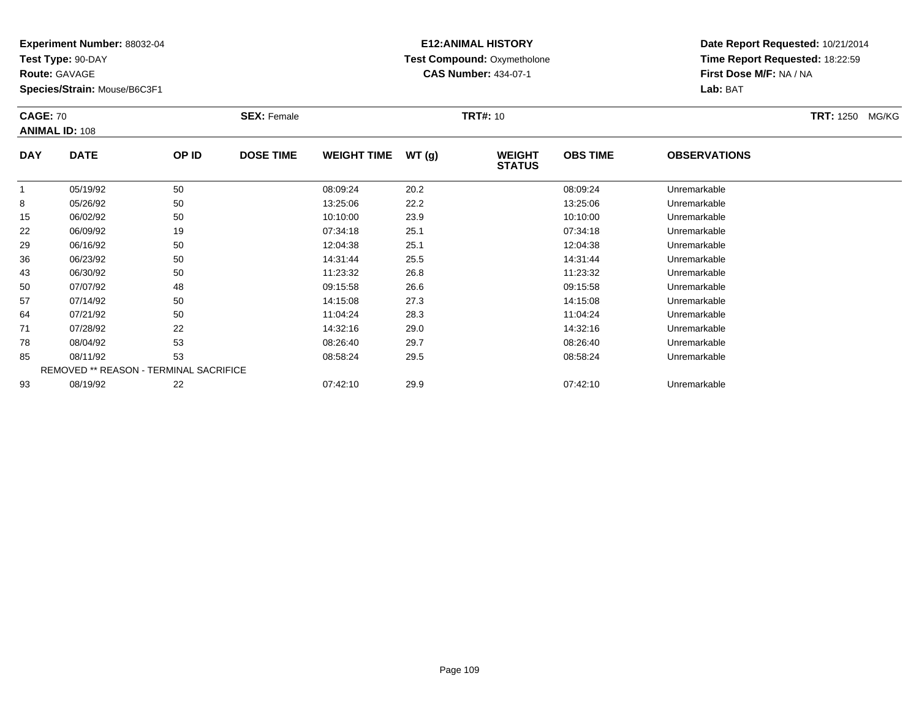**Test Type:** 90-DAY

**Route:** GAVAGE

**Species/Strain:** Mouse/B6C3F1

# **E12:ANIMAL HISTORY Test Compound:** Oxymetholone**CAS Number:** 434-07-1

| <b>CAGE: 70</b> | <b>ANIMAL ID: 108</b>                         |       | <b>SEX: Female</b> |                    |       | <b>TRT#: 10</b>                |                 |                     | <b>TRT: 1250</b><br>MG/KG |
|-----------------|-----------------------------------------------|-------|--------------------|--------------------|-------|--------------------------------|-----------------|---------------------|---------------------------|
| <b>DAY</b>      | <b>DATE</b>                                   | OP ID | <b>DOSE TIME</b>   | <b>WEIGHT TIME</b> | WT(g) | <b>WEIGHT</b><br><b>STATUS</b> | <b>OBS TIME</b> | <b>OBSERVATIONS</b> |                           |
|                 | 05/19/92                                      | 50    |                    | 08:09:24           | 20.2  |                                | 08:09:24        | Unremarkable        |                           |
| 8               | 05/26/92                                      | 50    |                    | 13:25:06           | 22.2  |                                | 13:25:06        | Unremarkable        |                           |
| 15              | 06/02/92                                      | 50    |                    | 10:10:00           | 23.9  |                                | 10:10:00        | Unremarkable        |                           |
| 22              | 06/09/92                                      | 19    |                    | 07:34:18           | 25.1  |                                | 07:34:18        | Unremarkable        |                           |
| 29              | 06/16/92                                      | 50    |                    | 12:04:38           | 25.1  |                                | 12:04:38        | Unremarkable        |                           |
| 36              | 06/23/92                                      | 50    |                    | 14:31:44           | 25.5  |                                | 14:31:44        | Unremarkable        |                           |
| 43              | 06/30/92                                      | 50    |                    | 11:23:32           | 26.8  |                                | 11:23:32        | Unremarkable        |                           |
| 50              | 07/07/92                                      | 48    |                    | 09:15:58           | 26.6  |                                | 09:15:58        | Unremarkable        |                           |
| 57              | 07/14/92                                      | 50    |                    | 14:15:08           | 27.3  |                                | 14:15:08        | Unremarkable        |                           |
| 64              | 07/21/92                                      | 50    |                    | 11:04:24           | 28.3  |                                | 11:04:24        | Unremarkable        |                           |
| 71              | 07/28/92                                      | 22    |                    | 14:32:16           | 29.0  |                                | 14:32:16        | Unremarkable        |                           |
| 78              | 08/04/92                                      | 53    |                    | 08:26:40           | 29.7  |                                | 08:26:40        | Unremarkable        |                           |
| 85              | 08/11/92                                      | 53    |                    | 08:58:24           | 29.5  |                                | 08:58:24        | Unremarkable        |                           |
|                 | <b>REMOVED ** REASON - TERMINAL SACRIFICE</b> |       |                    |                    |       |                                |                 |                     |                           |
| 93              | 08/19/92                                      | 22    |                    | 07:42:10           | 29.9  |                                | 07:42:10        | Unremarkable        |                           |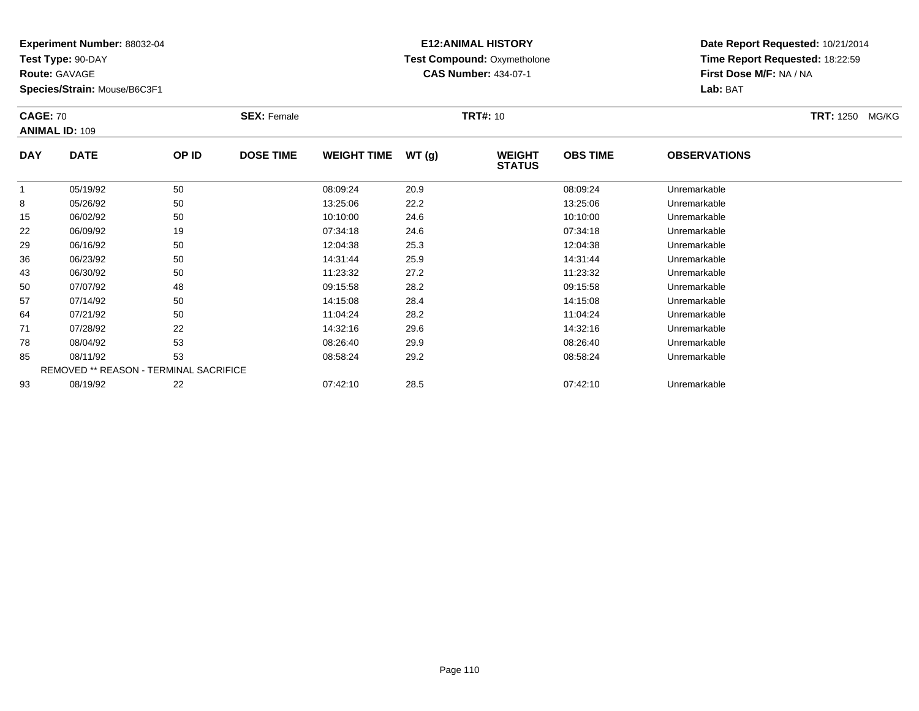**Test Type:** 90-DAY

**Route:** GAVAGE

**Species/Strain:** Mouse/B6C3F1

# **E12:ANIMAL HISTORY Test Compound:** Oxymetholone**CAS Number:** 434-07-1

| <b>CAGE: 70</b> | <b>ANIMAL ID: 109</b>                         |       | <b>SEX: Female</b> |                    |       | <b>TRT#: 10</b>                |                 |                     | TRT: 1250 MG/KG |
|-----------------|-----------------------------------------------|-------|--------------------|--------------------|-------|--------------------------------|-----------------|---------------------|-----------------|
| <b>DAY</b>      | <b>DATE</b>                                   | OP ID | <b>DOSE TIME</b>   | <b>WEIGHT TIME</b> | WT(g) | <b>WEIGHT</b><br><b>STATUS</b> | <b>OBS TIME</b> | <b>OBSERVATIONS</b> |                 |
| 1               | 05/19/92                                      | 50    |                    | 08:09:24           | 20.9  |                                | 08:09:24        | Unremarkable        |                 |
| 8               | 05/26/92                                      | 50    |                    | 13:25:06           | 22.2  |                                | 13:25:06        | Unremarkable        |                 |
| 15              | 06/02/92                                      | 50    |                    | 10:10:00           | 24.6  |                                | 10:10:00        | Unremarkable        |                 |
| 22              | 06/09/92                                      | 19    |                    | 07:34:18           | 24.6  |                                | 07:34:18        | Unremarkable        |                 |
| 29              | 06/16/92                                      | 50    |                    | 12:04:38           | 25.3  |                                | 12:04:38        | Unremarkable        |                 |
| 36              | 06/23/92                                      | 50    |                    | 14:31:44           | 25.9  |                                | 14:31:44        | Unremarkable        |                 |
| 43              | 06/30/92                                      | 50    |                    | 11:23:32           | 27.2  |                                | 11:23:32        | Unremarkable        |                 |
| 50              | 07/07/92                                      | 48    |                    | 09:15:58           | 28.2  |                                | 09:15:58        | Unremarkable        |                 |
| 57              | 07/14/92                                      | 50    |                    | 14:15:08           | 28.4  |                                | 14:15:08        | Unremarkable        |                 |
| 64              | 07/21/92                                      | 50    |                    | 11:04:24           | 28.2  |                                | 11:04:24        | Unremarkable        |                 |
| 71              | 07/28/92                                      | 22    |                    | 14:32:16           | 29.6  |                                | 14:32:16        | Unremarkable        |                 |
| 78              | 08/04/92                                      | 53    |                    | 08:26:40           | 29.9  |                                | 08:26:40        | Unremarkable        |                 |
| 85              | 08/11/92                                      | 53    |                    | 08:58:24           | 29.2  |                                | 08:58:24        | Unremarkable        |                 |
|                 | <b>REMOVED ** REASON - TERMINAL SACRIFICE</b> |       |                    |                    |       |                                |                 |                     |                 |
| 93              | 08/19/92                                      | 22    |                    | 07:42:10           | 28.5  |                                | 07:42:10        | Unremarkable        |                 |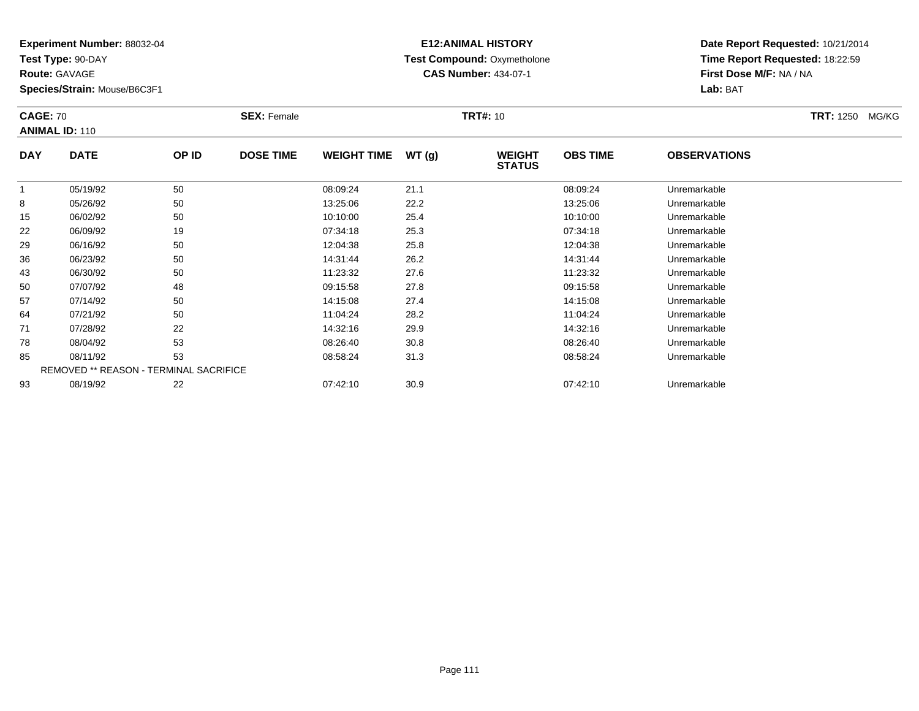**Test Type:** 90-DAY

**Route:** GAVAGE

93

**Species/Strain:** Mouse/B6C3F1

# **E12:ANIMAL HISTORY Test Compound:** Oxymetholone**CAS Number:** 434-07-1

**Date Report Requested:** 10/21/2014**Time Report Requested:** 18:22:59**First Dose M/F:** NA / NA**Lab:** BAT

| <b>CAGE: 70</b> | <b>ANIMAL ID: 110</b>                  |       | <b>SEX: Female</b> |                    |       | <b>TRT#: 10</b>                |                 |                     | <b>TRT: 1250 MG/KG</b> |
|-----------------|----------------------------------------|-------|--------------------|--------------------|-------|--------------------------------|-----------------|---------------------|------------------------|
| <b>DAY</b>      | <b>DATE</b>                            | OP ID | <b>DOSE TIME</b>   | <b>WEIGHT TIME</b> | WT(g) | <b>WEIGHT</b><br><b>STATUS</b> | <b>OBS TIME</b> | <b>OBSERVATIONS</b> |                        |
|                 | 05/19/92                               | 50    |                    | 08:09:24           | 21.1  |                                | 08:09:24        | Unremarkable        |                        |
| 8               | 05/26/92                               | 50    |                    | 13:25:06           | 22.2  |                                | 13:25:06        | Unremarkable        |                        |
| 15              | 06/02/92                               | 50    |                    | 10:10:00           | 25.4  |                                | 10:10:00        | Unremarkable        |                        |
| 22              | 06/09/92                               | 19    |                    | 07:34:18           | 25.3  |                                | 07:34:18        | Unremarkable        |                        |
| 29              | 06/16/92                               | 50    |                    | 12:04:38           | 25.8  |                                | 12:04:38        | Unremarkable        |                        |
| 36              | 06/23/92                               | 50    |                    | 14:31:44           | 26.2  |                                | 14:31:44        | Unremarkable        |                        |
| 43              | 06/30/92                               | 50    |                    | 11:23:32           | 27.6  |                                | 11:23:32        | Unremarkable        |                        |
| 50              | 07/07/92                               | 48    |                    | 09:15:58           | 27.8  |                                | 09:15:58        | Unremarkable        |                        |
| 57              | 07/14/92                               | 50    |                    | 14:15:08           | 27.4  |                                | 14:15:08        | Unremarkable        |                        |
| 64              | 07/21/92                               | 50    |                    | 11:04:24           | 28.2  |                                | 11:04:24        | Unremarkable        |                        |
| 71              | 07/28/92                               | 22    |                    | 14:32:16           | 29.9  |                                | 14:32:16        | Unremarkable        |                        |
| 78              | 08/04/92                               | 53    |                    | 08:26:40           | 30.8  |                                | 08:26:40        | Unremarkable        |                        |
| 85              | 08/11/92                               | 53    |                    | 08:58:24           | 31.3  |                                | 08:58:24        | Unremarkable        |                        |
|                 | REMOVED ** REASON - TERMINAL SACRIFICE |       |                    |                    |       |                                |                 |                     |                        |

08/19/92 <sup>22</sup> 07:42:10 30.9 07:42:10 Unremarkable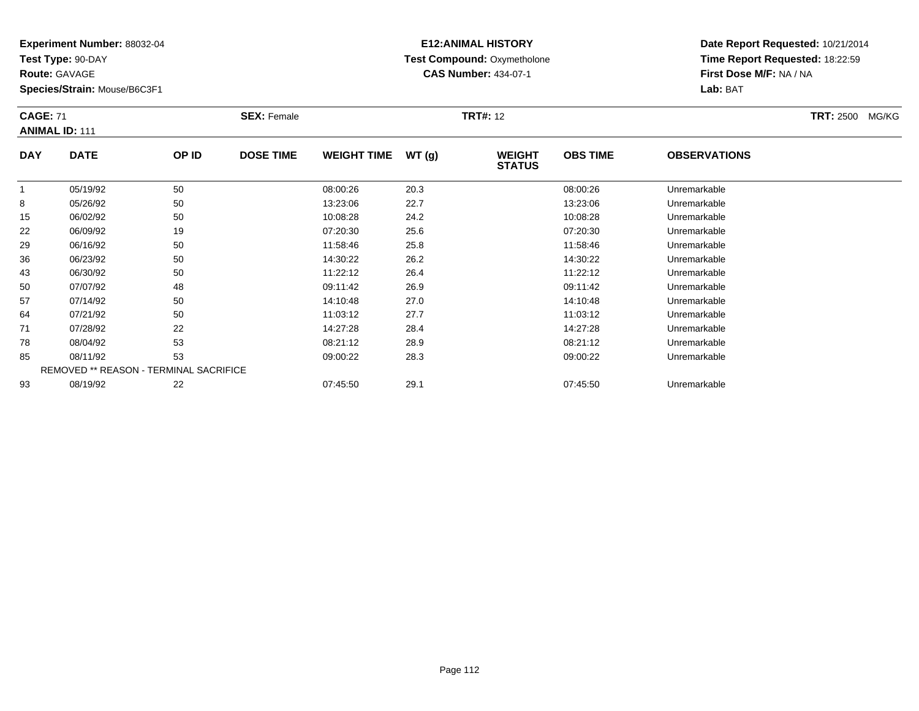**Test Type:** 90-DAY

**Route:** GAVAGE

**Species/Strain:** Mouse/B6C3F1

# **E12:ANIMAL HISTORY Test Compound:** Oxymetholone**CAS Number:** 434-07-1

| <b>CAGE: 71</b> | <b>ANIMAL ID: 111</b> |       | <b>SEX: Female</b> |                    |       | <b>TRT#:</b> 12                |                 | <b>TRT: 2500 MG/KG</b> |  |
|-----------------|-----------------------|-------|--------------------|--------------------|-------|--------------------------------|-----------------|------------------------|--|
| <b>DAY</b>      | <b>DATE</b>           | OP ID | <b>DOSE TIME</b>   | <b>WEIGHT TIME</b> | WT(q) | <b>WEIGHT</b><br><b>STATUS</b> | <b>OBS TIME</b> | <b>OBSERVATIONS</b>    |  |
|                 | 05/19/92              | 50    |                    | 08:00:26           | 20.3  |                                | 08:00:26        | Unremarkable           |  |
| 8               | 05/26/92              | 50    |                    | 13:23:06           | 22.7  |                                | 13:23:06        | Unremarkable           |  |
| 15              | 06/02/92              | 50    |                    | 10:08:28           | 24.2  |                                | 10:08:28        | Unremarkable           |  |
| 22              | 06/09/92              | 19    |                    | 07:20:30           | 25.6  |                                | 07:20:30        | Unremarkable           |  |
| 29              | 06/16/92              | 50    |                    | 11:58:46           | 25.8  |                                | 11:58:46        | Unremarkable           |  |
| 36              | <b>CO/22/02</b>       | 50    |                    | 11.30.22           | 262   |                                | 11.30.22        | Linramarkahla          |  |

| 15 | 06/02/92 | 50                                     | 10:08:28 | 24.2 | 10:08:28 | Unremarkable |  |
|----|----------|----------------------------------------|----------|------|----------|--------------|--|
| 22 | 06/09/92 | 19                                     | 07:20:30 | 25.6 | 07:20:30 | Unremarkable |  |
| 29 | 06/16/92 | 50                                     | 11:58:46 | 25.8 | 11:58:46 | Unremarkable |  |
| 36 | 06/23/92 | 50                                     | 14:30:22 | 26.2 | 14:30:22 | Unremarkable |  |
| 43 | 06/30/92 | 50                                     | 11:22:12 | 26.4 | 11:22:12 | Unremarkable |  |
| 50 | 07/07/92 | 48                                     | 09:11:42 | 26.9 | 09:11:42 | Unremarkable |  |
| 57 | 07/14/92 | 50                                     | 14:10:48 | 27.0 | 14:10:48 | Unremarkable |  |
| 64 | 07/21/92 | 50                                     | 11:03:12 | 27.7 | 11:03:12 | Unremarkable |  |
| 71 | 07/28/92 | 22                                     | 14:27:28 | 28.4 | 14:27:28 | Unremarkable |  |
| 78 | 08/04/92 | 53                                     | 08:21:12 | 28.9 | 08:21:12 | Unremarkable |  |
| 85 | 08/11/92 | 53                                     | 09:00:22 | 28.3 | 09:00:22 | Unremarkable |  |
|    |          | REMOVED ** REASON - TERMINAL SACRIFICE |          |      |          |              |  |
| 93 | 08/19/92 | 22                                     | 07:45:50 | 29.1 | 07:45:50 | Unremarkable |  |
|    |          |                                        |          |      |          |              |  |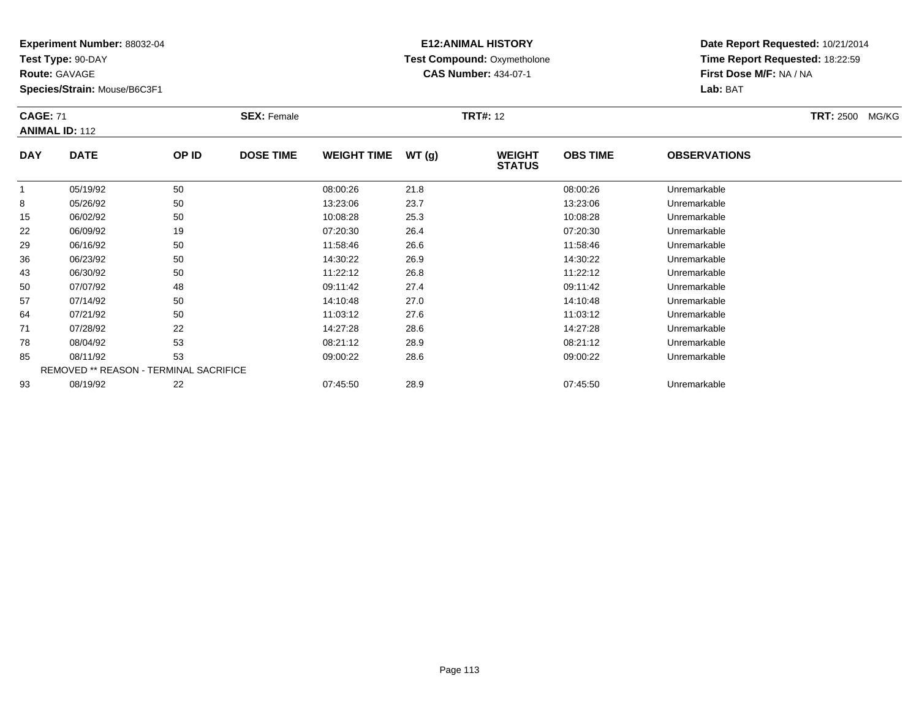**Test Type:** 90-DAY

**Route:** GAVAGE

**Species/Strain:** Mouse/B6C3F1

# **E12:ANIMAL HISTORY Test Compound:** Oxymetholone**CAS Number:** 434-07-1

|            | <b>CAGE: 71</b><br><b>ANIMAL ID: 112</b> |       | <b>SEX: Female</b> |                    |       | <b>TRT#: 12</b>                |                 | <b>TRT: 2500</b><br>MG/KG |  |
|------------|------------------------------------------|-------|--------------------|--------------------|-------|--------------------------------|-----------------|---------------------------|--|
| <b>DAY</b> | <b>DATE</b>                              | OP ID | <b>DOSE TIME</b>   | <b>WEIGHT TIME</b> | WT(q) | <b>WEIGHT</b><br><b>STATUS</b> | <b>OBS TIME</b> | <b>OBSERVATIONS</b>       |  |
|            | 05/19/92                                 | 50    |                    | 08:00:26           | 21.8  |                                | 08:00:26        | Unremarkable              |  |
| 8          | 05/26/92                                 | 50    |                    | 13:23:06           | 23.7  |                                | 13:23:06        | Unremarkable              |  |
| 15         | 06/02/92                                 | 50    |                    | 10:08:28           | 25.3  |                                | 10:08:28        | Unremarkable              |  |
| 22         | 06/09/92                                 | 19    |                    | 07:20:30           | 26.4  |                                | 07:20:30        | Unremarkable              |  |
| 29         | 06/16/92                                 | 50    |                    | 11:58:46           | 26.6  |                                | 11:58:46        | Unremarkable              |  |
| 36         | 06/23/92                                 | 50    |                    | 14:30:22           | 26.9  |                                | 14:30:22        | Unremarkable              |  |

| 22 | 06/09/92 | 19                                            | 07:20:30 | 26.4 | 07:20:30 | Unremarkable |  |
|----|----------|-----------------------------------------------|----------|------|----------|--------------|--|
| 29 | 06/16/92 | 50                                            | 11:58:46 | 26.6 | 11:58:46 | Unremarkable |  |
| 36 | 06/23/92 | 50                                            | 14:30:22 | 26.9 | 14:30:22 | Unremarkable |  |
| 43 | 06/30/92 | 50                                            | 11:22:12 | 26.8 | 11:22:12 | Unremarkable |  |
| 50 | 07/07/92 | 48                                            | 09:11:42 | 27.4 | 09:11:42 | Unremarkable |  |
| 57 | 07/14/92 | 50                                            | 14:10:48 | 27.0 | 14:10:48 | Unremarkable |  |
| 64 | 07/21/92 | 50                                            | 11:03:12 | 27.6 | 11:03:12 | Unremarkable |  |
| 71 | 07/28/92 | 22                                            | 14:27:28 | 28.6 | 14:27:28 | Unremarkable |  |
| 78 | 08/04/92 | 53                                            | 08:21:12 | 28.9 | 08:21:12 | Unremarkable |  |
| 85 | 08/11/92 | 53                                            | 09:00:22 | 28.6 | 09:00:22 | Unremarkable |  |
|    |          | <b>REMOVED ** REASON - TERMINAL SACRIFICE</b> |          |      |          |              |  |
| 93 | 08/19/92 | 22                                            | 07:45:50 | 28.9 | 07:45:50 | Unremarkable |  |
|    |          |                                               |          |      |          |              |  |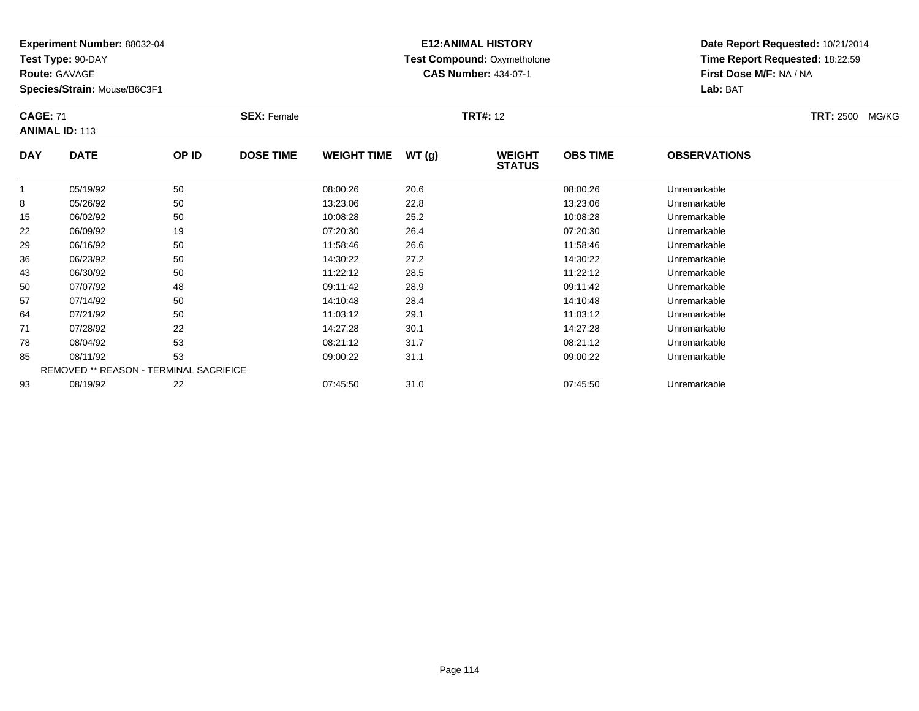**Test Type:** 90-DAY

**Route:** GAVAGE

43

50

57

64

71

78

85

93

**Species/Strain:** Mouse/B6C3F1

REMOVED \*\* REASON - TERMINAL SACRIFICE

#### **E12:ANIMAL HISTORY Test Compound:** Oxymetholone**CAS Number:** 434-07-1

**Date Report Requested:** 10/21/2014**Time Report Requested:** 18:22:59**First Dose M/F:** NA / NA**Lab:** BAT

|            | <b>CAGE: 71</b><br><b>ANIMAL ID: 113</b> |       | <b>SEX: Female</b> |                    |       | <b>TRT#:</b> 12                |                 | <b>TRT: 2500</b><br>MG/KG |  |
|------------|------------------------------------------|-------|--------------------|--------------------|-------|--------------------------------|-----------------|---------------------------|--|
| <b>DAY</b> | <b>DATE</b>                              | OP ID | <b>DOSE TIME</b>   | <b>WEIGHT TIME</b> | WT(g) | <b>WEIGHT</b><br><b>STATUS</b> | <b>OBS TIME</b> | <b>OBSERVATIONS</b>       |  |
|            | 05/19/92                                 | 50    |                    | 08:00:26           | 20.6  |                                | 08:00:26        | Unremarkable              |  |
| 8          | 05/26/92                                 | 50    |                    | 13:23:06           | 22.8  |                                | 13:23:06        | Unremarkable              |  |
| 15         | 06/02/92                                 | 50    |                    | 10:08:28           | 25.2  |                                | 10:08:28        | Unremarkable              |  |
| 22         | 06/09/92                                 | 19    |                    | 07:20:30           | 26.4  |                                | 07:20:30        | Unremarkable              |  |
| 29         | 06/16/92                                 | 50    |                    | 11:58:46           | 26.6  |                                | 11:58:46        | Unremarkable              |  |
| 36         | 06/23/92                                 | 50    |                    | 14:30:22           | 27.2  |                                | 14:30:22        | Unremarkable              |  |

06/30/92 <sup>50</sup> 11:22:12 28.5 11:22:12 Unremarkable

07/07/92 <sup>48</sup> 09:11:42 28.9 09:11:42 Unremarkable

07/14/92 <sup>50</sup> 14:10:48 28.4 14:10:48 Unremarkable

07/21/92 <sup>50</sup> 11:03:12 29.1 11:03:12 Unremarkable

1 07/28/92 22 2 14:27:28 30.1 14:27:28 157/28/92 Unremarkable

08/04/92 <sup>53</sup> 08:21:12 31.7 08:21:12 Unremarkable

08/11/92 <sup>53</sup> 09:00:22 31.1 09:00:22 Unremarkable

08/19/92 <sup>22</sup> 07:45:50 31.0 07:45:50 Unremarkable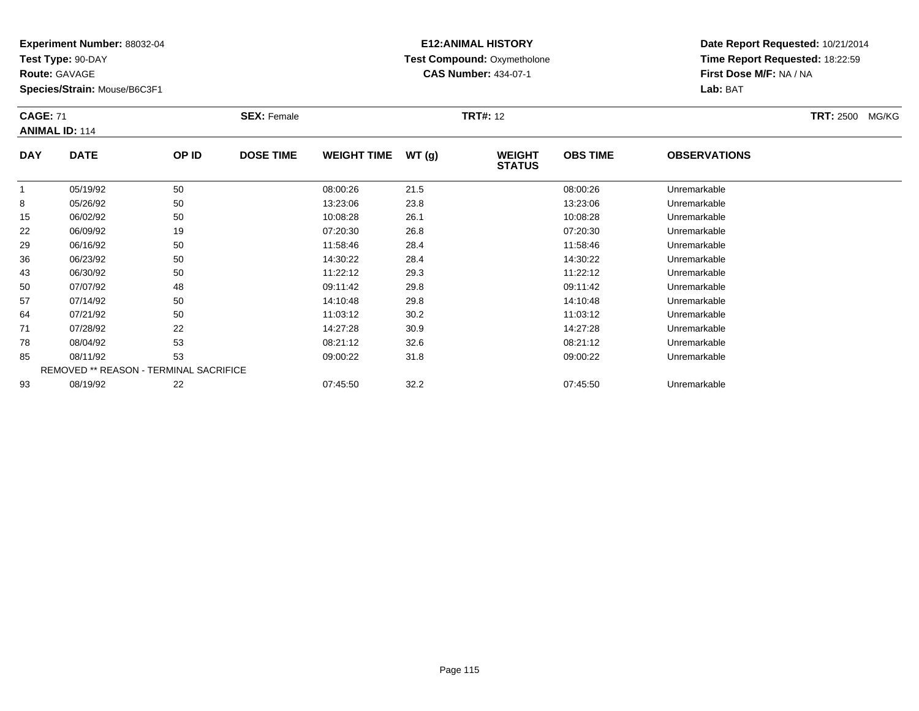**Test Type:** 90-DAY

**Route:** GAVAGE

93

**Species/Strain:** Mouse/B6C3F1

REMOVED \*\* REASON - TERMINAL SACRIFICE

## **E12:ANIMAL HISTORY Test Compound:** Oxymetholone**CAS Number:** 434-07-1

**Date Report Requested:** 10/21/2014**Time Report Requested:** 18:22:59**First Dose M/F:** NA / NA**Lab:** BAT

| <b>CAGE: 71</b><br><b>ANIMAL ID: 114</b> |             |       | <b>SEX: Female</b> |                    |       | <b>TRT#: 12</b>                |                 |                     | <b>TRT: 2500 MG/KG</b> |
|------------------------------------------|-------------|-------|--------------------|--------------------|-------|--------------------------------|-----------------|---------------------|------------------------|
| <b>DAY</b>                               | <b>DATE</b> | OP ID | <b>DOSE TIME</b>   | <b>WEIGHT TIME</b> | WT(g) | <b>WEIGHT</b><br><b>STATUS</b> | <b>OBS TIME</b> | <b>OBSERVATIONS</b> |                        |
|                                          | 05/19/92    | 50    |                    | 08:00:26           | 21.5  |                                | 08:00:26        | Unremarkable        |                        |
| 8                                        | 05/26/92    | 50    |                    | 13:23:06           | 23.8  |                                | 13:23:06        | Unremarkable        |                        |
| 15                                       | 06/02/92    | 50    |                    | 10:08:28           | 26.1  |                                | 10:08:28        | Unremarkable        |                        |
| 22                                       | 06/09/92    | 19    |                    | 07:20:30           | 26.8  |                                | 07:20:30        | Unremarkable        |                        |
| 29                                       | 06/16/92    | 50    |                    | 11:58:46           | 28.4  |                                | 11:58:46        | Unremarkable        |                        |
| 36                                       | 06/23/92    | 50    |                    | 14:30:22           | 28.4  |                                | 14:30:22        | Unremarkable        |                        |
| 43                                       | 06/30/92    | 50    |                    | 11:22:12           | 29.3  |                                | 11:22:12        | Unremarkable        |                        |
| 50                                       | 07/07/92    | 48    |                    | 09:11:42           | 29.8  |                                | 09:11:42        | Unremarkable        |                        |
| 57                                       | 07/14/92    | 50    |                    | 14:10:48           | 29.8  |                                | 14:10:48        | Unremarkable        |                        |
| 64                                       | 07/21/92    | 50    |                    | 11:03:12           | 30.2  |                                | 11:03:12        | Unremarkable        |                        |
| 71                                       | 07/28/92    | 22    |                    | 14:27:28           | 30.9  |                                | 14:27:28        | Unremarkable        |                        |
| 78                                       | 08/04/92    | 53    |                    | 08:21:12           | 32.6  |                                | 08:21:12        | Unremarkable        |                        |
| 85                                       | 08/11/92    | 53    |                    | 09:00:22           | 31.8  |                                | 09:00:22        | Unremarkable        |                        |

08/19/92 <sup>22</sup> 07:45:50 32.2 07:45:50 Unremarkable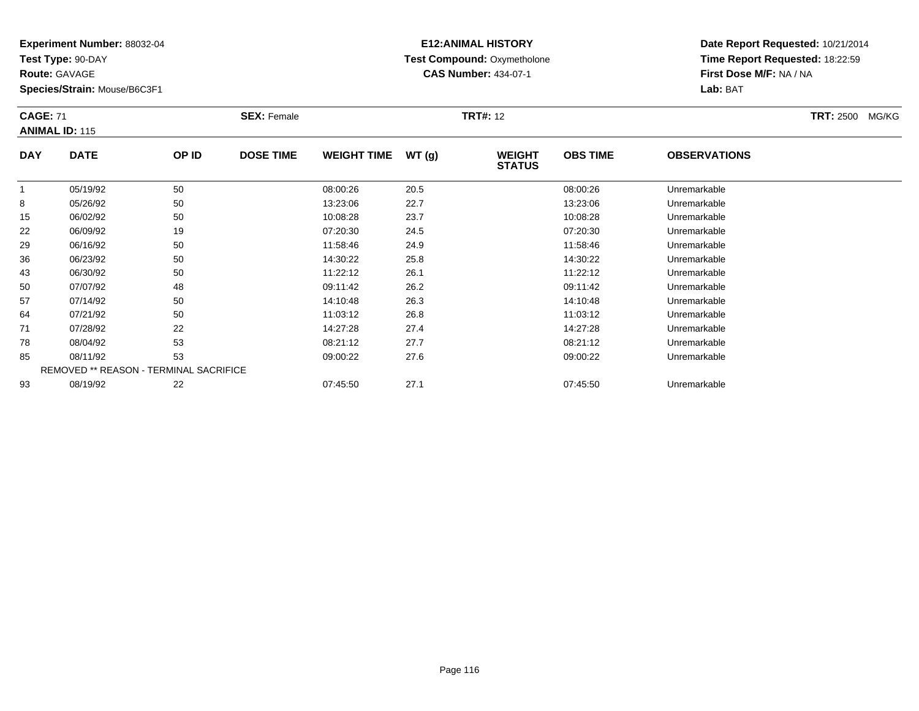**Test Type:** 90-DAY

**Route:** GAVAGE

64

71

78

85

93

**Species/Strain:** Mouse/B6C3F1

REMOVED \*\* REASON - TERMINAL SACRIFICE

## **E12:ANIMAL HISTORY Test Compound:** Oxymetholone**CAS Number:** 434-07-1

**Date Report Requested:** 10/21/2014**Time Report Requested:** 18:22:59**First Dose M/F:** NA / NA**Lab:** BAT

| <b>CAGE: 71</b> | <b>ANIMAL ID: 115</b> |       | <b>SEX: Female</b> |                    |       | <b>TRT#: 12</b>                |                 |                     | <b>TRT: 2500</b><br>MG/KG |
|-----------------|-----------------------|-------|--------------------|--------------------|-------|--------------------------------|-----------------|---------------------|---------------------------|
| <b>DAY</b>      | <b>DATE</b>           | OP ID | <b>DOSE TIME</b>   | <b>WEIGHT TIME</b> | WT(g) | <b>WEIGHT</b><br><b>STATUS</b> | <b>OBS TIME</b> | <b>OBSERVATIONS</b> |                           |
|                 | 05/19/92              | 50    |                    | 08:00:26           | 20.5  |                                | 08:00:26        | Unremarkable        |                           |
| 8               | 05/26/92              | 50    |                    | 13:23:06           | 22.7  |                                | 13:23:06        | Unremarkable        |                           |
| 15              | 06/02/92              | 50    |                    | 10:08:28           | 23.7  |                                | 10:08:28        | Unremarkable        |                           |
| 22              | 06/09/92              | 19    |                    | 07:20:30           | 24.5  |                                | 07:20:30        | Unremarkable        |                           |
| 29              | 06/16/92              | 50    |                    | 11:58:46           | 24.9  |                                | 11:58:46        | Unremarkable        |                           |
| 36              | 06/23/92              | 50    |                    | 14:30:22           | 25.8  |                                | 14:30:22        | Unremarkable        |                           |
| 43              | 06/30/92              | 50    |                    | 11:22:12           | 26.1  |                                | 11:22:12        | Unremarkable        |                           |
| 50              | 07/07/92              | 48    |                    | 09:11:42           | 26.2  |                                | 09:11:42        | Unremarkable        |                           |
| 57              | 07/14/92              | 50    |                    | 14:10:48           | 26.3  |                                | 14:10:48        | Unremarkable        |                           |

07/21/92 <sup>50</sup> 11:03:12 26.8 11:03:12 Unremarkable

07/28/92 <sup>22</sup> 14:27:28 27.4 14:27:28 Unremarkable

08/04/92 <sup>53</sup> 08:21:12 27.7 08:21:12 Unremarkable

08/11/92 <sup>53</sup> 09:00:22 27.6 09:00:22 Unremarkable

08/19/92 <sup>22</sup> 07:45:50 27.1 07:45:50 Unremarkable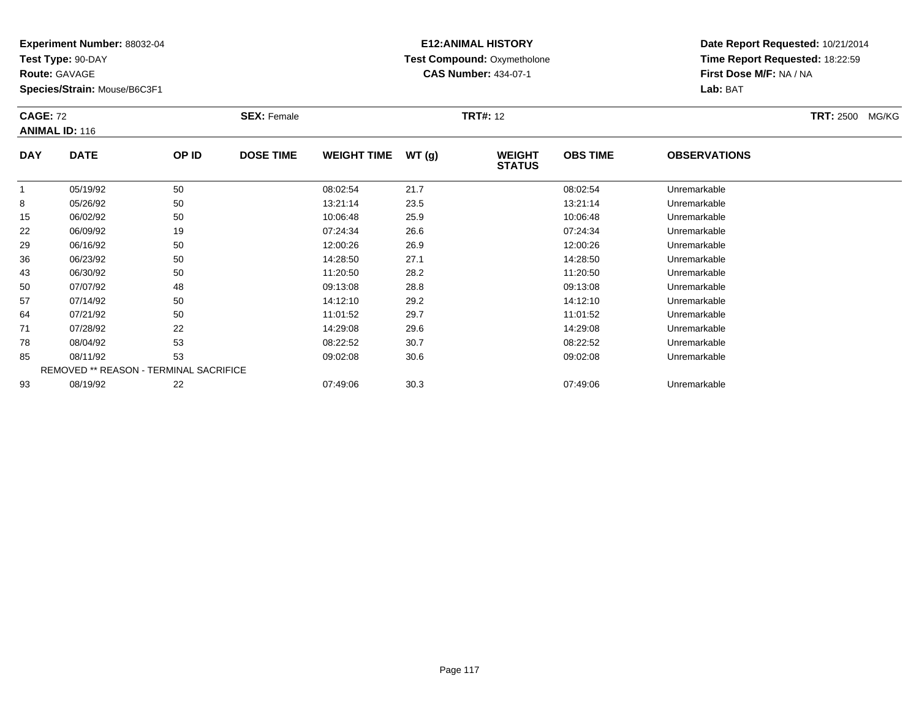**Test Type:** 90-DAY

**Route:** GAVAGE

93

**Species/Strain:** Mouse/B6C3F1

## **E12:ANIMAL HISTORY Test Compound:** Oxymetholone**CAS Number:** 434-07-1

**Date Report Requested:** 10/21/2014**Time Report Requested:** 18:22:59**First Dose M/F:** NA / NA**Lab:** BAT

|            | <b>CAGE: 72</b><br><b>ANIMAL ID: 116</b> |       | <b>SEX: Female</b> |                    |       | <b>TRT#: 12</b>                |                 | <b>TRT: 2500</b><br>MG/KG |  |
|------------|------------------------------------------|-------|--------------------|--------------------|-------|--------------------------------|-----------------|---------------------------|--|
| <b>DAY</b> | <b>DATE</b>                              | OP ID | <b>DOSE TIME</b>   | <b>WEIGHT TIME</b> | WT(g) | <b>WEIGHT</b><br><b>STATUS</b> | <b>OBS TIME</b> | <b>OBSERVATIONS</b>       |  |
|            | 05/19/92                                 | 50    |                    | 08:02:54           | 21.7  |                                | 08:02:54        | Unremarkable              |  |
| 8          | 05/26/92                                 | 50    |                    | 13:21:14           | 23.5  |                                | 13:21:14        | Unremarkable              |  |
| 15         | 06/02/92                                 | 50    |                    | 10:06:48           | 25.9  |                                | 10:06:48        | Unremarkable              |  |
| 22         | 06/09/92                                 | 19    |                    | 07:24:34           | 26.6  |                                | 07:24:34        | Unremarkable              |  |
| 29         | 06/16/92                                 | 50    |                    | 12:00:26           | 26.9  |                                | 12:00:26        | Unremarkable              |  |
| 36         | 06/23/92                                 | 50    |                    | 14:28:50           | 27.1  |                                | 14:28:50        | Unremarkable              |  |
| 43         | 06/30/92                                 | 50    |                    | 11:20:50           | 28.2  |                                | 11:20:50        | Unremarkable              |  |
| 50         | 07/07/92                                 | 48    |                    | 09:13:08           | 28.8  |                                | 09:13:08        | Unremarkable              |  |
| 57         | 07/14/92                                 | 50    |                    | 14:12:10           | 29.2  |                                | 14:12:10        | Unremarkable              |  |
| 64         | 07/21/92                                 | 50    |                    | 11:01:52           | 29.7  |                                | 11:01:52        | Unremarkable              |  |
| 71         | 07/28/92                                 | 22    |                    | 14:29:08           | 29.6  |                                | 14:29:08        | Unremarkable              |  |
| 78         | 08/04/92                                 | 53    |                    | 08:22:52           | 30.7  |                                | 08:22:52        | Unremarkable              |  |
| 85         | 08/11/92                                 | 53    |                    | 09:02:08           | 30.6  |                                | 09:02:08        | Unremarkable              |  |
|            | REMOVED ** REASON - TERMINAL SACRIFICE   |       |                    |                    |       |                                |                 |                           |  |

08/19/92 <sup>22</sup> 07:49:06 30.3 07:49:06 Unremarkable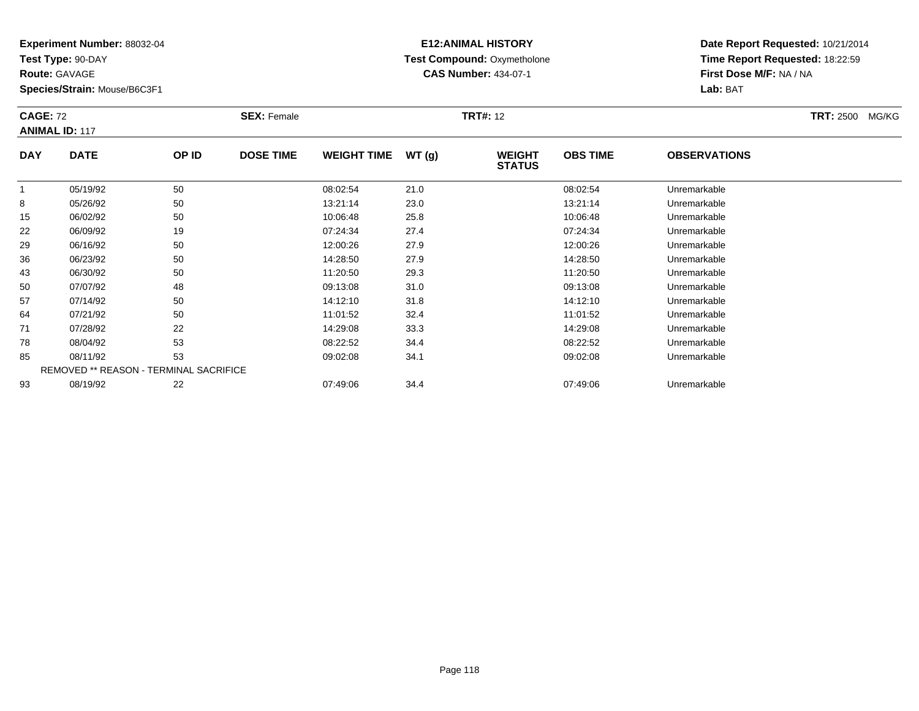**Test Type:** 90-DAY

**Route:** GAVAGE

85

93

**Species/Strain:** Mouse/B6C3F1

REMOVED \*\* REASON - TERMINAL SACRIFICE

## **E12:ANIMAL HISTORY Test Compound:** Oxymetholone**CAS Number:** 434-07-1

**Date Report Requested:** 10/21/2014**Time Report Requested:** 18:22:59**First Dose M/F:** NA / NA**Lab:** BAT

|            | <b>CAGE: 72</b><br><b>ANIMAL ID: 117</b> |       | <b>SEX: Female</b> |                    |       | <b>TRT#: 12</b>                | TRT: 2500 MG/KG |                     |  |  |
|------------|------------------------------------------|-------|--------------------|--------------------|-------|--------------------------------|-----------------|---------------------|--|--|
| <b>DAY</b> | <b>DATE</b>                              | OP ID | <b>DOSE TIME</b>   | <b>WEIGHT TIME</b> | WT(g) | <b>WEIGHT</b><br><b>STATUS</b> | <b>OBS TIME</b> | <b>OBSERVATIONS</b> |  |  |
|            | 05/19/92                                 | 50    |                    | 08:02:54           | 21.0  |                                | 08:02:54        | Unremarkable        |  |  |
| 8          | 05/26/92                                 | 50    |                    | 13:21:14           | 23.0  |                                | 13:21:14        | Unremarkable        |  |  |
| 15         | 06/02/92                                 | 50    |                    | 10:06:48           | 25.8  |                                | 10:06:48        | Unremarkable        |  |  |
| 22         | 06/09/92                                 | 19    |                    | 07:24:34           | 27.4  |                                | 07:24:34        | Unremarkable        |  |  |
| 29         | 06/16/92                                 | 50    |                    | 12:00:26           | 27.9  |                                | 12:00:26        | Unremarkable        |  |  |
| 36         | 06/23/92                                 | 50    |                    | 14:28:50           | 27.9  |                                | 14:28:50        | Unremarkable        |  |  |
| 43         | 06/30/92                                 | 50    |                    | 11:20:50           | 29.3  |                                | 11:20:50        | Unremarkable        |  |  |
| 50         | 07/07/92                                 | 48    |                    | 09:13:08           | 31.0  |                                | 09:13:08        | Unremarkable        |  |  |
| 57         | 07/14/92                                 | 50    |                    | 14:12:10           | 31.8  |                                | 14:12:10        | Unremarkable        |  |  |
| 64         | 07/21/92                                 | 50    |                    | 11:01:52           | 32.4  |                                | 11:01:52        | Unremarkable        |  |  |
| 71         | 07/28/92                                 | 22    |                    | 14:29:08           | 33.3  |                                | 14:29:08        | Unremarkable        |  |  |
| 78         | 08/04/92                                 | 53    |                    | 08:22:52           | 34.4  |                                | 08:22:52        | Unremarkable        |  |  |

08/04/92 <sup>53</sup> 08:22:52 34.4 08:22:52 Unremarkable

08/11/92 <sup>53</sup> 09:02:08 34.1 09:02:08 Unremarkable

08/19/92 <sup>22</sup> 07:49:06 34.4 07:49:06 Unremarkable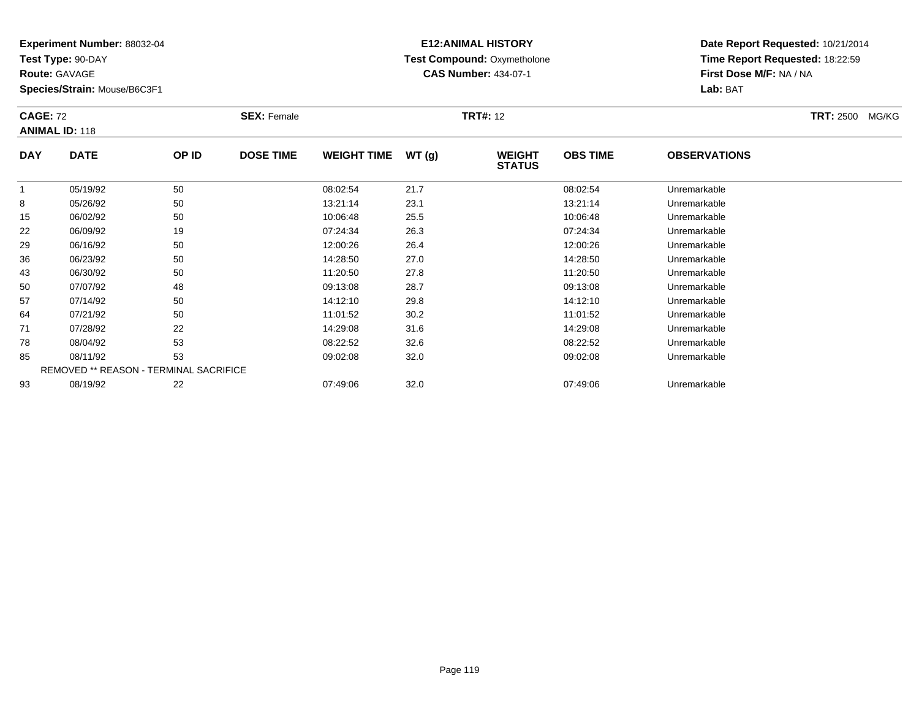**Test Type:** 90-DAY

**Route:** GAVAGE

93

**Species/Strain:** Mouse/B6C3F1

## **E12:ANIMAL HISTORY Test Compound:** Oxymetholone**CAS Number:** 434-07-1

**Date Report Requested:** 10/21/2014**Time Report Requested:** 18:22:59**First Dose M/F:** NA / NA**Lab:** BAT

| <b>CAGE: 72</b><br><b>ANIMAL ID: 118</b> |                                               |       | <b>SEX: Female</b> | <b>TRT#: 12</b>    |       |                                |                 |                     | <b>TRT: 2500</b> | MG/KG |
|------------------------------------------|-----------------------------------------------|-------|--------------------|--------------------|-------|--------------------------------|-----------------|---------------------|------------------|-------|
| <b>DAY</b>                               | <b>DATE</b>                                   | OP ID | <b>DOSE TIME</b>   | <b>WEIGHT TIME</b> | WT(g) | <b>WEIGHT</b><br><b>STATUS</b> | <b>OBS TIME</b> | <b>OBSERVATIONS</b> |                  |       |
|                                          | 05/19/92                                      | 50    |                    | 08:02:54           | 21.7  |                                | 08:02:54        | Unremarkable        |                  |       |
| 8                                        | 05/26/92                                      | 50    |                    | 13:21:14           | 23.1  |                                | 13:21:14        | Unremarkable        |                  |       |
| 15                                       | 06/02/92                                      | 50    |                    | 10:06:48           | 25.5  |                                | 10:06:48        | Unremarkable        |                  |       |
| 22                                       | 06/09/92                                      | 19    |                    | 07:24:34           | 26.3  |                                | 07:24:34        | Unremarkable        |                  |       |
| 29                                       | 06/16/92                                      | 50    |                    | 12:00:26           | 26.4  |                                | 12:00:26        | Unremarkable        |                  |       |
| 36                                       | 06/23/92                                      | 50    |                    | 14:28:50           | 27.0  |                                | 14:28:50        | Unremarkable        |                  |       |
| 43                                       | 06/30/92                                      | 50    |                    | 11:20:50           | 27.8  |                                | 11:20:50        | Unremarkable        |                  |       |
| 50                                       | 07/07/92                                      | 48    |                    | 09:13:08           | 28.7  |                                | 09:13:08        | Unremarkable        |                  |       |
| 57                                       | 07/14/92                                      | 50    |                    | 14:12:10           | 29.8  |                                | 14:12:10        | Unremarkable        |                  |       |
| 64                                       | 07/21/92                                      | 50    |                    | 11:01:52           | 30.2  |                                | 11:01:52        | Unremarkable        |                  |       |
| 71                                       | 07/28/92                                      | 22    |                    | 14:29:08           | 31.6  |                                | 14:29:08        | Unremarkable        |                  |       |
| 78                                       | 08/04/92                                      | 53    |                    | 08:22:52           | 32.6  |                                | 08:22:52        | Unremarkable        |                  |       |
| 85                                       | 08/11/92                                      | 53    |                    | 09:02:08           | 32.0  |                                | 09:02:08        | Unremarkable        |                  |       |
|                                          | <b>REMOVED ** REASON - TERMINAL SACRIFICE</b> |       |                    |                    |       |                                |                 |                     |                  |       |

08/19/92 <sup>22</sup> 07:49:06 32.0 07:49:06 Unremarkable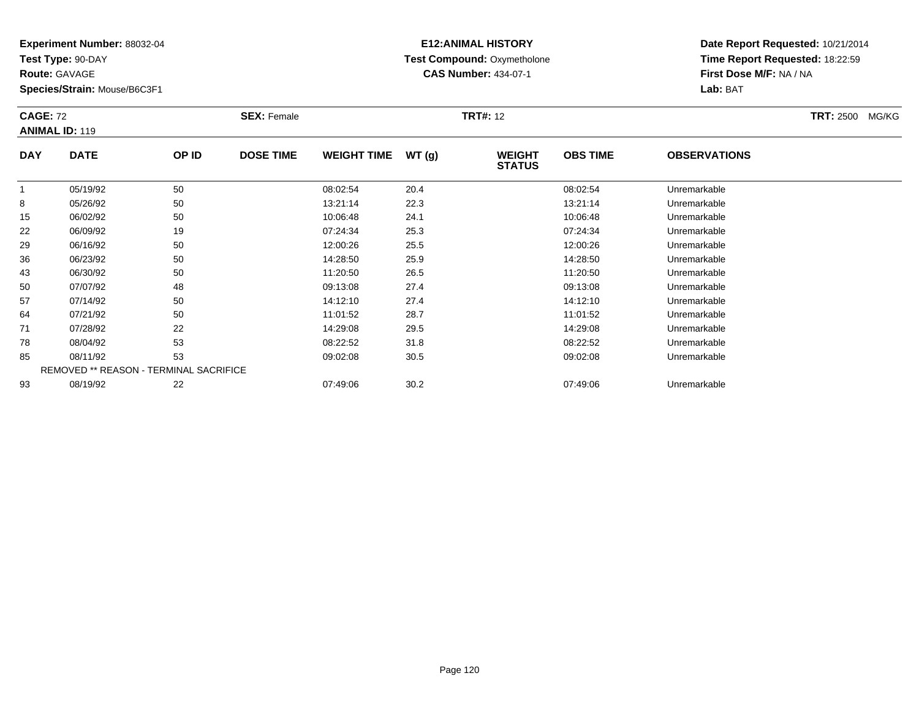**Test Type:** 90-DAY

**Route:** GAVAGE

93

**Species/Strain:** Mouse/B6C3F1

## **E12:ANIMAL HISTORY Test Compound:** Oxymetholone**CAS Number:** 434-07-1

**Date Report Requested:** 10/21/2014**Time Report Requested:** 18:22:59**First Dose M/F:** NA / NA**Lab:** BAT

| <b>CAGE: 72</b><br><b>ANIMAL ID: 119</b> |                                               |       | <b>SEX: Female</b> | <b>TRT#: 12</b>    |       |                                |                 |                     | <b>TRT: 2500</b> | MG/KG |
|------------------------------------------|-----------------------------------------------|-------|--------------------|--------------------|-------|--------------------------------|-----------------|---------------------|------------------|-------|
| <b>DAY</b>                               | <b>DATE</b>                                   | OP ID | <b>DOSE TIME</b>   | <b>WEIGHT TIME</b> | WT(g) | <b>WEIGHT</b><br><b>STATUS</b> | <b>OBS TIME</b> | <b>OBSERVATIONS</b> |                  |       |
|                                          | 05/19/92                                      | 50    |                    | 08:02:54           | 20.4  |                                | 08:02:54        | Unremarkable        |                  |       |
| 8                                        | 05/26/92                                      | 50    |                    | 13:21:14           | 22.3  |                                | 13:21:14        | Unremarkable        |                  |       |
| 15                                       | 06/02/92                                      | 50    |                    | 10:06:48           | 24.1  |                                | 10:06:48        | Unremarkable        |                  |       |
| 22                                       | 06/09/92                                      | 19    |                    | 07:24:34           | 25.3  |                                | 07:24:34        | Unremarkable        |                  |       |
| 29                                       | 06/16/92                                      | 50    |                    | 12:00:26           | 25.5  |                                | 12:00:26        | Unremarkable        |                  |       |
| 36                                       | 06/23/92                                      | 50    |                    | 14:28:50           | 25.9  |                                | 14:28:50        | Unremarkable        |                  |       |
| 43                                       | 06/30/92                                      | 50    |                    | 11:20:50           | 26.5  |                                | 11:20:50        | Unremarkable        |                  |       |
| 50                                       | 07/07/92                                      | 48    |                    | 09:13:08           | 27.4  |                                | 09:13:08        | Unremarkable        |                  |       |
| 57                                       | 07/14/92                                      | 50    |                    | 14:12:10           | 27.4  |                                | 14:12:10        | Unremarkable        |                  |       |
| 64                                       | 07/21/92                                      | 50    |                    | 11:01:52           | 28.7  |                                | 11:01:52        | Unremarkable        |                  |       |
| 71                                       | 07/28/92                                      | 22    |                    | 14:29:08           | 29.5  |                                | 14:29:08        | Unremarkable        |                  |       |
| 78                                       | 08/04/92                                      | 53    |                    | 08:22:52           | 31.8  |                                | 08:22:52        | Unremarkable        |                  |       |
| 85                                       | 08/11/92                                      | 53    |                    | 09:02:08           | 30.5  |                                | 09:02:08        | Unremarkable        |                  |       |
|                                          | <b>REMOVED ** REASON - TERMINAL SACRIFICE</b> |       |                    |                    |       |                                |                 |                     |                  |       |

08/19/92 <sup>22</sup> 07:49:06 30.2 07:49:06 Unremarkable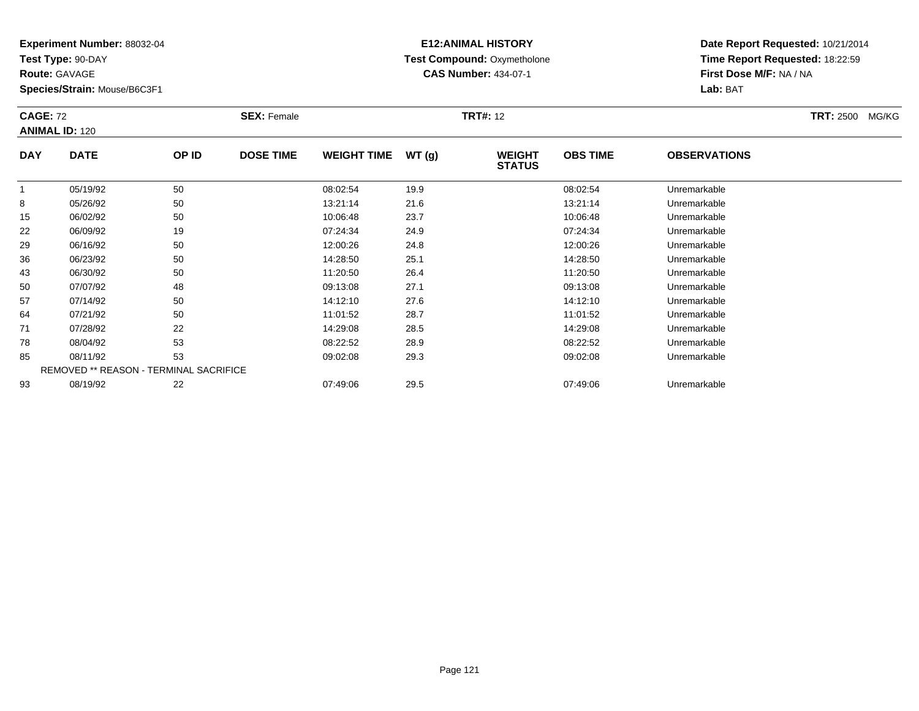**Test Type:** 90-DAY

**Route:** GAVAGE

**Species/Strain:** Mouse/B6C3F1

# **E12:ANIMAL HISTORY Test Compound:** Oxymetholone**CAS Number:** 434-07-1

**Date Report Requested:** 10/21/2014**Time Report Requested:** 18:22:59**First Dose M/F:** NA / NA**Lab:** BAT

| <b>CAGE: 72</b><br><b>ANIMAL ID: 120</b> |                                        |       | <b>SEX: Female</b> |                    | <b>TRT#: 12</b> |                                |                 |                     |  |  |
|------------------------------------------|----------------------------------------|-------|--------------------|--------------------|-----------------|--------------------------------|-----------------|---------------------|--|--|
| <b>DAY</b>                               | <b>DATE</b>                            | OP ID | <b>DOSE TIME</b>   | <b>WEIGHT TIME</b> | WT(g)           | <b>WEIGHT</b><br><b>STATUS</b> | <b>OBS TIME</b> | <b>OBSERVATIONS</b> |  |  |
|                                          | 05/19/92                               | 50    |                    | 08:02:54           | 19.9            |                                | 08:02:54        | Unremarkable        |  |  |
| 8                                        | 05/26/92                               | 50    |                    | 13:21:14           | 21.6            |                                | 13:21:14        | Unremarkable        |  |  |
| 15                                       | 06/02/92                               | 50    |                    | 10:06:48           | 23.7            |                                | 10:06:48        | Unremarkable        |  |  |
| 22                                       | 06/09/92                               | 19    |                    | 07:24:34           | 24.9            |                                | 07:24:34        | Unremarkable        |  |  |
| 29                                       | 06/16/92                               | 50    |                    | 12:00:26           | 24.8            |                                | 12:00:26        | Unremarkable        |  |  |
| 36                                       | 06/23/92                               | 50    |                    | 14:28:50           | 25.1            |                                | 14:28:50        | Unremarkable        |  |  |
| 43                                       | 06/30/92                               | 50    |                    | 11:20:50           | 26.4            |                                | 11:20:50        | Unremarkable        |  |  |
| 50                                       | 07/07/92                               | 48    |                    | 09:13:08           | 27.1            |                                | 09:13:08        | Unremarkable        |  |  |
| 57                                       | 07/14/92                               | 50    |                    | 14:12:10           | 27.6            |                                | 14:12:10        | Unremarkable        |  |  |
| 64                                       | 07/21/92                               | 50    |                    | 11:01:52           | 28.7            |                                | 11:01:52        | Unremarkable        |  |  |
| 71                                       | 07/28/92                               | 22    |                    | 14:29:08           | 28.5            |                                | 14:29:08        | Unremarkable        |  |  |
| 78                                       | 08/04/92                               | 53    |                    | 08:22:52           | 28.9            |                                | 08:22:52        | Unremarkable        |  |  |
| 85                                       | 08/11/92                               | 53    |                    | 09:02:08           | 29.3            |                                | 09:02:08        | Unremarkable        |  |  |
|                                          | REMOVED ** REASON - TERMINAL SACRIFICE |       |                    |                    |                 |                                |                 |                     |  |  |
| 93                                       | 08/19/92                               | 22    |                    | 07:49:06           | 29.5            |                                | 07:49:06        | Unremarkable        |  |  |

08/19/92 <sup>22</sup> 07:49:06 29.5 07:49:06 Unremarkable